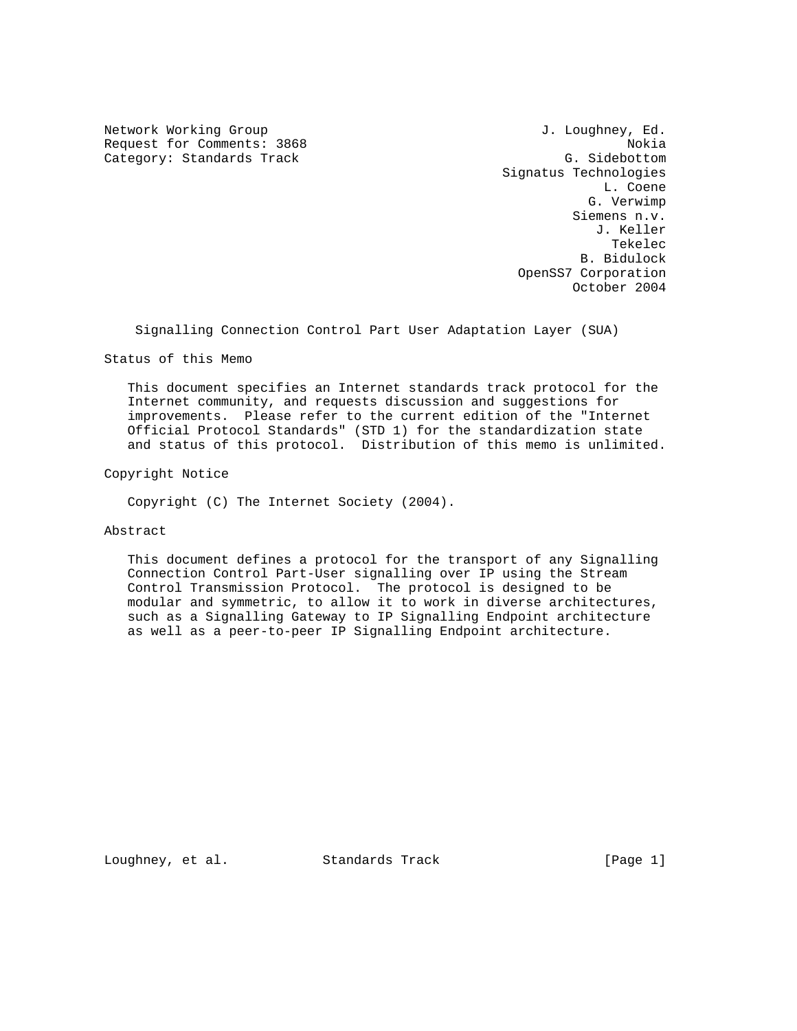Network Working Group and Month of the U.S. Loughney, Ed. Request for Comments: 3868 Nokia Category: Standards Track G. Sidebottom

 Signatus Technologies L. Coene G. Verwimp Siemens n.v. J. Keller the contract of the contract of the contract of the contract of the contract of the contract of the contract of the contract of the contract of the contract of the contract of the contract of the contract of the contract o B. Bidulock OpenSS7 Corporation October 2004

Signalling Connection Control Part User Adaptation Layer (SUA)

Status of this Memo

 This document specifies an Internet standards track protocol for the Internet community, and requests discussion and suggestions for improvements. Please refer to the current edition of the "Internet Official Protocol Standards" (STD 1) for the standardization state and status of this protocol. Distribution of this memo is unlimited.

Copyright Notice

Copyright (C) The Internet Society (2004).

Abstract

 This document defines a protocol for the transport of any Signalling Connection Control Part-User signalling over IP using the Stream Control Transmission Protocol. The protocol is designed to be modular and symmetric, to allow it to work in diverse architectures, such as a Signalling Gateway to IP Signalling Endpoint architecture as well as a peer-to-peer IP Signalling Endpoint architecture.

Loughney, et al. Standards Track [Page 1]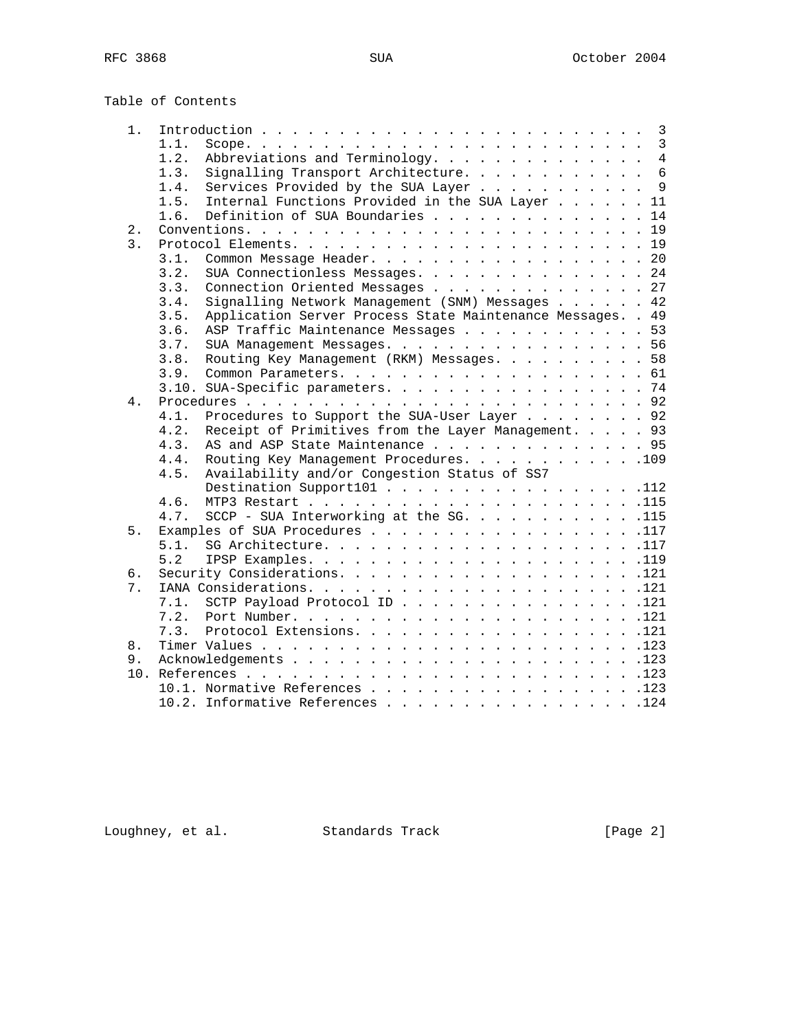# Table of Contents

| 1.               |      | $\overline{3}$                                              |
|------------------|------|-------------------------------------------------------------|
|                  | 1.1. |                                                             |
|                  | 1.2. | Abbreviations and Terminology. 4                            |
|                  | 1.3. | Signalling Transport Architecture. 6                        |
|                  | 1.4. | Services Provided by the SUA Layer 9                        |
|                  | 1.5. | Internal Functions Provided in the SUA Layer 11             |
|                  | 1.6. | Definition of SUA Boundaries 14                             |
| 2.               |      |                                                             |
| $\overline{3}$ . |      |                                                             |
|                  | 3.1. | Common Message Header. 20                                   |
|                  | 3.2. | SUA Connectionless Messages. 24                             |
|                  | 3.3. | Connection Oriented Messages 27                             |
|                  | 3.4. | Signalling Network Management (SNM) Messages 42             |
|                  | 3.5. | Application Server Process State Maintenance Messages. . 49 |
|                  | 3.6. | ASP Traffic Maintenance Messages 53                         |
|                  | 3.7. | SUA Management Messages. 56                                 |
|                  | 3.8. | Routing Key Management (RKM) Messages. 58                   |
|                  | 3.9. |                                                             |
|                  |      | 3.10. SUA-Specific parameters. 74                           |
| 4.               |      |                                                             |
|                  | 4.1. | Procedures to Support the SUA-User Layer 92                 |
|                  | 4.2. | Receipt of Primitives from the Layer Management. 93         |
|                  | 4.3. | AS and ASP State Maintenance 95                             |
|                  | 4.4. | Routing Key Management Procedures. 109                      |
|                  | 4.5. | Availability and/or Congestion Status of SS7                |
|                  |      | Destination Support101 112                                  |
|                  | 4.6. |                                                             |
|                  | 4.7. | SCCP - SUA Interworking at the SG. 115                      |
| 5.               |      | Examples of SUA Procedures 117                              |
|                  | 5.1. |                                                             |
|                  | 5.2  |                                                             |
| б.               |      |                                                             |
| 7.               |      |                                                             |
|                  | 7.1. | SCTP Payload Protocol ID 121                                |
|                  | 7.2. |                                                             |
|                  | 7.3. | Protocol Extensions. 121                                    |
| 8.               |      |                                                             |
| 9.               |      |                                                             |
| 10.              |      |                                                             |
|                  |      | 10.1. Normative References 123                              |
|                  |      | 10.2. Informative References<br>.124                        |

Loughney, et al. Standards Track [Page 2]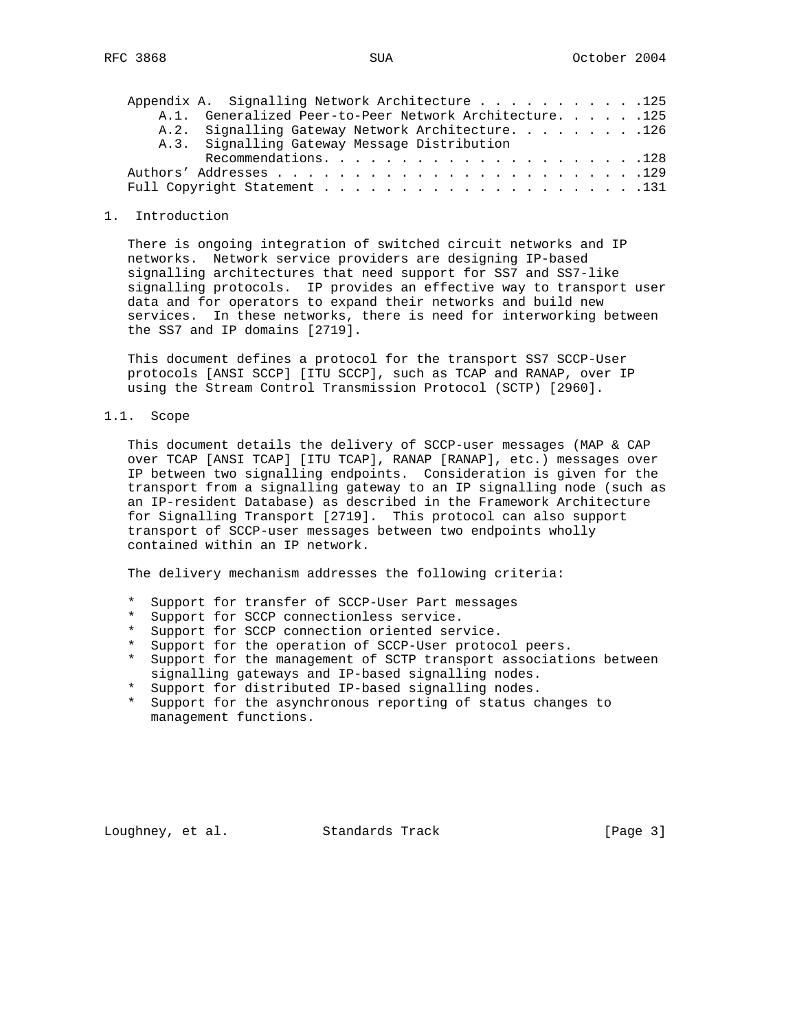|  | Appendix A. Signalling Network Architecture 125   |  |                                                         |  |
|--|---------------------------------------------------|--|---------------------------------------------------------|--|
|  |                                                   |  | A.1. Generalized Peer-to-Peer Network Architecture. 125 |  |
|  | A.2. Signalling Gateway Network Architecture. 126 |  |                                                         |  |
|  | A.3. Signalling Gateway Message Distribution      |  |                                                         |  |
|  |                                                   |  |                                                         |  |
|  |                                                   |  |                                                         |  |
|  |                                                   |  |                                                         |  |

#### 1. Introduction

 There is ongoing integration of switched circuit networks and IP networks. Network service providers are designing IP-based signalling architectures that need support for SS7 and SS7-like signalling protocols. IP provides an effective way to transport user data and for operators to expand their networks and build new services. In these networks, there is need for interworking between the SS7 and IP domains [2719].

 This document defines a protocol for the transport SS7 SCCP-User protocols [ANSI SCCP] [ITU SCCP], such as TCAP and RANAP, over IP using the Stream Control Transmission Protocol (SCTP) [2960].

1.1. Scope

 This document details the delivery of SCCP-user messages (MAP & CAP over TCAP [ANSI TCAP] [ITU TCAP], RANAP [RANAP], etc.) messages over IP between two signalling endpoints. Consideration is given for the transport from a signalling gateway to an IP signalling node (such as an IP-resident Database) as described in the Framework Architecture for Signalling Transport [2719]. This protocol can also support transport of SCCP-user messages between two endpoints wholly contained within an IP network.

The delivery mechanism addresses the following criteria:

- \* Support for transfer of SCCP-User Part messages
- \* Support for SCCP connectionless service.
- \* Support for SCCP connection oriented service.
- \* Support for the operation of SCCP-User protocol peers.
- \* Support for the management of SCTP transport associations between signalling gateways and IP-based signalling nodes.
- \* Support for distributed IP-based signalling nodes.
- \* Support for the asynchronous reporting of status changes to management functions.

Loughney, et al. Standards Track [Page 3]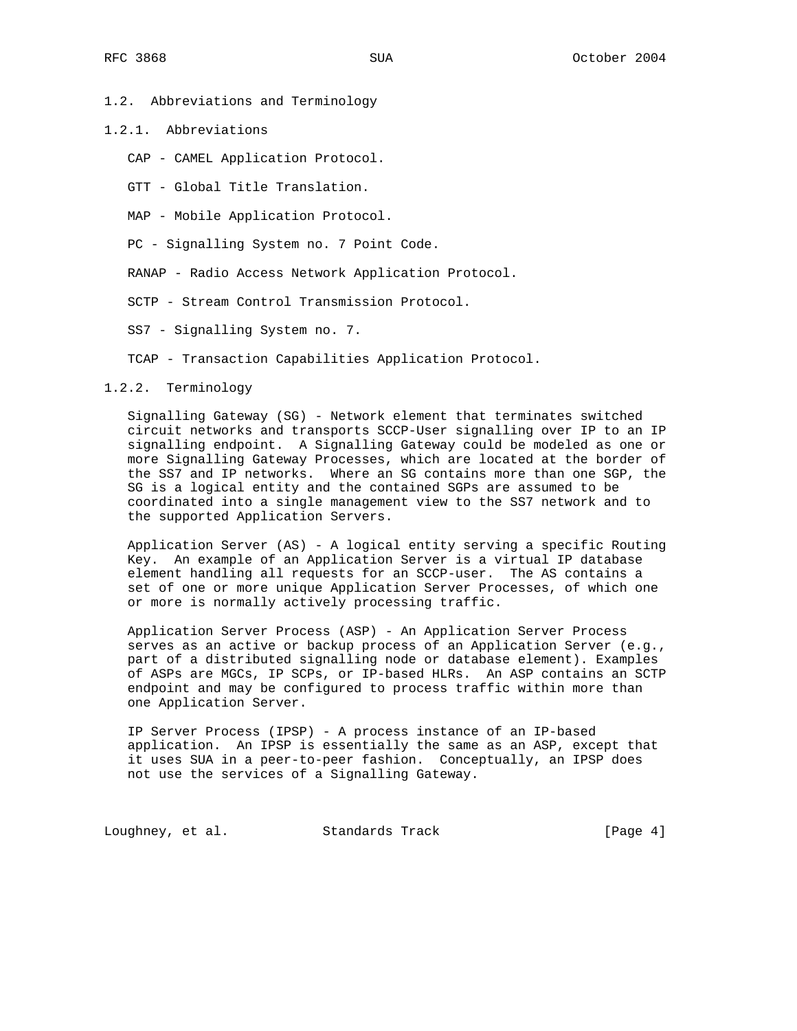#### 1.2. Abbreviations and Terminology

- 1.2.1. Abbreviations
	- CAP CAMEL Application Protocol.
	- GTT Global Title Translation.
	- MAP Mobile Application Protocol.
	- PC Signalling System no. 7 Point Code.
	- RANAP Radio Access Network Application Protocol.
	- SCTP Stream Control Transmission Protocol.
	- SS7 Signalling System no. 7.
	- TCAP Transaction Capabilities Application Protocol.

#### 1.2.2. Terminology

 Signalling Gateway (SG) - Network element that terminates switched circuit networks and transports SCCP-User signalling over IP to an IP signalling endpoint. A Signalling Gateway could be modeled as one or more Signalling Gateway Processes, which are located at the border of the SS7 and IP networks. Where an SG contains more than one SGP, the SG is a logical entity and the contained SGPs are assumed to be coordinated into a single management view to the SS7 network and to the supported Application Servers.

 Application Server (AS) - A logical entity serving a specific Routing Key. An example of an Application Server is a virtual IP database element handling all requests for an SCCP-user. The AS contains a set of one or more unique Application Server Processes, of which one or more is normally actively processing traffic.

 Application Server Process (ASP) - An Application Server Process serves as an active or backup process of an Application Server (e.g., part of a distributed signalling node or database element). Examples of ASPs are MGCs, IP SCPs, or IP-based HLRs. An ASP contains an SCTP endpoint and may be configured to process traffic within more than one Application Server.

 IP Server Process (IPSP) - A process instance of an IP-based application. An IPSP is essentially the same as an ASP, except that it uses SUA in a peer-to-peer fashion. Conceptually, an IPSP does not use the services of a Signalling Gateway.

Loughney, et al. Standards Track [Page 4]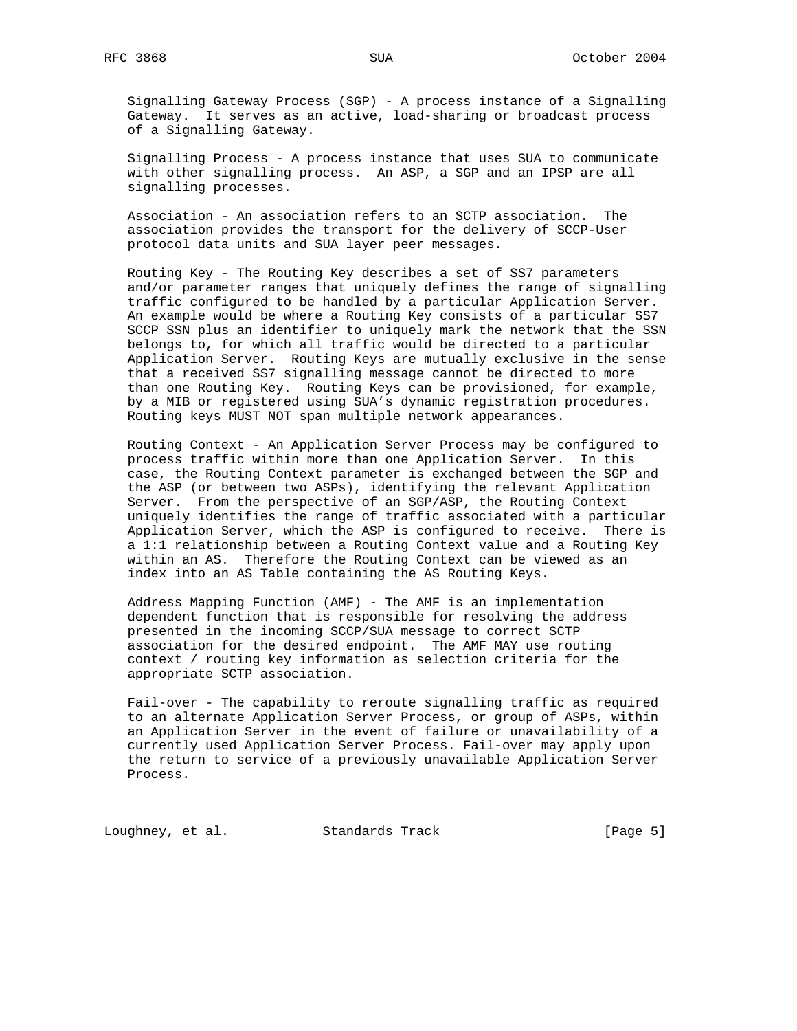Signalling Gateway Process (SGP) - A process instance of a Signalling Gateway. It serves as an active, load-sharing or broadcast process of a Signalling Gateway.

 Signalling Process - A process instance that uses SUA to communicate with other signalling process. An ASP, a SGP and an IPSP are all signalling processes.

 Association - An association refers to an SCTP association. The association provides the transport for the delivery of SCCP-User protocol data units and SUA layer peer messages.

 Routing Key - The Routing Key describes a set of SS7 parameters and/or parameter ranges that uniquely defines the range of signalling traffic configured to be handled by a particular Application Server. An example would be where a Routing Key consists of a particular SS7 SCCP SSN plus an identifier to uniquely mark the network that the SSN belongs to, for which all traffic would be directed to a particular Application Server. Routing Keys are mutually exclusive in the sense that a received SS7 signalling message cannot be directed to more than one Routing Key. Routing Keys can be provisioned, for example, by a MIB or registered using SUA's dynamic registration procedures. Routing keys MUST NOT span multiple network appearances.

 Routing Context - An Application Server Process may be configured to process traffic within more than one Application Server. In this case, the Routing Context parameter is exchanged between the SGP and the ASP (or between two ASPs), identifying the relevant Application Server. From the perspective of an SGP/ASP, the Routing Context uniquely identifies the range of traffic associated with a particular Application Server, which the ASP is configured to receive. There is a 1:1 relationship between a Routing Context value and a Routing Key within an AS. Therefore the Routing Context can be viewed as an index into an AS Table containing the AS Routing Keys.

 Address Mapping Function (AMF) - The AMF is an implementation dependent function that is responsible for resolving the address presented in the incoming SCCP/SUA message to correct SCTP association for the desired endpoint. The AMF MAY use routing context / routing key information as selection criteria for the appropriate SCTP association.

 Fail-over - The capability to reroute signalling traffic as required to an alternate Application Server Process, or group of ASPs, within an Application Server in the event of failure or unavailability of a currently used Application Server Process. Fail-over may apply upon the return to service of a previously unavailable Application Server Process.

Loughney, et al. Standards Track [Page 5]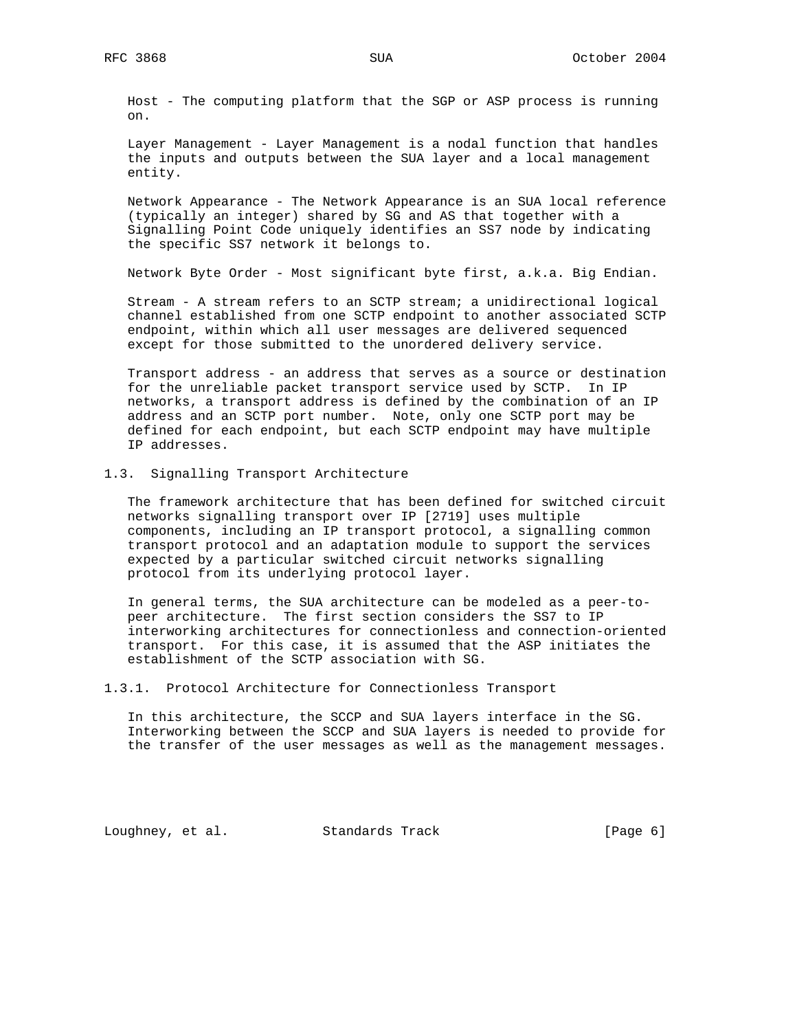Host - The computing platform that the SGP or ASP process is running on.

 Layer Management - Layer Management is a nodal function that handles the inputs and outputs between the SUA layer and a local management entity.

 Network Appearance - The Network Appearance is an SUA local reference (typically an integer) shared by SG and AS that together with a Signalling Point Code uniquely identifies an SS7 node by indicating the specific SS7 network it belongs to.

Network Byte Order - Most significant byte first, a.k.a. Big Endian.

 Stream - A stream refers to an SCTP stream; a unidirectional logical channel established from one SCTP endpoint to another associated SCTP endpoint, within which all user messages are delivered sequenced except for those submitted to the unordered delivery service.

 Transport address - an address that serves as a source or destination for the unreliable packet transport service used by SCTP. In IP networks, a transport address is defined by the combination of an IP address and an SCTP port number. Note, only one SCTP port may be defined for each endpoint, but each SCTP endpoint may have multiple IP addresses.

#### 1.3. Signalling Transport Architecture

 The framework architecture that has been defined for switched circuit networks signalling transport over IP [2719] uses multiple components, including an IP transport protocol, a signalling common transport protocol and an adaptation module to support the services expected by a particular switched circuit networks signalling protocol from its underlying protocol layer.

 In general terms, the SUA architecture can be modeled as a peer-to peer architecture. The first section considers the SS7 to IP interworking architectures for connectionless and connection-oriented transport. For this case, it is assumed that the ASP initiates the establishment of the SCTP association with SG.

1.3.1. Protocol Architecture for Connectionless Transport

 In this architecture, the SCCP and SUA layers interface in the SG. Interworking between the SCCP and SUA layers is needed to provide for the transfer of the user messages as well as the management messages.

Loughney, et al. Standards Track [Page 6]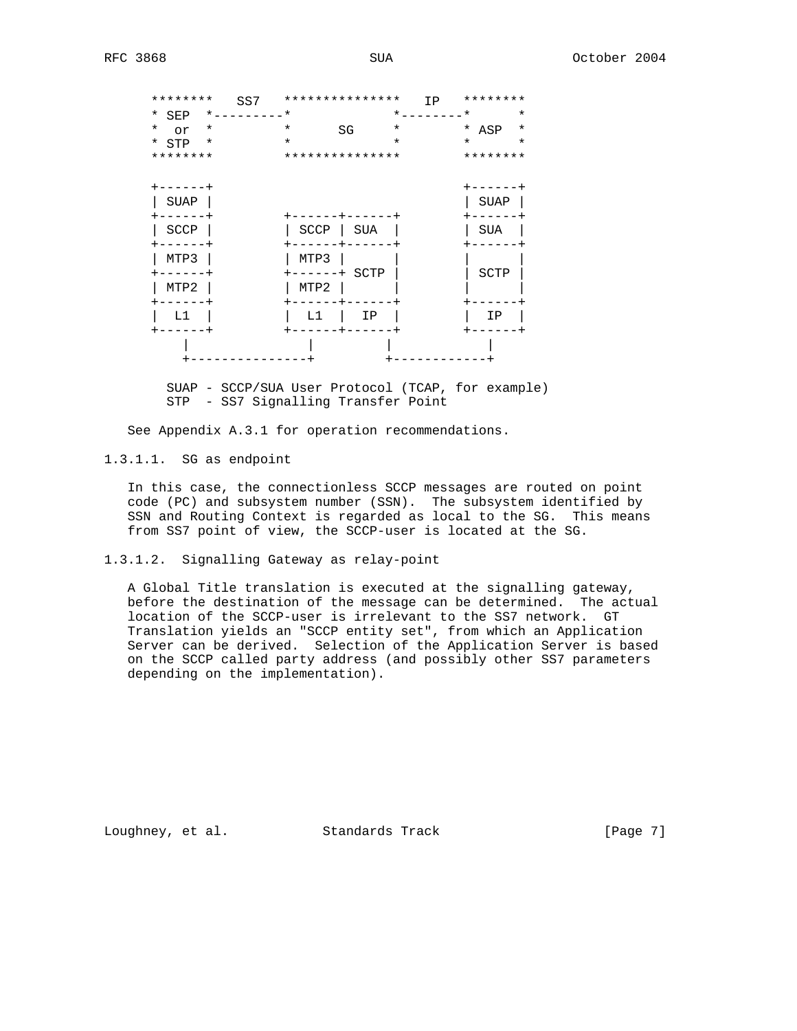| ********       |          | SS7       |          | *************** | IP      | ******** |         |
|----------------|----------|-----------|----------|-----------------|---------|----------|---------|
| * SEP          |          | $\star$ . | $^\star$ |                 | $\star$ | $^\star$ | $\star$ |
| $^\star$<br>or |          | $^\star$  | $\star$  | SG              | $\star$ | * ASP    | $\star$ |
| * STP          |          | $^\star$  | $\star$  |                 | $\star$ | $\star$  | $\star$ |
| ********       |          |           |          | *************** |         | ******** |         |
|                |          |           |          |                 |         |          |         |
|                | $----++$ |           |          |                 |         | -----    |         |
| SUAP           |          |           |          |                 |         | SUAP     |         |
|                |          |           |          |                 |         |          |         |
| SCCP           |          |           | SCCP     | SUA             |         | SUA      |         |
|                |          |           |          |                 |         |          |         |
| MTP3           |          |           | MTP3     |                 |         |          |         |
|                |          |           | $---$    | SCTP<br>$+$     |         | SCTP     |         |
| MTP2           |          |           | MTP2     |                 |         |          |         |
|                |          |           |          |                 |         |          |         |
| L1             |          |           | L1       | ΙP              |         | ΙP       |         |
|                |          |           |          |                 |         |          |         |
|                |          |           |          |                 |         |          |         |
|                |          |           |          |                 |         |          |         |

 SUAP - SCCP/SUA User Protocol (TCAP, for example) STP - SS7 Signalling Transfer Point

See Appendix A.3.1 for operation recommendations.

1.3.1.1. SG as endpoint

 In this case, the connectionless SCCP messages are routed on point code (PC) and subsystem number (SSN). The subsystem identified by SSN and Routing Context is regarded as local to the SG. This means from SS7 point of view, the SCCP-user is located at the SG.

1.3.1.2. Signalling Gateway as relay-point

 A Global Title translation is executed at the signalling gateway, before the destination of the message can be determined. The actual location of the SCCP-user is irrelevant to the SS7 network. GT Translation yields an "SCCP entity set", from which an Application Server can be derived. Selection of the Application Server is based on the SCCP called party address (and possibly other SS7 parameters depending on the implementation).

Loughney, et al. Standards Track [Page 7]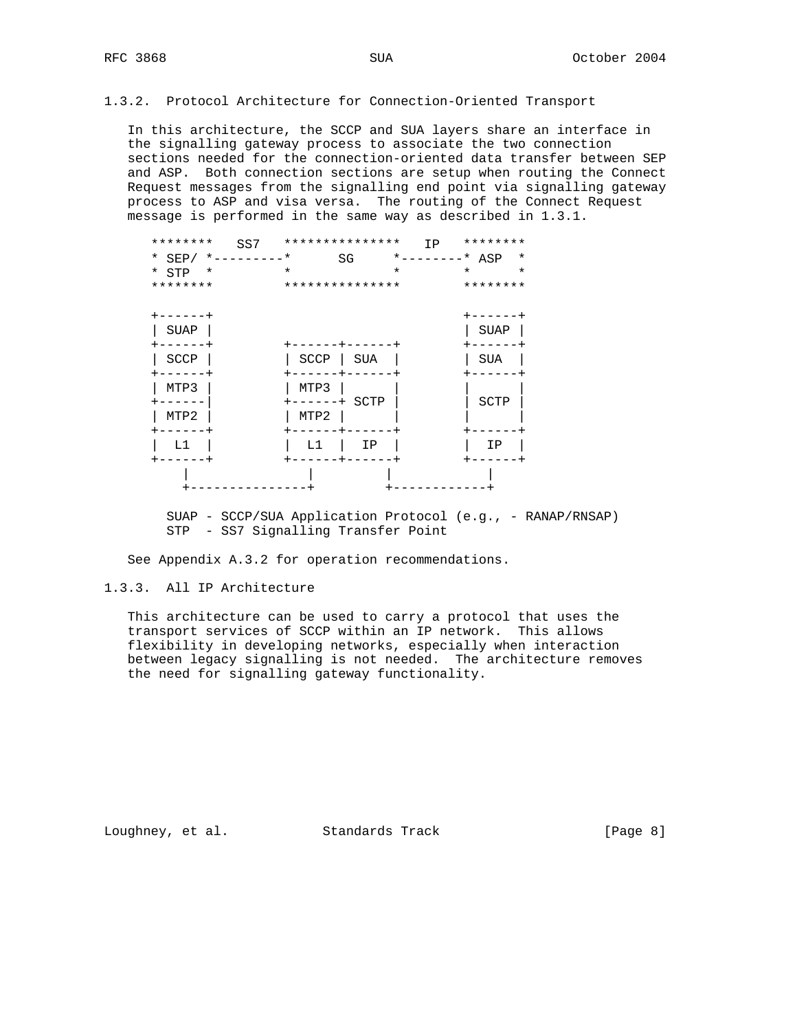### 1.3.2. Protocol Architecture for Connection-Oriented Transport

 In this architecture, the SCCP and SUA layers share an interface in the signalling gateway process to associate the two connection sections needed for the connection-oriented data transfer between SEP and ASP. Both connection sections are setup when routing the Connect Request messages from the signalling end point via signalling gateway process to ASP and visa versa. The routing of the Connect Request message is performed in the same way as described in 1.3.1.

| ********        | SS7                | *************** |                 | IP                      | ******** |         |
|-----------------|--------------------|-----------------|-----------------|-------------------------|----------|---------|
|                 | * SEP/ *---------* |                 | SG              | $\star$ _ _ _ _ _ _ _ _ | * ASP    | $\ast$  |
| $*$ STP $*$     |                    | $\star$         |                 | $\star$                 | $\star$  | $\star$ |
| ********        |                    | *************** |                 |                         | ******** |         |
|                 |                    |                 |                 |                         |          |         |
| $+ - - - - - +$ |                    |                 |                 |                         | ------   |         |
| SUAP            |                    |                 |                 |                         | SUAP     |         |
| $- - - - -$     |                    | ----            | $+ - - - - - -$ |                         |          |         |
| SCCP            |                    | SCCP            | SUA             |                         | SUA      |         |
| $---$           |                    |                 |                 |                         |          |         |
| MTP3            |                    | MTP3            |                 |                         |          |         |
|                 |                    |                 | -----+ SCTP     |                         | SCTP     |         |
| MTP2            |                    | MTP2            |                 |                         |          |         |
|                 |                    |                 | -+-----         |                         |          |         |
| L1              |                    | L1              | ΙP              |                         | ΙP       |         |
|                 |                    |                 |                 |                         |          |         |
|                 |                    |                 |                 |                         |          |         |
|                 |                    |                 |                 |                         |          |         |

 SUAP - SCCP/SUA Application Protocol (e.g., - RANAP/RNSAP) STP - SS7 Signalling Transfer Point

See Appendix A.3.2 for operation recommendations.

## 1.3.3. All IP Architecture

 This architecture can be used to carry a protocol that uses the transport services of SCCP within an IP network. This allows flexibility in developing networks, especially when interaction between legacy signalling is not needed. The architecture removes the need for signalling gateway functionality.

Loughney, et al. Standards Track [Page 8]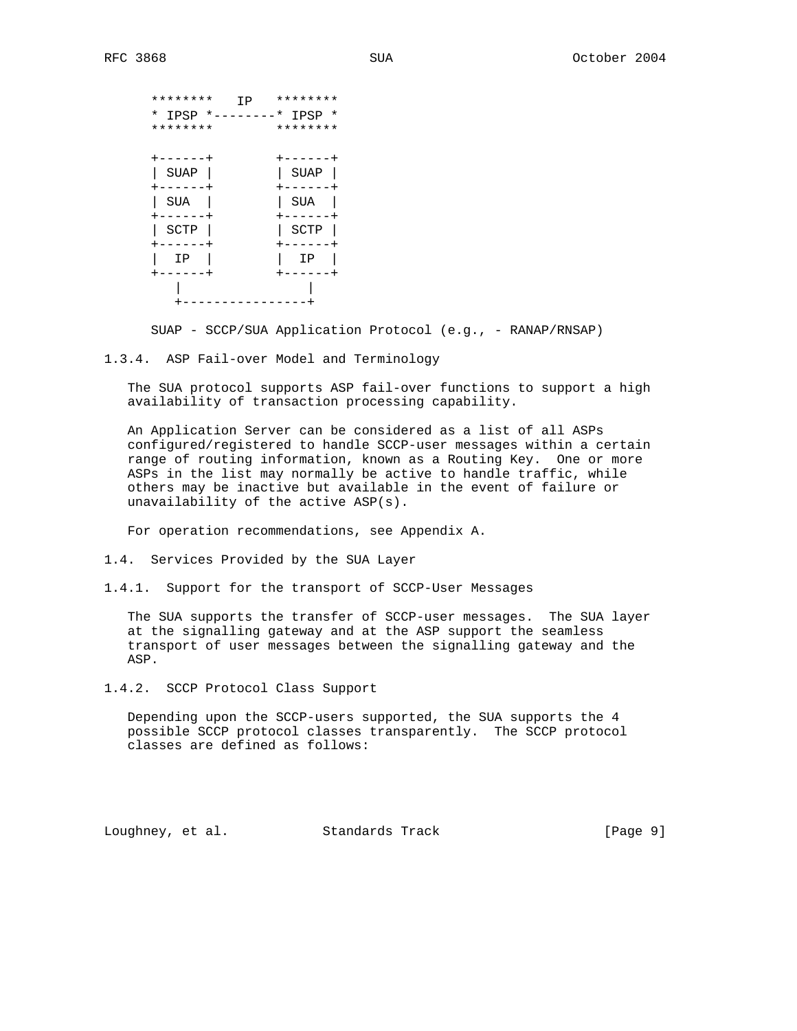| ********<br>ΙP   | ********          |
|------------------|-------------------|
| *<br>IPSP<br>* . | – – – *<br>IPSP * |
| ********         | ********          |
|                  |                   |
| . – – – – – +    | -------+          |
| SUAP             | SUAP              |
| -----+           | $------$          |
| SUA              | SUA               |
| $-- - - -$       | $-- -$            |
| SCTP             | SCTP              |
| ----+            |                   |
| IΡ               | IΡ                |
|                  |                   |
|                  |                   |
|                  |                   |

SUAP - SCCP/SUA Application Protocol (e.g., - RANAP/RNSAP)

1.3.4. ASP Fail-over Model and Terminology

 The SUA protocol supports ASP fail-over functions to support a high availability of transaction processing capability.

 An Application Server can be considered as a list of all ASPs configured/registered to handle SCCP-user messages within a certain range of routing information, known as a Routing Key. One or more ASPs in the list may normally be active to handle traffic, while others may be inactive but available in the event of failure or unavailability of the active ASP(s).

For operation recommendations, see Appendix A.

- 1.4. Services Provided by the SUA Layer
- 1.4.1. Support for the transport of SCCP-User Messages

 The SUA supports the transfer of SCCP-user messages. The SUA layer at the signalling gateway and at the ASP support the seamless transport of user messages between the signalling gateway and the ASP.

1.4.2. SCCP Protocol Class Support

 Depending upon the SCCP-users supported, the SUA supports the 4 possible SCCP protocol classes transparently. The SCCP protocol classes are defined as follows:

Loughney, et al. Standards Track [Page 9]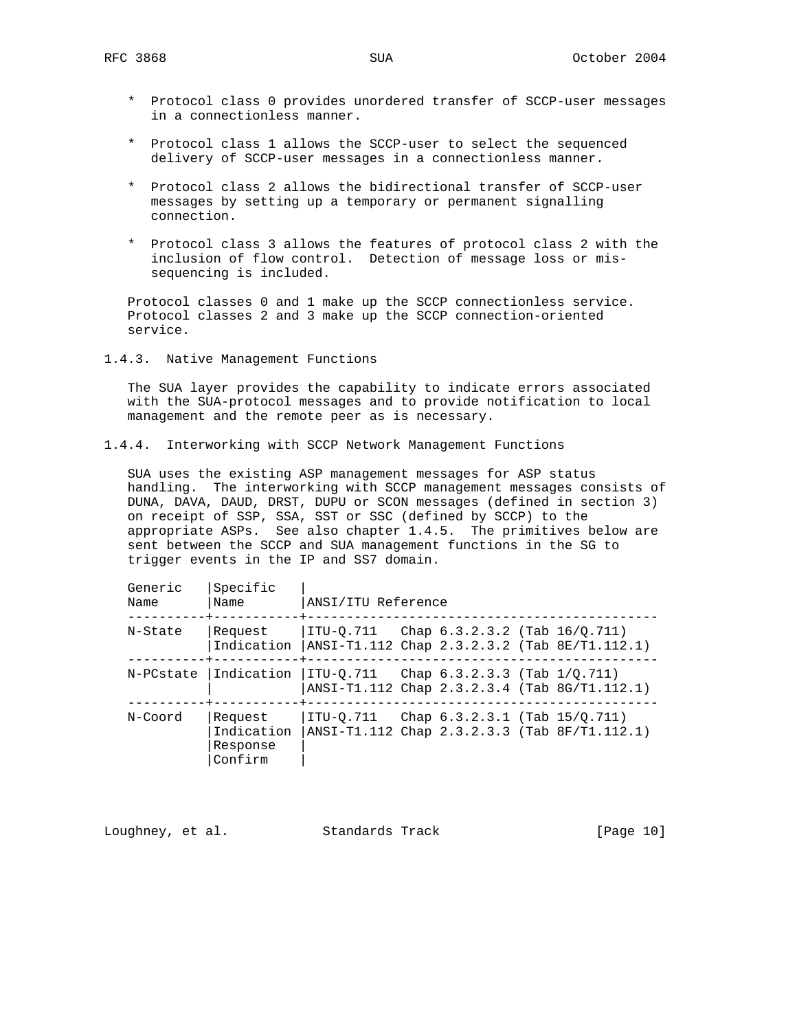- \* Protocol class 0 provides unordered transfer of SCCP-user messages in a connectionless manner.
- \* Protocol class 1 allows the SCCP-user to select the sequenced delivery of SCCP-user messages in a connectionless manner.
- \* Protocol class 2 allows the bidirectional transfer of SCCP-user messages by setting up a temporary or permanent signalling connection.
- \* Protocol class 3 allows the features of protocol class 2 with the inclusion of flow control. Detection of message loss or mis sequencing is included.

 Protocol classes 0 and 1 make up the SCCP connectionless service. Protocol classes 2 and 3 make up the SCCP connection-oriented service.

1.4.3. Native Management Functions

 The SUA layer provides the capability to indicate errors associated with the SUA-protocol messages and to provide notification to local management and the remote peer as is necessary.

1.4.4. Interworking with SCCP Network Management Functions

 SUA uses the existing ASP management messages for ASP status handling. The interworking with SCCP management messages consists of DUNA, DAVA, DAUD, DRST, DUPU or SCON messages (defined in section 3) on receipt of SSP, SSA, SST or SSC (defined by SCCP) to the appropriate ASPs. See also chapter 1.4.5. The primitives below are sent between the SCCP and SUA management functions in the SG to trigger events in the IP and SS7 domain.

| Generic<br>Name | Specific<br>Name                             | ANSI/ITU Reference                              |                                    |                                                            |
|-----------------|----------------------------------------------|-------------------------------------------------|------------------------------------|------------------------------------------------------------|
| N-State         | Request                                      | $ ITU-0.711$ Chap $6.3.2.3.2$ (Tab $16/0.711$ ) |                                    | Indication $ ANSI-T1.112 Chap 2.3.2.3.2 (Tab 8E/T1.112.1)$ |
| N-PCstate       | Indication                                   | ITU-0.711   Chap 6.3.2.3.3 (Tab 1/0.711)        |                                    | ANSI-T1.112 Chap 2.3.2.3.4 (Tab 8G/T1.112.1)               |
| N-Coord         | Request<br>Indication<br>Response<br>Confirm | ITU-0.711                                       | Chap $6.3.2.3.1$ (Tab $15/0.711$ ) | $ANSI-T1.112$ Chap 2.3.2.3.3 (Tab $8F/T1.112.1$ )          |

Loughney, et al. Standards Track [Page 10]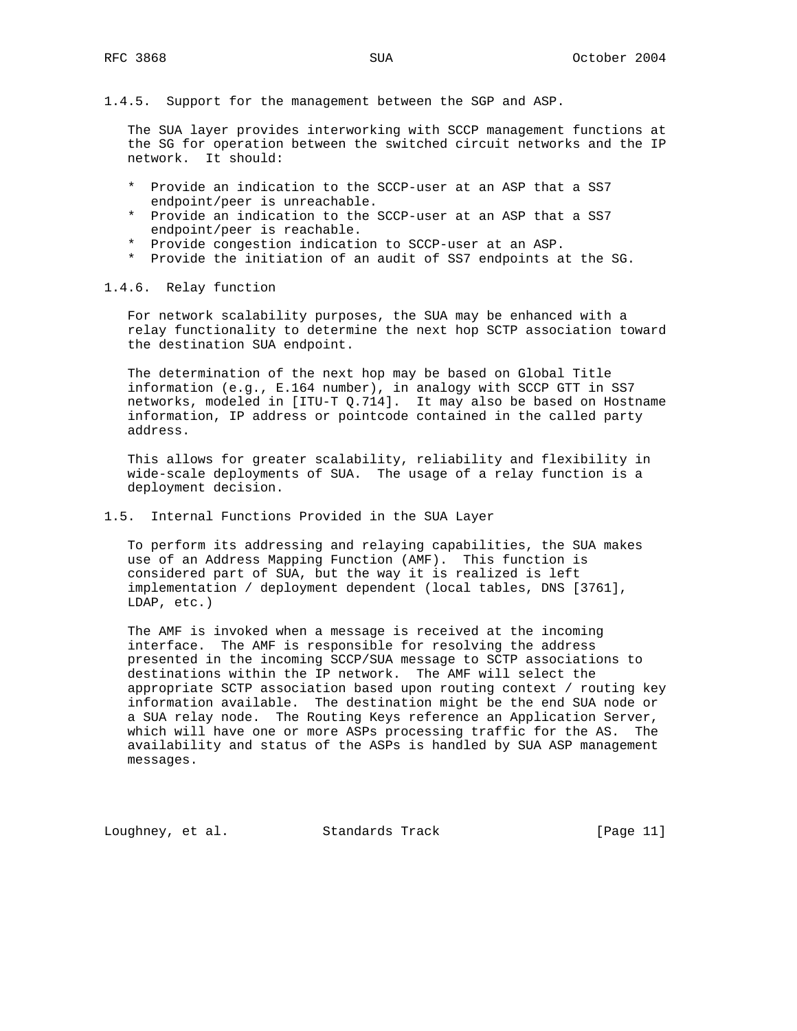#### 1.4.5. Support for the management between the SGP and ASP.

 The SUA layer provides interworking with SCCP management functions at the SG for operation between the switched circuit networks and the IP network. It should:

- \* Provide an indication to the SCCP-user at an ASP that a SS7 endpoint/peer is unreachable.
- \* Provide an indication to the SCCP-user at an ASP that a SS7 endpoint/peer is reachable.
- \* Provide congestion indication to SCCP-user at an ASP.
- \* Provide the initiation of an audit of SS7 endpoints at the SG.

#### 1.4.6. Relay function

 For network scalability purposes, the SUA may be enhanced with a relay functionality to determine the next hop SCTP association toward the destination SUA endpoint.

 The determination of the next hop may be based on Global Title information (e.g., E.164 number), in analogy with SCCP GTT in SS7 networks, modeled in [ITU-T Q.714]. It may also be based on Hostname information, IP address or pointcode contained in the called party address.

 This allows for greater scalability, reliability and flexibility in wide-scale deployments of SUA. The usage of a relay function is a deployment decision.

#### 1.5. Internal Functions Provided in the SUA Layer

 To perform its addressing and relaying capabilities, the SUA makes use of an Address Mapping Function (AMF). This function is considered part of SUA, but the way it is realized is left implementation / deployment dependent (local tables, DNS [3761], LDAP, etc.)

 The AMF is invoked when a message is received at the incoming interface. The AMF is responsible for resolving the address presented in the incoming SCCP/SUA message to SCTP associations to destinations within the IP network. The AMF will select the appropriate SCTP association based upon routing context / routing key information available. The destination might be the end SUA node or a SUA relay node. The Routing Keys reference an Application Server, which will have one or more ASPs processing traffic for the AS. The availability and status of the ASPs is handled by SUA ASP management messages.

Loughney, et al. Standards Track [Page 11]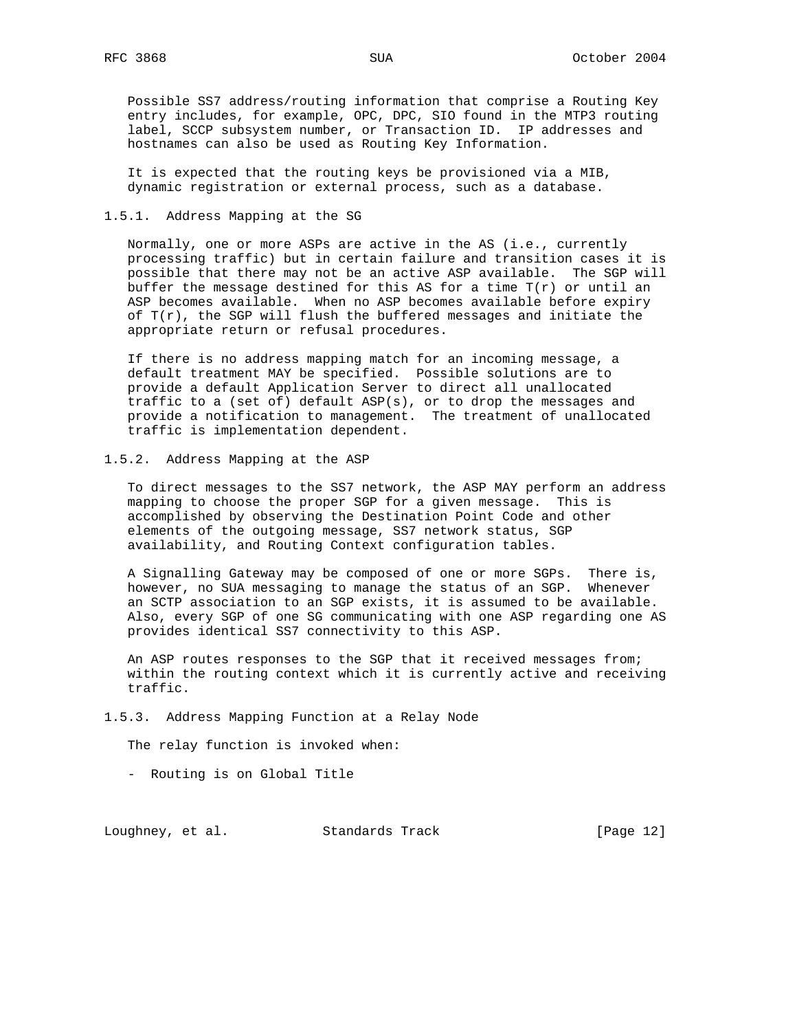Possible SS7 address/routing information that comprise a Routing Key entry includes, for example, OPC, DPC, SIO found in the MTP3 routing label, SCCP subsystem number, or Transaction ID. IP addresses and hostnames can also be used as Routing Key Information.

 It is expected that the routing keys be provisioned via a MIB, dynamic registration or external process, such as a database.

#### 1.5.1. Address Mapping at the SG

 Normally, one or more ASPs are active in the AS (i.e., currently processing traffic) but in certain failure and transition cases it is possible that there may not be an active ASP available. The SGP will buffer the message destined for this AS for a time T(r) or until an ASP becomes available. When no ASP becomes available before expiry of  $T(r)$ , the SGP will flush the buffered messages and initiate the appropriate return or refusal procedures.

 If there is no address mapping match for an incoming message, a default treatment MAY be specified. Possible solutions are to provide a default Application Server to direct all unallocated traffic to a (set of) default ASP(s), or to drop the messages and provide a notification to management. The treatment of unallocated traffic is implementation dependent.

#### 1.5.2. Address Mapping at the ASP

 To direct messages to the SS7 network, the ASP MAY perform an address mapping to choose the proper SGP for a given message. This is accomplished by observing the Destination Point Code and other elements of the outgoing message, SS7 network status, SGP availability, and Routing Context configuration tables.

 A Signalling Gateway may be composed of one or more SGPs. There is, however, no SUA messaging to manage the status of an SGP. Whenever an SCTP association to an SGP exists, it is assumed to be available. Also, every SGP of one SG communicating with one ASP regarding one AS provides identical SS7 connectivity to this ASP.

 An ASP routes responses to the SGP that it received messages from; within the routing context which it is currently active and receiving traffic.

#### 1.5.3. Address Mapping Function at a Relay Node

The relay function is invoked when:

- Routing is on Global Title

Loughney, et al. Standards Track [Page 12]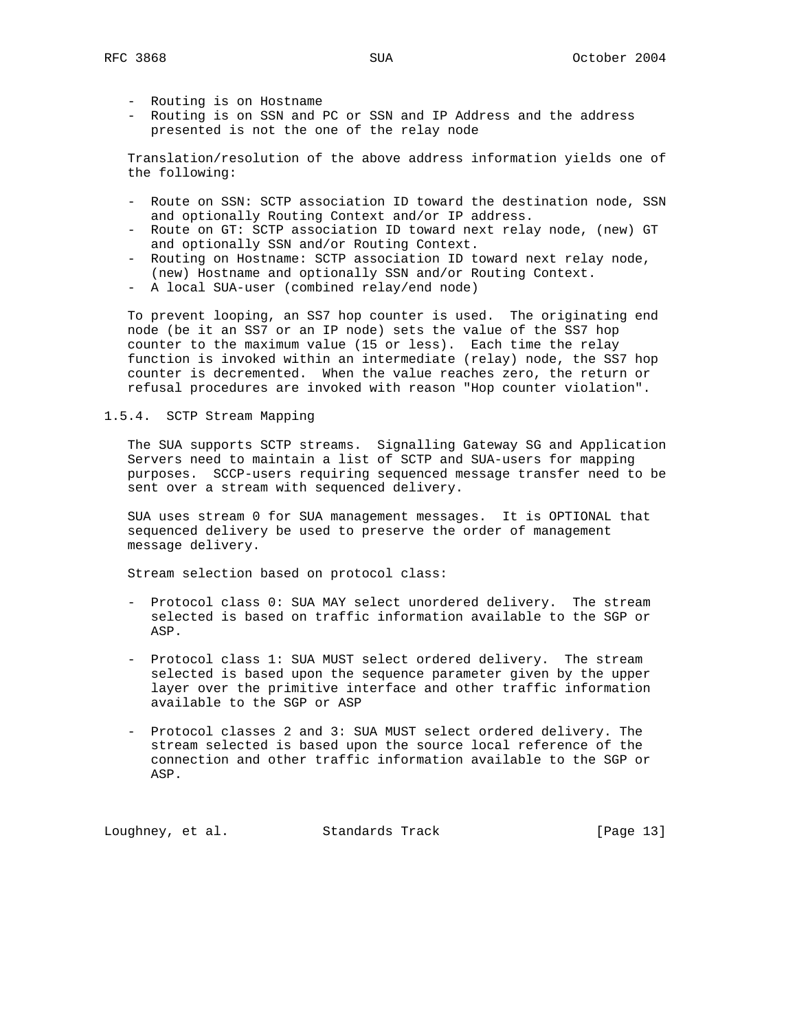- Routing is on Hostname
- Routing is on SSN and PC or SSN and IP Address and the address presented is not the one of the relay node

 Translation/resolution of the above address information yields one of the following:

- Route on SSN: SCTP association ID toward the destination node, SSN and optionally Routing Context and/or IP address.
- Route on GT: SCTP association ID toward next relay node, (new) GT and optionally SSN and/or Routing Context.
- Routing on Hostname: SCTP association ID toward next relay node, (new) Hostname and optionally SSN and/or Routing Context.
- A local SUA-user (combined relay/end node)

 To prevent looping, an SS7 hop counter is used. The originating end node (be it an SS7 or an IP node) sets the value of the SS7 hop counter to the maximum value (15 or less). Each time the relay function is invoked within an intermediate (relay) node, the SS7 hop counter is decremented. When the value reaches zero, the return or refusal procedures are invoked with reason "Hop counter violation".

#### 1.5.4. SCTP Stream Mapping

 The SUA supports SCTP streams. Signalling Gateway SG and Application Servers need to maintain a list of SCTP and SUA-users for mapping purposes. SCCP-users requiring sequenced message transfer need to be sent over a stream with sequenced delivery.

 SUA uses stream 0 for SUA management messages. It is OPTIONAL that sequenced delivery be used to preserve the order of management message delivery.

Stream selection based on protocol class:

- Protocol class 0: SUA MAY select unordered delivery. The stream selected is based on traffic information available to the SGP or ASP.
- Protocol class 1: SUA MUST select ordered delivery. The stream selected is based upon the sequence parameter given by the upper layer over the primitive interface and other traffic information available to the SGP or ASP
- Protocol classes 2 and 3: SUA MUST select ordered delivery. The stream selected is based upon the source local reference of the connection and other traffic information available to the SGP or ASP.

Loughney, et al. Standards Track [Page 13]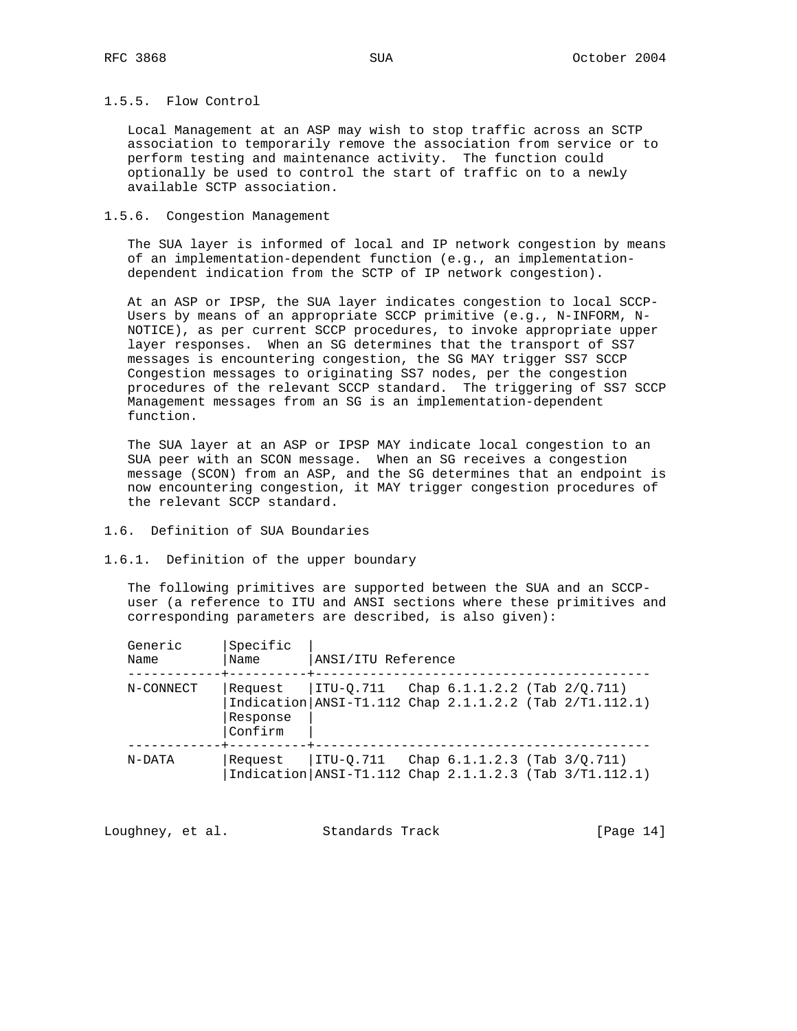### 1.5.5. Flow Control

 Local Management at an ASP may wish to stop traffic across an SCTP association to temporarily remove the association from service or to perform testing and maintenance activity. The function could optionally be used to control the start of traffic on to a newly available SCTP association.

#### 1.5.6. Congestion Management

 The SUA layer is informed of local and IP network congestion by means of an implementation-dependent function (e.g., an implementation dependent indication from the SCTP of IP network congestion).

 At an ASP or IPSP, the SUA layer indicates congestion to local SCCP- Users by means of an appropriate SCCP primitive (e.g., N-INFORM, N- NOTICE), as per current SCCP procedures, to invoke appropriate upper layer responses. When an SG determines that the transport of SS7 messages is encountering congestion, the SG MAY trigger SS7 SCCP Congestion messages to originating SS7 nodes, per the congestion procedures of the relevant SCCP standard. The triggering of SS7 SCCP Management messages from an SG is an implementation-dependent function.

 The SUA layer at an ASP or IPSP MAY indicate local congestion to an SUA peer with an SCON message. When an SG receives a congestion message (SCON) from an ASP, and the SG determines that an endpoint is now encountering congestion, it MAY trigger congestion procedures of the relevant SCCP standard.

## 1.6. Definition of SUA Boundaries

1.6.1. Definition of the upper boundary

 The following primitives are supported between the SUA and an SCCP user (a reference to ITU and ANSI sections where these primitives and corresponding parameters are described, is also given):

| Generic<br>Name | Specific<br>Name               | ANSI/ITU Reference                                                    |                                   |  |
|-----------------|--------------------------------|-----------------------------------------------------------------------|-----------------------------------|--|
| N-CONNECT       | Request<br>Response<br>Confirm | ITU-0.711<br>Indication   ANSI-T1.112 Chap 2.1.1.2.2 (Tab 2/T1.112.1) | Chap $6.1.1.2.2$ (Tab $2/Q.711$ ) |  |
| N-DATA          | Request                        | ITU-0.711<br>Indication   ANSI-T1.112 Chap 2.1.1.2.3 (Tab 3/T1.112.1) | Chap $6.1.1.2.3$ (Tab $3/0.711$ ) |  |

| Loughney, et al. |  | Standards Track | [Page 14] |  |
|------------------|--|-----------------|-----------|--|
|------------------|--|-----------------|-----------|--|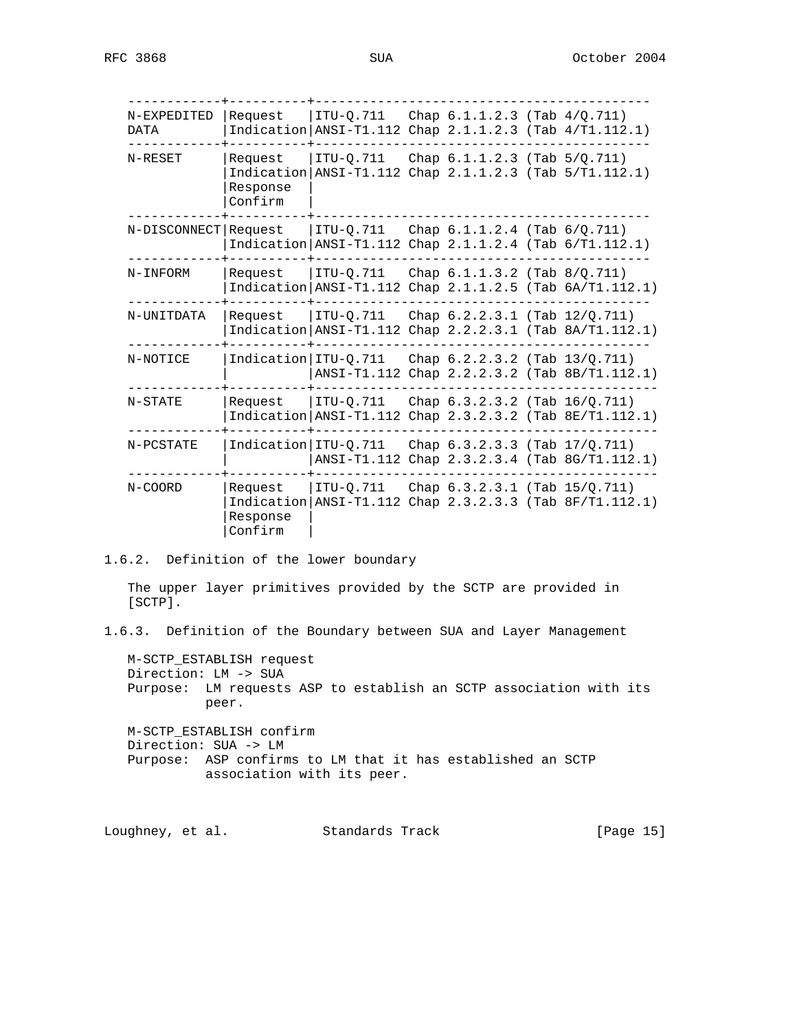| N-EXPEDITED<br>DATA  | Request                        | ITU-0.711<br>$Indication  ANSI-T1.112 Chap 2.1.1.2.3 (Tab 4/T1.112.1)$       | Chap $6.1.1.2.3$ (Tab $4/Q.711$ )  |                                                           |
|----------------------|--------------------------------|------------------------------------------------------------------------------|------------------------------------|-----------------------------------------------------------|
| N-RESET              | Request<br>Response<br>Confirm | ITU-0.711<br>Indication   ANSI-T1.112 Chap 2.1.1.2.3 (Tab 5/T1.112.1)        | Chap $6.1.1.2.3$ (Tab $5/0.711$ )  |                                                           |
| N-DISCONNECT Request |                                | ITU-0.711<br>Indication   ANSI-T1.112 Chap 2.1.1.2.4 (Tab 6/T1.112.1)        | Chap $6.1.1.2.4$ (Tab $6/Q.711$ )  |                                                           |
| N-INFORM             | Request                        | $ITU-Q.711$<br>Indication ANSI-T1.112                                        | Chap $6.1.1.3.2$ (Tab $8/Q.711$ )  | Chap $2.1.1.2.5$ (Tab $6A/T1.112.1$ )                     |
| N-UNITDATA           | Request                        | ITU-0.711<br>Indication $ ANSI-T1.112$ Chap $2.2.2.3.1$ (Tab $8A/T1.112.1$ ) | Chap $6.2.2.3.1$ (Tab $12/Q.711$ ) |                                                           |
| N-NOTICE             | Indication ITU-0.711           |                                                                              | Chap $6.2.2.3.2$ (Tab $13/0.711$ ) | ANSI-T1.112 Chap 2.2.2.3.2 (Tab 8B/T1.112.1)              |
| N-STATE              | Request                        | ITU-0.711<br>Indication ANSI-T1.112                                          | Chap 6.3.2.3.2 (Tab 16/Q.711)      | Chap 2.3.2.3.2 (Tab 8E/T1.112.1)                          |
| N-PCSTATE            | Indication ITU-0.711           |                                                                              | Chap $6.3.2.3.3$ (Tab $17/Q.711$ ) | ANSI-T1.112 Chap 2.3.2.3.4 (Tab 8G/T1.112.1)              |
| N-COORD              | Request<br>Response<br>Confirm | ITU-0.711                                                                    | Chap $6.3.2.3.1$ (Tab $15/Q.711$ ) | Indication   ANSI-T1.112 Chap 2.3.2.3.3 (Tab 8F/T1.112.1) |

## 1.6.2. Definition of the lower boundary

 The upper layer primitives provided by the SCTP are provided in [SCTP].

1.6.3. Definition of the Boundary between SUA and Layer Management

 M-SCTP\_ESTABLISH request Direction: LM -> SUA Purpose: LM requests ASP to establish an SCTP association with its peer.

 M-SCTP\_ESTABLISH confirm Direction: SUA -> LM Purpose: ASP confirms to LM that it has established an SCTP association with its peer.

Loughney, et al. Standards Track [Page 15]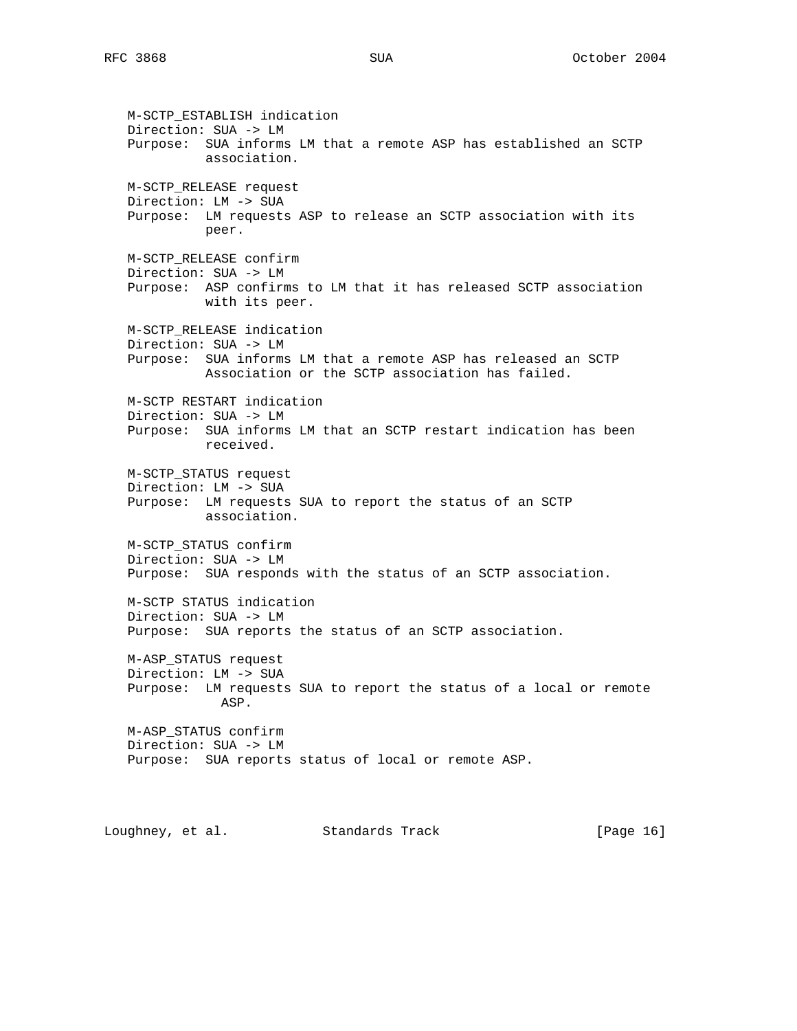M-SCTP\_ESTABLISH indication Direction: SUA -> LM Purpose: SUA informs LM that a remote ASP has established an SCTP association. M-SCTP\_RELEASE request Direction: LM -> SUA Purpose: LM requests ASP to release an SCTP association with its peer. M-SCTP\_RELEASE confirm Direction: SUA -> LM Purpose: ASP confirms to LM that it has released SCTP association with its peer. M-SCTP\_RELEASE indication Direction: SUA -> LM Purpose: SUA informs LM that a remote ASP has released an SCTP Association or the SCTP association has failed. M-SCTP RESTART indication Direction: SUA -> LM Purpose: SUA informs LM that an SCTP restart indication has been received. M-SCTP\_STATUS request Direction: LM -> SUA Purpose: LM requests SUA to report the status of an SCTP association. M-SCTP\_STATUS confirm Direction: SUA -> LM Purpose: SUA responds with the status of an SCTP association. M-SCTP STATUS indication Direction: SUA -> LM Purpose: SUA reports the status of an SCTP association. M-ASP\_STATUS request Direction: LM -> SUA Purpose: LM requests SUA to report the status of a local or remote ASP. M-ASP\_STATUS confirm Direction: SUA -> LM Purpose: SUA reports status of local or remote ASP. Loughney, et al. Standards Track [Page 16]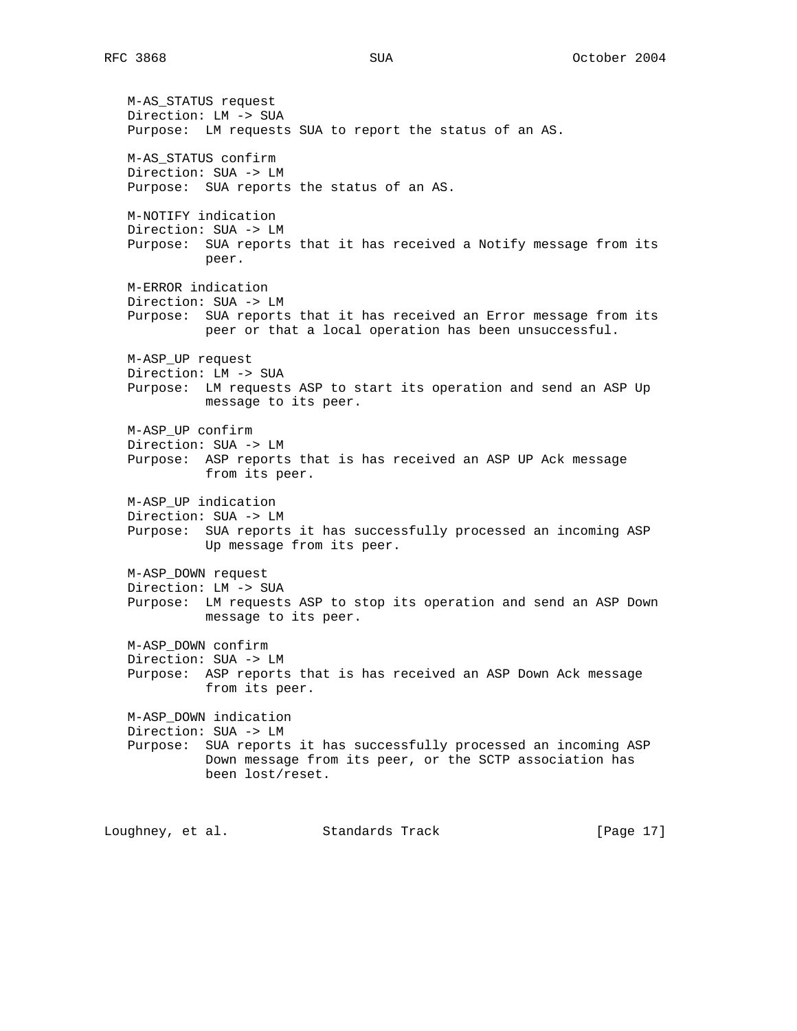M-AS\_STATUS request Direction: LM -> SUA Purpose: LM requests SUA to report the status of an AS. M-AS\_STATUS confirm Direction: SUA -> LM Purpose: SUA reports the status of an AS. M-NOTIFY indication Direction: SUA -> LM Purpose: SUA reports that it has received a Notify message from its peer. M-ERROR indication Direction: SUA -> LM Purpose: SUA reports that it has received an Error message from its peer or that a local operation has been unsuccessful. M-ASP\_UP request Direction: LM -> SUA Purpose: LM requests ASP to start its operation and send an ASP Up message to its peer. M-ASP\_UP confirm Direction: SUA -> LM Purpose: ASP reports that is has received an ASP UP Ack message from its peer. M-ASP\_UP indication Direction: SUA -> LM Purpose: SUA reports it has successfully processed an incoming ASP Up message from its peer. M-ASP\_DOWN request Direction: LM -> SUA Purpose: LM requests ASP to stop its operation and send an ASP Down message to its peer. M-ASP\_DOWN confirm Direction: SUA -> LM Purpose: ASP reports that is has received an ASP Down Ack message from its peer. M-ASP\_DOWN indication Direction: SUA -> LM Purpose: SUA reports it has successfully processed an incoming ASP Down message from its peer, or the SCTP association has been lost/reset. Loughney, et al. Standards Track [Page 17]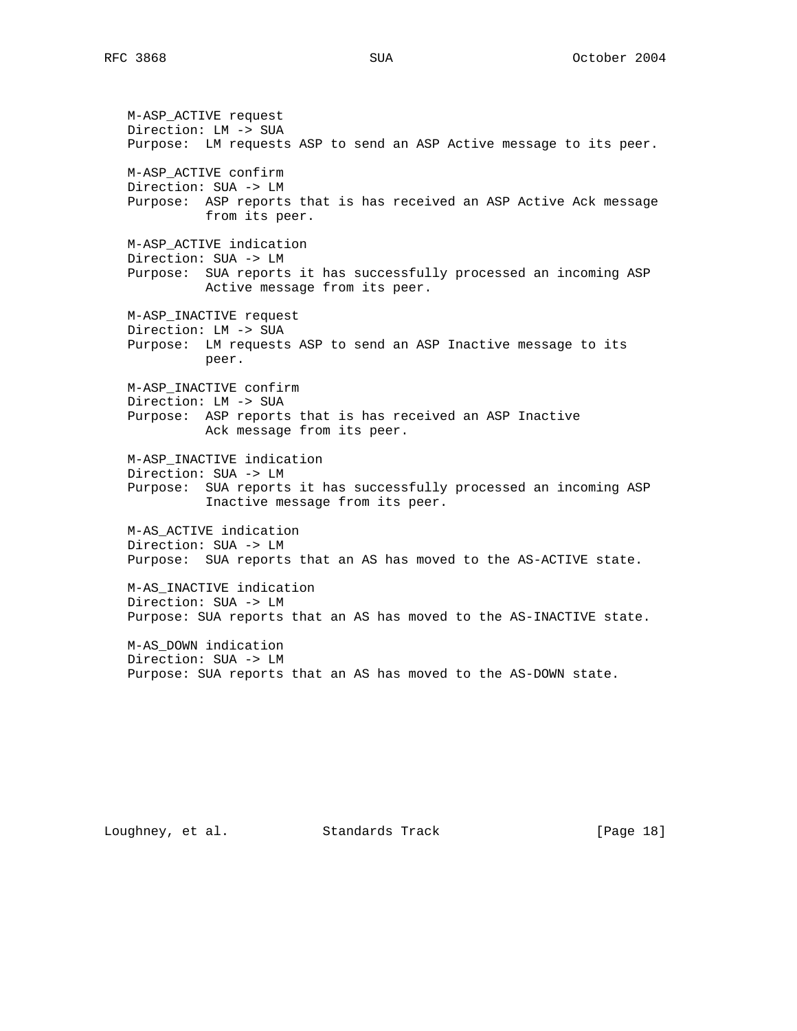M-ASP\_ACTIVE request Direction: LM -> SUA Purpose: LM requests ASP to send an ASP Active message to its peer. M-ASP\_ACTIVE confirm Direction: SUA -> LM Purpose: ASP reports that is has received an ASP Active Ack message from its peer. M-ASP\_ACTIVE indication Direction: SUA -> LM Purpose: SUA reports it has successfully processed an incoming ASP Active message from its peer. M-ASP\_INACTIVE request Direction: LM -> SUA Purpose: LM requests ASP to send an ASP Inactive message to its peer. M-ASP\_INACTIVE confirm Direction: LM -> SUA Purpose: ASP reports that is has received an ASP Inactive Ack message from its peer. M-ASP\_INACTIVE indication Direction: SUA -> LM Purpose: SUA reports it has successfully processed an incoming ASP Inactive message from its peer. M-AS\_ACTIVE indication Direction: SUA -> LM Purpose: SUA reports that an AS has moved to the AS-ACTIVE state. M-AS\_INACTIVE indication Direction: SUA -> LM Purpose: SUA reports that an AS has moved to the AS-INACTIVE state. M-AS\_DOWN indication Direction: SUA -> LM Purpose: SUA reports that an AS has moved to the AS-DOWN state.

Loughney, et al. Standards Track [Page 18]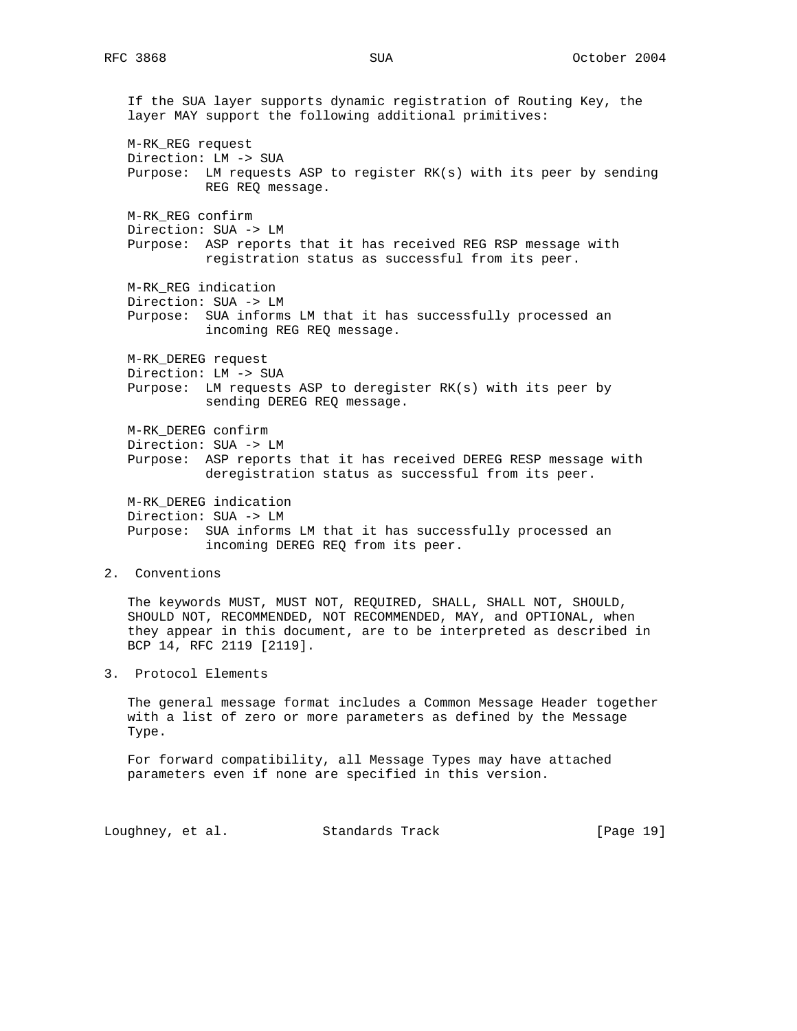If the SUA layer supports dynamic registration of Routing Key, the layer MAY support the following additional primitives: M-RK\_REG request Direction: LM -> SUA Purpose: LM requests ASP to register RK(s) with its peer by sending REG REQ message. M-RK\_REG confirm Direction: SUA -> LM Purpose: ASP reports that it has received REG RSP message with registration status as successful from its peer. M-RK\_REG indication Direction: SUA -> LM Purpose: SUA informs LM that it has successfully processed an incoming REG REQ message. M-RK\_DEREG request Direction: LM -> SUA Purpose: LM requests ASP to deregister RK(s) with its peer by sending DEREG REQ message. M-RK\_DEREG confirm Direction: SUA -> LM Purpose: ASP reports that it has received DEREG RESP message with deregistration status as successful from its peer. M-RK\_DEREG indication Direction: SUA -> LM Purpose: SUA informs LM that it has successfully processed an incoming DEREG REQ from its peer. 2. Conventions

 The keywords MUST, MUST NOT, REQUIRED, SHALL, SHALL NOT, SHOULD, SHOULD NOT, RECOMMENDED, NOT RECOMMENDED, MAY, and OPTIONAL, when they appear in this document, are to be interpreted as described in BCP 14, RFC 2119 [2119].

3. Protocol Elements

 The general message format includes a Common Message Header together with a list of zero or more parameters as defined by the Message Type.

 For forward compatibility, all Message Types may have attached parameters even if none are specified in this version.

Loughney, et al. Standards Track [Page 19]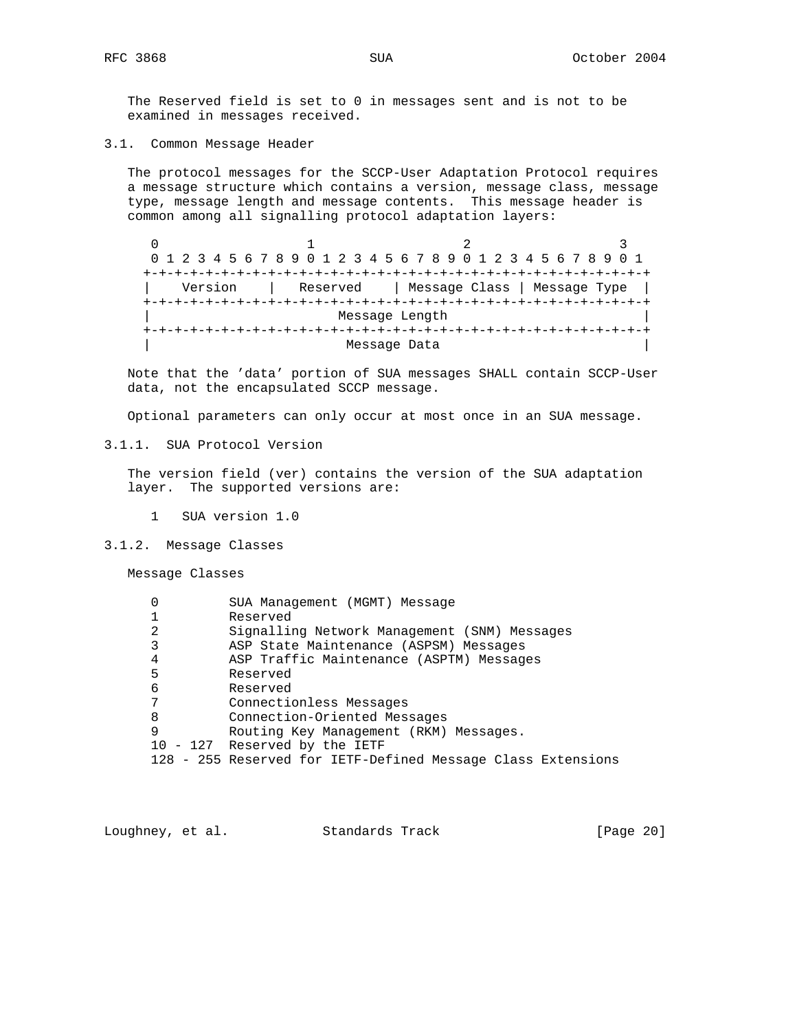The Reserved field is set to 0 in messages sent and is not to be examined in messages received.

3.1. Common Message Header

 The protocol messages for the SCCP-User Adaptation Protocol requires a message structure which contains a version, message class, message type, message length and message contents. This message header is common among all signalling protocol adaptation layers:

0  $1$   $2$   $3$  0 1 2 3 4 5 6 7 8 9 0 1 2 3 4 5 6 7 8 9 0 1 2 3 4 5 6 7 8 9 0 1 +-+-+-+-+-+-+-+-+-+-+-+-+-+-+-+-+-+-+-+-+-+-+-+-+-+-+-+-+-+-+-+-+ | Version | Reserved | Message Class | Message Type | +-+-+-+-+-+-+-+-+-+-+-+-+-+-+-+-+-+-+-+-+-+-+-+-+-+-+-+-+-+-+-+-+ Message Length +-+-+-+-+-+-+-+-+-+-+-+-+-+-+-+-+-+-+-+-+-+-+-+-+-+-+-+-+-+-+-+-+ Message Data

 Note that the 'data' portion of SUA messages SHALL contain SCCP-User data, not the encapsulated SCCP message.

Optional parameters can only occur at most once in an SUA message.

3.1.1. SUA Protocol Version

 The version field (ver) contains the version of the SUA adaptation layer. The supported versions are:

- 1 SUA version 1.0
- 3.1.2. Message Classes

Message Classes

| 0 | SUA Management (MGMT) Message                                |
|---|--------------------------------------------------------------|
|   | Reserved                                                     |
| 2 | Signalling Network Management (SNM) Messages                 |
| 3 | ASP State Maintenance (ASPSM) Messages                       |
| 4 | ASP Traffic Maintenance (ASPTM) Messages                     |
| 5 | Reserved                                                     |
| 6 | Reserved                                                     |
| 7 | Connectionless Messages                                      |
| 8 | Connection-Oriented Messages                                 |
| 9 | Routing Key Management (RKM) Messages.                       |
|   | 10 - 127 Reserved by the IETF                                |
|   | 128 - 255 Reserved for IETF-Defined Message Class Extensions |

Loughney, et al. Standards Track [Page 20]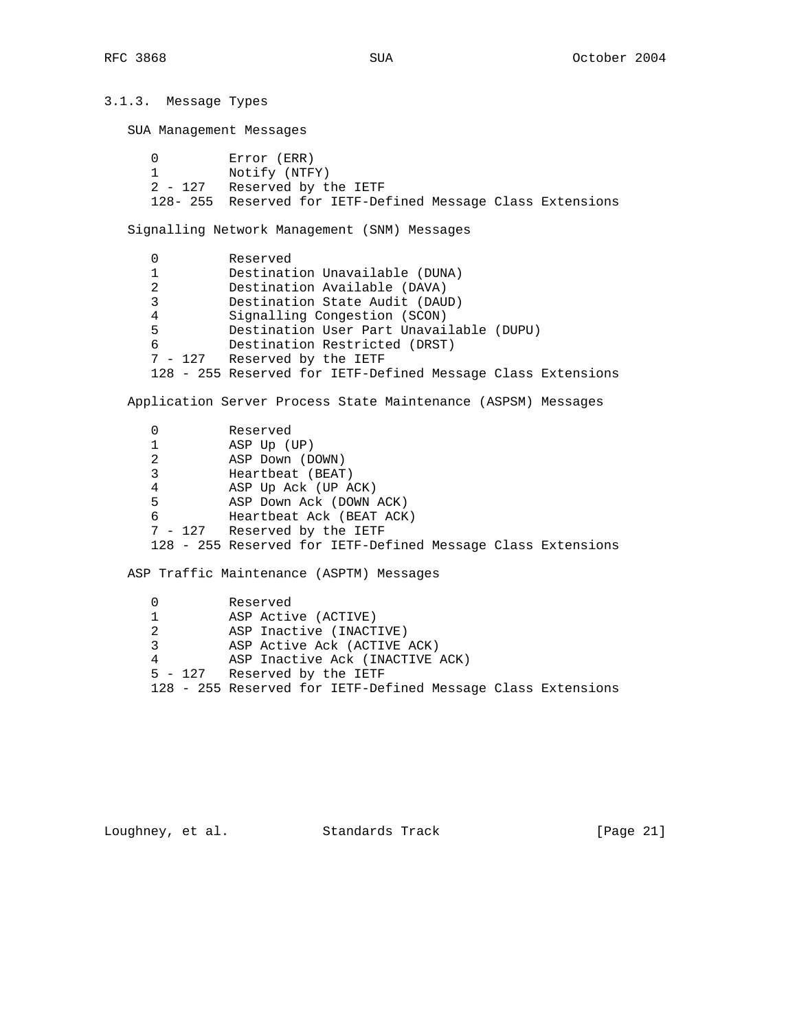3.1.3. Message Types SUA Management Messages 0 Error (ERR)<br>1 Notify (NTF Notify (NTFY) 2 - 127 Reserved by the IETF 128- 255 Reserved for IETF-Defined Message Class Extensions Signalling Network Management (SNM) Messages 0 Reserved 1 Destination Unavailable (DUNA) 2 Destination Available (DAVA) 3 Destination State Audit (DAUD) 4 Signalling Congestion (SCON) 5 Destination User Part Unavailable (DUPU) 6 Destination Restricted (DRST) 7 - 127 Reserved by the IETF 128 - 255 Reserved for IETF-Defined Message Class Extensions Application Server Process State Maintenance (ASPSM) Messages 0 Reserved 1 ASP Up (UP) 2 ASP Down (DOWN) 3 Heartbeat (BEAT)

 4 ASP Up Ack (UP ACK) 5 ASP Down Ack (DOWN ACK) 6 Heartbeat Ack (BEAT ACK) 7 - 127 Reserved by the IETF 128 - 255 Reserved for IETF-Defined Message Class Extensions

ASP Traffic Maintenance (ASPTM) Messages

 0 Reserved 1 ASP Active (ACTIVE) 2 ASP Inactive (INACTIVE) 3 ASP Active Ack (ACTIVE ACK) 4 ASP Inactive Ack (INACTIVE ACK) 5 - 127 Reserved by the IETF 128 - 255 Reserved for IETF-Defined Message Class Extensions

Loughney, et al. Standards Track [Page 21]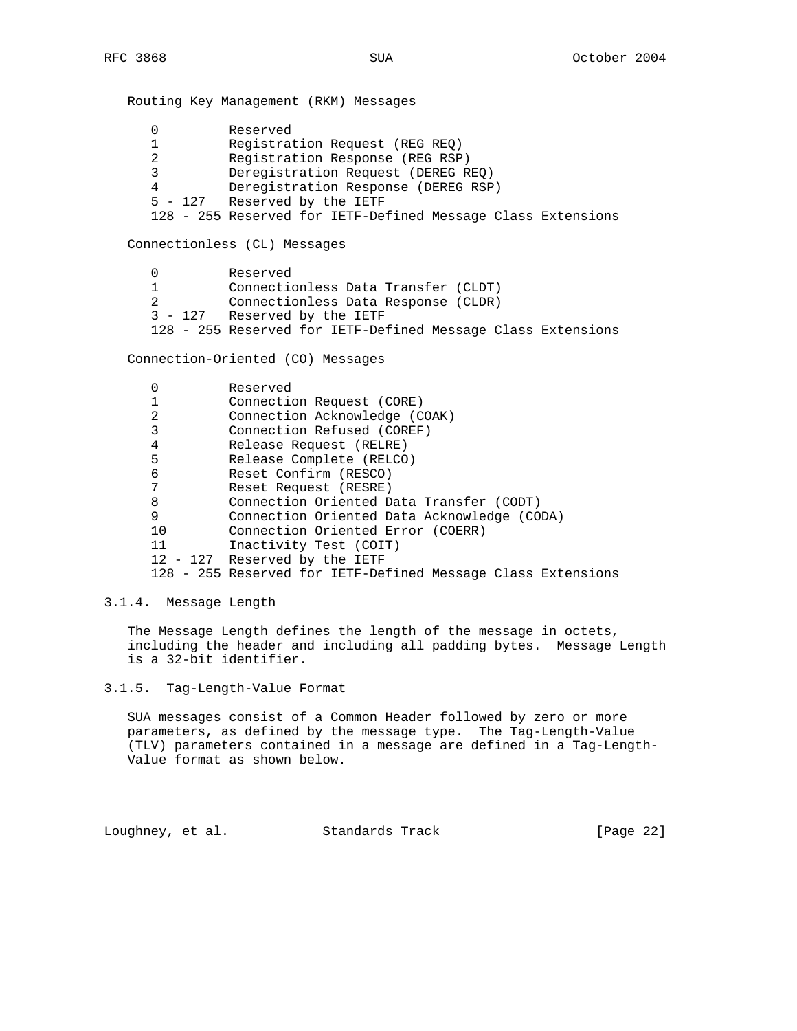Routing Key Management (RKM) Messages 0 Reserved 1 Registration Request (REG REQ) 2 Registration Response (REG RSP) 3 Deregistration Request (DEREG REQ) 4 Deregistration Response (DEREG RSP) 5 - 127 Reserved by the IETF 128 - 255 Reserved for IETF-Defined Message Class Extensions Connectionless (CL) Messages

 0 Reserved 1 Connectionless Data Transfer (CLDT) 2 Connectionless Data Response (CLDR) 3 - 127 Reserved by the IETF 128 - 255 Reserved for IETF-Defined Message Class Extensions

Connection-Oriented (CO) Messages

|    | Reserved                                                     |
|----|--------------------------------------------------------------|
|    | Connection Request (CORE)                                    |
| 2  | Connection Acknowledge (COAK)                                |
| 3  | Connection Refused (COREF)                                   |
| 4  | Release Request (RELRE)                                      |
| 5  | Release Complete (RELCO)                                     |
| 6  | Reset Confirm (RESCO)                                        |
| 7  | Reset Request (RESRE)                                        |
| 8  | Connection Oriented Data Transfer (CODT)                     |
| 9  | Connection Oriented Data Acknowledge (CODA)                  |
| 10 | Connection Oriented Error (COERR)                            |
| 11 | Inactivity Test (COIT)                                       |
|    | 12 - 127 Reserved by the IETF                                |
|    | 128 - 255 Reserved for IETF-Defined Message Class Extensions |

#### 3.1.4. Message Length

 The Message Length defines the length of the message in octets, including the header and including all padding bytes. Message Length is a 32-bit identifier.

3.1.5. Tag-Length-Value Format

 SUA messages consist of a Common Header followed by zero or more parameters, as defined by the message type. The Tag-Length-Value (TLV) parameters contained in a message are defined in a Tag-Length- Value format as shown below.

Loughney, et al. Standards Track [Page 22]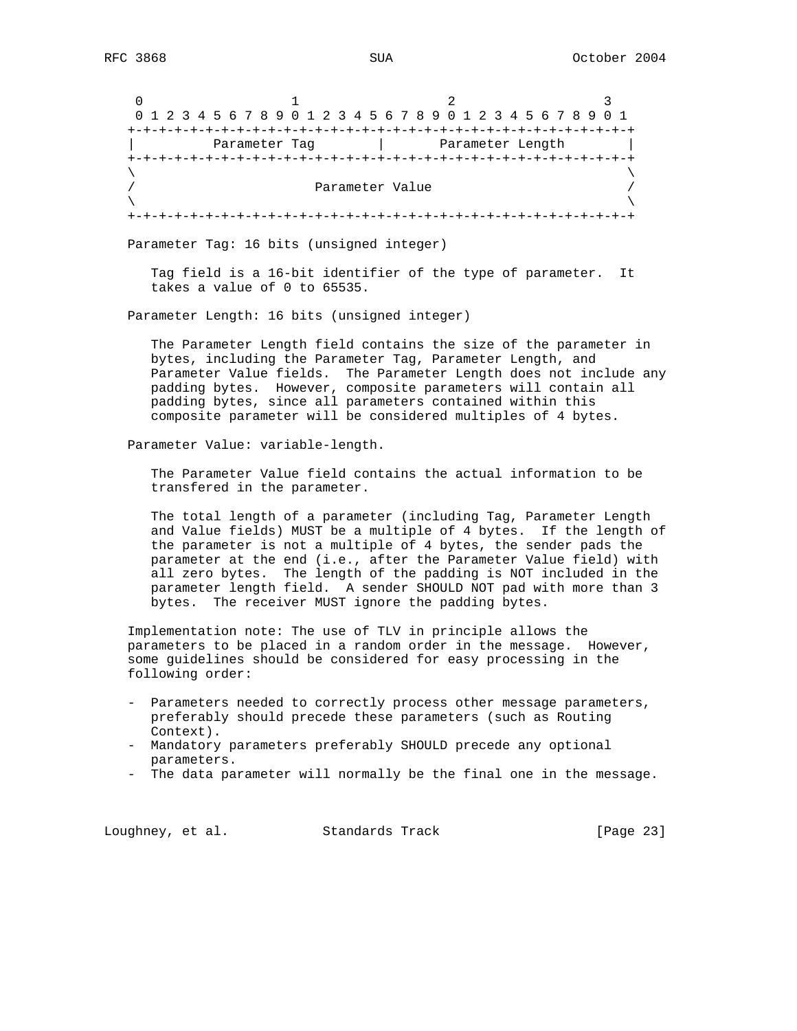0  $1$  2 3 0 1 2 3 4 5 6 7 8 9 0 1 2 3 4 5 6 7 8 9 0 1 2 3 4 5 6 7 8 9 0 1 +-+-+-+-+-+-+-+-+-+-+-+-+-+-+-+-+-+-+-+-+-+-+-+-+-+-+-+-+-+-+-+-+ | Parameter Tag | Parameter Length | +-+-+-+-+-+-+-+-+-+-+-+-+-+-+-+-+-+-+-+-+-+-+-+-+-+-+-+-+-+-+-+-+  $\lambda$  and  $\lambda$  and  $\lambda$  and  $\lambda$  and  $\lambda$  and  $\lambda$  and  $\lambda$  and  $\lambda$  and  $\lambda$  and  $\lambda$  and  $\lambda$  and  $\lambda$  and  $\lambda$  and  $\lambda$  and  $\lambda$  and  $\lambda$  and  $\lambda$  and  $\lambda$  and  $\lambda$  and  $\lambda$  and  $\lambda$  and  $\lambda$  and  $\lambda$  and  $\lambda$  and  $\lambda$  Parameter Value  $\lambda$  and  $\lambda$  and  $\lambda$  and  $\lambda$  and  $\lambda$  and  $\lambda$  and  $\lambda$  and  $\lambda$  and  $\lambda$  and  $\lambda$  and  $\lambda$  and  $\lambda$  and  $\lambda$  and  $\lambda$  and  $\lambda$  and  $\lambda$  and  $\lambda$  and  $\lambda$  and  $\lambda$  and  $\lambda$  and  $\lambda$  and  $\lambda$  and  $\lambda$  and  $\lambda$  and  $\lambda$  +-+-+-+-+-+-+-+-+-+-+-+-+-+-+-+-+-+-+-+-+-+-+-+-+-+-+-+-+-+-+-+-+

Parameter Tag: 16 bits (unsigned integer)

 Tag field is a 16-bit identifier of the type of parameter. It takes a value of 0 to 65535.

Parameter Length: 16 bits (unsigned integer)

 The Parameter Length field contains the size of the parameter in bytes, including the Parameter Tag, Parameter Length, and Parameter Value fields. The Parameter Length does not include any padding bytes. However, composite parameters will contain all padding bytes, since all parameters contained within this composite parameter will be considered multiples of 4 bytes.

Parameter Value: variable-length.

 The Parameter Value field contains the actual information to be transfered in the parameter.

 The total length of a parameter (including Tag, Parameter Length and Value fields) MUST be a multiple of 4 bytes. If the length of the parameter is not a multiple of 4 bytes, the sender pads the parameter at the end (i.e., after the Parameter Value field) with all zero bytes. The length of the padding is NOT included in the parameter length field. A sender SHOULD NOT pad with more than 3 bytes. The receiver MUST ignore the padding bytes.

 Implementation note: The use of TLV in principle allows the parameters to be placed in a random order in the message. However, some guidelines should be considered for easy processing in the following order:

- Parameters needed to correctly process other message parameters, preferably should precede these parameters (such as Routing Context).
- Mandatory parameters preferably SHOULD precede any optional parameters.
- The data parameter will normally be the final one in the message.

Loughney, et al. Standards Track [Page 23]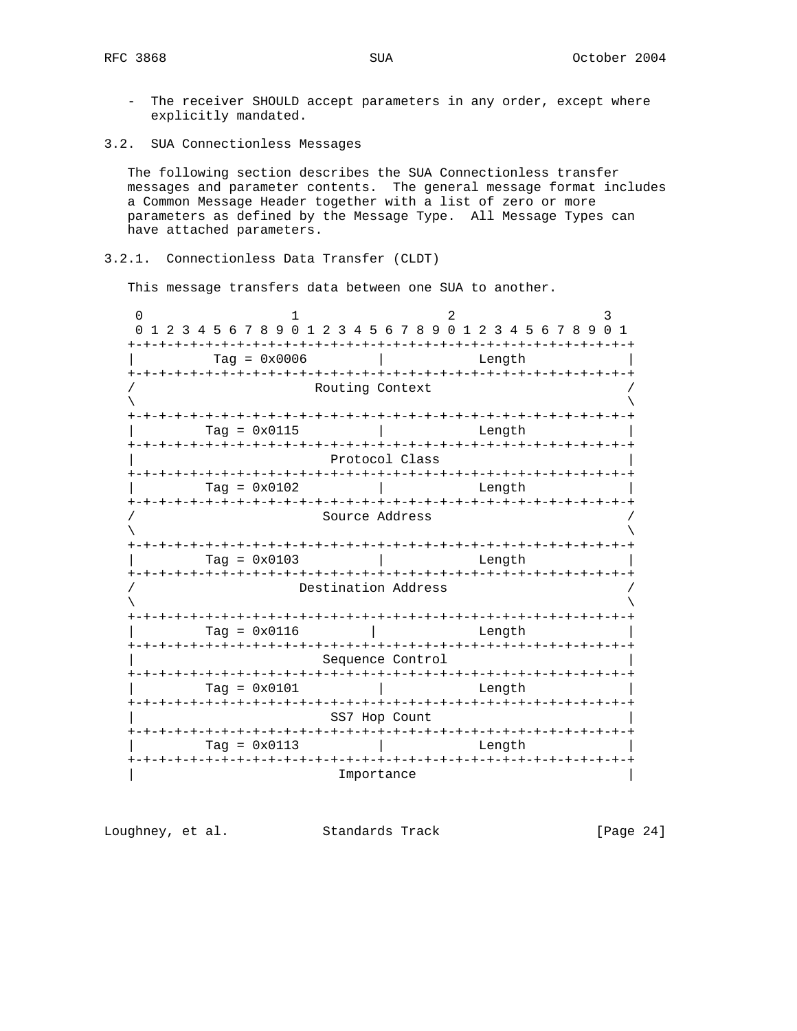- The receiver SHOULD accept parameters in any order, except where explicitly mandated.

3.2. SUA Connectionless Messages

 The following section describes the SUA Connectionless transfer messages and parameter contents. The general message format includes a Common Message Header together with a list of zero or more parameters as defined by the Message Type. All Message Types can have attached parameters.

## 3.2.1. Connectionless Data Transfer (CLDT)

This message transfers data between one SUA to another.

0  $1$  2 3 0 1 2 3 4 5 6 7 8 9 0 1 2 3 4 5 6 7 8 9 0 1 2 3 4 5 6 7 8 9 0 1 +-+-+-+-+-+-+-+-+-+-+-+-+-+-+-+-+-+-+-+-+-+-+-+-+-+-+-+-+-+-+-+-+ | Tag = 0x0006 | Length | +-+-+-+-+-+-+-+-+-+-+-+-+-+-+-+-+-+-+-+-+-+-+-+-+-+-+-+-+-+-+-+-+ Routing Context  $\lambda$  and  $\lambda$  and  $\lambda$  and  $\lambda$  and  $\lambda$  and  $\lambda$  and  $\lambda$  and  $\lambda$  and  $\lambda$  and  $\lambda$  and  $\lambda$  and  $\lambda$  and  $\lambda$  and  $\lambda$  and  $\lambda$  and  $\lambda$  and  $\lambda$  and  $\lambda$  and  $\lambda$  and  $\lambda$  and  $\lambda$  and  $\lambda$  and  $\lambda$  and  $\lambda$  and  $\lambda$  +-+-+-+-+-+-+-+-+-+-+-+-+-+-+-+-+-+-+-+-+-+-+-+-+-+-+-+-+-+-+-+-+ | Tag = 0x0115 | Length | +-+-+-+-+-+-+-+-+-+-+-+-+-+-+-+-+-+-+-+-+-+-+-+-+-+-+-+-+-+-+-+-+ Protocol Class +-+-+-+-+-+-+-+-+-+-+-+-+-+-+-+-+-+-+-+-+-+-+-+-+-+-+-+-+-+-+-+-+ | Tag = 0x0102 | Length | +-+-+-+-+-+-+-+-+-+-+-+-+-+-+-+-+-+-+-+-+-+-+-+-+-+-+-+-+-+-+-+-+ Source Address  $\lambda$  and  $\lambda$  and  $\lambda$  and  $\lambda$  and  $\lambda$  and  $\lambda$  and  $\lambda$  and  $\lambda$  and  $\lambda$  and  $\lambda$  and  $\lambda$  and  $\lambda$  and  $\lambda$  and  $\lambda$  and  $\lambda$  and  $\lambda$  and  $\lambda$  and  $\lambda$  and  $\lambda$  and  $\lambda$  and  $\lambda$  and  $\lambda$  and  $\lambda$  and  $\lambda$  and  $\lambda$  +-+-+-+-+-+-+-+-+-+-+-+-+-+-+-+-+-+-+-+-+-+-+-+-+-+-+-+-+-+-+-+-+ | Tag = 0x0103 | Length | +-+-+-+-+-+-+-+-+-+-+-+-+-+-+-+-+-+-+-+-+-+-+-+-+-+-+-+-+-+-+-+-+ Destination Address  $\lambda$  and  $\lambda$  and  $\lambda$  and  $\lambda$  and  $\lambda$  and  $\lambda$  and  $\lambda$  and  $\lambda$  and  $\lambda$  and  $\lambda$  and  $\lambda$  and  $\lambda$  and  $\lambda$  and  $\lambda$  and  $\lambda$  and  $\lambda$  and  $\lambda$  and  $\lambda$  and  $\lambda$  and  $\lambda$  and  $\lambda$  and  $\lambda$  and  $\lambda$  and  $\lambda$  and  $\lambda$  +-+-+-+-+-+-+-+-+-+-+-+-+-+-+-+-+-+-+-+-+-+-+-+-+-+-+-+-+-+-+-+-+  $\texttt{Tag = } 0 \times 0116$  | Length +-+-+-+-+-+-+-+-+-+-+-+-+-+-+-+-+-+-+-+-+-+-+-+-+-+-+-+-+-+-+-+-+ Sequence Control +-+-+-+-+-+-+-+-+-+-+-+-+-+-+-+-+-+-+-+-+-+-+-+-+-+-+-+-+-+-+-+-+ | Tag = 0x0101 | Length | +-+-+-+-+-+-+-+-+-+-+-+-+-+-+-+-+-+-+-+-+-+-+-+-+-+-+-+-+-+-+-+-+ SS7 Hop Count +-+-+-+-+-+-+-+-+-+-+-+-+-+-+-+-+-+-+-+-+-+-+-+-+-+-+-+-+-+-+-+-+ | Tag = 0x0113 | Length | +-+-+-+-+-+-+-+-+-+-+-+-+-+-+-+-+-+-+-+-+-+-+-+-+-+-+-+-+-+-+-+-+ **Importance** 

Loughney, et al. Standards Track [Page 24]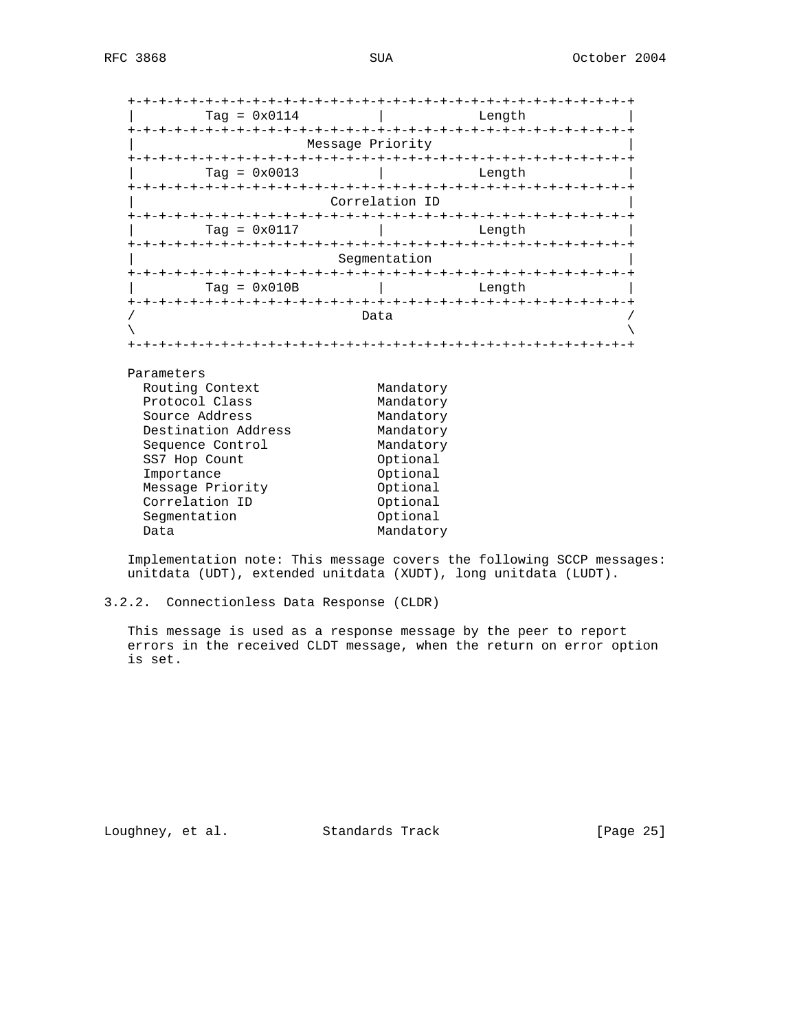| $Taq = 0x0114$      | Lenath           |  |  |  |  |  |  |  |
|---------------------|------------------|--|--|--|--|--|--|--|
|                     | Message Priority |  |  |  |  |  |  |  |
|                     |                  |  |  |  |  |  |  |  |
| $Taq = 0x0013$      | Length           |  |  |  |  |  |  |  |
| Correlation ID      |                  |  |  |  |  |  |  |  |
| $Taq = 0x0117$      | Lenath           |  |  |  |  |  |  |  |
|                     | Segmentation     |  |  |  |  |  |  |  |
| $Taq = 0x010B$      | Length           |  |  |  |  |  |  |  |
|                     | Data             |  |  |  |  |  |  |  |
|                     |                  |  |  |  |  |  |  |  |
|                     |                  |  |  |  |  |  |  |  |
| Parameters          |                  |  |  |  |  |  |  |  |
| Routing Context     | Mandatory        |  |  |  |  |  |  |  |
| Protocol Class      | Mandatory        |  |  |  |  |  |  |  |
| Source Address      | Mandatory        |  |  |  |  |  |  |  |
| Destination Address | Mandatory        |  |  |  |  |  |  |  |
| Sequence Control    | Mandatory        |  |  |  |  |  |  |  |
| SS7 Hop Count       | Optional         |  |  |  |  |  |  |  |
| Importance          | Optional         |  |  |  |  |  |  |  |
| Message Priority    | Optional         |  |  |  |  |  |  |  |
| Correlation ID      | Optional         |  |  |  |  |  |  |  |
| Segmentation        | Optional         |  |  |  |  |  |  |  |
| Data                | Mandatory        |  |  |  |  |  |  |  |

 Implementation note: This message covers the following SCCP messages: unitdata (UDT), extended unitdata (XUDT), long unitdata (LUDT).

3.2.2. Connectionless Data Response (CLDR)

 This message is used as a response message by the peer to report errors in the received CLDT message, when the return on error option is set.

Loughney, et al. Standards Track [Page 25]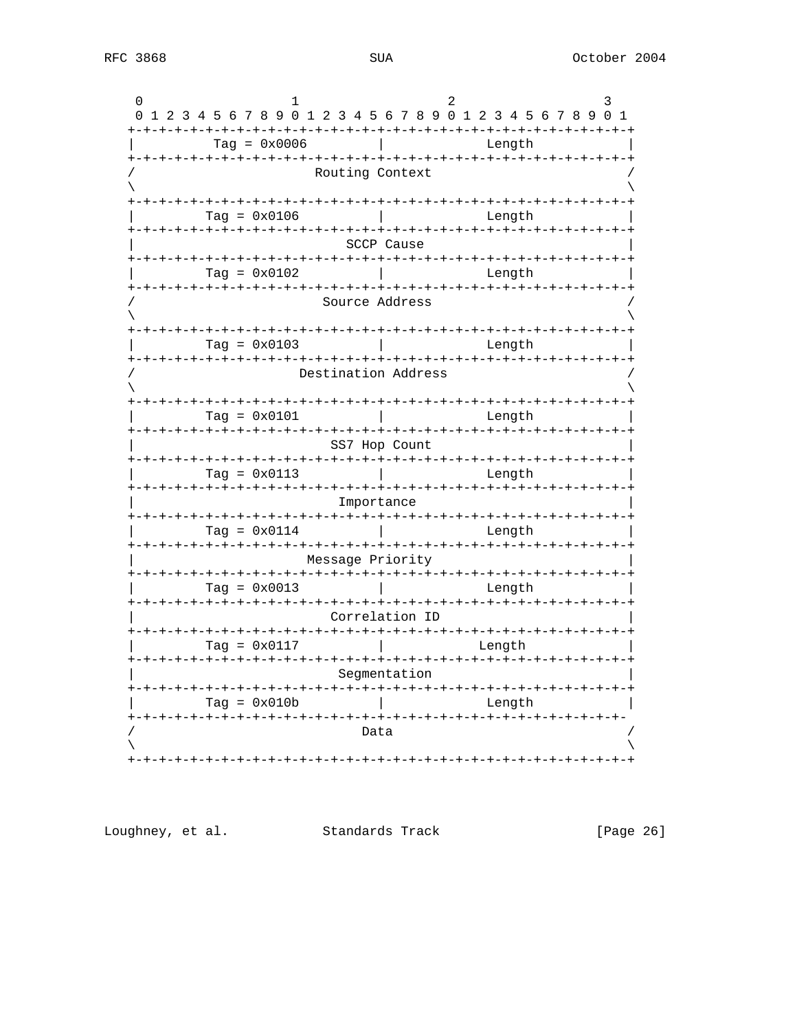|                  | 0 1 2 3 4 5 6 7 8 9 0 1 2 3 4 5 6 7 8 9 0 1 2 3 4 5 6 7 8 9 0 1 |  |  |                       |  |  |  |  |  |                |  |  |      |                     |  |  |  |        |  |  |  |  |  |
|------------------|-----------------------------------------------------------------|--|--|-----------------------|--|--|--|--|--|----------------|--|--|------|---------------------|--|--|--|--------|--|--|--|--|--|
|                  |                                                                 |  |  |                       |  |  |  |  |  | $Tag = 0x0006$ |  |  |      |                     |  |  |  | Length |  |  |  |  |  |
|                  |                                                                 |  |  |                       |  |  |  |  |  |                |  |  |      | Routing Context     |  |  |  |        |  |  |  |  |  |
|                  |                                                                 |  |  |                       |  |  |  |  |  |                |  |  |      |                     |  |  |  |        |  |  |  |  |  |
|                  |                                                                 |  |  | Tag = $0 \times 0106$ |  |  |  |  |  |                |  |  |      |                     |  |  |  | Length |  |  |  |  |  |
|                  |                                                                 |  |  |                       |  |  |  |  |  |                |  |  |      | SCCP Cause          |  |  |  |        |  |  |  |  |  |
|                  |                                                                 |  |  | $Taq = 0x0102$        |  |  |  |  |  |                |  |  |      |                     |  |  |  | Length |  |  |  |  |  |
|                  |                                                                 |  |  |                       |  |  |  |  |  |                |  |  |      | Source Address      |  |  |  |        |  |  |  |  |  |
|                  |                                                                 |  |  |                       |  |  |  |  |  |                |  |  |      |                     |  |  |  |        |  |  |  |  |  |
|                  |                                                                 |  |  | Tag = $0 \times 0103$ |  |  |  |  |  |                |  |  |      |                     |  |  |  | Length |  |  |  |  |  |
|                  |                                                                 |  |  |                       |  |  |  |  |  |                |  |  |      | Destination Address |  |  |  |        |  |  |  |  |  |
|                  |                                                                 |  |  |                       |  |  |  |  |  |                |  |  |      |                     |  |  |  |        |  |  |  |  |  |
|                  |                                                                 |  |  | $Tag = 0x0101$        |  |  |  |  |  |                |  |  |      |                     |  |  |  | Length |  |  |  |  |  |
| SS7 Hop Count    |                                                                 |  |  |                       |  |  |  |  |  |                |  |  |      |                     |  |  |  |        |  |  |  |  |  |
|                  |                                                                 |  |  | $Taq = 0x0113$        |  |  |  |  |  |                |  |  |      |                     |  |  |  | Length |  |  |  |  |  |
| Importance       |                                                                 |  |  |                       |  |  |  |  |  |                |  |  |      |                     |  |  |  |        |  |  |  |  |  |
|                  |                                                                 |  |  | Tag = $0 \times 0114$ |  |  |  |  |  |                |  |  |      |                     |  |  |  | Length |  |  |  |  |  |
| Message Priority |                                                                 |  |  |                       |  |  |  |  |  |                |  |  |      |                     |  |  |  |        |  |  |  |  |  |
|                  |                                                                 |  |  | $Taq = 0x0013$        |  |  |  |  |  |                |  |  |      |                     |  |  |  | Length |  |  |  |  |  |
| Correlation ID   |                                                                 |  |  |                       |  |  |  |  |  |                |  |  |      |                     |  |  |  |        |  |  |  |  |  |
|                  |                                                                 |  |  | Tag = $0 \times 0117$ |  |  |  |  |  |                |  |  |      |                     |  |  |  | Length |  |  |  |  |  |
| Segmentation     |                                                                 |  |  |                       |  |  |  |  |  |                |  |  |      |                     |  |  |  |        |  |  |  |  |  |
|                  |                                                                 |  |  | Tag = $0x010b$        |  |  |  |  |  |                |  |  |      |                     |  |  |  | Length |  |  |  |  |  |
|                  |                                                                 |  |  |                       |  |  |  |  |  |                |  |  | Data |                     |  |  |  |        |  |  |  |  |  |
|                  |                                                                 |  |  |                       |  |  |  |  |  |                |  |  |      |                     |  |  |  |        |  |  |  |  |  |
|                  |                                                                 |  |  |                       |  |  |  |  |  |                |  |  |      |                     |  |  |  |        |  |  |  |  |  |

Loughney, et al. Standards Track

[Page 26]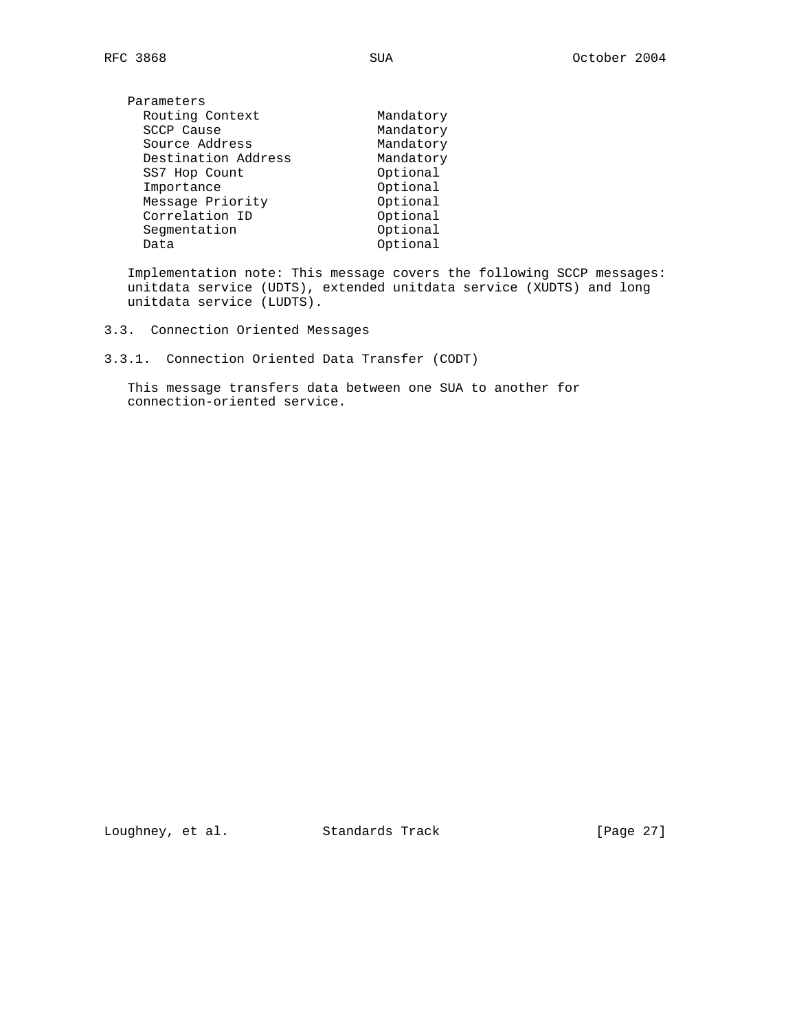| Parameters          |           |
|---------------------|-----------|
| Routing Context     | Mandatory |
| SCCP Cause          | Mandatory |
| Source Address      | Mandatory |
| Destination Address | Mandatory |
| SS7 Hop Count       | Optional  |
| Importance          | Optional  |
| Message Priority    | Optional  |
| Correlation ID      | Optional  |
| Segmentation        | Optional  |
| Data                | Optional  |
|                     |           |

 Implementation note: This message covers the following SCCP messages: unitdata service (UDTS), extended unitdata service (XUDTS) and long unitdata service (LUDTS).

- 3.3. Connection Oriented Messages
- 3.3.1. Connection Oriented Data Transfer (CODT)

 This message transfers data between one SUA to another for connection-oriented service.

Loughney, et al. Standards Track [Page 27]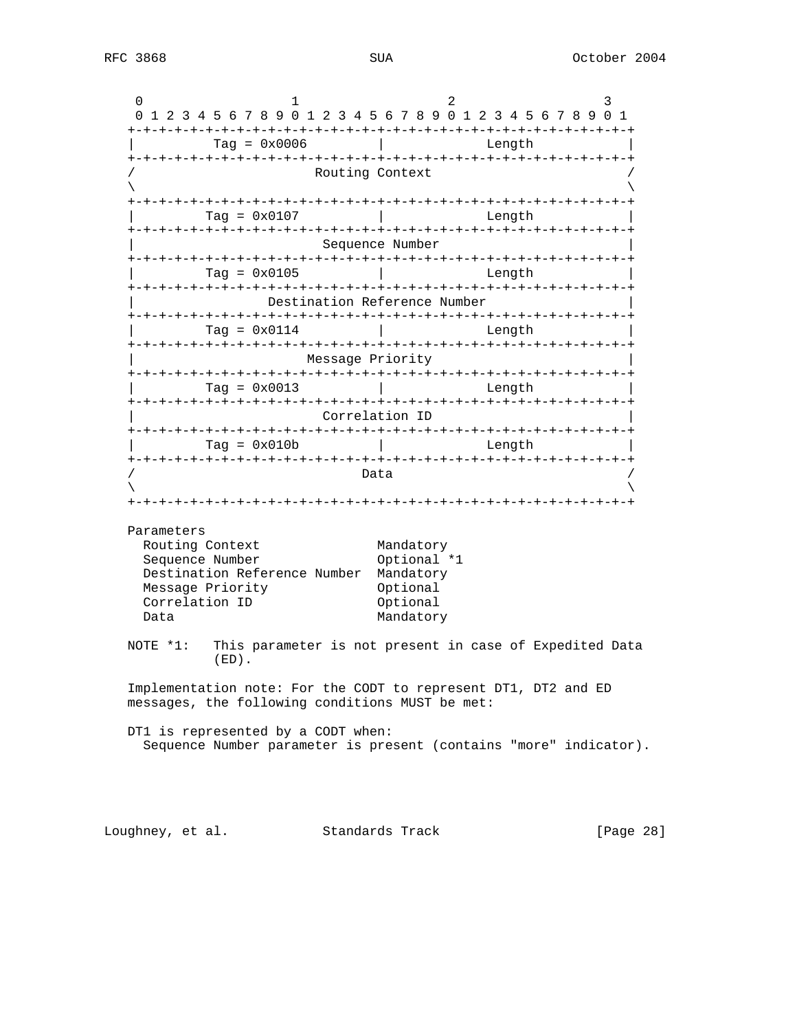|                                                                                                                   | Tag = $0 \times 0006$                                             |                          | Length                                                  |  |
|-------------------------------------------------------------------------------------------------------------------|-------------------------------------------------------------------|--------------------------|---------------------------------------------------------|--|
|                                                                                                                   |                                                                   | Routing Context          |                                                         |  |
|                                                                                                                   |                                                                   |                          |                                                         |  |
| $Taq = 0x0107$                                                                                                    |                                                                   |                          | Length                                                  |  |
|                                                                                                                   |                                                                   | Sequence Number          |                                                         |  |
| Tag = $0 \times 0105$                                                                                             |                                                                   |                          | Length                                                  |  |
|                                                                                                                   | Destination Reference Number                                      |                          |                                                         |  |
| Taq = $0 \times 0114$                                                                                             |                                                                   |                          | Length                                                  |  |
|                                                                                                                   |                                                                   | Message Priority         |                                                         |  |
| $Taq = 0x0013$                                                                                                    |                                                                   |                          | Length                                                  |  |
|                                                                                                                   |                                                                   | Correlation ID           |                                                         |  |
| $Taq = 0x010b$                                                                                                    |                                                                   |                          | Length                                                  |  |
| Parameters                                                                                                        |                                                                   | Data                     |                                                         |  |
| Routing Context                                                                                                   |                                                                   | Mandatory                |                                                         |  |
| Sequence Number<br>Destination Reference Number                                                                   |                                                                   | Optional *1<br>Mandatory |                                                         |  |
| Message Priority                                                                                                  |                                                                   | Optional                 |                                                         |  |
| Correlation ID                                                                                                    |                                                                   | Optional                 |                                                         |  |
| Data                                                                                                              |                                                                   | Mandatory                |                                                         |  |
| NOTE *1:<br>$(ED)$ .                                                                                              |                                                                   |                          | This parameter is not present in case of Expedited Data |  |
| Implementation note: For the CODT to represent DT1, DT2 and ED<br>messages, the following conditions MUST be met: |                                                                   |                          |                                                         |  |
| DT1 is represented by a CODT when:                                                                                | Sequence Number parameter is present (contains "more" indicator). |                          |                                                         |  |

Loughney, et al. Standards Track [Page 28]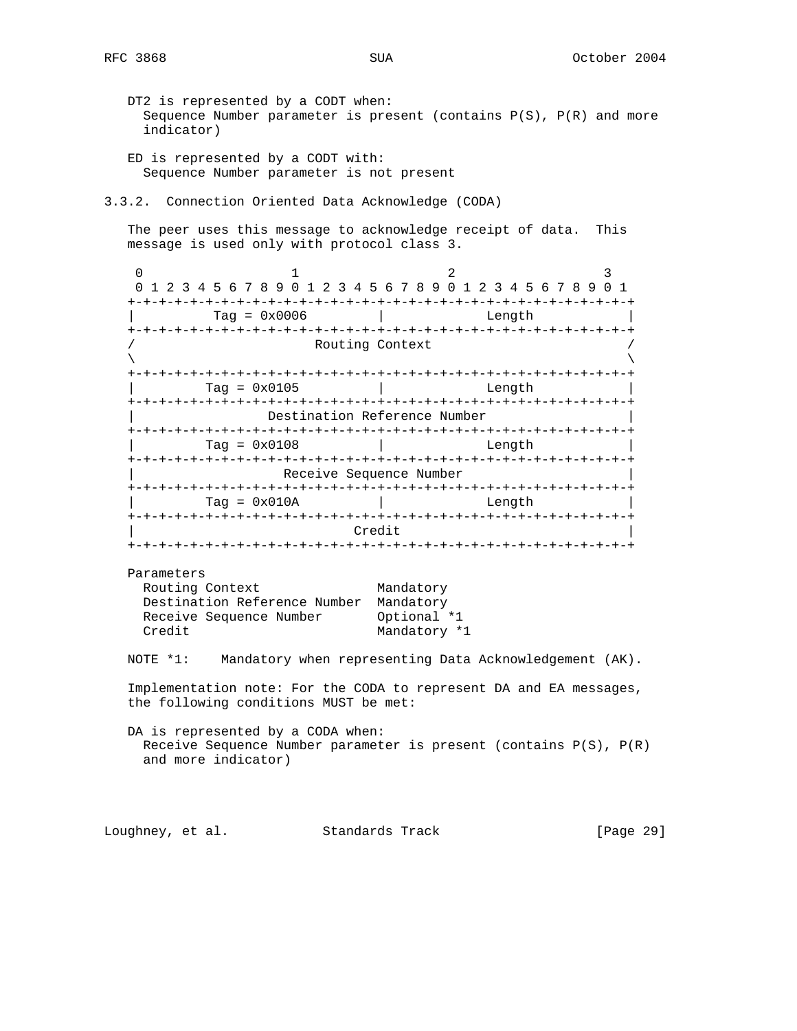- DT2 is represented by a CODT when: Sequence Number parameter is present (contains  $P(S)$ ,  $P(R)$  and more indicator)
- ED is represented by a CODT with: Sequence Number parameter is not present
- 3.3.2. Connection Oriented Data Acknowledge (CODA)

 The peer uses this message to acknowledge receipt of data. This message is used only with protocol class 3.

0  $1$  2 3 0 1 2 3 4 5 6 7 8 9 0 1 2 3 4 5 6 7 8 9 0 1 2 3 4 5 6 7 8 9 0 1 +-+-+-+-+-+-+-+-+-+-+-+-+-+-+-+-+-+-+-+-+-+-+-+-+-+-+-+-+-+-+-+-+ | Tag = 0x0006 | Length | +-+-+-+-+-+-+-+-+-+-+-+-+-+-+-+-+-+-+-+-+-+-+-+-+-+-+-+-+-+-+-+-+ Routing Context  $\lambda$  and  $\lambda$  and  $\lambda$  and  $\lambda$  and  $\lambda$  and  $\lambda$  and  $\lambda$  and  $\lambda$  and  $\lambda$  and  $\lambda$  and  $\lambda$  and  $\lambda$  and  $\lambda$  and  $\lambda$  and  $\lambda$  and  $\lambda$  and  $\lambda$  and  $\lambda$  and  $\lambda$  and  $\lambda$  and  $\lambda$  and  $\lambda$  and  $\lambda$  and  $\lambda$  and  $\lambda$  +-+-+-+-+-+-+-+-+-+-+-+-+-+-+-+-+-+-+-+-+-+-+-+-+-+-+-+-+-+-+-+-+ | Tag = 0x0105 | Length | +-+-+-+-+-+-+-+-+-+-+-+-+-+-+-+-+-+-+-+-+-+-+-+-+-+-+-+-+-+-+-+-+ Destination Reference Number +-+-+-+-+-+-+-+-+-+-+-+-+-+-+-+-+-+-+-+-+-+-+-+-+-+-+-+-+-+-+-+-+ | Tag = 0x0108 | Length | +-+-+-+-+-+-+-+-+-+-+-+-+-+-+-+-+-+-+-+-+-+-+-+-+-+-+-+-+-+-+-+-+ Receive Sequence Number +-+-+-+-+-+-+-+-+-+-+-+-+-+-+-+-+-+-+-+-+-+-+-+-+-+-+-+-+-+-+-+-+  $\text{Tag} = 0 \times 010A$  | Length +-+-+-+-+-+-+-+-+-+-+-+-+-+-+-+-+-+-+-+-+-+-+-+-+-+-+-+-+-+-+-+-+ | Credit | +-+-+-+-+-+-+-+-+-+-+-+-+-+-+-+-+-+-+-+-+-+-+-+-+-+-+-+-+-+-+-+-+ Parameters Routing Context Mandatory Destination Reference Number Mandatory Receive Sequence Number Optional \*1 Credit Mandatory \*1 NOTE \*1: Mandatory when representing Data Acknowledgement (AK). Implementation note: For the CODA to represent DA and EA messages, the following conditions MUST be met: DA is represented by a CODA when:

 Receive Sequence Number parameter is present (contains P(S), P(R) and more indicator)

Loughney, et al. Standards Track [Page 29]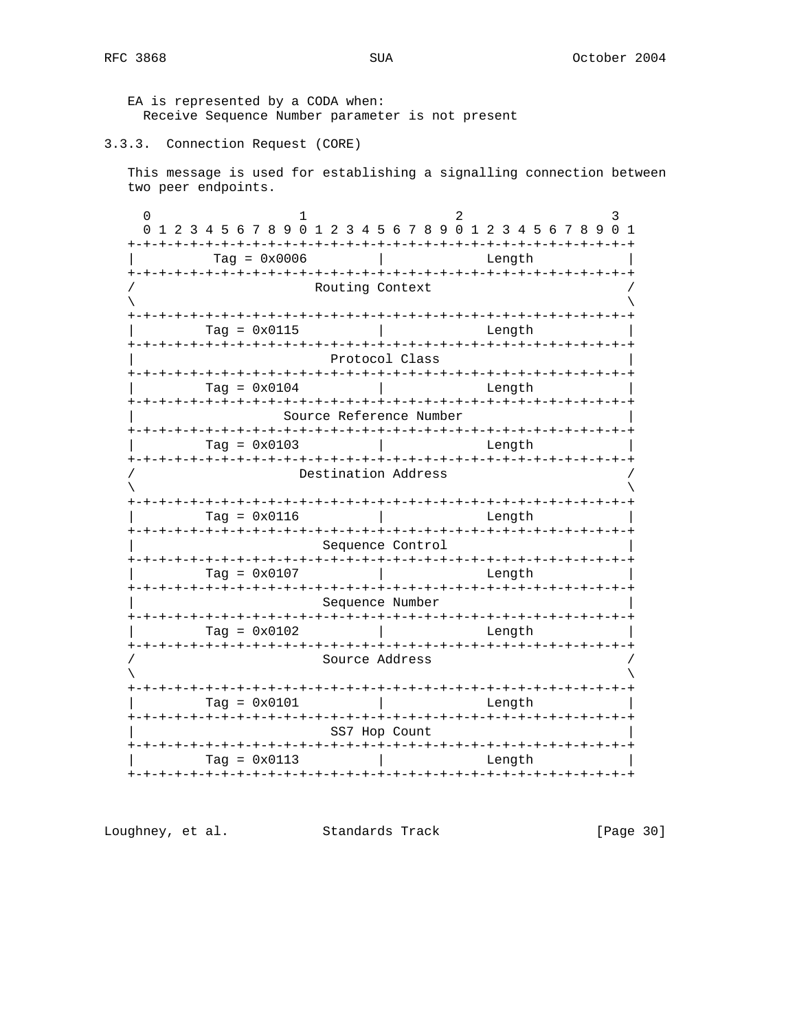EA is represented by a CODA when: Receive Sequence Number parameter is not present

#### 3.3.3. Connection Request (CORE)

This message is used for establishing a signalling connection between two peer endpoints.

 $\mathbf{1}$  $\overline{2}$  $\Omega$  $\mathbf{R}$ 0 1 2 3 4 5 6 7 8 9 0 1 2 3 4 5 6 7 8 9 0 1 2 3 4 5 6 7 8 9 0 1  $Tag = 0x0006$  | Length Routing Context  $Tag = 0x0115$ Length Protocol Class  $Tag = 0x0104$  | Length Source Reference Number  $\begin{bmatrix} 1 & 0 & 0 \\ 0 & 0 & 0 \\ 0 & 0 & 0 \end{bmatrix}$ Length Destination Address  $Tag = 0x0116$ **Contract Contract** Lenath Sequence Control  $Taq = 0x0107$ Length Sequence Number  $Tag = 0x0102$  | Length Source Address  $Tag = 0x0101$  $\mathbb{R}$ Length SS7 Hop Count  $Tag = 0x0113$  | Length 

Loughney, et al. Standards Track

[Page 30]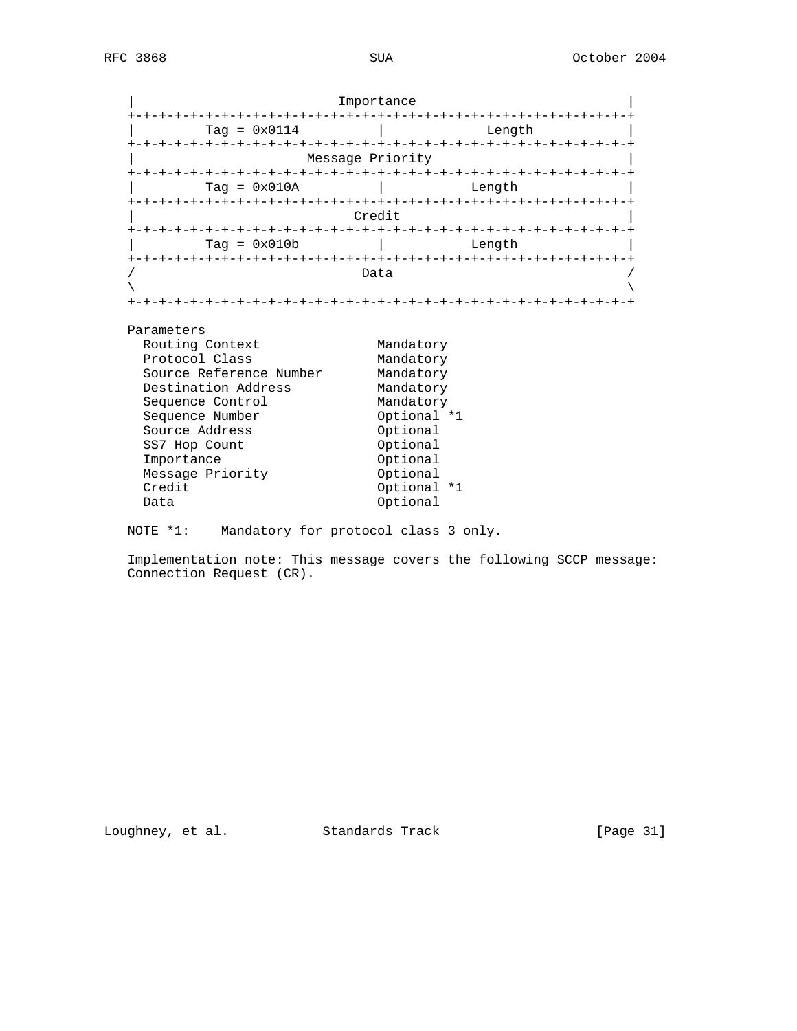|                                                                            | Importance                          |
|----------------------------------------------------------------------------|-------------------------------------|
| Tag = $0 \times 0114$                                                      | Length                              |
|                                                                            |                                     |
|                                                                            | Message Priority                    |
| $Taq = 0x010A$                                                             | Length                              |
|                                                                            | Credit                              |
| $Taq = 0x010b$                                                             | Length                              |
|                                                                            | Data                                |
|                                                                            |                                     |
| Parameters<br>Routing Context<br>Protocol Class<br>Source Reference Number | Mandatory<br>Mandatory<br>Mandatory |
| Destination Address                                                        | Mandatory                           |
| Sequence Control                                                           | Mandatory                           |
| Sequence Number                                                            | Optional *1                         |
| Source Address                                                             | Optional                            |
| SS7 Hop Count                                                              | Optional                            |
| Importance                                                                 | Optional                            |
| Message Priority                                                           | Optional                            |
| Credit                                                                     | Optional *1                         |
| Data                                                                       | Optional                            |

NOTE \*1: Mandatory for protocol class 3 only.

 Implementation note: This message covers the following SCCP message: Connection Request (CR).

Optional

Loughney, et al. Standards Track [Page 31]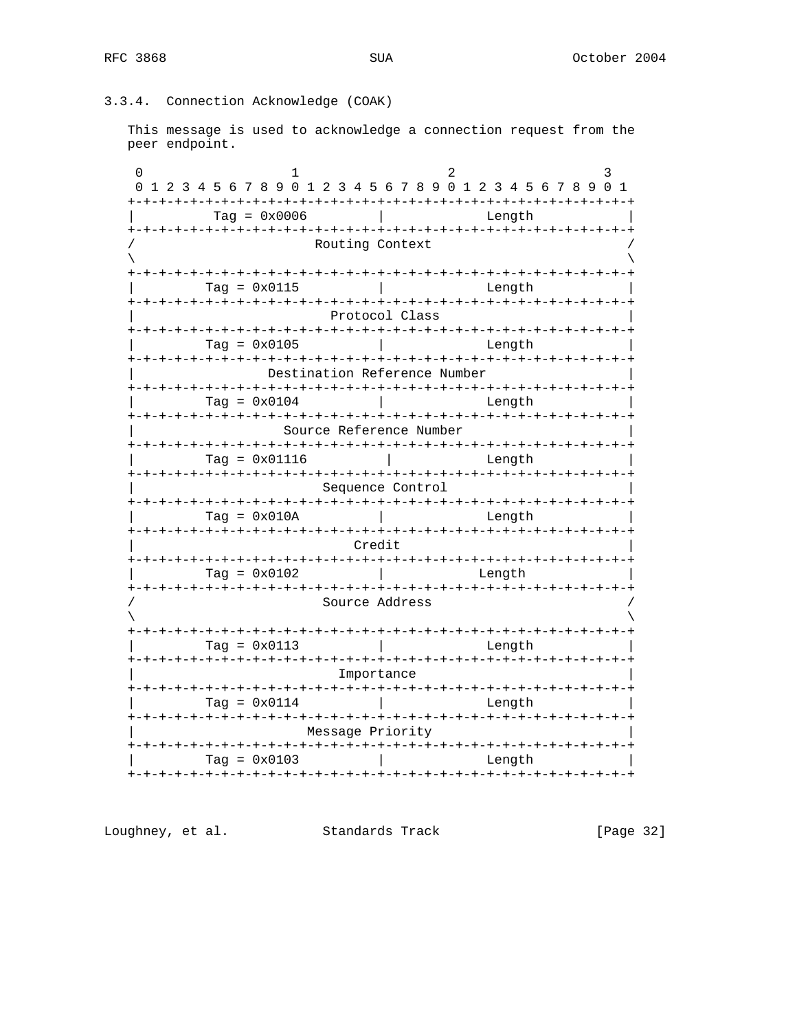## 3.3.4. Connection Acknowledge (COAK)

This message is used to acknowledge a connection request from the peer endpoint.

| 1 2 3 4 5 6 7 8 9 0 1 2 3 4 5 6 7 8 9 0 1 2 3 4 5 6 7 8 9 0 1                            |  |  |  |  |  |  |  |  |  |  |
|------------------------------------------------------------------------------------------|--|--|--|--|--|--|--|--|--|--|
| -+-+-+-+-+-+-+-+-+<br>Length<br>+-+-+-+-+-+-+-+-+-+-+-+-+-+-+-+-+<br>$+ - + - + - + - +$ |  |  |  |  |  |  |  |  |  |  |
| Routing Context                                                                          |  |  |  |  |  |  |  |  |  |  |
| Length                                                                                   |  |  |  |  |  |  |  |  |  |  |
| Protocol Class                                                                           |  |  |  |  |  |  |  |  |  |  |
| Length                                                                                   |  |  |  |  |  |  |  |  |  |  |
| Destination Reference Number                                                             |  |  |  |  |  |  |  |  |  |  |
| Length                                                                                   |  |  |  |  |  |  |  |  |  |  |
| Source Reference Number                                                                  |  |  |  |  |  |  |  |  |  |  |
| Length                                                                                   |  |  |  |  |  |  |  |  |  |  |
| Sequence Control                                                                         |  |  |  |  |  |  |  |  |  |  |
| Length                                                                                   |  |  |  |  |  |  |  |  |  |  |
| Credit                                                                                   |  |  |  |  |  |  |  |  |  |  |
| Length                                                                                   |  |  |  |  |  |  |  |  |  |  |
| Source Address                                                                           |  |  |  |  |  |  |  |  |  |  |
| +-+-+-+-+-+-+-+-+-+-+-+-+-+-+<br>-+-+-+-+-+-+-+-+-+-+<br>Length                          |  |  |  |  |  |  |  |  |  |  |
|                                                                                          |  |  |  |  |  |  |  |  |  |  |
| Importance                                                                               |  |  |  |  |  |  |  |  |  |  |
| Length                                                                                   |  |  |  |  |  |  |  |  |  |  |
| Message Priority                                                                         |  |  |  |  |  |  |  |  |  |  |
|                                                                                          |  |  |  |  |  |  |  |  |  |  |

Loughney, et al. Standards Track

[Page 32]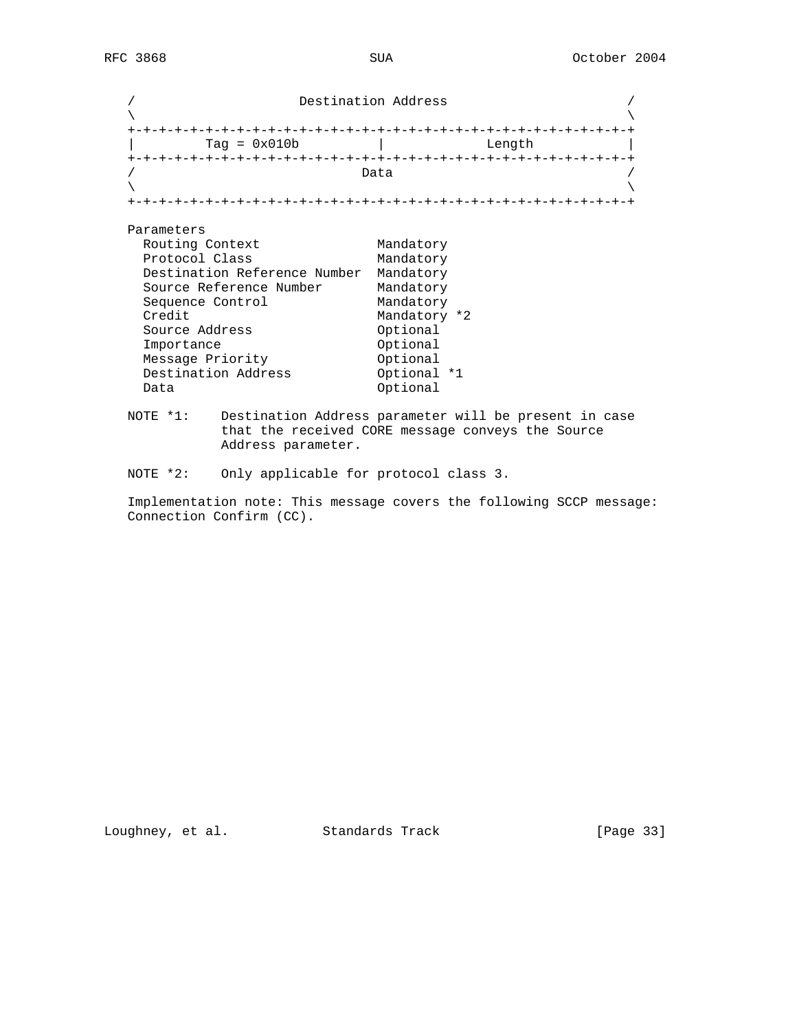/ Destination Address /  $\lambda$  and  $\lambda$  and  $\lambda$  and  $\lambda$  and  $\lambda$  and  $\lambda$  and  $\lambda$  and  $\lambda$  and  $\lambda$  and  $\lambda$  and  $\lambda$  and  $\lambda$  and  $\lambda$  and  $\lambda$  and  $\lambda$  and  $\lambda$  and  $\lambda$  and  $\lambda$  and  $\lambda$  and  $\lambda$  and  $\lambda$  and  $\lambda$  and  $\lambda$  and  $\lambda$  and  $\lambda$  +-+-+-+-+-+-+-+-+-+-+-+-+-+-+-+-+-+-+-+-+-+-+-+-+-+-+-+-+-+-+-+-+ | Tag = 0x010b | Length | +-+-+-+-+-+-+-+-+-+-+-+-+-+-+-+-+-+-+-+-+-+-+-+-+-+-+-+-+-+-+-+-+  $/$  Data  $/$  $\lambda$  and  $\lambda$  and  $\lambda$  and  $\lambda$  and  $\lambda$  and  $\lambda$  and  $\lambda$  and  $\lambda$  and  $\lambda$  and  $\lambda$  and  $\lambda$  and  $\lambda$  and  $\lambda$  and  $\lambda$  and  $\lambda$  and  $\lambda$  and  $\lambda$  and  $\lambda$  and  $\lambda$  and  $\lambda$  and  $\lambda$  and  $\lambda$  and  $\lambda$  and  $\lambda$  and  $\lambda$  +-+-+-+-+-+-+-+-+-+-+-+-+-+-+-+-+-+-+-+-+-+-+-+-+-+-+-+-+-+-+-+-+ Parameters Routing Context Mandatory Protocol Class Mandatory Destination Reference Number Mandatory Source Reference Number Mandatory Sequence Control Mandatory Credit Mandatory \*2 Source Address **Contact Optional** Importance Optional Message Priority **Optional** Destination Address **Optional \*1** Data Optional NOTE \*1: Destination Address parameter will be present in case that the received CORE message conveys the Source Address parameter. NOTE \*2: Only applicable for protocol class 3.

 Implementation note: This message covers the following SCCP message: Connection Confirm (CC).

Loughney, et al. Standards Track [Page 33]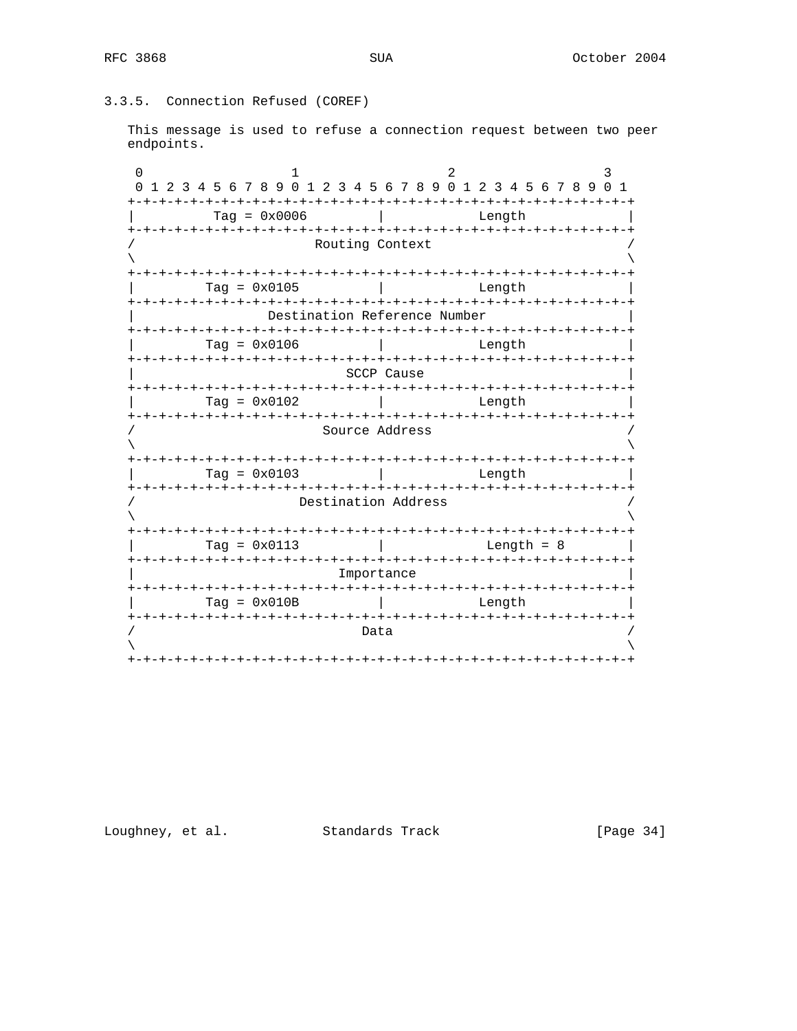## 3.3.5. Connection Refused (COREF)

This message is used to refuse a connection request between two peer endpoints.

| $\left( \right)$<br>1 2 3 4 5 6 7 8 9 0 1 2 3 4 5 6 7 8 9 0 1 2 3 4 5 6 7 8 9 0 1<br>0 |                     |               |  |                                    |  |  |  |  |  |  |
|----------------------------------------------------------------------------------------|---------------------|---------------|--|------------------------------------|--|--|--|--|--|--|
| $Taq = 0x0006$                                                                         | Length              |               |  |                                    |  |  |  |  |  |  |
| Routing Context                                                                        |                     |               |  |                                    |  |  |  |  |  |  |
|                                                                                        |                     |               |  |                                    |  |  |  |  |  |  |
| $Taq = 0x0105$                                                                         |                     |               |  | Length                             |  |  |  |  |  |  |
| Destination Reference Number                                                           |                     |               |  |                                    |  |  |  |  |  |  |
| $Tag = 0x0106$                                                                         |                     |               |  | Length                             |  |  |  |  |  |  |
| SCCP Cause                                                                             |                     |               |  |                                    |  |  |  |  |  |  |
| $Taq = 0x0102$                                                                         |                     |               |  | Length                             |  |  |  |  |  |  |
| Source Address                                                                         |                     |               |  |                                    |  |  |  |  |  |  |
| $Taq = 0x0103$<br>-+-+-+-+-+-+-+-+-+-+-+-+-+                                           |                     | $- + - + - +$ |  | Length<br>-+-+-+-+-+-+-+-+-+-+-+-+ |  |  |  |  |  |  |
|                                                                                        | Destination Address |               |  |                                    |  |  |  |  |  |  |
| Tag = $0 \times 0113$                                                                  |                     |               |  | Length = $8$                       |  |  |  |  |  |  |
| Importance                                                                             |                     |               |  |                                    |  |  |  |  |  |  |
| $Taq = 0x010B$                                                                         |                     |               |  | Length                             |  |  |  |  |  |  |
|                                                                                        | Data                |               |  |                                    |  |  |  |  |  |  |

Loughney, et al. Standards Track

[Page 34]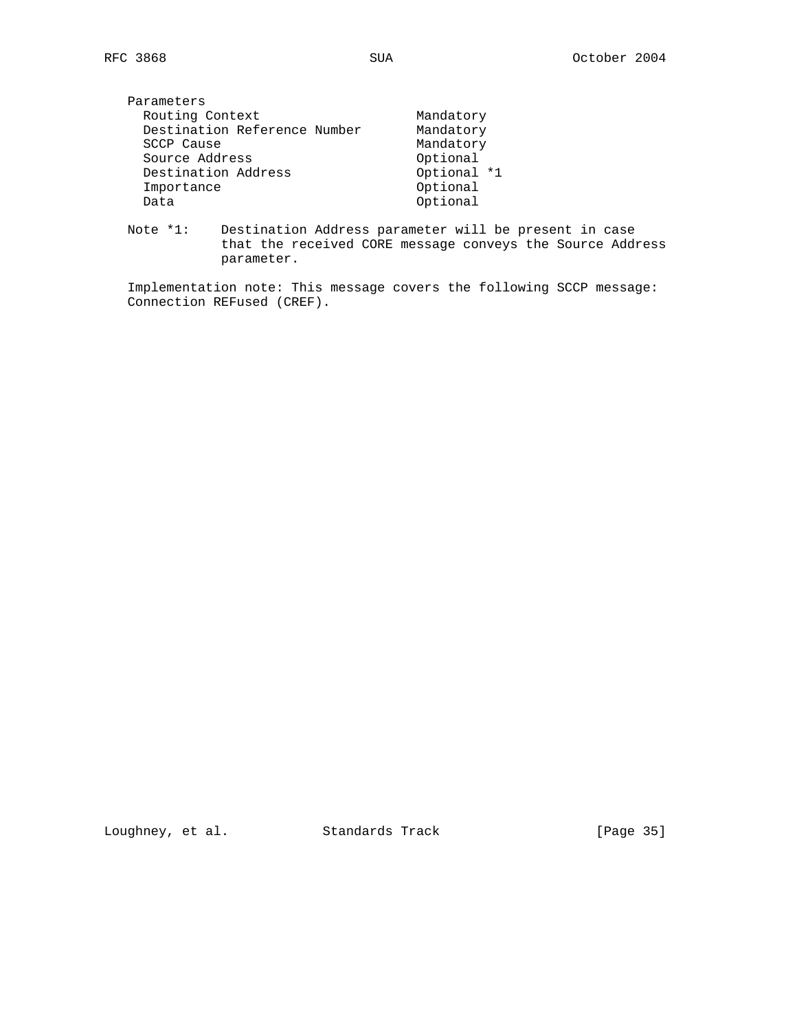| Parameters                   |             |
|------------------------------|-------------|
| Routing Context              | Mandatory   |
| Destination Reference Number | Mandatory   |
| SCCP Cause                   | Mandatory   |
| Source Address               | Optional    |
| Destination Address          | Optional *1 |
| Importance                   | Optional    |
| Data                         | Optional    |
|                              |             |

 Note \*1: Destination Address parameter will be present in case that the received CORE message conveys the Source Address parameter.

 Implementation note: This message covers the following SCCP message: Connection REFused (CREF).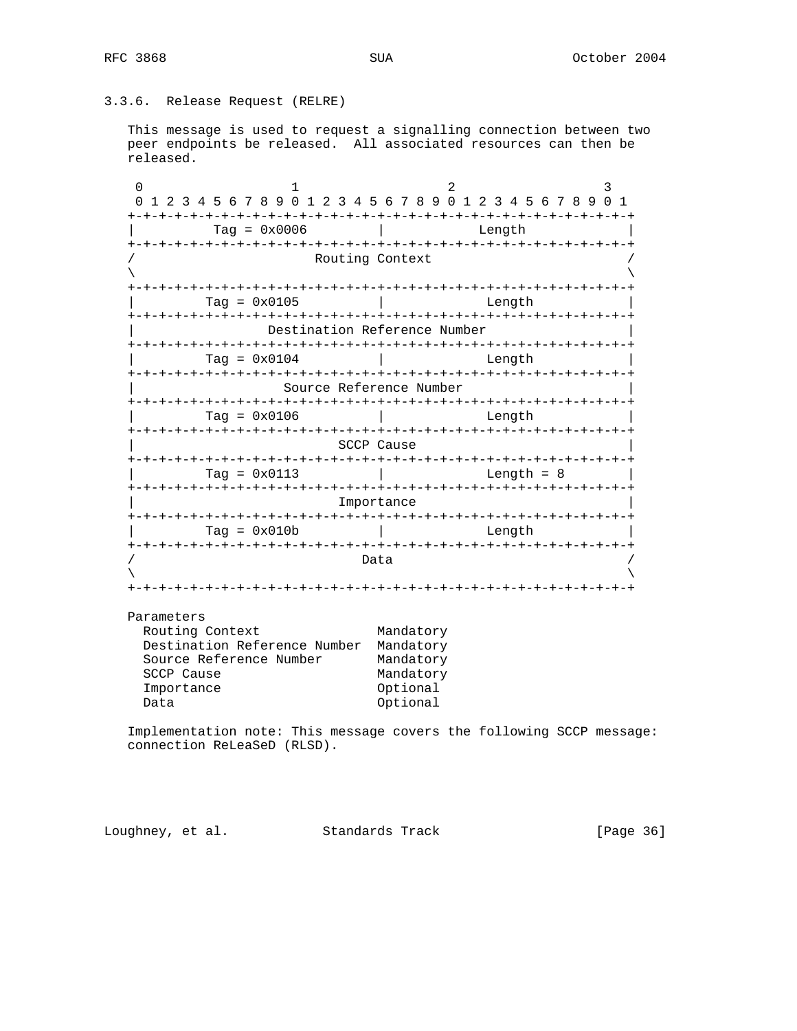## 3.3.6. Release Request (RELRE)

 This message is used to request a signalling connection between two peer endpoints be released. All associated resources can then be released.

0  $1$  2 3 0 1 2 3 4 5 6 7 8 9 0 1 2 3 4 5 6 7 8 9 0 1 2 3 4 5 6 7 8 9 0 1 +-+-+-+-+-+-+-+-+-+-+-+-+-+-+-+-+-+-+-+-+-+-+-+-+-+-+-+-+-+-+-+-+ | Tag = 0x0006 | Length | +-+-+-+-+-+-+-+-+-+-+-+-+-+-+-+-+-+-+-+-+-+-+-+-+-+-+-+-+-+-+-+-+ Routing Context  $\lambda$  and  $\lambda$  and  $\lambda$  and  $\lambda$  and  $\lambda$  and  $\lambda$  and  $\lambda$  and  $\lambda$  and  $\lambda$  and  $\lambda$  and  $\lambda$  and  $\lambda$  and  $\lambda$  and  $\lambda$  and  $\lambda$  and  $\lambda$  and  $\lambda$  and  $\lambda$  and  $\lambda$  and  $\lambda$  and  $\lambda$  and  $\lambda$  and  $\lambda$  and  $\lambda$  and  $\lambda$  +-+-+-+-+-+-+-+-+-+-+-+-+-+-+-+-+-+-+-+-+-+-+-+-+-+-+-+-+-+-+-+-+ | Tag = 0x0105 | Length | +-+-+-+-+-+-+-+-+-+-+-+-+-+-+-+-+-+-+-+-+-+-+-+-+-+-+-+-+-+-+-+-+ Destination Reference Number +-+-+-+-+-+-+-+-+-+-+-+-+-+-+-+-+-+-+-+-+-+-+-+-+-+-+-+-+-+-+-+-+ | Tag = 0x0104 | Length | +-+-+-+-+-+-+-+-+-+-+-+-+-+-+-+-+-+-+-+-+-+-+-+-+-+-+-+-+-+-+-+-+ | Source Reference Number | +-+-+-+-+-+-+-+-+-+-+-+-+-+-+-+-+-+-+-+-+-+-+-+-+-+-+-+-+-+-+-+-+ | Tag = 0x0106 | Length | +-+-+-+-+-+-+-+-+-+-+-+-+-+-+-+-+-+-+-+-+-+-+-+-+-+-+-+-+-+-+-+-+ SCCP Cause +-+-+-+-+-+-+-+-+-+-+-+-+-+-+-+-+-+-+-+-+-+-+-+-+-+-+-+-+-+-+-+-+ | Tag = 0x0113 | Length = 8 | +-+-+-+-+-+-+-+-+-+-+-+-+-+-+-+-+-+-+-+-+-+-+-+-+-+-+-+-+-+-+-+-+ Importance +-+-+-+-+-+-+-+-+-+-+-+-+-+-+-+-+-+-+-+-+-+-+-+-+-+-+-+-+-+-+-+-+  $\text{Tag} = 0 \times 010b$  | Length +-+-+-+-+-+-+-+-+-+-+-+-+-+-+-+-+-+-+-+-+-+-+-+-+-+-+-+-+-+-+-+-+  $/$  Data  $/$  $\lambda$  and  $\lambda$  and  $\lambda$  and  $\lambda$  and  $\lambda$  and  $\lambda$  and  $\lambda$  and  $\lambda$  and  $\lambda$  and  $\lambda$  and  $\lambda$  and  $\lambda$  and  $\lambda$  and  $\lambda$  and  $\lambda$  and  $\lambda$  and  $\lambda$  and  $\lambda$  and  $\lambda$  and  $\lambda$  and  $\lambda$  and  $\lambda$  and  $\lambda$  and  $\lambda$  and  $\lambda$  +-+-+-+-+-+-+-+-+-+-+-+-+-+-+-+-+-+-+-+-+-+-+-+-+-+-+-+-+-+-+-+-+ Parameters Routing Context Mandatory Destination Reference Number Mandatory Source Reference Number Mandatory<br>SCCP Cause Mandatory SCCP Cause Importance Optional

 Implementation note: This message covers the following SCCP message: connection ReLeaSeD (RLSD).

Data Optional

Loughney, et al. Standards Track [Page 36]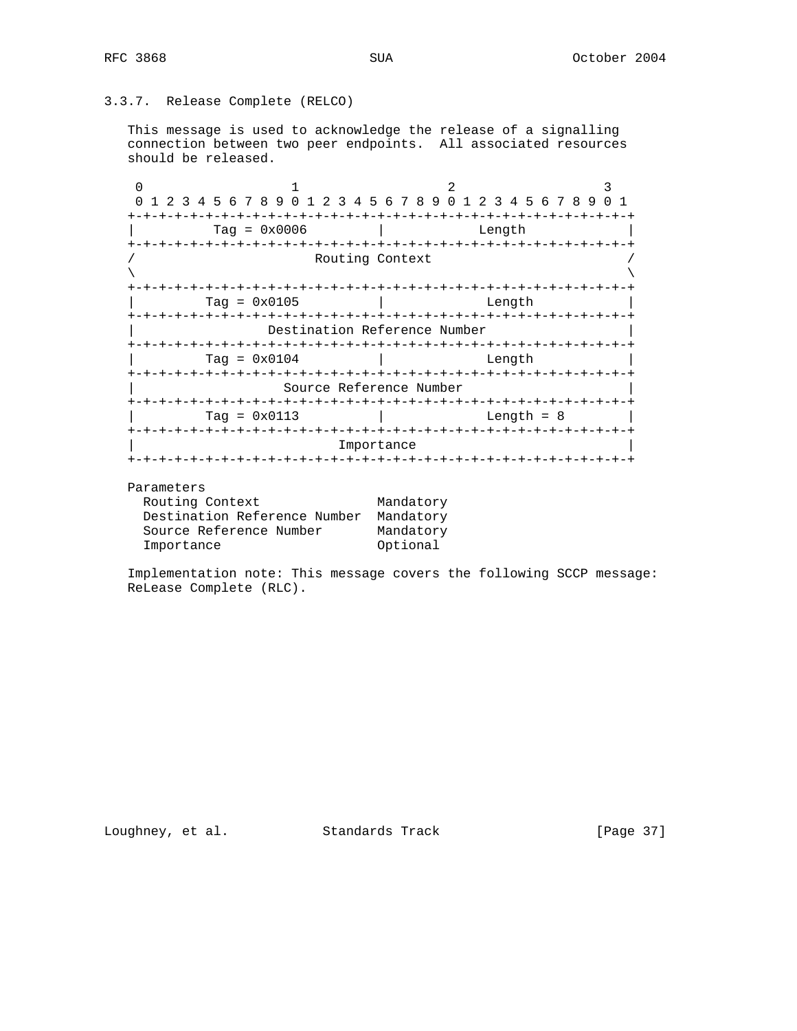# 3.3.7. Release Complete (RELCO)

 This message is used to acknowledge the release of a signalling connection between two peer endpoints. All associated resources should be released.

0  $1$  2 3 0 1 2 3 4 5 6 7 8 9 0 1 2 3 4 5 6 7 8 9 0 1 2 3 4 5 6 7 8 9 0 1 +-+-+-+-+-+-+-+-+-+-+-+-+-+-+-+-+-+-+-+-+-+-+-+-+-+-+-+-+-+-+-+-+ | Tag = 0x0006 | Length | +-+-+-+-+-+-+-+-+-+-+-+-+-+-+-+-+-+-+-+-+-+-+-+-+-+-+-+-+-+-+-+-+ Routing Context  $\lambda$  and  $\lambda$  and  $\lambda$  and  $\lambda$  and  $\lambda$  and  $\lambda$  and  $\lambda$  and  $\lambda$  and  $\lambda$  and  $\lambda$  and  $\lambda$  and  $\lambda$  and  $\lambda$  and  $\lambda$  and  $\lambda$  and  $\lambda$  and  $\lambda$  and  $\lambda$  and  $\lambda$  and  $\lambda$  and  $\lambda$  and  $\lambda$  and  $\lambda$  and  $\lambda$  and  $\lambda$  +-+-+-+-+-+-+-+-+-+-+-+-+-+-+-+-+-+-+-+-+-+-+-+-+-+-+-+-+-+-+-+-+ | Tag = 0x0105 | Length | +-+-+-+-+-+-+-+-+-+-+-+-+-+-+-+-+-+-+-+-+-+-+-+-+-+-+-+-+-+-+-+-+ Destination Reference Number +-+-+-+-+-+-+-+-+-+-+-+-+-+-+-+-+-+-+-+-+-+-+-+-+-+-+-+-+-+-+-+-+ | Tag = 0x0104 | Length | +-+-+-+-+-+-+-+-+-+-+-+-+-+-+-+-+-+-+-+-+-+-+-+-+-+-+-+-+-+-+-+-+ | Source Reference Number | +-+-+-+-+-+-+-+-+-+-+-+-+-+-+-+-+-+-+-+-+-+-+-+-+-+-+-+-+-+-+-+-+ | Tag = 0x0113 | Length = 8 | +-+-+-+-+-+-+-+-+-+-+-+-+-+-+-+-+-+-+-+-+-+-+-+-+-+-+-+-+-+-+-+-+ **Importance** +-+-+-+-+-+-+-+-+-+-+-+-+-+-+-+-+-+-+-+-+-+-+-+-+-+-+-+-+-+-+-+-+

#### Parameters

| Routing Context              | Mandatory |
|------------------------------|-----------|
| Destination Reference Number | Mandatory |
| Source Reference Number      | Mandatory |
| Importance                   | Optional  |

 Implementation note: This message covers the following SCCP message: ReLease Complete (RLC).

Loughney, et al. Standards Track [Page 37]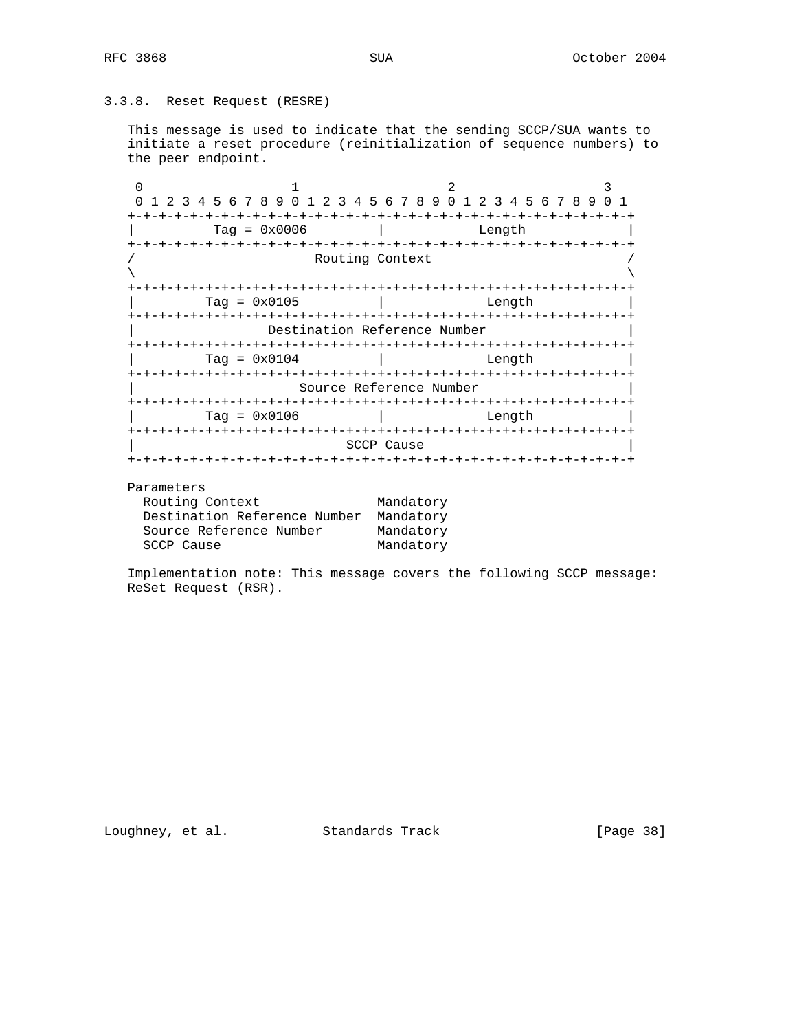# 3.3.8. Reset Request (RESRE)

 This message is used to indicate that the sending SCCP/SUA wants to initiate a reset procedure (reinitialization of sequence numbers) to the peer endpoint.

0  $1$  2 3 0 1 2 3 4 5 6 7 8 9 0 1 2 3 4 5 6 7 8 9 0 1 2 3 4 5 6 7 8 9 0 1 +-+-+-+-+-+-+-+-+-+-+-+-+-+-+-+-+-+-+-+-+-+-+-+-+-+-+-+-+-+-+-+-+ | Tag = 0x0006 | Length | +-+-+-+-+-+-+-+-+-+-+-+-+-+-+-+-+-+-+-+-+-+-+-+-+-+-+-+-+-+-+-+-+ Routing Context  $\lambda$  and  $\lambda$  and  $\lambda$  and  $\lambda$  and  $\lambda$  and  $\lambda$  and  $\lambda$  and  $\lambda$  and  $\lambda$  and  $\lambda$  and  $\lambda$  and  $\lambda$  and  $\lambda$  and  $\lambda$  and  $\lambda$  and  $\lambda$  and  $\lambda$  and  $\lambda$  and  $\lambda$  and  $\lambda$  and  $\lambda$  and  $\lambda$  and  $\lambda$  and  $\lambda$  and  $\lambda$  +-+-+-+-+-+-+-+-+-+-+-+-+-+-+-+-+-+-+-+-+-+-+-+-+-+-+-+-+-+-+-+-+ | Tag = 0x0105 | Length | +-+-+-+-+-+-+-+-+-+-+-+-+-+-+-+-+-+-+-+-+-+-+-+-+-+-+-+-+-+-+-+-+ Destination Reference Number +-+-+-+-+-+-+-+-+-+-+-+-+-+-+-+-+-+-+-+-+-+-+-+-+-+-+-+-+-+-+-+-+ | Tag = 0x0104 | Length | +-+-+-+-+-+-+-+-+-+-+-+-+-+-+-+-+-+-+-+-+-+-+-+-+-+-+-+-+-+-+-+-+ Source Reference Number +-+-+-+-+-+-+-+-+-+-+-+-+-+-+-+-+-+-+-+-+-+-+-+-+-+-+-+-+-+-+-+-+ | Tag = 0x0106 | Length | +-+-+-+-+-+-+-+-+-+-+-+-+-+-+-+-+-+-+-+-+-+-+-+-+-+-+-+-+-+-+-+-+ SCCP Cause +-+-+-+-+-+-+-+-+-+-+-+-+-+-+-+-+-+-+-+-+-+-+-+-+-+-+-+-+-+-+-+-+

#### Parameters

| Routing Context              | Mandatory |
|------------------------------|-----------|
| Destination Reference Number | Mandatory |
| Source Reference Number      | Mandatory |
| SCCP Cause                   | Mandatory |

 Implementation note: This message covers the following SCCP message: ReSet Request (RSR).

Loughney, et al. Standards Track [Page 38]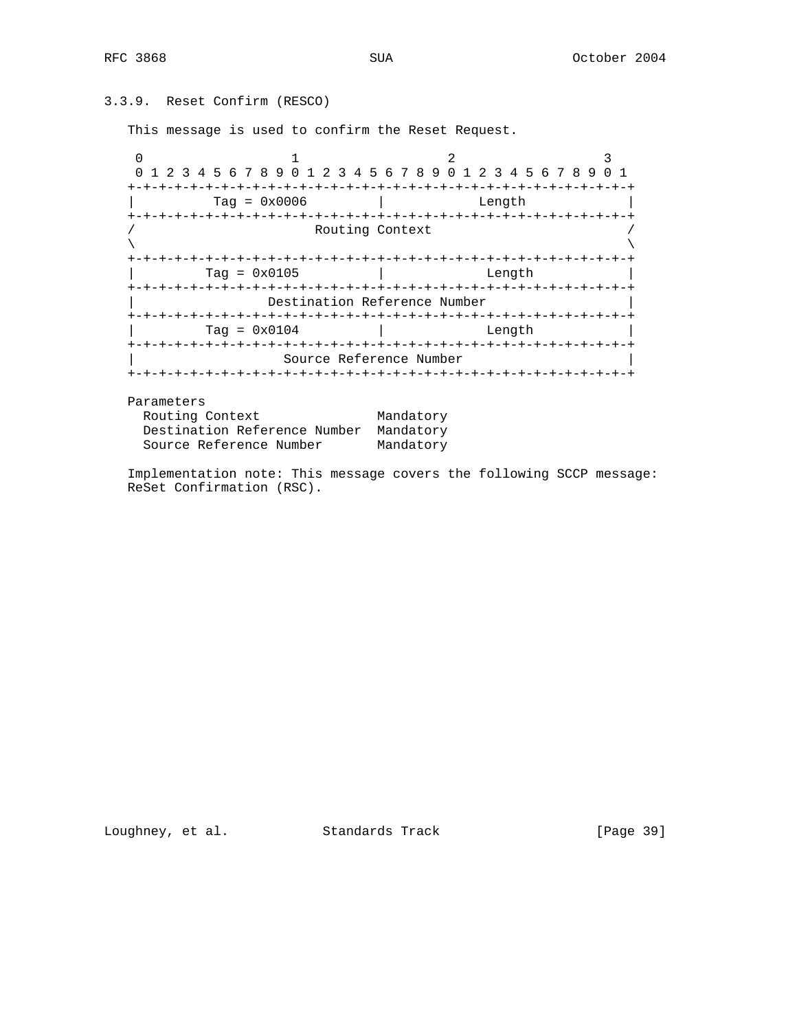```
3.3.9. Reset Confirm (RESCO)
```
This message is used to confirm the Reset Request.

0  $1$  2 3 0 1 2 3 4 5 6 7 8 9 0 1 2 3 4 5 6 7 8 9 0 1 2 3 4 5 6 7 8 9 0 1 +-+-+-+-+-+-+-+-+-+-+-+-+-+-+-+-+-+-+-+-+-+-+-+-+-+-+-+-+-+-+-+-+ | Tag = 0x0006 | Length | +-+-+-+-+-+-+-+-+-+-+-+-+-+-+-+-+-+-+-+-+-+-+-+-+-+-+-+-+-+-+-+-+ Routing Context  $\lambda$  and  $\lambda$  and  $\lambda$  and  $\lambda$  and  $\lambda$  and  $\lambda$  and  $\lambda$  and  $\lambda$  and  $\lambda$  and  $\lambda$  and  $\lambda$  and  $\lambda$  and  $\lambda$  and  $\lambda$  and  $\lambda$  and  $\lambda$  and  $\lambda$  and  $\lambda$  and  $\lambda$  and  $\lambda$  and  $\lambda$  and  $\lambda$  and  $\lambda$  and  $\lambda$  and  $\lambda$  +-+-+-+-+-+-+-+-+-+-+-+-+-+-+-+-+-+-+-+-+-+-+-+-+-+-+-+-+-+-+-+-+ | Tag = 0x0105 | Length | +-+-+-+-+-+-+-+-+-+-+-+-+-+-+-+-+-+-+-+-+-+-+-+-+-+-+-+-+-+-+-+-+ Destination Reference Number +-+-+-+-+-+-+-+-+-+-+-+-+-+-+-+-+-+-+-+-+-+-+-+-+-+-+-+-+-+-+-+-+ | Tag = 0x0104 | Length | +-+-+-+-+-+-+-+-+-+-+-+-+-+-+-+-+-+-+-+-+-+-+-+-+-+-+-+-+-+-+-+-+ Source Reference Number +-+-+-+-+-+-+-+-+-+-+-+-+-+-+-+-+-+-+-+-+-+-+-+-+-+-+-+-+-+-+-+-+

Parameters

| Routing Context                        | Mandatory |
|----------------------------------------|-----------|
| Destination Reference Number Mandatory |           |
| Source Reference Number                | Mandatory |

 Implementation note: This message covers the following SCCP message: ReSet Confirmation (RSC).

Loughney, et al. Standards Track [Page 39]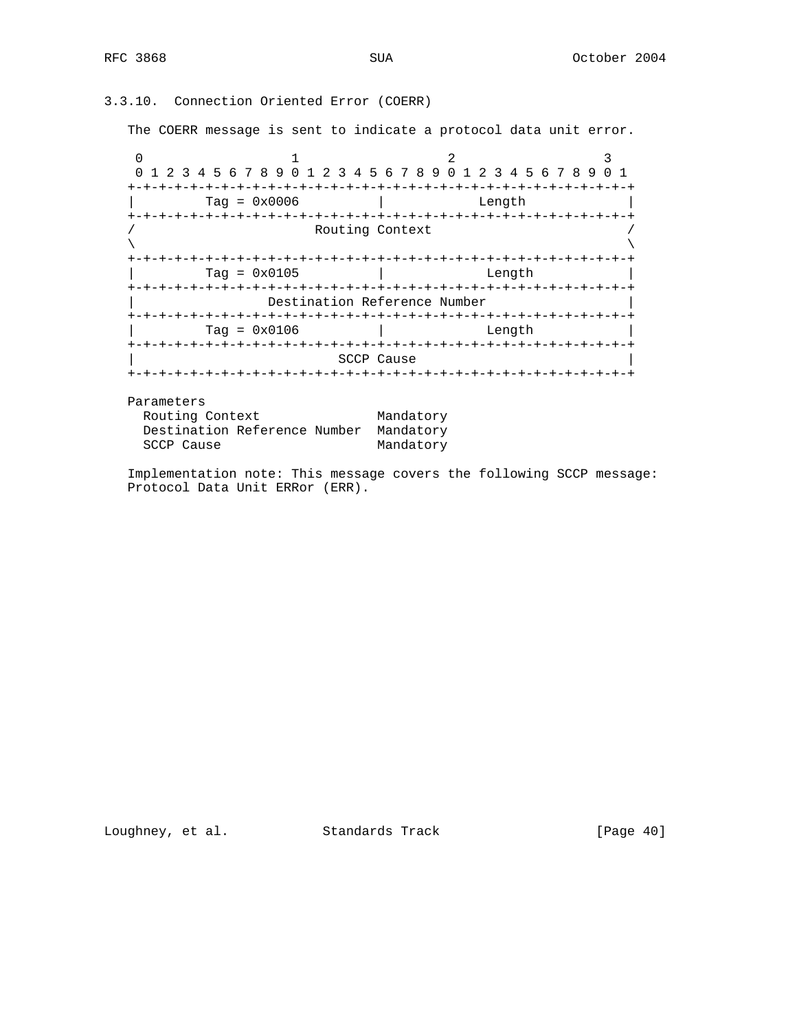3.3.10. Connection Oriented Error (COERR)

The COERR message is sent to indicate a protocol data unit error.

0  $1$  2 3 0 1 2 3 4 5 6 7 8 9 0 1 2 3 4 5 6 7 8 9 0 1 2 3 4 5 6 7 8 9 0 1 +-+-+-+-+-+-+-+-+-+-+-+-+-+-+-+-+-+-+-+-+-+-+-+-+-+-+-+-+-+-+-+-+ | Tag = 0x0006 | Length | +-+-+-+-+-+-+-+-+-+-+-+-+-+-+-+-+-+-+-+-+-+-+-+-+-+-+-+-+-+-+-+-+ Routing Context  $\lambda$  and  $\lambda$  and  $\lambda$  and  $\lambda$  and  $\lambda$  and  $\lambda$  and  $\lambda$  and  $\lambda$  and  $\lambda$  and  $\lambda$  and  $\lambda$  and  $\lambda$  and  $\lambda$  and  $\lambda$  and  $\lambda$  and  $\lambda$  and  $\lambda$  and  $\lambda$  and  $\lambda$  and  $\lambda$  and  $\lambda$  and  $\lambda$  and  $\lambda$  and  $\lambda$  and  $\lambda$  +-+-+-+-+-+-+-+-+-+-+-+-+-+-+-+-+-+-+-+-+-+-+-+-+-+-+-+-+-+-+-+-+ | Tag = 0x0105 | Length | +-+-+-+-+-+-+-+-+-+-+-+-+-+-+-+-+-+-+-+-+-+-+-+-+-+-+-+-+-+-+-+-+ Destination Reference Number +-+-+-+-+-+-+-+-+-+-+-+-+-+-+-+-+-+-+-+-+-+-+-+-+-+-+-+-+-+-+-+-+  $Tag = 0x0106$  | Length +-+-+-+-+-+-+-+-+-+-+-+-+-+-+-+-+-+-+-+-+-+-+-+-+-+-+-+-+-+-+-+-+ SCCP Cause +-+-+-+-+-+-+-+-+-+-+-+-+-+-+-+-+-+-+-+-+-+-+-+-+-+-+-+-+-+-+-+-+

Parameters

| Routing Context                        |  | Mandatory |
|----------------------------------------|--|-----------|
| Destination Reference Number Mandatory |  |           |
| SCCP Cause                             |  | Mandatory |

 Implementation note: This message covers the following SCCP message: Protocol Data Unit ERRor (ERR).

Loughney, et al. Standards Track [Page 40]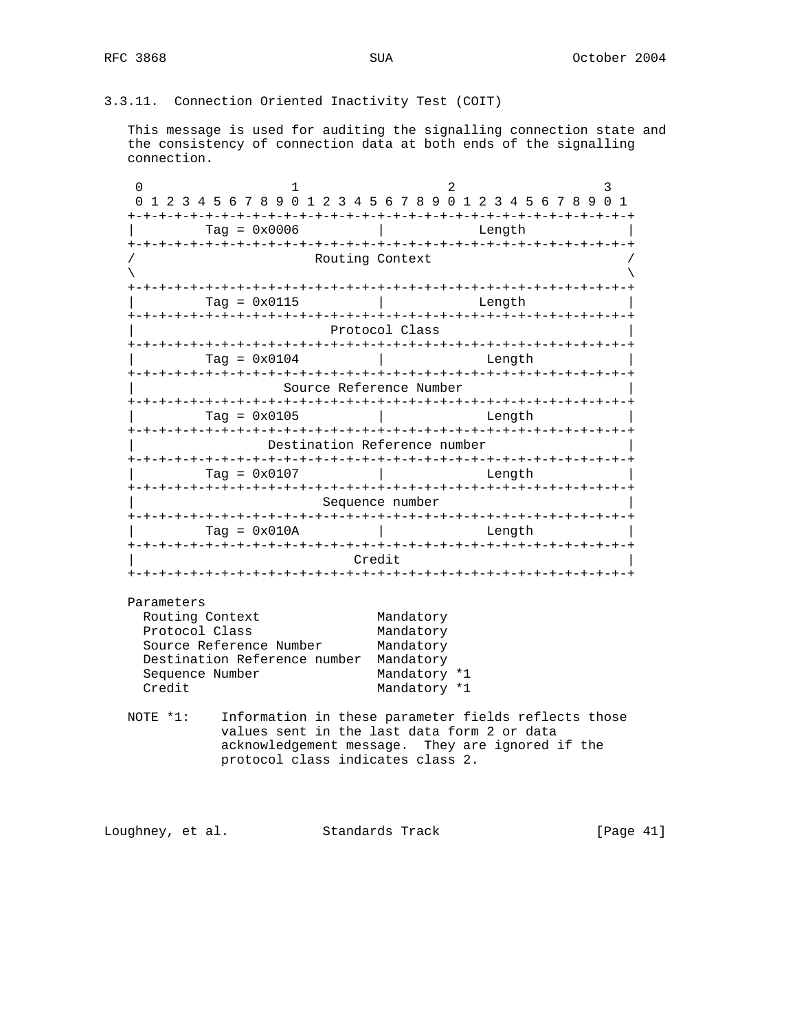3.3.11. Connection Oriented Inactivity Test (COIT)

 This message is used for auditing the signalling connection state and the consistency of connection data at both ends of the signalling connection.

0  $1$  2 3 0 1 2 3 4 5 6 7 8 9 0 1 2 3 4 5 6 7 8 9 0 1 2 3 4 5 6 7 8 9 0 1 +-+-+-+-+-+-+-+-+-+-+-+-+-+-+-+-+-+-+-+-+-+-+-+-+-+-+-+-+-+-+-+-+ | Tag = 0x0006 | Length | +-+-+-+-+-+-+-+-+-+-+-+-+-+-+-+-+-+-+-+-+-+-+-+-+-+-+-+-+-+-+-+-+ Routing Context  $\lambda$  and  $\lambda$  and  $\lambda$  and  $\lambda$  and  $\lambda$  and  $\lambda$  and  $\lambda$  and  $\lambda$  and  $\lambda$  and  $\lambda$  and  $\lambda$  and  $\lambda$  and  $\lambda$  and  $\lambda$  and  $\lambda$  and  $\lambda$  and  $\lambda$  and  $\lambda$  and  $\lambda$  and  $\lambda$  and  $\lambda$  and  $\lambda$  and  $\lambda$  and  $\lambda$  and  $\lambda$  +-+-+-+-+-+-+-+-+-+-+-+-+-+-+-+-+-+-+-+-+-+-+-+-+-+-+-+-+-+-+-+-+ | Tag = 0x0115 | Length | +-+-+-+-+-+-+-+-+-+-+-+-+-+-+-+-+-+-+-+-+-+-+-+-+-+-+-+-+-+-+-+-+ Protocol Class +-+-+-+-+-+-+-+-+-+-+-+-+-+-+-+-+-+-+-+-+-+-+-+-+-+-+-+-+-+-+-+-+  $\text{Tag} = 0 \times 0104$  | Length +-+-+-+-+-+-+-+-+-+-+-+-+-+-+-+-+-+-+-+-+-+-+-+-+-+-+-+-+-+-+-+-+ | Source Reference Number | +-+-+-+-+-+-+-+-+-+-+-+-+-+-+-+-+-+-+-+-+-+-+-+-+-+-+-+-+-+-+-+-+ | Tag = 0x0105 | Length | +-+-+-+-+-+-+-+-+-+-+-+-+-+-+-+-+-+-+-+-+-+-+-+-+-+-+-+-+-+-+-+-+ Destination Reference number +-+-+-+-+-+-+-+-+-+-+-+-+-+-+-+-+-+-+-+-+-+-+-+-+-+-+-+-+-+-+-+-+ | Tag = 0x0107 | Length | +-+-+-+-+-+-+-+-+-+-+-+-+-+-+-+-+-+-+-+-+-+-+-+-+-+-+-+-+-+-+-+-+ Sequence number +-+-+-+-+-+-+-+-+-+-+-+-+-+-+-+-+-+-+-+-+-+-+-+-+-+-+-+-+-+-+-+-+  $\text{Tag} = 0 \times 010A$  | Length +-+-+-+-+-+-+-+-+-+-+-+-+-+-+-+-+-+-+-+-+-+-+-+-+-+-+-+-+-+-+-+-+ | Credit | +-+-+-+-+-+-+-+-+-+-+-+-+-+-+-+-+-+-+-+-+-+-+-+-+-+-+-+-+-+-+-+-+

 Parameters Routing Context Mandatory Protocol Class Mandatory Source Reference Number Mandatory Destination Reference number Mandatory Sequence Number Mandatory \*1 Credit Mandatory \*1

 NOTE \*1: Information in these parameter fields reflects those values sent in the last data form 2 or data acknowledgement message. They are ignored if the protocol class indicates class 2.

Loughney, et al. Standards Track [Page 41]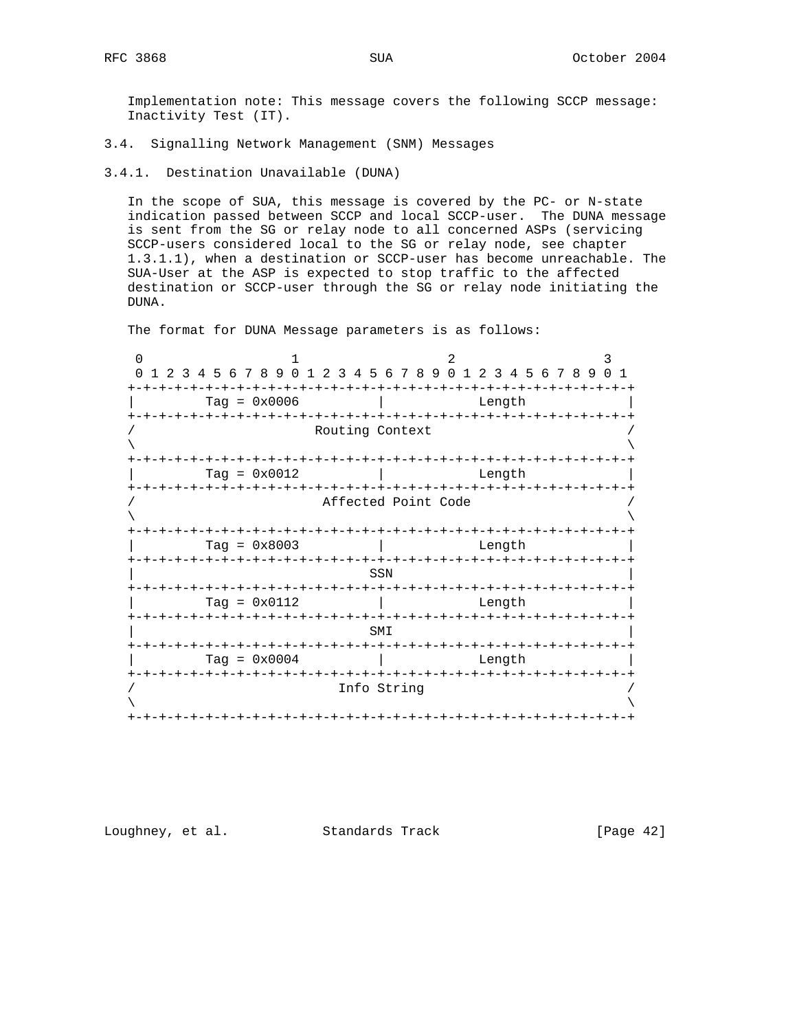Implementation note: This message covers the following SCCP message: Inactivity Test (IT).

3.4.1. Destination Unavailable (DUNA)

 In the scope of SUA, this message is covered by the PC- or N-state indication passed between SCCP and local SCCP-user. The DUNA message is sent from the SG or relay node to all concerned ASPs (servicing SCCP-users considered local to the SG or relay node, see chapter 1.3.1.1), when a destination or SCCP-user has become unreachable. The SUA-User at the ASP is expected to stop traffic to the affected destination or SCCP-user through the SG or relay node initiating the DUNA.

The format for DUNA Message parameters is as follows:

0  $1$  2 3 0 1 2 3 4 5 6 7 8 9 0 1 2 3 4 5 6 7 8 9 0 1 2 3 4 5 6 7 8 9 0 1 +-+-+-+-+-+-+-+-+-+-+-+-+-+-+-+-+-+-+-+-+-+-+-+-+-+-+-+-+-+-+-+-+ | Tag = 0x0006 | Length | +-+-+-+-+-+-+-+-+-+-+-+-+-+-+-+-+-+-+-+-+-+-+-+-+-+-+-+-+-+-+-+-+ Routing Context  $\lambda$  and  $\lambda$  and  $\lambda$  and  $\lambda$  and  $\lambda$  and  $\lambda$  and  $\lambda$  and  $\lambda$  and  $\lambda$  and  $\lambda$  and  $\lambda$  and  $\lambda$  and  $\lambda$  and  $\lambda$  and  $\lambda$  and  $\lambda$  and  $\lambda$  and  $\lambda$  and  $\lambda$  and  $\lambda$  and  $\lambda$  and  $\lambda$  and  $\lambda$  and  $\lambda$  and  $\lambda$  +-+-+-+-+-+-+-+-+-+-+-+-+-+-+-+-+-+-+-+-+-+-+-+-+-+-+-+-+-+-+-+-+ | Tag = 0x0012 | Length | +-+-+-+-+-+-+-+-+-+-+-+-+-+-+-+-+-+-+-+-+-+-+-+-+-+-+-+-+-+-+-+-+ Affected Point Code  $\lambda$  and  $\lambda$  and  $\lambda$  and  $\lambda$  and  $\lambda$  and  $\lambda$  and  $\lambda$  and  $\lambda$  and  $\lambda$  and  $\lambda$  and  $\lambda$  and  $\lambda$  and  $\lambda$  and  $\lambda$  and  $\lambda$  and  $\lambda$  and  $\lambda$  and  $\lambda$  and  $\lambda$  and  $\lambda$  and  $\lambda$  and  $\lambda$  and  $\lambda$  and  $\lambda$  and  $\lambda$  +-+-+-+-+-+-+-+-+-+-+-+-+-+-+-+-+-+-+-+-+-+-+-+-+-+-+-+-+-+-+-+-+ | Tag = 0x8003 | Length | +-+-+-+-+-+-+-+-+-+-+-+-+-+-+-+-+-+-+-+-+-+-+-+-+-+-+-+-+-+-+-+-+ | SSN | +-+-+-+-+-+-+-+-+-+-+-+-+-+-+-+-+-+-+-+-+-+-+-+-+-+-+-+-+-+-+-+-+ | Tag = 0x0112 | Length | +-+-+-+-+-+-+-+-+-+-+-+-+-+-+-+-+-+-+-+-+-+-+-+-+-+-+-+-+-+-+-+-+  $\mathbb{S}$ MI  $\mathbb{S}$  +-+-+-+-+-+-+-+-+-+-+-+-+-+-+-+-+-+-+-+-+-+-+-+-+-+-+-+-+-+-+-+-+  $\texttt{Tag = 0x0004}$  | Length +-+-+-+-+-+-+-+-+-+-+-+-+-+-+-+-+-+-+-+-+-+-+-+-+-+-+-+-+-+-+-+-+ / Info String /  $\lambda$  and  $\lambda$  and  $\lambda$  and  $\lambda$  and  $\lambda$  and  $\lambda$  and  $\lambda$  and  $\lambda$  and  $\lambda$  and  $\lambda$  and  $\lambda$  and  $\lambda$  and  $\lambda$  and  $\lambda$  and  $\lambda$  and  $\lambda$  and  $\lambda$  and  $\lambda$  and  $\lambda$  and  $\lambda$  and  $\lambda$  and  $\lambda$  and  $\lambda$  and  $\lambda$  and  $\lambda$  +-+-+-+-+-+-+-+-+-+-+-+-+-+-+-+-+-+-+-+-+-+-+-+-+-+-+-+-+-+-+-+-+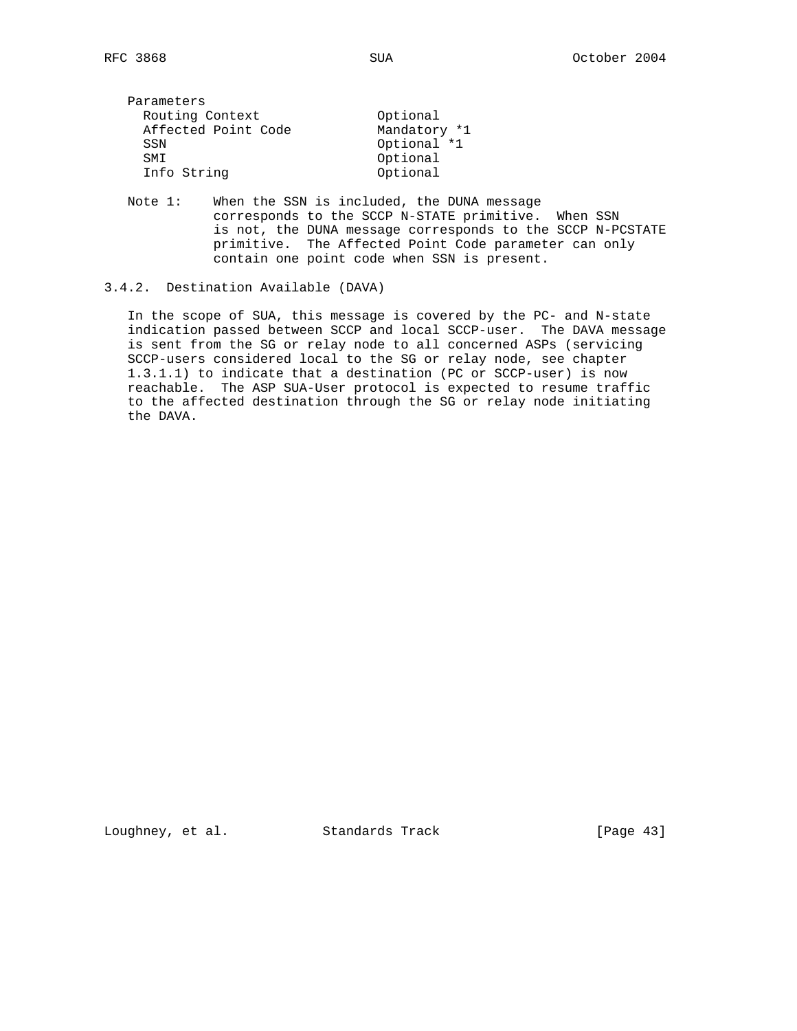| Parameters          |              |
|---------------------|--------------|
| Routing Context     | Optional     |
| Affected Point Code | Mandatory *1 |
| SSN                 | Optional *1  |
| <b>SMT</b>          | Optional     |
| Info String         | Optional     |

 Note 1: When the SSN is included, the DUNA message corresponds to the SCCP N-STATE primitive. When SSN is not, the DUNA message corresponds to the SCCP N-PCSTATE primitive. The Affected Point Code parameter can only contain one point code when SSN is present.

### 3.4.2. Destination Available (DAVA)

 In the scope of SUA, this message is covered by the PC- and N-state indication passed between SCCP and local SCCP-user. The DAVA message is sent from the SG or relay node to all concerned ASPs (servicing SCCP-users considered local to the SG or relay node, see chapter 1.3.1.1) to indicate that a destination (PC or SCCP-user) is now reachable. The ASP SUA-User protocol is expected to resume traffic to the affected destination through the SG or relay node initiating the DAVA.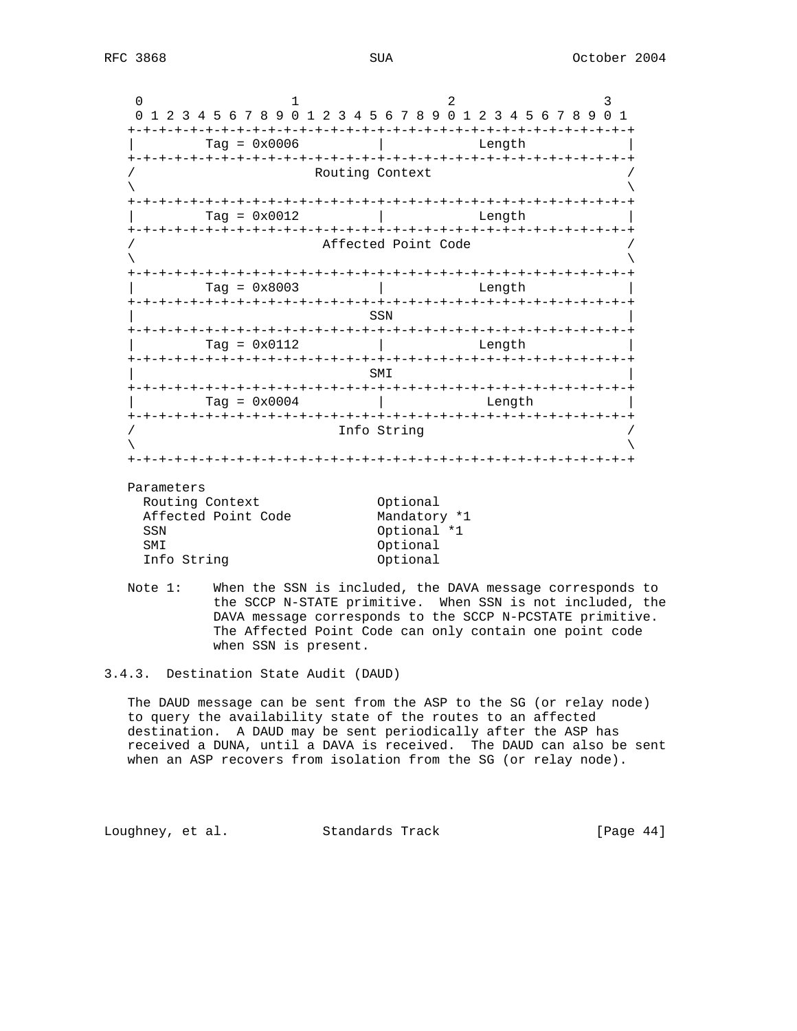0  $1$  2 3 0 1 2 3 4 5 6 7 8 9 0 1 2 3 4 5 6 7 8 9 0 1 2 3 4 5 6 7 8 9 0 1 +-+-+-+-+-+-+-+-+-+-+-+-+-+-+-+-+-+-+-+-+-+-+-+-+-+-+-+-+-+-+-+-+ | Tag = 0x0006 | Length | +-+-+-+-+-+-+-+-+-+-+-+-+-+-+-+-+-+-+-+-+-+-+-+-+-+-+-+-+-+-+-+-+ Routing Context  $\lambda$  and  $\lambda$  and  $\lambda$  and  $\lambda$  and  $\lambda$  and  $\lambda$  and  $\lambda$  and  $\lambda$  and  $\lambda$  and  $\lambda$  and  $\lambda$  and  $\lambda$  and  $\lambda$  and  $\lambda$  and  $\lambda$  and  $\lambda$  and  $\lambda$  and  $\lambda$  and  $\lambda$  and  $\lambda$  and  $\lambda$  and  $\lambda$  and  $\lambda$  and  $\lambda$  and  $\lambda$  +-+-+-+-+-+-+-+-+-+-+-+-+-+-+-+-+-+-+-+-+-+-+-+-+-+-+-+-+-+-+-+-+ | Tag = 0x0012 | Length | +-+-+-+-+-+-+-+-+-+-+-+-+-+-+-+-+-+-+-+-+-+-+-+-+-+-+-+-+-+-+-+-+ Affected Point Code  $\lambda$  and  $\lambda$  and  $\lambda$  and  $\lambda$  and  $\lambda$  and  $\lambda$  and  $\lambda$  and  $\lambda$  and  $\lambda$  and  $\lambda$  and  $\lambda$  and  $\lambda$  and  $\lambda$  and  $\lambda$  and  $\lambda$  and  $\lambda$  and  $\lambda$  and  $\lambda$  and  $\lambda$  and  $\lambda$  and  $\lambda$  and  $\lambda$  and  $\lambda$  and  $\lambda$  and  $\lambda$  +-+-+-+-+-+-+-+-+-+-+-+-+-+-+-+-+-+-+-+-+-+-+-+-+-+-+-+-+-+-+-+-+ | Tag = 0x8003 | Length | +-+-+-+-+-+-+-+-+-+-+-+-+-+-+-+-+-+-+-+-+-+-+-+-+-+-+-+-+-+-+-+-+ | SSN | +-+-+-+-+-+-+-+-+-+-+-+-+-+-+-+-+-+-+-+-+-+-+-+-+-+-+-+-+-+-+-+-+ | Tag = 0x0112 | Length | +-+-+-+-+-+-+-+-+-+-+-+-+-+-+-+-+-+-+-+-+-+-+-+-+-+-+-+-+-+-+-+-+  $\mathbb{S}$ MI  $\mathbb{S}$  +-+-+-+-+-+-+-+-+-+-+-+-+-+-+-+-+-+-+-+-+-+-+-+-+-+-+-+-+-+-+-+-+ Tag =  $0x0004$  | Length +-+-+-+-+-+-+-+-+-+-+-+-+-+-+-+-+-+-+-+-+-+-+-+-+-+-+-+-+-+-+-+-+ Info String  $\lambda$  and  $\lambda$  and  $\lambda$  and  $\lambda$  and  $\lambda$  and  $\lambda$  and  $\lambda$  and  $\lambda$  and  $\lambda$  and  $\lambda$  and  $\lambda$  and  $\lambda$  and  $\lambda$  and  $\lambda$  and  $\lambda$  and  $\lambda$  and  $\lambda$  and  $\lambda$  and  $\lambda$  and  $\lambda$  and  $\lambda$  and  $\lambda$  and  $\lambda$  and  $\lambda$  and  $\lambda$  +-+-+-+-+-+-+-+-+-+-+-+-+-+-+-+-+-+-+-+-+-+-+-+-+-+-+-+-+-+-+-+-+ Parameters

| - u-unccci          |              |
|---------------------|--------------|
| Routing Context     | Optional     |
| Affected Point Code | Mandatory *1 |
| SSN                 | Optional *1  |
| <b>SMT</b>          | Optional     |
| Info String         | Optional     |

 Note 1: When the SSN is included, the DAVA message corresponds to the SCCP N-STATE primitive. When SSN is not included, the DAVA message corresponds to the SCCP N-PCSTATE primitive. The Affected Point Code can only contain one point code when SSN is present.

3.4.3. Destination State Audit (DAUD)

 The DAUD message can be sent from the ASP to the SG (or relay node) to query the availability state of the routes to an affected destination. A DAUD may be sent periodically after the ASP has received a DUNA, until a DAVA is received. The DAUD can also be sent when an ASP recovers from isolation from the SG (or relay node).

Loughney, et al. Standards Track [Page 44]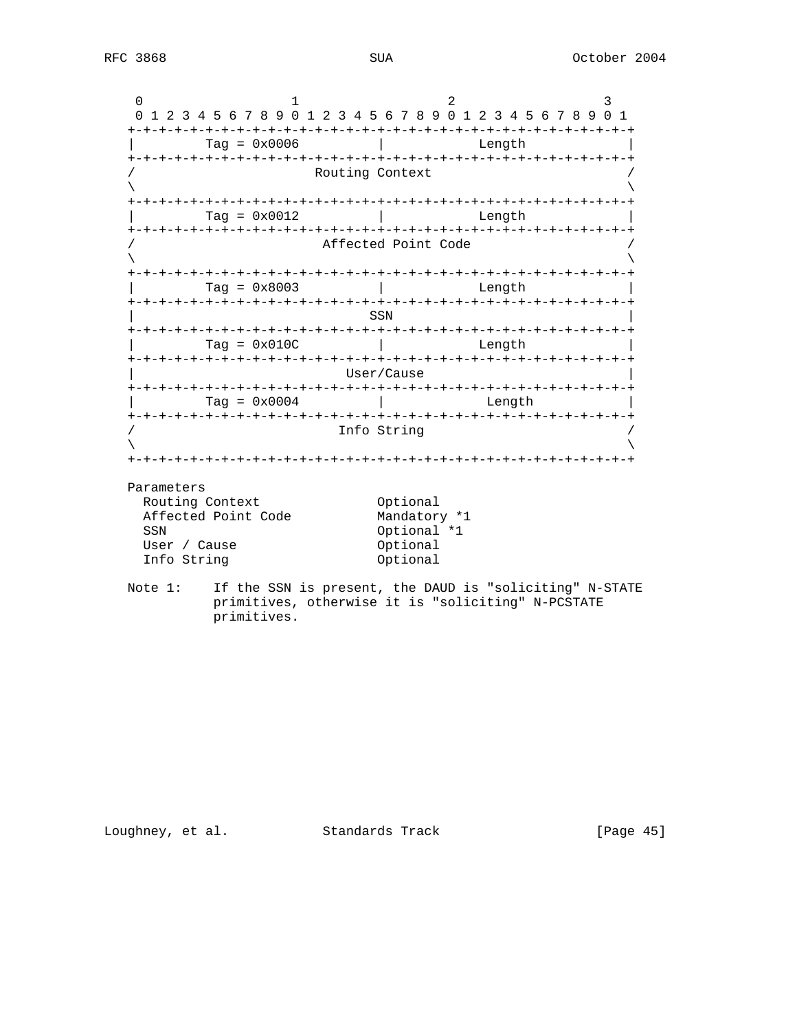0  $1$  2 3 0 1 2 3 4 5 6 7 8 9 0 1 2 3 4 5 6 7 8 9 0 1 2 3 4 5 6 7 8 9 0 1 +-+-+-+-+-+-+-+-+-+-+-+-+-+-+-+-+-+-+-+-+-+-+-+-+-+-+-+-+-+-+-+-+ | Tag = 0x0006 | Length | +-+-+-+-+-+-+-+-+-+-+-+-+-+-+-+-+-+-+-+-+-+-+-+-+-+-+-+-+-+-+-+-+ Routing Context  $\lambda$  and  $\lambda$  and  $\lambda$  and  $\lambda$  and  $\lambda$  and  $\lambda$  and  $\lambda$  and  $\lambda$  and  $\lambda$  and  $\lambda$  and  $\lambda$  and  $\lambda$  and  $\lambda$  and  $\lambda$  and  $\lambda$  and  $\lambda$  and  $\lambda$  and  $\lambda$  and  $\lambda$  and  $\lambda$  and  $\lambda$  and  $\lambda$  and  $\lambda$  and  $\lambda$  and  $\lambda$  +-+-+-+-+-+-+-+-+-+-+-+-+-+-+-+-+-+-+-+-+-+-+-+-+-+-+-+-+-+-+-+-+ | Tag = 0x0012 | Length | +-+-+-+-+-+-+-+-+-+-+-+-+-+-+-+-+-+-+-+-+-+-+-+-+-+-+-+-+-+-+-+-+ Affected Point Code  $\lambda$  and  $\lambda$  and  $\lambda$  and  $\lambda$  and  $\lambda$  and  $\lambda$  and  $\lambda$  and  $\lambda$  and  $\lambda$  and  $\lambda$  and  $\lambda$  and  $\lambda$  and  $\lambda$  and  $\lambda$  and  $\lambda$  and  $\lambda$  and  $\lambda$  and  $\lambda$  and  $\lambda$  and  $\lambda$  and  $\lambda$  and  $\lambda$  and  $\lambda$  and  $\lambda$  and  $\lambda$  +-+-+-+-+-+-+-+-+-+-+-+-+-+-+-+-+-+-+-+-+-+-+-+-+-+-+-+-+-+-+-+-+ | Tag = 0x8003 | Length | +-+-+-+-+-+-+-+-+-+-+-+-+-+-+-+-+-+-+-+-+-+-+-+-+-+-+-+-+-+-+-+-+ | SSN | +-+-+-+-+-+-+-+-+-+-+-+-+-+-+-+-+-+-+-+-+-+-+-+-+-+-+-+-+-+-+-+-+  $\text{Tag} = 0 \times 010 \text{C}$  | Length +-+-+-+-+-+-+-+-+-+-+-+-+-+-+-+-+-+-+-+-+-+-+-+-+-+-+-+-+-+-+-+-+ | User/Cause | +-+-+-+-+-+-+-+-+-+-+-+-+-+-+-+-+-+-+-+-+-+-+-+-+-+-+-+-+-+-+-+-+ | Tag = 0x0004 | Length | +-+-+-+-+-+-+-+-+-+-+-+-+-+-+-+-+-+-+-+-+-+-+-+-+-+-+-+-+-+-+-+-+ Info String  $\lambda$  and  $\lambda$  and  $\lambda$  and  $\lambda$  and  $\lambda$  and  $\lambda$  and  $\lambda$  and  $\lambda$  and  $\lambda$  and  $\lambda$  and  $\lambda$  and  $\lambda$  and  $\lambda$  and  $\lambda$  and  $\lambda$  and  $\lambda$  and  $\lambda$  and  $\lambda$  and  $\lambda$  and  $\lambda$  and  $\lambda$  and  $\lambda$  and  $\lambda$  and  $\lambda$  and  $\lambda$  +-+-+-+-+-+-+-+-+-+-+-+-+-+-+-+-+-+-+-+-+-+-+-+-+-+-+-+-+-+-+-+-+ Parameters Routing Context **Contract Contract** Optional Affected Point Code Mandatory \*1 SSN Optional \*1 User / Cause **Optional** Info String 0ptional

 Note 1: If the SSN is present, the DAUD is "soliciting" N-STATE primitives, otherwise it is "soliciting" N-PCSTATE primitives.

Loughney, et al. Standards Track [Page 45]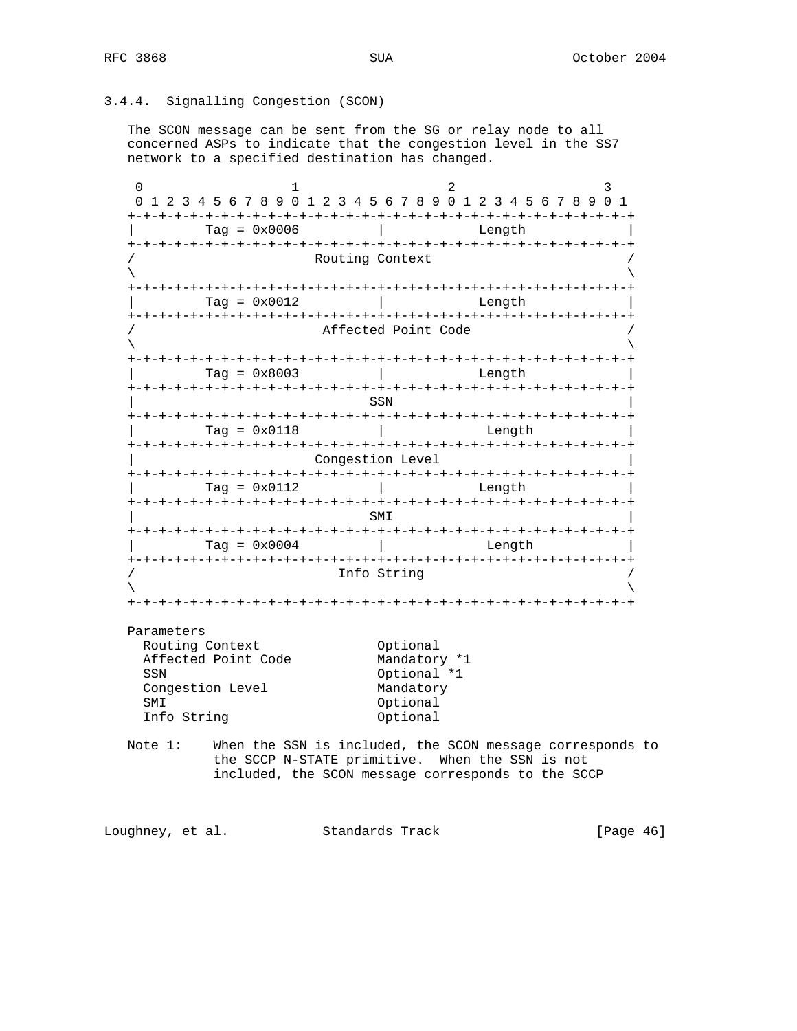# 3.4.4. Signalling Congestion (SCON)

 The SCON message can be sent from the SG or relay node to all concerned ASPs to indicate that the congestion level in the SS7 network to a specified destination has changed.

0  $1$  2 3 0 1 2 3 4 5 6 7 8 9 0 1 2 3 4 5 6 7 8 9 0 1 2 3 4 5 6 7 8 9 0 1 +-+-+-+-+-+-+-+-+-+-+-+-+-+-+-+-+-+-+-+-+-+-+-+-+-+-+-+-+-+-+-+-+ | Tag = 0x0006 | Length | +-+-+-+-+-+-+-+-+-+-+-+-+-+-+-+-+-+-+-+-+-+-+-+-+-+-+-+-+-+-+-+-+ Routing Context  $\lambda$  and  $\lambda$  and  $\lambda$  and  $\lambda$  and  $\lambda$  and  $\lambda$  and  $\lambda$  and  $\lambda$  and  $\lambda$  and  $\lambda$  and  $\lambda$  and  $\lambda$  and  $\lambda$  and  $\lambda$  and  $\lambda$  and  $\lambda$  and  $\lambda$  and  $\lambda$  and  $\lambda$  and  $\lambda$  and  $\lambda$  and  $\lambda$  and  $\lambda$  and  $\lambda$  and  $\lambda$  +-+-+-+-+-+-+-+-+-+-+-+-+-+-+-+-+-+-+-+-+-+-+-+-+-+-+-+-+-+-+-+-+  $\text{Tag} = 0 \times 0012$  | Length +-+-+-+-+-+-+-+-+-+-+-+-+-+-+-+-+-+-+-+-+-+-+-+-+-+-+-+-+-+-+-+-+ Affected Point Code  $\lambda$  and  $\lambda$  and  $\lambda$  and  $\lambda$  and  $\lambda$  and  $\lambda$  and  $\lambda$  and  $\lambda$  and  $\lambda$  and  $\lambda$  and  $\lambda$  and  $\lambda$  and  $\lambda$  and  $\lambda$  and  $\lambda$  and  $\lambda$  and  $\lambda$  and  $\lambda$  and  $\lambda$  and  $\lambda$  and  $\lambda$  and  $\lambda$  and  $\lambda$  and  $\lambda$  and  $\lambda$  +-+-+-+-+-+-+-+-+-+-+-+-+-+-+-+-+-+-+-+-+-+-+-+-+-+-+-+-+-+-+-+-+  $\text{Tag} = 0 \times 8003$  | Length +-+-+-+-+-+-+-+-+-+-+-+-+-+-+-+-+-+-+-+-+-+-+-+-+-+-+-+-+-+-+-+-+ | SSN | +-+-+-+-+-+-+-+-+-+-+-+-+-+-+-+-+-+-+-+-+-+-+-+-+-+-+-+-+-+-+-+-+ | Tag = 0x0118 | Length | +-+-+-+-+-+-+-+-+-+-+-+-+-+-+-+-+-+-+-+-+-+-+-+-+-+-+-+-+-+-+-+-+ Congestion Level +-+-+-+-+-+-+-+-+-+-+-+-+-+-+-+-+-+-+-+-+-+-+-+-+-+-+-+-+-+-+-+-+ | Tag = 0x0112 | Length | +-+-+-+-+-+-+-+-+-+-+-+-+-+-+-+-+-+-+-+-+-+-+-+-+-+-+-+-+-+-+-+-+ | SMI | +-+-+-+-+-+-+-+-+-+-+-+-+-+-+-+-+-+-+-+-+-+-+-+-+-+-+-+-+-+-+-+-+ | Tag = 0x0004 | Length | +-+-+-+-+-+-+-+-+-+-+-+-+-+-+-+-+-+-+-+-+-+-+-+-+-+-+-+-+-+-+-+-+ Info String  $\lambda$  and  $\lambda$  and  $\lambda$  and  $\lambda$  and  $\lambda$  and  $\lambda$  and  $\lambda$  and  $\lambda$  and  $\lambda$  and  $\lambda$  and  $\lambda$  and  $\lambda$  and  $\lambda$  and  $\lambda$  and  $\lambda$  and  $\lambda$  and  $\lambda$  and  $\lambda$  and  $\lambda$  and  $\lambda$  and  $\lambda$  and  $\lambda$  and  $\lambda$  and  $\lambda$  and  $\lambda$  +-+-+-+-+-+-+-+-+-+-+-+-+-+-+-+-+-+-+-+-+-+-+-+-+-+-+-+-+-+-+-+-+ Parameters Routing Context **Contract Contract** Optional Affected Point Code Mandatory \*1 SSN Optional \*1 Congestion Level Mandatory SMI Optional Info String **Construction** Optional Note 1: When the SSN is included, the SCON message corresponds to the SCCP N-STATE primitive. When the SSN is not included, the SCON message corresponds to the SCCP

Loughney, et al. Standards Track [Page 46]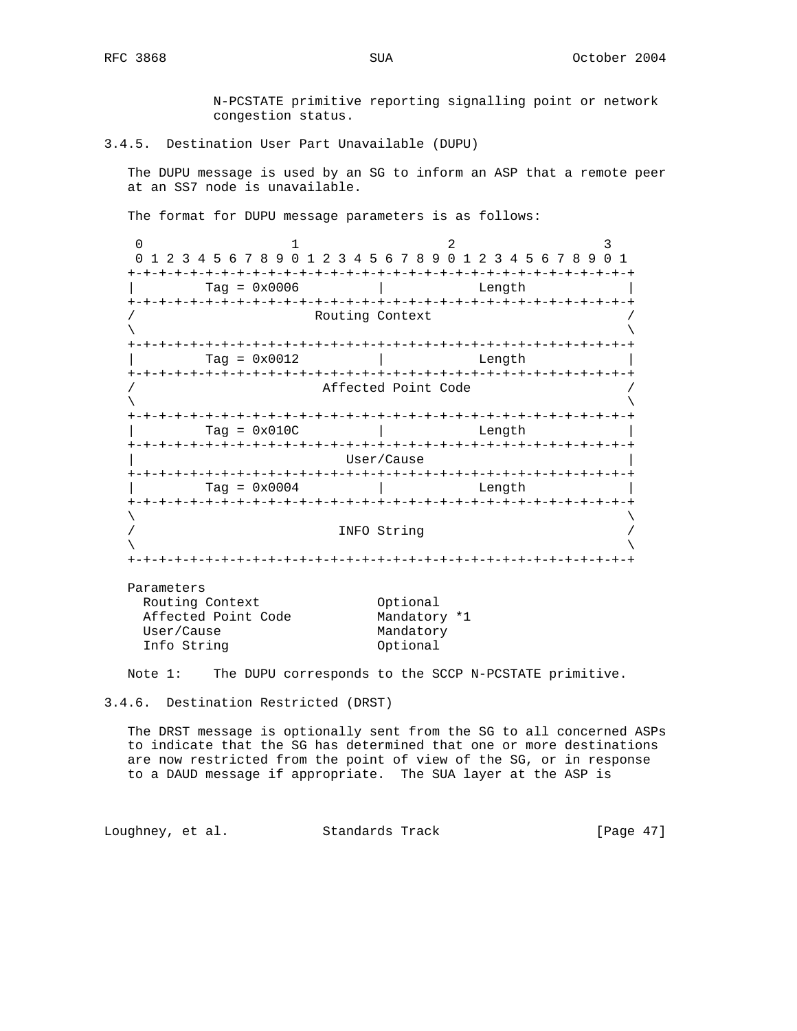N-PCSTATE primitive reporting signalling point or network congestion status.

### 3.4.5. Destination User Part Unavailable (DUPU)

 The DUPU message is used by an SG to inform an ASP that a remote peer at an SS7 node is unavailable.

The format for DUPU message parameters is as follows:

0  $1$  2 3 0 1 2 3 4 5 6 7 8 9 0 1 2 3 4 5 6 7 8 9 0 1 2 3 4 5 6 7 8 9 0 1 +-+-+-+-+-+-+-+-+-+-+-+-+-+-+-+-+-+-+-+-+-+-+-+-+-+-+-+-+-+-+-+-+  $Tag = 0x0006$  | Length +-+-+-+-+-+-+-+-+-+-+-+-+-+-+-+-+-+-+-+-+-+-+-+-+-+-+-+-+-+-+-+-+ Routing Context  $\lambda$  and  $\lambda$  and  $\lambda$  and  $\lambda$  and  $\lambda$  and  $\lambda$  and  $\lambda$  and  $\lambda$  and  $\lambda$  and  $\lambda$  and  $\lambda$  and  $\lambda$  and  $\lambda$  and  $\lambda$  and  $\lambda$  and  $\lambda$  and  $\lambda$  and  $\lambda$  and  $\lambda$  and  $\lambda$  and  $\lambda$  and  $\lambda$  and  $\lambda$  and  $\lambda$  and  $\lambda$  +-+-+-+-+-+-+-+-+-+-+-+-+-+-+-+-+-+-+-+-+-+-+-+-+-+-+-+-+-+-+-+-+ | Tag = 0x0012 | Length | +-+-+-+-+-+-+-+-+-+-+-+-+-+-+-+-+-+-+-+-+-+-+-+-+-+-+-+-+-+-+-+-+ Affected Point Code  $\lambda$  and  $\lambda$  and  $\lambda$  and  $\lambda$  and  $\lambda$  and  $\lambda$  and  $\lambda$  and  $\lambda$  and  $\lambda$  and  $\lambda$  and  $\lambda$  and  $\lambda$  and  $\lambda$  and  $\lambda$  and  $\lambda$  and  $\lambda$  and  $\lambda$  and  $\lambda$  and  $\lambda$  and  $\lambda$  and  $\lambda$  and  $\lambda$  and  $\lambda$  and  $\lambda$  and  $\lambda$  +-+-+-+-+-+-+-+-+-+-+-+-+-+-+-+-+-+-+-+-+-+-+-+-+-+-+-+-+-+-+-+-+ Tag = 0x010C | Length +-+-+-+-+-+-+-+-+-+-+-+-+-+-+-+-+-+-+-+-+-+-+-+-+-+-+-+-+-+-+-+-+ | User/Cause | +-+-+-+-+-+-+-+-+-+-+-+-+-+-+-+-+-+-+-+-+-+-+-+-+-+-+-+-+-+-+-+-+ | Tag = 0x0004 | Length | +-+-+-+-+-+-+-+-+-+-+-+-+-+-+-+-+-+-+-+-+-+-+-+-+-+-+-+-+-+-+-+-+  $\lambda$  and  $\lambda$  and  $\lambda$  and  $\lambda$  and  $\lambda$  and  $\lambda$  and  $\lambda$  and  $\lambda$  and  $\lambda$  and  $\lambda$  and  $\lambda$  and  $\lambda$  and  $\lambda$  and  $\lambda$  and  $\lambda$  and  $\lambda$  and  $\lambda$  and  $\lambda$  and  $\lambda$  and  $\lambda$  and  $\lambda$  and  $\lambda$  and  $\lambda$  and  $\lambda$  and  $\lambda$  / INFO String /  $\lambda$  and  $\lambda$  and  $\lambda$  and  $\lambda$  and  $\lambda$  and  $\lambda$  and  $\lambda$  and  $\lambda$  and  $\lambda$  and  $\lambda$  and  $\lambda$  and  $\lambda$  and  $\lambda$  and  $\lambda$  and  $\lambda$  and  $\lambda$  and  $\lambda$  and  $\lambda$  and  $\lambda$  and  $\lambda$  and  $\lambda$  and  $\lambda$  and  $\lambda$  and  $\lambda$  and  $\lambda$  +-+-+-+-+-+-+-+-+-+-+-+-+-+-+-+-+-+-+-+-+-+-+-+-+-+-+-+-+-+-+-+-+

Parameters

| Routing Context     | Optional     |  |
|---------------------|--------------|--|
| Affected Point Code | Mandatory *1 |  |
| User/Cause          | Mandatory    |  |
| Info String         | Optional     |  |
|                     |              |  |

Note 1: The DUPU corresponds to the SCCP N-PCSTATE primitive.

3.4.6. Destination Restricted (DRST)

 The DRST message is optionally sent from the SG to all concerned ASPs to indicate that the SG has determined that one or more destinations are now restricted from the point of view of the SG, or in response to a DAUD message if appropriate. The SUA layer at the ASP is

Loughney, et al. Standards Track [Page 47]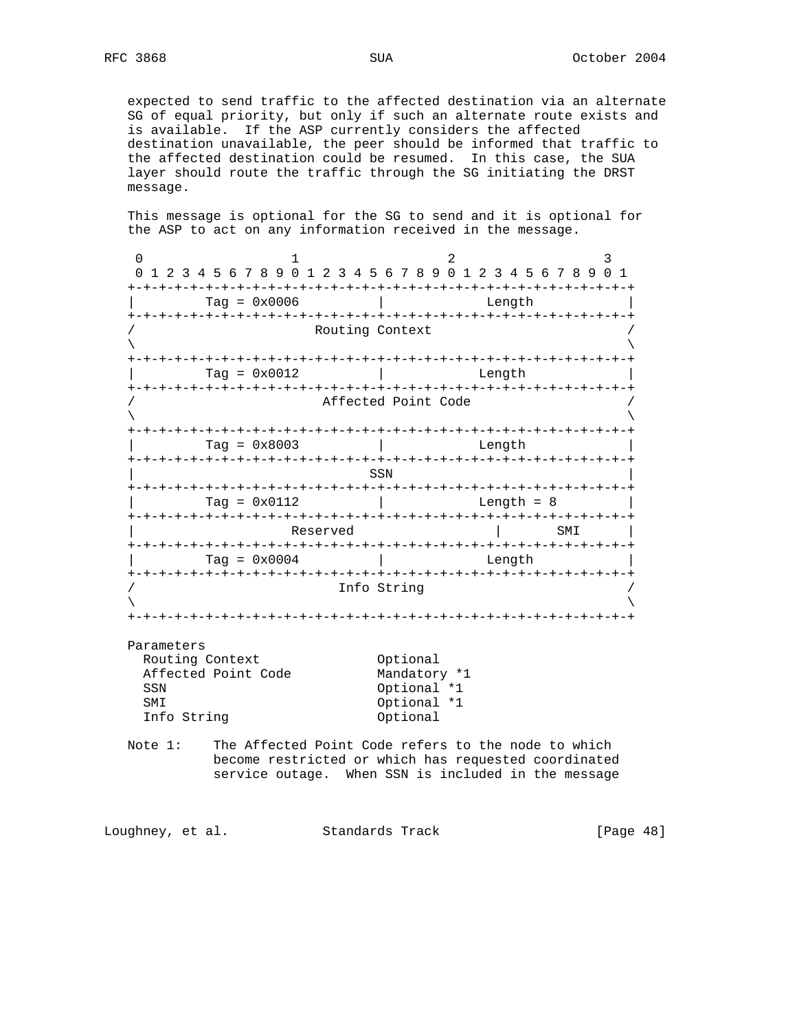expected to send traffic to the affected destination via an alternate SG of equal priority, but only if such an alternate route exists and is available. If the ASP currently considers the affected destination unavailable, the peer should be informed that traffic to the affected destination could be resumed. In this case, the SUA layer should route the traffic through the SG initiating the DRST message.

 This message is optional for the SG to send and it is optional for the ASP to act on any information received in the message.

0  $1$  2 3 0 1 2 3 4 5 6 7 8 9 0 1 2 3 4 5 6 7 8 9 0 1 2 3 4 5 6 7 8 9 0 1 +-+-+-+-+-+-+-+-+-+-+-+-+-+-+-+-+-+-+-+-+-+-+-+-+-+-+-+-+-+-+-+-+ | Tag = 0x0006 | Length | +-+-+-+-+-+-+-+-+-+-+-+-+-+-+-+-+-+-+-+-+-+-+-+-+-+-+-+-+-+-+-+-+ Routing Context  $\lambda$  and  $\lambda$  and  $\lambda$  and  $\lambda$  and  $\lambda$  and  $\lambda$  and  $\lambda$  and  $\lambda$  and  $\lambda$  and  $\lambda$  and  $\lambda$  and  $\lambda$  and  $\lambda$  and  $\lambda$  and  $\lambda$  and  $\lambda$  and  $\lambda$  and  $\lambda$  and  $\lambda$  and  $\lambda$  and  $\lambda$  and  $\lambda$  and  $\lambda$  and  $\lambda$  and  $\lambda$  +-+-+-+-+-+-+-+-+-+-+-+-+-+-+-+-+-+-+-+-+-+-+-+-+-+-+-+-+-+-+-+-+  $Tag = 0x0012$  | Length +-+-+-+-+-+-+-+-+-+-+-+-+-+-+-+-+-+-+-+-+-+-+-+-+-+-+-+-+-+-+-+-+ Affected Point Code  $\lambda$  and  $\lambda$  and  $\lambda$  and  $\lambda$  and  $\lambda$  and  $\lambda$  and  $\lambda$  and  $\lambda$  and  $\lambda$  and  $\lambda$  and  $\lambda$  and  $\lambda$  and  $\lambda$  and  $\lambda$  and  $\lambda$  and  $\lambda$  and  $\lambda$  and  $\lambda$  and  $\lambda$  and  $\lambda$  and  $\lambda$  and  $\lambda$  and  $\lambda$  and  $\lambda$  and  $\lambda$  +-+-+-+-+-+-+-+-+-+-+-+-+-+-+-+-+-+-+-+-+-+-+-+-+-+-+-+-+-+-+-+-+ | Tag = 0x8003 | Length | +-+-+-+-+-+-+-+-+-+-+-+-+-+-+-+-+-+-+-+-+-+-+-+-+-+-+-+-+-+-+-+-+ | SSN | +-+-+-+-+-+-+-+-+-+-+-+-+-+-+-+-+-+-+-+-+-+-+-+-+-+-+-+-+-+-+-+-+  $Tag = 0x0112$  | Length = 8 | +-+-+-+-+-+-+-+-+-+-+-+-+-+-+-+-+-+-+-+-+-+-+-+-+-+-+-+-+-+-+-+-+ Reserved and  $\vert$  SMI  $\vert$  +-+-+-+-+-+-+-+-+-+-+-+-+-+-+-+-+-+-+-+-+-+-+-+-+-+-+-+-+-+-+-+-+  $\text{Tag} = 0 \times 0004$  | Length +-+-+-+-+-+-+-+-+-+-+-+-+-+-+-+-+-+-+-+-+-+-+-+-+-+-+-+-+-+-+-+-+ Info String  $\lambda$  and  $\lambda$  and  $\lambda$  and  $\lambda$  and  $\lambda$  and  $\lambda$  and  $\lambda$  and  $\lambda$  and  $\lambda$  and  $\lambda$  and  $\lambda$  and  $\lambda$  and  $\lambda$  and  $\lambda$  and  $\lambda$  and  $\lambda$  and  $\lambda$  and  $\lambda$  and  $\lambda$  and  $\lambda$  and  $\lambda$  and  $\lambda$  and  $\lambda$  and  $\lambda$  and  $\lambda$  +-+-+-+-+-+-+-+-+-+-+-+-+-+-+-+-+-+-+-+-+-+-+-+-+-+-+-+-+-+-+-+-+ Parameters

| Routing Context     | Optional     |
|---------------------|--------------|
| Affected Point Code | Mandatory *1 |
| SSN                 | Optional *1  |
| <b>SMT</b>          | Optional *1  |
| Info String         | Optional     |
|                     |              |

 Note 1: The Affected Point Code refers to the node to which become restricted or which has requested coordinated service outage. When SSN is included in the message

Loughney, et al. Standards Track [Page 48]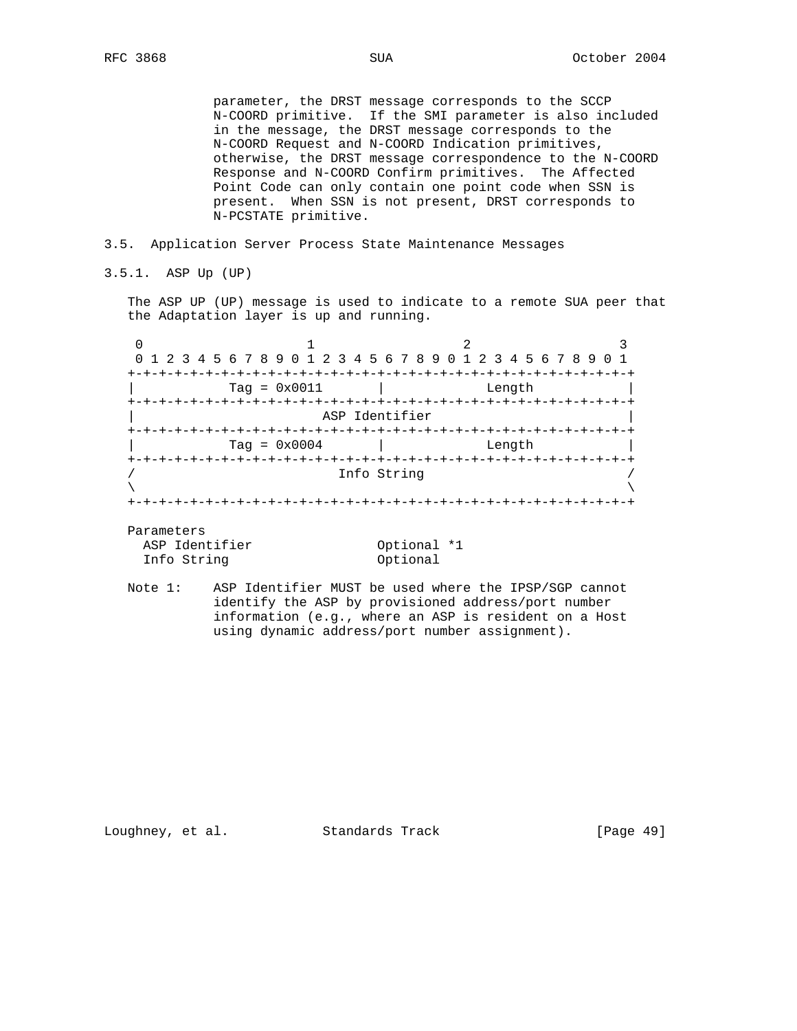parameter, the DRST message corresponds to the SCCP N-COORD primitive. If the SMI parameter is also included in the message, the DRST message corresponds to the N-COORD Request and N-COORD Indication primitives, otherwise, the DRST message correspondence to the N-COORD Response and N-COORD Confirm primitives. The Affected Point Code can only contain one point code when SSN is present. When SSN is not present, DRST corresponds to N-PCSTATE primitive.

### 3.5. Application Server Process State Maintenance Messages

3.5.1. ASP Up (UP)

 The ASP UP (UP) message is used to indicate to a remote SUA peer that the Adaptation layer is up and running.

| 0 1 2 3 4 5 6 7 8 9 0 1 2 3 4 5 6 7 8 9 0 1 2 3 4 5 6 7 8 9 0 1 |                |        |  |
|-----------------------------------------------------------------|----------------|--------|--|
|                                                                 |                |        |  |
| $Taq = 0x0011$                                                  |                | Length |  |
|                                                                 |                |        |  |
|                                                                 | ASP Identifier |        |  |
|                                                                 |                |        |  |
| Tag = $0 \times 0004$                                           |                | Length |  |
|                                                                 |                |        |  |
|                                                                 | Info String    |        |  |
|                                                                 |                |        |  |
|                                                                 |                |        |  |

Parameters

ASP Identifier 0ptional \*1 Info String 0ptional

 Note 1: ASP Identifier MUST be used where the IPSP/SGP cannot identify the ASP by provisioned address/port number information (e.g., where an ASP is resident on a Host using dynamic address/port number assignment).

Loughney, et al. Standards Track [Page 49]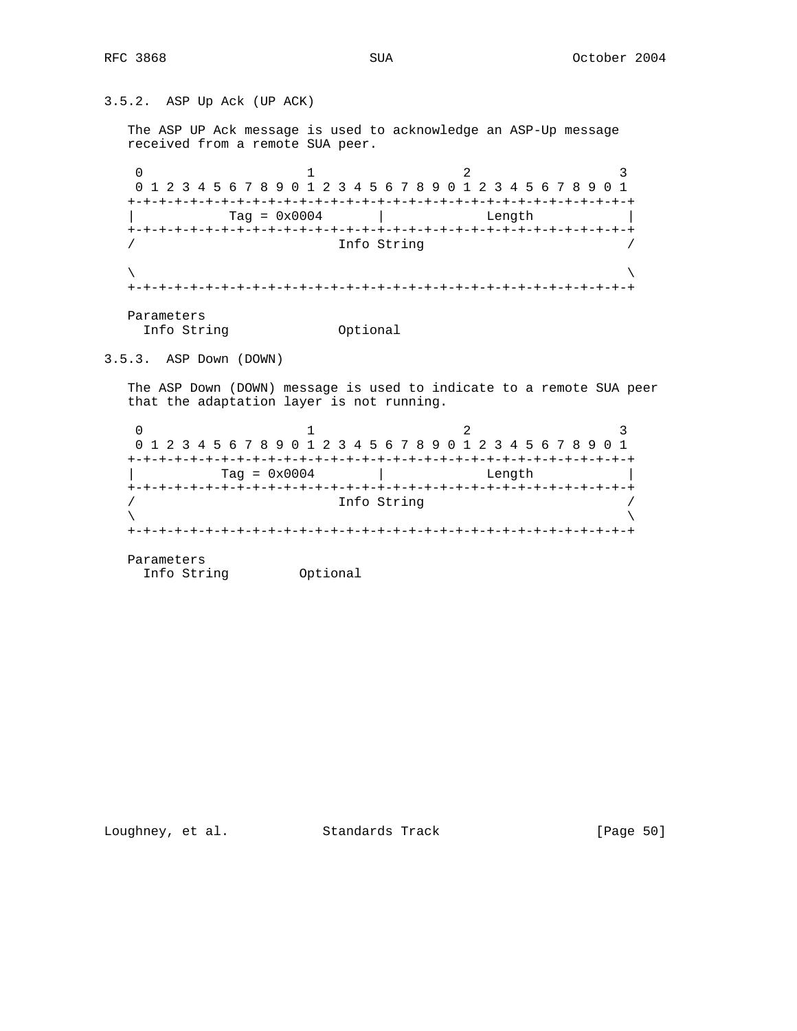3.5.2. ASP Up Ack (UP ACK) The ASP UP Ack message is used to acknowledge an ASP-Up message received from a remote SUA peer. 0  $1$  2 3 0 1 2 3 4 5 6 7 8 9 0 1 2 3 4 5 6 7 8 9 0 1 2 3 4 5 6 7 8 9 0 1 +-+-+-+-+-+-+-+-+-+-+-+-+-+-+-+-+-+-+-+-+-+-+-+-+-+-+-+-+-+-+-+-+ | Tag = 0x0004 | Length | +-+-+-+-+-+-+-+-+-+-+-+-+-+-+-+-+-+-+-+-+-+-+-+-+-+-+-+-+-+-+-+-+ Info String  $\lambda$  and  $\lambda$  and  $\lambda$  and  $\lambda$  and  $\lambda$  and  $\lambda$  and  $\lambda$  and  $\lambda$  and  $\lambda$  and  $\lambda$  and  $\lambda$  and  $\lambda$  and  $\lambda$  and  $\lambda$  and  $\lambda$  and  $\lambda$  and  $\lambda$  and  $\lambda$  and  $\lambda$  and  $\lambda$  and  $\lambda$  and  $\lambda$  and  $\lambda$  and  $\lambda$  and  $\lambda$  +-+-+-+-+-+-+-+-+-+-+-+-+-+-+-+-+-+-+-+-+-+-+-+-+-+-+-+-+-+-+-+-+ Parameters Info String **Optional** 3.5.3. ASP Down (DOWN) The ASP Down (DOWN) message is used to indicate to a remote SUA peer that the adaptation layer is not running. 0  $1$  2 3 0 1 2 3 4 5 6 7 8 9 0 1 2 3 4 5 6 7 8 9 0 1 2 3 4 5 6 7 8 9 0 1

 +-+-+-+-+-+-+-+-+-+-+-+-+-+-+-+-+-+-+-+-+-+-+-+-+-+-+-+-+-+-+-+-+  $\begin{array}{|c|c|c|c|c|}\n\hline\n\text{Tag} & = & \text{0x0004} & & \text{Length} & \text{Length} & \text{Right} & \text{Right} & \text{Right} & \text{Right} & \text{Right} & \text{Right} & \text{Right} & \text{Right} & \text{Right} & \text{Right} & \text{Right} & \text{Right} & \text{Right} & \text{Right} & \text{Right} & \text{Right} & \text{Right} & \text{Right} & \text{Right} & \text{Right} & \text{Right} & \text{Right} & \text{Right} & \text{Right} & \text{Right} & \text{Right} & \text{Right} & \text{Right$  +-+-+-+-+-+-+-+-+-+-+-+-+-+-+-+-+-+-+-+-+-+-+-+-+-+-+-+-+-+-+-+-+ / Info String /  $\lambda$  and  $\lambda$  and  $\lambda$  and  $\lambda$  and  $\lambda$  and  $\lambda$  and  $\lambda$  and  $\lambda$  and  $\lambda$  and  $\lambda$  and  $\lambda$  and  $\lambda$  and  $\lambda$  and  $\lambda$  and  $\lambda$  and  $\lambda$  and  $\lambda$  and  $\lambda$  and  $\lambda$  and  $\lambda$  and  $\lambda$  and  $\lambda$  and  $\lambda$  and  $\lambda$  and  $\lambda$  +-+-+-+-+-+-+-+-+-+-+-+-+-+-+-+-+-+-+-+-+-+-+-+-+-+-+-+-+-+-+-+-+ Parameters

Info String Optional

Loughney, et al. Standards Track [Page 50]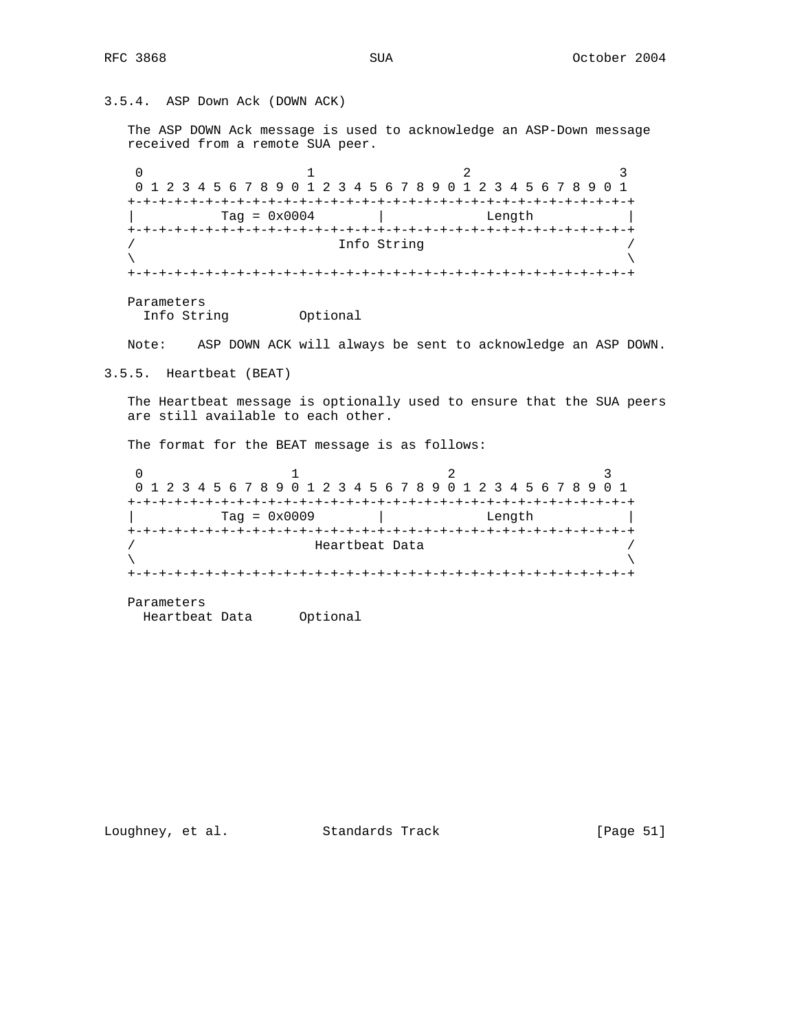3.5.4. ASP Down Ack (DOWN ACK)

 The ASP DOWN Ack message is used to acknowledge an ASP-Down message received from a remote SUA peer.

0  $1$  2 3 0 1 2 3 4 5 6 7 8 9 0 1 2 3 4 5 6 7 8 9 0 1 2 3 4 5 6 7 8 9 0 1 +-+-+-+-+-+-+-+-+-+-+-+-+-+-+-+-+-+-+-+-+-+-+-+-+-+-+-+-+-+-+-+-+  $\text{Tag} = 0 \times 0004$  | Length +-+-+-+-+-+-+-+-+-+-+-+-+-+-+-+-+-+-+-+-+-+-+-+-+-+-+-+-+-+-+-+-+ Info String  $\lambda$  and  $\lambda$  and  $\lambda$  and  $\lambda$  and  $\lambda$  and  $\lambda$  and  $\lambda$  and  $\lambda$  and  $\lambda$  and  $\lambda$  and  $\lambda$  and  $\lambda$  and  $\lambda$  and  $\lambda$  and  $\lambda$  and  $\lambda$  and  $\lambda$  and  $\lambda$  and  $\lambda$  and  $\lambda$  and  $\lambda$  and  $\lambda$  and  $\lambda$  and  $\lambda$  and  $\lambda$  +-+-+-+-+-+-+-+-+-+-+-+-+-+-+-+-+-+-+-+-+-+-+-+-+-+-+-+-+-+-+-+-+ Parameters

Info String Optional

Note: ASP DOWN ACK will always be sent to acknowledge an ASP DOWN.

3.5.5. Heartbeat (BEAT)

 The Heartbeat message is optionally used to ensure that the SUA peers are still available to each other.

The format for the BEAT message is as follows:

0  $1$  2 3 0 1 2 3 4 5 6 7 8 9 0 1 2 3 4 5 6 7 8 9 0 1 2 3 4 5 6 7 8 9 0 1 +-+-+-+-+-+-+-+-+-+-+-+-+-+-+-+-+-+-+-+-+-+-+-+-+-+-+-+-+-+-+-+-+  $\text{Tag} = 0 \times 0009$  | Length +-+-+-+-+-+-+-+-+-+-+-+-+-+-+-+-+-+-+-+-+-+-+-+-+-+-+-+-+-+-+-+-+ Heartbeat Data  $\lambda$  and  $\lambda$  and  $\lambda$  and  $\lambda$  and  $\lambda$  and  $\lambda$  and  $\lambda$  and  $\lambda$  and  $\lambda$  and  $\lambda$  and  $\lambda$  and  $\lambda$  and  $\lambda$  and  $\lambda$  and  $\lambda$  and  $\lambda$  and  $\lambda$  and  $\lambda$  and  $\lambda$  and  $\lambda$  and  $\lambda$  and  $\lambda$  and  $\lambda$  and  $\lambda$  and  $\lambda$  +-+-+-+-+-+-+-+-+-+-+-+-+-+-+-+-+-+-+-+-+-+-+-+-+-+-+-+-+-+-+-+-+

 Parameters Heartbeat Data Optional

Loughney, et al. Standards Track [Page 51]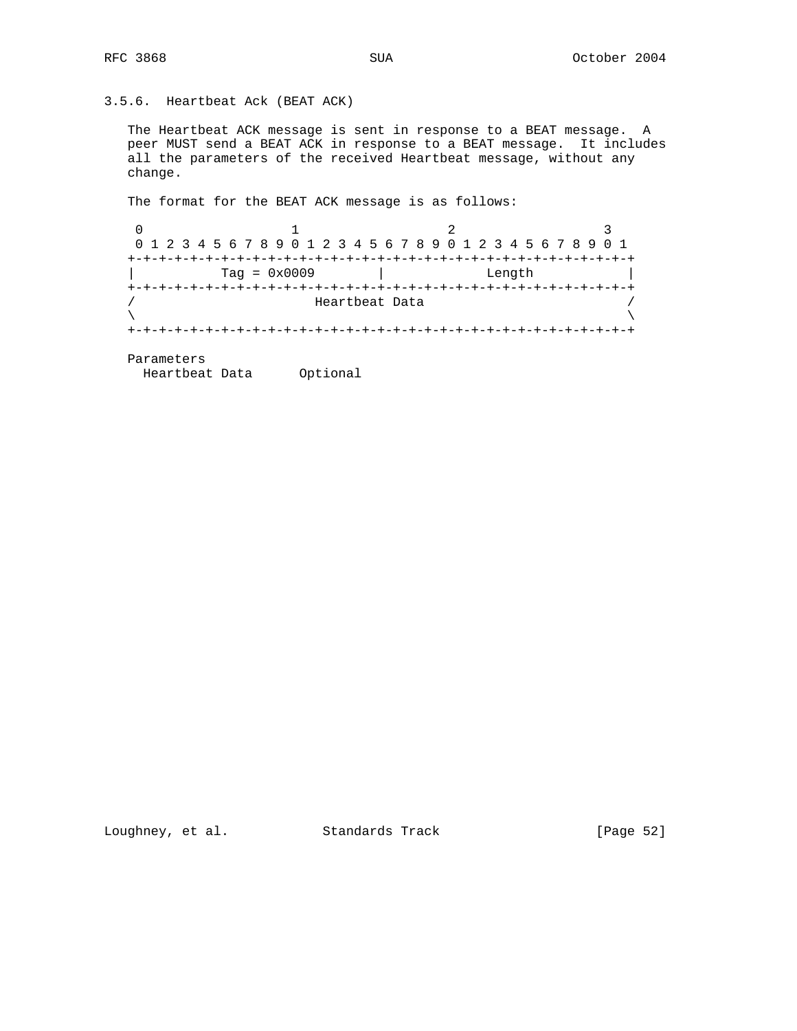# 3.5.6. Heartbeat Ack (BEAT ACK)

 The Heartbeat ACK message is sent in response to a BEAT message. A peer MUST send a BEAT ACK in response to a BEAT message. It includes all the parameters of the received Heartbeat message, without any change.

The format for the BEAT ACK message is as follows:

0  $1$  2 3 0 1 2 3 4 5 6 7 8 9 0 1 2 3 4 5 6 7 8 9 0 1 2 3 4 5 6 7 8 9 0 1 +-+-+-+-+-+-+-+-+-+-+-+-+-+-+-+-+-+-+-+-+-+-+-+-+-+-+-+-+-+-+-+-+ | Tag = 0x0009 | Length | +-+-+-+-+-+-+-+-+-+-+-+-+-+-+-+-+-+-+-+-+-+-+-+-+-+-+-+-+-+-+-+-+ / Heartbeat Data /  $\lambda$  and  $\lambda$  and  $\lambda$  and  $\lambda$  and  $\lambda$  and  $\lambda$  and  $\lambda$  and  $\lambda$  and  $\lambda$  and  $\lambda$  and  $\lambda$  and  $\lambda$  and  $\lambda$  and  $\lambda$  and  $\lambda$  and  $\lambda$  and  $\lambda$  and  $\lambda$  and  $\lambda$  and  $\lambda$  and  $\lambda$  and  $\lambda$  and  $\lambda$  and  $\lambda$  and  $\lambda$  +-+-+-+-+-+-+-+-+-+-+-+-+-+-+-+-+-+-+-+-+-+-+-+-+-+-+-+-+-+-+-+-+

Parameters

Heartbeat Data Optional

Loughney, et al. Standards Track [Page 52]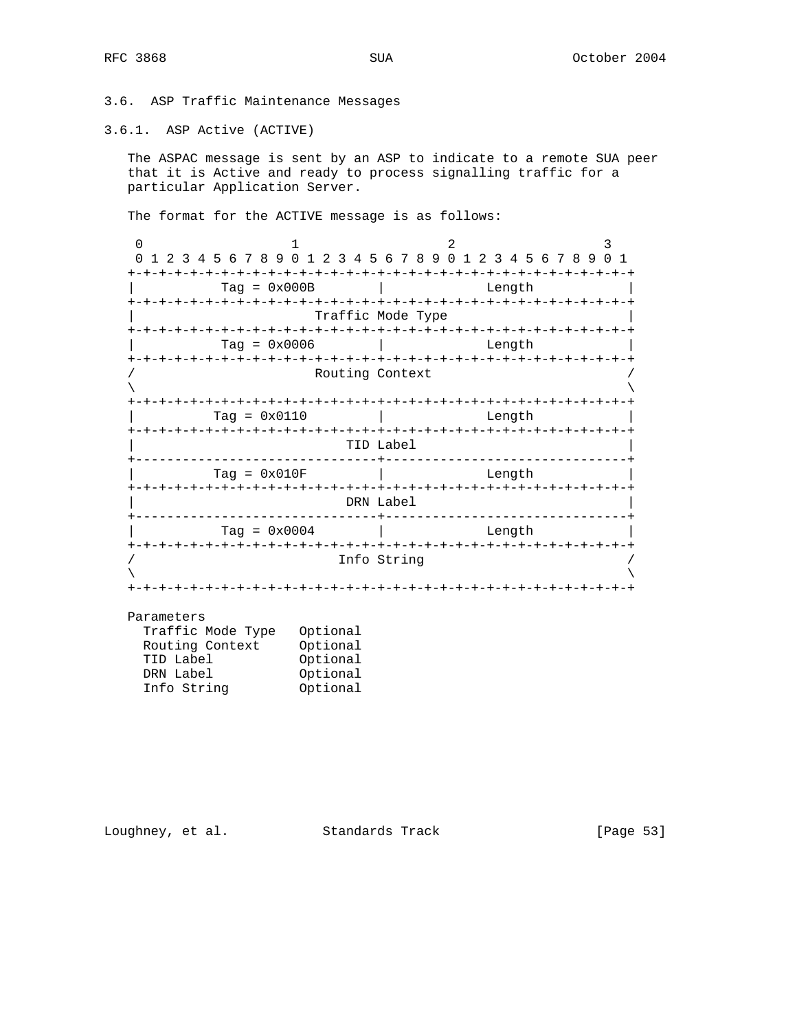3.6. ASP Traffic Maintenance Messages

3.6.1. ASP Active (ACTIVE)

 The ASPAC message is sent by an ASP to indicate to a remote SUA peer that it is Active and ready to process signalling traffic for a particular Application Server.

The format for the ACTIVE message is as follows:

0  $1$  2 3 0 1 2 3 4 5 6 7 8 9 0 1 2 3 4 5 6 7 8 9 0 1 2 3 4 5 6 7 8 9 0 1 +-+-+-+-+-+-+-+-+-+-+-+-+-+-+-+-+-+-+-+-+-+-+-+-+-+-+-+-+-+-+-+-+  $Tag = 0x000B$  | Length +-+-+-+-+-+-+-+-+-+-+-+-+-+-+-+-+-+-+-+-+-+-+-+-+-+-+-+-+-+-+-+-+ | Traffic Mode Type | +-+-+-+-+-+-+-+-+-+-+-+-+-+-+-+-+-+-+-+-+-+-+-+-+-+-+-+-+-+-+-+-+ | Tag = 0x0006 | Length | +-+-+-+-+-+-+-+-+-+-+-+-+-+-+-+-+-+-+-+-+-+-+-+-+-+-+-+-+-+-+-+-+ Routing Context  $\lambda$  and  $\lambda$  and  $\lambda$  and  $\lambda$  and  $\lambda$  and  $\lambda$  and  $\lambda$  and  $\lambda$  and  $\lambda$  and  $\lambda$  and  $\lambda$  and  $\lambda$  and  $\lambda$  and  $\lambda$  and  $\lambda$  and  $\lambda$  and  $\lambda$  and  $\lambda$  and  $\lambda$  and  $\lambda$  and  $\lambda$  and  $\lambda$  and  $\lambda$  and  $\lambda$  and  $\lambda$  +-+-+-+-+-+-+-+-+-+-+-+-+-+-+-+-+-+-+-+-+-+-+-+-+-+-+-+-+-+-+-+-+ | Tag = 0x0110 | Length | +-+-+-+-+-+-+-+-+-+-+-+-+-+-+-+-+-+-+-+-+-+-+-+-+-+-+-+-+-+-+-+-+ | TID Label | +-------------------------------+-------------------------------+ | Tag = 0x010F | Length | +-+-+-+-+-+-+-+-+-+-+-+-+-+-+-+-+-+-+-+-+-+-+-+-+-+-+-+-+-+-+-+-+ | DRN Label | +-------------------------------+-------------------------------+  $Tag = 0x0004$  | +-+-+-+-+-+-+-+-+-+-+-+-+-+-+-+-+-+-+-+-+-+-+-+-+-+-+-+-+-+-+-+-+ Info String  $\lambda$  and  $\lambda$  and  $\lambda$  and  $\lambda$  and  $\lambda$  and  $\lambda$  and  $\lambda$  and  $\lambda$  and  $\lambda$  and  $\lambda$  and  $\lambda$  and  $\lambda$  and  $\lambda$  and  $\lambda$  and  $\lambda$  and  $\lambda$  and  $\lambda$  and  $\lambda$  and  $\lambda$  and  $\lambda$  and  $\lambda$  and  $\lambda$  and  $\lambda$  and  $\lambda$  and  $\lambda$  +-+-+-+-+-+-+-+-+-+-+-+-+-+-+-+-+-+-+-+-+-+-+-+-+-+-+-+-+-+-+-+-+

#### Parameters

| Traffic Mode Type | Optional |
|-------------------|----------|
| Routing Context   | Optional |
| TID Label         | Optional |
| DRN Label         | Optional |
| Info String       | Optional |

Loughney, et al. Standards Track [Page 53]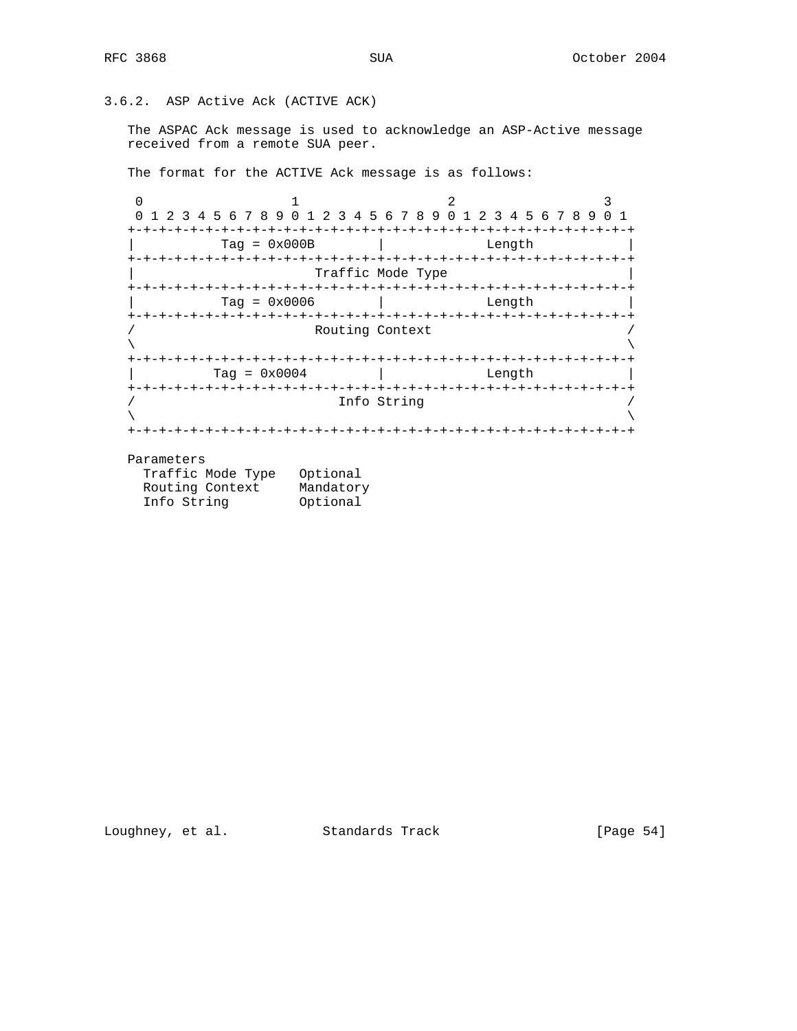# 3.6.2. ASP Active Ack (ACTIVE ACK)

 The ASPAC Ack message is used to acknowledge an ASP-Active message received from a remote SUA peer.

The format for the ACTIVE Ack message is as follows:

0  $1$  2 3 0 1 2 3 4 5 6 7 8 9 0 1 2 3 4 5 6 7 8 9 0 1 2 3 4 5 6 7 8 9 0 1 +-+-+-+-+-+-+-+-+-+-+-+-+-+-+-+-+-+-+-+-+-+-+-+-+-+-+-+-+-+-+-+-+  $\text{Tag} = 0 \times 000B$  | Length +-+-+-+-+-+-+-+-+-+-+-+-+-+-+-+-+-+-+-+-+-+-+-+-+-+-+-+-+-+-+-+-+ | Traffic Mode Type | +-+-+-+-+-+-+-+-+-+-+-+-+-+-+-+-+-+-+-+-+-+-+-+-+-+-+-+-+-+-+-+-+ | Tag = 0x0006 | Length | +-+-+-+-+-+-+-+-+-+-+-+-+-+-+-+-+-+-+-+-+-+-+-+-+-+-+-+-+-+-+-+-+ Routing Context  $\lambda$  and  $\lambda$  and  $\lambda$  and  $\lambda$  and  $\lambda$  and  $\lambda$  and  $\lambda$  and  $\lambda$  and  $\lambda$  and  $\lambda$  and  $\lambda$  and  $\lambda$  and  $\lambda$  and  $\lambda$  and  $\lambda$  and  $\lambda$  and  $\lambda$  and  $\lambda$  and  $\lambda$  and  $\lambda$  and  $\lambda$  and  $\lambda$  and  $\lambda$  and  $\lambda$  and  $\lambda$  +-+-+-+-+-+-+-+-+-+-+-+-+-+-+-+-+-+-+-+-+-+-+-+-+-+-+-+-+-+-+-+-+  $\text{Tag} = 0 \times 0004$  | Length +-+-+-+-+-+-+-+-+-+-+-+-+-+-+-+-+-+-+-+-+-+-+-+-+-+-+-+-+-+-+-+-+ / Info String /  $\lambda$  and  $\lambda$  and  $\lambda$  and  $\lambda$  and  $\lambda$  and  $\lambda$  and  $\lambda$  and  $\lambda$  and  $\lambda$  and  $\lambda$  and  $\lambda$  and  $\lambda$  and  $\lambda$  and  $\lambda$  and  $\lambda$  and  $\lambda$  and  $\lambda$  and  $\lambda$  and  $\lambda$  and  $\lambda$  and  $\lambda$  and  $\lambda$  and  $\lambda$  and  $\lambda$  and  $\lambda$  +-+-+-+-+-+-+-+-+-+-+-+-+-+-+-+-+-+-+-+-+-+-+-+-+-+-+-+-+-+-+-+-+

#### Parameters

| Traffic Mode Type | Optional  |
|-------------------|-----------|
| Routing Context   | Mandatory |
| Info String       | Optional  |

Loughney, et al. Standards Track [Page 54]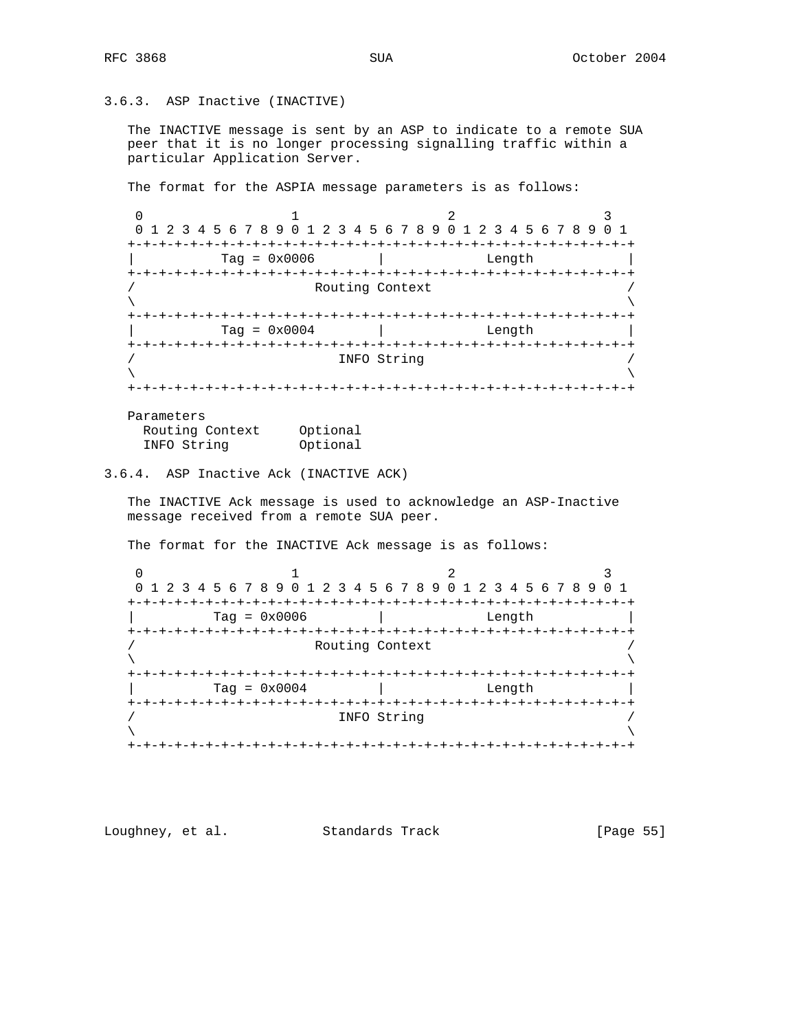# 3.6.3. ASP Inactive (INACTIVE)

 The INACTIVE message is sent by an ASP to indicate to a remote SUA peer that it is no longer processing signalling traffic within a particular Application Server.

The format for the ASPIA message parameters is as follows:

0  $1$  2 3 0 1 2 3 4 5 6 7 8 9 0 1 2 3 4 5 6 7 8 9 0 1 2 3 4 5 6 7 8 9 0 1 +-+-+-+-+-+-+-+-+-+-+-+-+-+-+-+-+-+-+-+-+-+-+-+-+-+-+-+-+-+-+-+-+ | Tag = 0x0006 | Length | +-+-+-+-+-+-+-+-+-+-+-+-+-+-+-+-+-+-+-+-+-+-+-+-+-+-+-+-+-+-+-+-+ Routing Context  $\lambda$  and  $\lambda$  and  $\lambda$  and  $\lambda$  and  $\lambda$  and  $\lambda$  and  $\lambda$  and  $\lambda$  and  $\lambda$  and  $\lambda$  and  $\lambda$  and  $\lambda$  and  $\lambda$  and  $\lambda$  and  $\lambda$  and  $\lambda$  and  $\lambda$  and  $\lambda$  and  $\lambda$  and  $\lambda$  and  $\lambda$  and  $\lambda$  and  $\lambda$  and  $\lambda$  and  $\lambda$  +-+-+-+-+-+-+-+-+-+-+-+-+-+-+-+-+-+-+-+-+-+-+-+-+-+-+-+-+-+-+-+-+  $Tag = 0x0004$  | Length +-+-+-+-+-+-+-+-+-+-+-+-+-+-+-+-+-+-+-+-+-+-+-+-+-+-+-+-+-+-+-+-+ / INFO String /  $\lambda$  and  $\lambda$  and  $\lambda$  and  $\lambda$  and  $\lambda$  and  $\lambda$  and  $\lambda$  and  $\lambda$  and  $\lambda$  and  $\lambda$  and  $\lambda$  and  $\lambda$  and  $\lambda$  and  $\lambda$  and  $\lambda$  and  $\lambda$  and  $\lambda$  and  $\lambda$  and  $\lambda$  and  $\lambda$  and  $\lambda$  and  $\lambda$  and  $\lambda$  and  $\lambda$  and  $\lambda$  +-+-+-+-+-+-+-+-+-+-+-+-+-+-+-+-+-+-+-+-+-+-+-+-+-+-+-+-+-+-+-+-+ Parameters

| ------------    |          |
|-----------------|----------|
| Routing Context | Optional |
| INFO String     | Optional |

# 3.6.4. ASP Inactive Ack (INACTIVE ACK)

 The INACTIVE Ack message is used to acknowledge an ASP-Inactive message received from a remote SUA peer.

The format for the INACTIVE Ack message is as follows:

0  $1$  2 3 0 1 2 3 4 5 6 7 8 9 0 1 2 3 4 5 6 7 8 9 0 1 2 3 4 5 6 7 8 9 0 1 +-+-+-+-+-+-+-+-+-+-+-+-+-+-+-+-+-+-+-+-+-+-+-+-+-+-+-+-+-+-+-+-+  $\text{Tag} = 0 \times 0006$  | Length +-+-+-+-+-+-+-+-+-+-+-+-+-+-+-+-+-+-+-+-+-+-+-+-+-+-+-+-+-+-+-+-+ Routing Context  $\lambda$  and  $\lambda$  and  $\lambda$  and  $\lambda$  and  $\lambda$  and  $\lambda$  and  $\lambda$  and  $\lambda$  and  $\lambda$  and  $\lambda$  and  $\lambda$  and  $\lambda$  and  $\lambda$  and  $\lambda$  and  $\lambda$  and  $\lambda$  and  $\lambda$  and  $\lambda$  and  $\lambda$  and  $\lambda$  and  $\lambda$  and  $\lambda$  and  $\lambda$  and  $\lambda$  and  $\lambda$  +-+-+-+-+-+-+-+-+-+-+-+-+-+-+-+-+-+-+-+-+-+-+-+-+-+-+-+-+-+-+-+-+ | Tag = 0x0004 | Length | +-+-+-+-+-+-+-+-+-+-+-+-+-+-+-+-+-+-+-+-+-+-+-+-+-+-+-+-+-+-+-+-+ INFO String  $\lambda$  and  $\lambda$  and  $\lambda$  and  $\lambda$  and  $\lambda$  and  $\lambda$  and  $\lambda$  and  $\lambda$  and  $\lambda$  and  $\lambda$  and  $\lambda$  and  $\lambda$  and  $\lambda$  and  $\lambda$  and  $\lambda$  and  $\lambda$  and  $\lambda$  and  $\lambda$  and  $\lambda$  and  $\lambda$  and  $\lambda$  and  $\lambda$  and  $\lambda$  and  $\lambda$  and  $\lambda$  +-+-+-+-+-+-+-+-+-+-+-+-+-+-+-+-+-+-+-+-+-+-+-+-+-+-+-+-+-+-+-+-+

Loughney, et al. Standards Track [Page 55]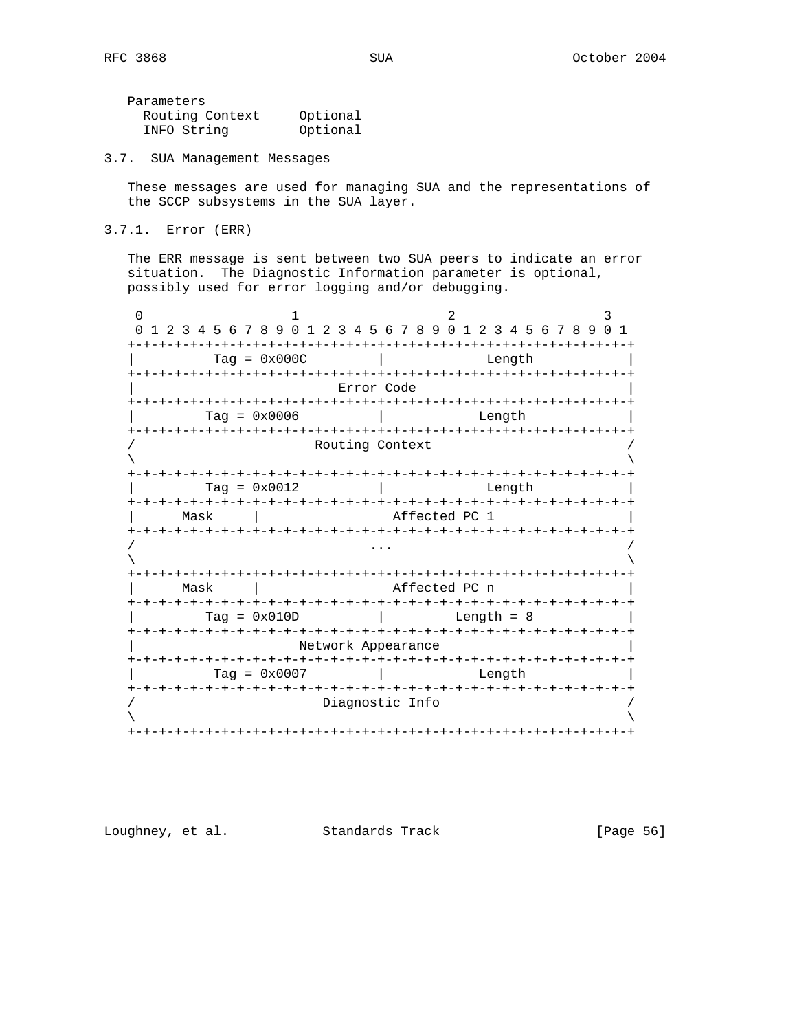Parameters Routing Context Optional INFO String Optional

3.7. SUA Management Messages

 These messages are used for managing SUA and the representations of the SCCP subsystems in the SUA layer.

3.7.1. Error (ERR)

 The ERR message is sent between two SUA peers to indicate an error situation. The Diagnostic Information parameter is optional, possibly used for error logging and/or debugging.

0  $1$  2 3 0 1 2 3 4 5 6 7 8 9 0 1 2 3 4 5 6 7 8 9 0 1 2 3 4 5 6 7 8 9 0 1 +-+-+-+-+-+-+-+-+-+-+-+-+-+-+-+-+-+-+-+-+-+-+-+-+-+-+-+-+-+-+-+-+ | Tag = 0x000C | Length | +-+-+-+-+-+-+-+-+-+-+-+-+-+-+-+-+-+-+-+-+-+-+-+-+-+-+-+-+-+-+-+-+ | Error Code | +-+-+-+-+-+-+-+-+-+-+-+-+-+-+-+-+-+-+-+-+-+-+-+-+-+-+-+-+-+-+-+-+ | Tag = 0x0006 | Length | +-+-+-+-+-+-+-+-+-+-+-+-+-+-+-+-+-+-+-+-+-+-+-+-+-+-+-+-+-+-+-+-+ Routing Context  $\lambda$  and  $\lambda$  and  $\lambda$  and  $\lambda$  and  $\lambda$  and  $\lambda$  and  $\lambda$  and  $\lambda$  and  $\lambda$  and  $\lambda$  and  $\lambda$  and  $\lambda$  and  $\lambda$  and  $\lambda$  and  $\lambda$  and  $\lambda$  and  $\lambda$  and  $\lambda$  and  $\lambda$  and  $\lambda$  and  $\lambda$  and  $\lambda$  and  $\lambda$  and  $\lambda$  and  $\lambda$  +-+-+-+-+-+-+-+-+-+-+-+-+-+-+-+-+-+-+-+-+-+-+-+-+-+-+-+-+-+-+-+-+  $Tag = 0x0012$  | +-+-+-+-+-+-+-+-+-+-+-+-+-+-+-+-+-+-+-+-+-+-+-+-+-+-+-+-+-+-+-+-+ Mask | Affected PC 1 +-+-+-+-+-+-+-+-+-+-+-+-+-+-+-+-+-+-+-+-+-+-+-+-+-+-+-+-+-+-+-+-+ / ... /  $\lambda$  and  $\lambda$  and  $\lambda$  and  $\lambda$  and  $\lambda$  and  $\lambda$  and  $\lambda$  and  $\lambda$  and  $\lambda$  and  $\lambda$  and  $\lambda$  and  $\lambda$  and  $\lambda$  and  $\lambda$  and  $\lambda$  and  $\lambda$  and  $\lambda$  and  $\lambda$  and  $\lambda$  and  $\lambda$  and  $\lambda$  and  $\lambda$  and  $\lambda$  and  $\lambda$  and  $\lambda$  +-+-+-+-+-+-+-+-+-+-+-+-+-+-+-+-+-+-+-+-+-+-+-+-+-+-+-+-+-+-+-+-+ | Mask | Affected PC n | +-+-+-+-+-+-+-+-+-+-+-+-+-+-+-+-+-+-+-+-+-+-+-+-+-+-+-+-+-+-+-+-+  $Tag = 0x010D$  | +-+-+-+-+-+-+-+-+-+-+-+-+-+-+-+-+-+-+-+-+-+-+-+-+-+-+-+-+-+-+-+-+ Network Appearance +-+-+-+-+-+-+-+-+-+-+-+-+-+-+-+-+-+-+-+-+-+-+-+-+-+-+-+-+-+-+-+-+ | Tag = 0x0007 | Length | +-+-+-+-+-+-+-+-+-+-+-+-+-+-+-+-+-+-+-+-+-+-+-+-+-+-+-+-+-+-+-+-+ Diagnostic Info  $\lambda$  and  $\lambda$  and  $\lambda$  and  $\lambda$  and  $\lambda$  and  $\lambda$  and  $\lambda$  and  $\lambda$  and  $\lambda$  and  $\lambda$  and  $\lambda$  and  $\lambda$  and  $\lambda$  and  $\lambda$  and  $\lambda$  and  $\lambda$  and  $\lambda$  and  $\lambda$  and  $\lambda$  and  $\lambda$  and  $\lambda$  and  $\lambda$  and  $\lambda$  and  $\lambda$  and  $\lambda$  +-+-+-+-+-+-+-+-+-+-+-+-+-+-+-+-+-+-+-+-+-+-+-+-+-+-+-+-+-+-+-+-+

Loughney, et al. Standards Track [Page 56]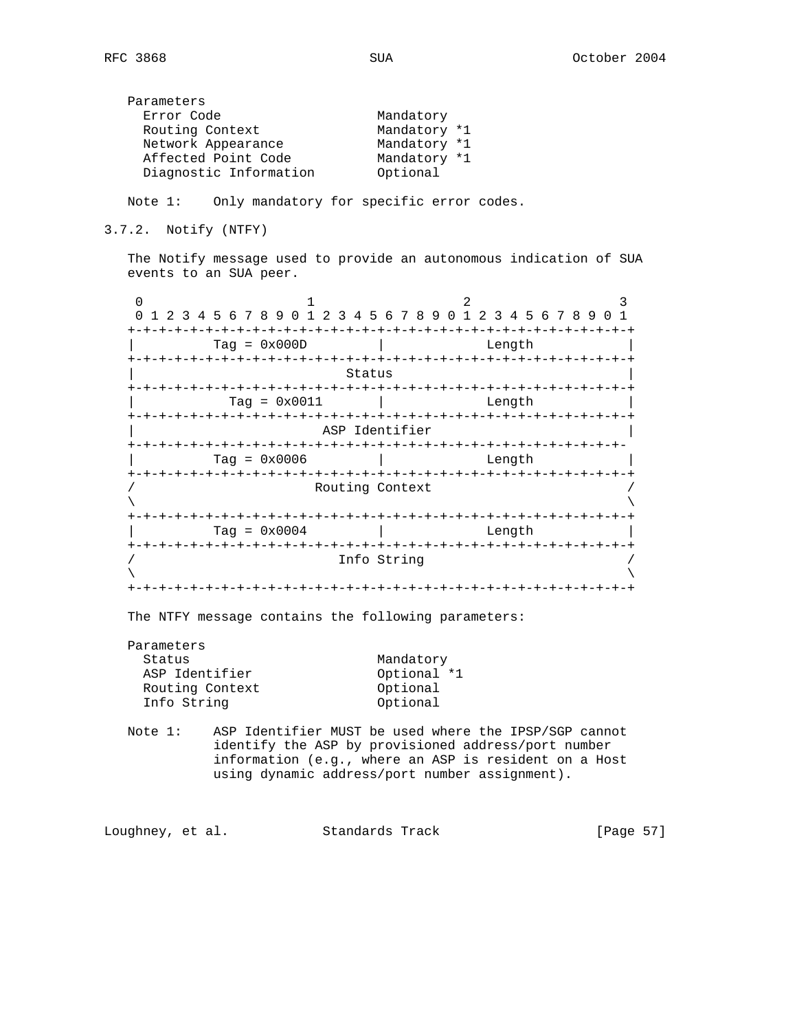| Mandatory    |
|--------------|
| Mandatory *1 |
| Mandatory *1 |
| Mandatory *1 |
| Optional     |
|              |

Note 1: Only mandatory for specific error codes.

3.7.2. Notify (NTFY)

 The Notify message used to provide an autonomous indication of SUA events to an SUA peer.

0  $1$  2 3 0 1 2 3 4 5 6 7 8 9 0 1 2 3 4 5 6 7 8 9 0 1 2 3 4 5 6 7 8 9 0 1 +-+-+-+-+-+-+-+-+-+-+-+-+-+-+-+-+-+-+-+-+-+-+-+-+-+-+-+-+-+-+-+-+  $Tag = 0x000D$  | Length +-+-+-+-+-+-+-+-+-+-+-+-+-+-+-+-+-+-+-+-+-+-+-+-+-+-+-+-+-+-+-+-+ Status +-+-+-+-+-+-+-+-+-+-+-+-+-+-+-+-+-+-+-+-+-+-+-+-+-+-+-+-+-+-+-+-+ | Tag = 0x0011 | Length | +-+-+-+-+-+-+-+-+-+-+-+-+-+-+-+-+-+-+-+-+-+-+-+-+-+-+-+-+-+-+-+-+ ASP Identifier +-+-+-+-+-+-+-+-+-+-+-+-+-+-+-+-+-+-+-+-+-+-+-+-+-+-+-+-+-+-+-+-  $\text{Tag} = 0 \times 0006$  | Length +-+-+-+-+-+-+-+-+-+-+-+-+-+-+-+-+-+-+-+-+-+-+-+-+-+-+-+-+-+-+-+-+ / Routing Context /  $\lambda$  and  $\lambda$  and  $\lambda$  and  $\lambda$  and  $\lambda$  and  $\lambda$  and  $\lambda$  and  $\lambda$  and  $\lambda$  and  $\lambda$  and  $\lambda$  and  $\lambda$  and  $\lambda$  and  $\lambda$  and  $\lambda$  and  $\lambda$  and  $\lambda$  and  $\lambda$  and  $\lambda$  and  $\lambda$  and  $\lambda$  and  $\lambda$  and  $\lambda$  and  $\lambda$  and  $\lambda$  +-+-+-+-+-+-+-+-+-+-+-+-+-+-+-+-+-+-+-+-+-+-+-+-+-+-+-+-+-+-+-+-+ | Tag = 0x0004 | Length | +-+-+-+-+-+-+-+-+-+-+-+-+-+-+-+-+-+-+-+-+-+-+-+-+-+-+-+-+-+-+-+-+ Info String  $\lambda$  and  $\lambda$  and  $\lambda$  and  $\lambda$  and  $\lambda$  and  $\lambda$  and  $\lambda$  and  $\lambda$  and  $\lambda$  and  $\lambda$  and  $\lambda$  and  $\lambda$  and  $\lambda$  and  $\lambda$  and  $\lambda$  and  $\lambda$  and  $\lambda$  and  $\lambda$  and  $\lambda$  and  $\lambda$  and  $\lambda$  and  $\lambda$  and  $\lambda$  and  $\lambda$  and  $\lambda$  +-+-+-+-+-+-+-+-+-+-+-+-+-+-+-+-+-+-+-+-+-+-+-+-+-+-+-+-+-+-+-+-+

The NTFY message contains the following parameters:

| Parameters      |             |
|-----------------|-------------|
| Status          | Mandatory   |
| ASP Identifier  | Optional *1 |
| Routing Context | Optional    |
| Info String     | Optional    |

 Note 1: ASP Identifier MUST be used where the IPSP/SGP cannot identify the ASP by provisioned address/port number information (e.g., where an ASP is resident on a Host using dynamic address/port number assignment).

Loughney, et al. Standards Track [Page 57]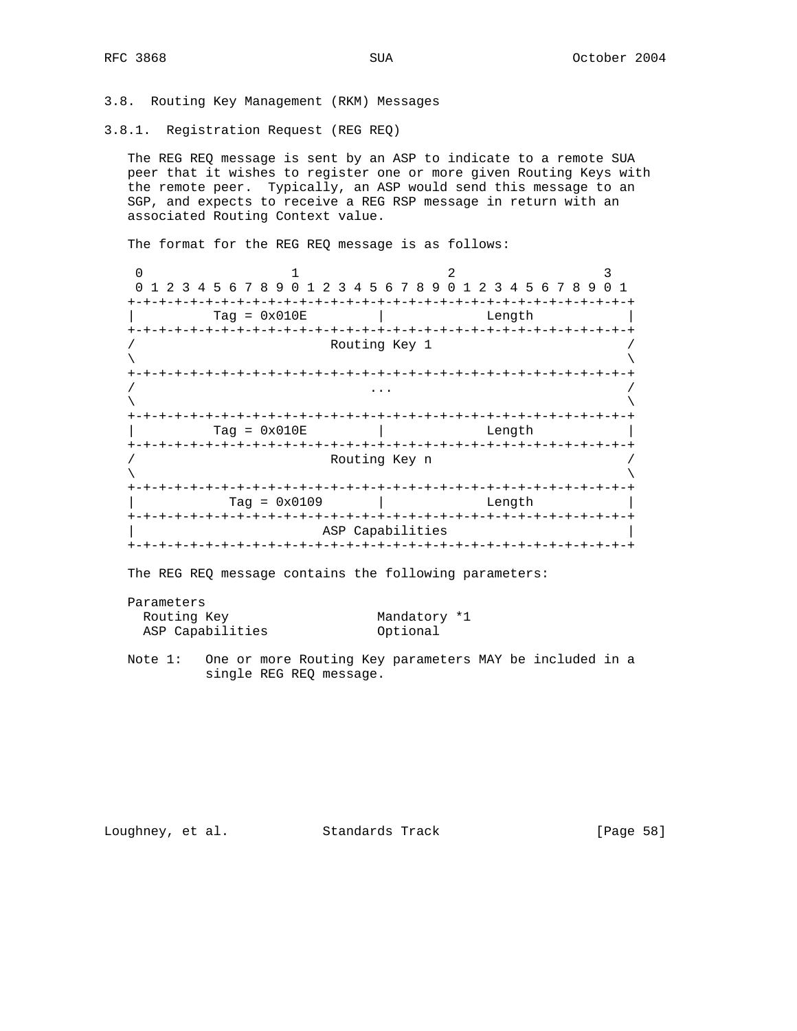3.8. Routing Key Management (RKM) Messages

3.8.1. Registration Request (REG REQ)

 The REG REQ message is sent by an ASP to indicate to a remote SUA peer that it wishes to register one or more given Routing Keys with the remote peer. Typically, an ASP would send this message to an SGP, and expects to receive a REG RSP message in return with an associated Routing Context value.

The format for the REG REQ message is as follows:

| 0 1 2 3 4 5 6 7 8 9 0 1 2 3 4 5 6 7 8 9 0 1 2 3 4 5 6 7 8 9 0 1 |                               |                  |                              |  |  |                    |  |  |  |  |  |  |
|-----------------------------------------------------------------|-------------------------------|------------------|------------------------------|--|--|--------------------|--|--|--|--|--|--|
|                                                                 |                               |                  |                              |  |  |                    |  |  |  |  |  |  |
| $Taq = 0x010E$<br>Length                                        |                               |                  |                              |  |  |                    |  |  |  |  |  |  |
|                                                                 |                               |                  |                              |  |  |                    |  |  |  |  |  |  |
|                                                                 |                               | Routing Key 1    |                              |  |  |                    |  |  |  |  |  |  |
|                                                                 |                               |                  |                              |  |  |                    |  |  |  |  |  |  |
|                                                                 |                               |                  |                              |  |  |                    |  |  |  |  |  |  |
|                                                                 |                               |                  |                              |  |  |                    |  |  |  |  |  |  |
| -+-+-+-+-+-+-+-+                                                |                               |                  |                              |  |  |                    |  |  |  |  |  |  |
| $Taq = 0x010E$                                                  |                               |                  |                              |  |  | Length             |  |  |  |  |  |  |
|                                                                 |                               |                  |                              |  |  |                    |  |  |  |  |  |  |
|                                                                 |                               | Routing Key n    |                              |  |  |                    |  |  |  |  |  |  |
|                                                                 | -+-+-+-+-+-+-+-+-+-+-+-+-+-+- |                  |                              |  |  | -+-+-+-+-+-+-+-+-+ |  |  |  |  |  |  |
| $Taq = 0x0109$                                                  |                               |                  |                              |  |  | Length             |  |  |  |  |  |  |
| -+-+-+-+-+-+-+-+-+                                              |                               |                  | -+-+-+-+-+-+-+-+-+-+-+-+-+-+ |  |  |                    |  |  |  |  |  |  |
|                                                                 |                               | ASP Capabilities |                              |  |  |                    |  |  |  |  |  |  |
|                                                                 | ーナーナーナーナ                      |                  |                              |  |  |                    |  |  |  |  |  |  |

The REG REQ message contains the following parameters:

Parameters

| Routing Key      | Mandatory *1 |
|------------------|--------------|
| ASP Capabilities | Optional     |

 Note 1: One or more Routing Key parameters MAY be included in a single REG REQ message.

Loughney, et al. Standards Track [Page 58]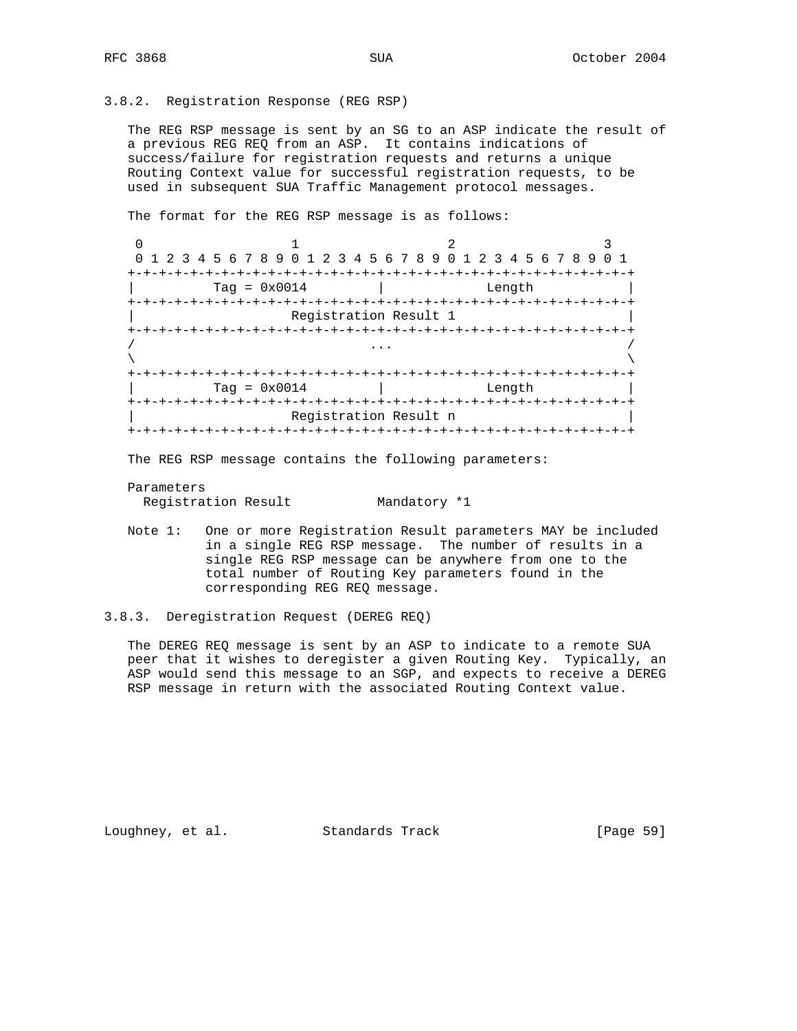### 3.8.2. Registration Response (REG RSP)

 The REG RSP message is sent by an SG to an ASP indicate the result of a previous REG REQ from an ASP. It contains indications of success/failure for registration requests and returns a unique Routing Context value for successful registration requests, to be used in subsequent SUA Traffic Management protocol messages.

The format for the REG RSP message is as follows:

0  $1$  2 3 0 1 2 3 4 5 6 7 8 9 0 1 2 3 4 5 6 7 8 9 0 1 2 3 4 5 6 7 8 9 0 1 +-+-+-+-+-+-+-+-+-+-+-+-+-+-+-+-+-+-+-+-+-+-+-+-+-+-+-+-+-+-+-+-+  $\text{Tag} = 0 \times 0014$  | Length +-+-+-+-+-+-+-+-+-+-+-+-+-+-+-+-+-+-+-+-+-+-+-+-+-+-+-+-+-+-+-+-+ Registration Result 1 +-+-+-+-+-+-+-+-+-+-+-+-+-+-+-+-+-+-+-+-+-+-+-+-+-+-+-+-+-+-+-+-+ / ... /  $\lambda$  and  $\lambda$  and  $\lambda$  and  $\lambda$  and  $\lambda$  and  $\lambda$  and  $\lambda$  and  $\lambda$  and  $\lambda$  and  $\lambda$  and  $\lambda$  and  $\lambda$  and  $\lambda$  and  $\lambda$  and  $\lambda$  and  $\lambda$  and  $\lambda$  and  $\lambda$  and  $\lambda$  and  $\lambda$  and  $\lambda$  and  $\lambda$  and  $\lambda$  and  $\lambda$  and  $\lambda$  +-+-+-+-+-+-+-+-+-+-+-+-+-+-+-+-+-+-+-+-+-+-+-+-+-+-+-+-+-+-+-+-+  $\text{Tag} = 0 \times 0014$  | Length +-+-+-+-+-+-+-+-+-+-+-+-+-+-+-+-+-+-+-+-+-+-+-+-+-+-+-+-+-+-+-+-+ | Registration Result n | +-+-+-+-+-+-+-+-+-+-+-+-+-+-+-+-+-+-+-+-+-+-+-+-+-+-+-+-+-+-+-+-+

The REG RSP message contains the following parameters:

Parameters

Registration Result Mandatory \*1

 Note 1: One or more Registration Result parameters MAY be included in a single REG RSP message. The number of results in a single REG RSP message can be anywhere from one to the total number of Routing Key parameters found in the corresponding REG REQ message.

 The DEREG REQ message is sent by an ASP to indicate to a remote SUA peer that it wishes to deregister a given Routing Key. Typically, an ASP would send this message to an SGP, and expects to receive a DEREG RSP message in return with the associated Routing Context value.

Loughney, et al. Standards Track [Page 59]

<sup>3.8.3.</sup> Deregistration Request (DEREG REQ)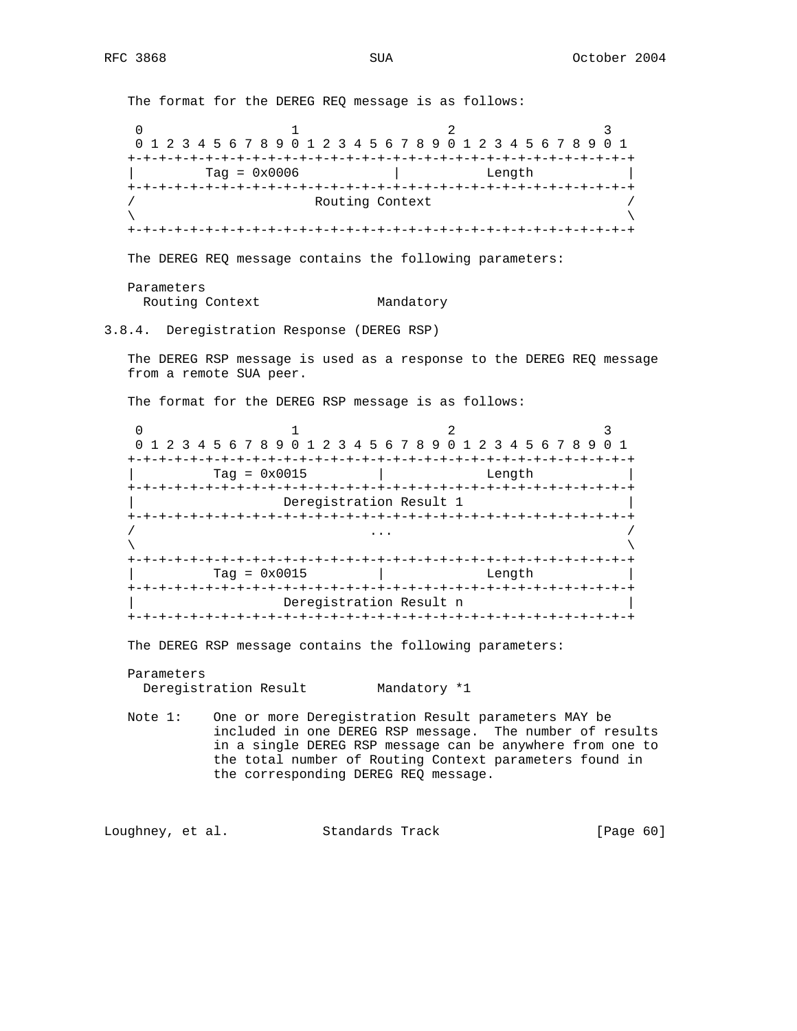The format for the DEREG REQ message is as follows: 0  $1$  2 3 0 1 2 3 4 5 6 7 8 9 0 1 2 3 4 5 6 7 8 9 0 1 2 3 4 5 6 7 8 9 0 1 +-+-+-+-+-+-+-+-+-+-+-+-+-+-+-+-+-+-+-+-+-+-+-+-+-+-+-+-+-+-+-+-+  $\text{Tag} = 0 \times 0006$  | Length +-+-+-+-+-+-+-+-+-+-+-+-+-+-+-+-+-+-+-+-+-+-+-+-+-+-+-+-+-+-+-+-+ Routing Context  $\lambda$  and  $\lambda$  and  $\lambda$  and  $\lambda$  and  $\lambda$  and  $\lambda$  and  $\lambda$  and  $\lambda$  and  $\lambda$  and  $\lambda$  and  $\lambda$  and  $\lambda$  and  $\lambda$  and  $\lambda$  and  $\lambda$  and  $\lambda$  and  $\lambda$  and  $\lambda$  and  $\lambda$  and  $\lambda$  and  $\lambda$  and  $\lambda$  and  $\lambda$  and  $\lambda$  and  $\lambda$  +-+-+-+-+-+-+-+-+-+-+-+-+-+-+-+-+-+-+-+-+-+-+-+-+-+-+-+-+-+-+-+-+ The DEREG REQ message contains the following parameters: Parameters Routing Context Mandatory 3.8.4. Deregistration Response (DEREG RSP) The DEREG RSP message is used as a response to the DEREG REQ message from a remote SUA peer. The format for the DEREG RSP message is as follows: 0  $1$  2 3 0 1 2 3 4 5 6 7 8 9 0 1 2 3 4 5 6 7 8 9 0 1 2 3 4 5 6 7 8 9 0 1 +-+-+-+-+-+-+-+-+-+-+-+-+-+-+-+-+-+-+-+-+-+-+-+-+-+-+-+-+-+-+-+-+ | Tag = 0x0015 | Length | +-+-+-+-+-+-+-+-+-+-+-+-+-+-+-+-+-+-+-+-+-+-+-+-+-+-+-+-+-+-+-+-+ Deregistration Result 1 +-+-+-+-+-+-+-+-+-+-+-+-+-+-+-+-+-+-+-+-+-+-+-+-+-+-+-+-+-+-+-+-+ / ... /  $\lambda$  and  $\lambda$  and  $\lambda$  and  $\lambda$  and  $\lambda$  and  $\lambda$  and  $\lambda$  and  $\lambda$  and  $\lambda$  and  $\lambda$  and  $\lambda$  and  $\lambda$  and  $\lambda$  and  $\lambda$  and  $\lambda$  and  $\lambda$  and  $\lambda$  and  $\lambda$  and  $\lambda$  and  $\lambda$  and  $\lambda$  and  $\lambda$  and  $\lambda$  and  $\lambda$  and  $\lambda$  +-+-+-+-+-+-+-+-+-+-+-+-+-+-+-+-+-+-+-+-+-+-+-+-+-+-+-+-+-+-+-+-+  $\text{Tag} = 0 \times 0015$  | Length +-+-+-+-+-+-+-+-+-+-+-+-+-+-+-+-+-+-+-+-+-+-+-+-+-+-+-+-+-+-+-+-+ Deregistration Result n +-+-+-+-+-+-+-+-+-+-+-+-+-+-+-+-+-+-+-+-+-+-+-+-+-+-+-+-+-+-+-+-+ The DEREG RSP message contains the following parameters: Parameters Deregistration Result Mandatory \*1 Note 1: One or more Deregistration Result parameters MAY be included in one DEREG RSP message. The number of results in a single DEREG RSP message can be anywhere from one to

Loughney, et al. Standards Track [Page 60]

the corresponding DEREG REQ message.

the total number of Routing Context parameters found in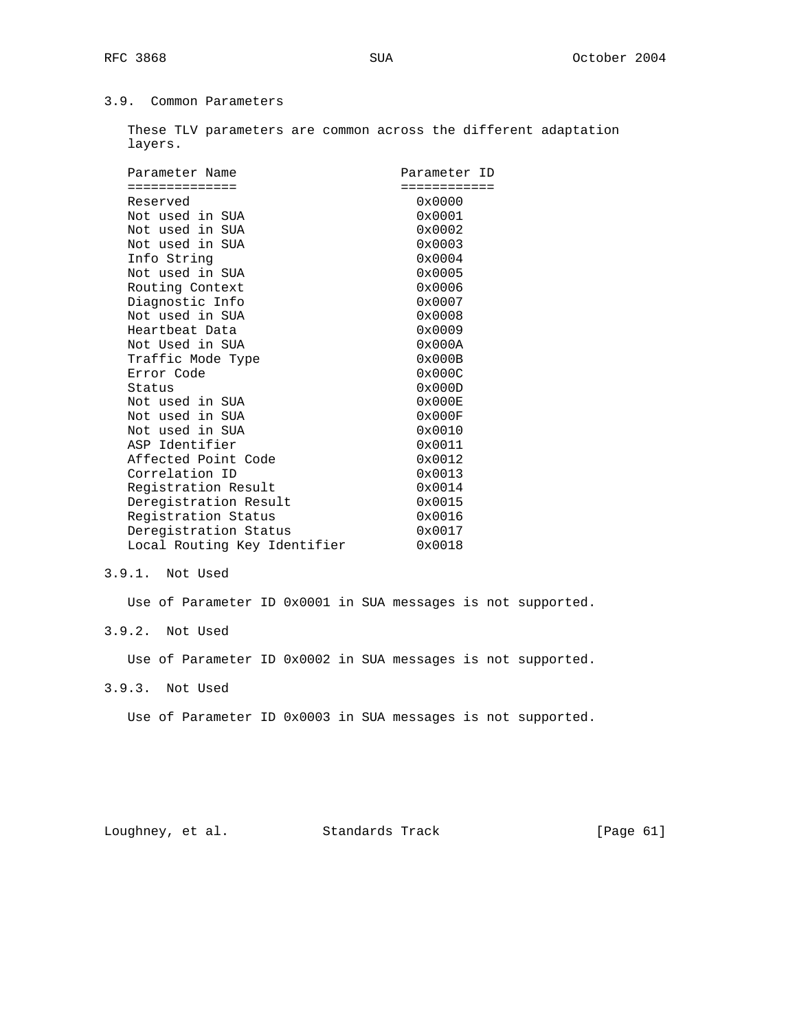## 3.9. Common Parameters

 These TLV parameters are common across the different adaptation layers.

| Parameter Name               | Parameter ID     |
|------------------------------|------------------|
| ==============               | ============     |
| Reserved                     | 0x0000           |
| Not used in SUA              | 0x0001           |
| Not used in SUA              | $0 \times 0002$  |
| Not used in SUA              | $0 \times 0003$  |
| Info String                  | $0 \times 0004$  |
| Not used in SUA              | 0x0005           |
| Routing Context              | 0x0006           |
| Diagnostic Info              | 0x0007           |
| Not used in SUA              | 0x0008           |
| Heartbeat Data               | 0x0009           |
| Not Used in SUA              | $0 \times 000$ A |
| Traffic Mode Type            | $0 \times 000B$  |
| Error Code                   | $0 \times 000C$  |
| Status                       | $0 \times 000$   |
| Not used in SUA              | 0x000E           |
| Not used in SUA              | 0x000F           |
| Not used in SUA              | 0x0010           |
| ASP Identifier               | 0x0011           |
| Affected Point Code          | 0x0012           |
| Correlation ID               | $0 \times 0013$  |
| Registration Result          | 0x0014           |
| Deregistration Result        | 0x0015           |
| Registration Status          | 0x0016           |
| Deregistration Status        | 0x0017           |
| Local Routing Key Identifier | 0x0018           |

## 3.9.1. Not Used

Use of Parameter ID 0x0001 in SUA messages is not supported.

# 3.9.2. Not Used

Use of Parameter ID 0x0002 in SUA messages is not supported.

## 3.9.3. Not Used

Use of Parameter ID 0x0003 in SUA messages is not supported.

Loughney, et al. Standards Track [Page 61]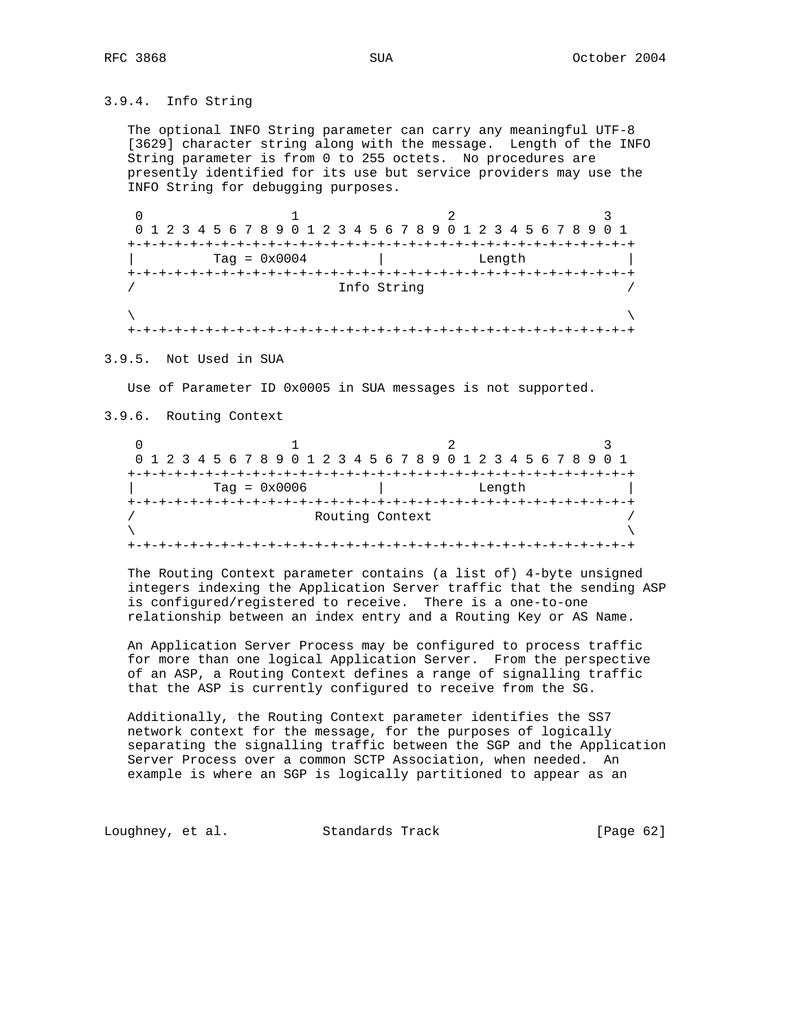## 3.9.4. Info String

 The optional INFO String parameter can carry any meaningful UTF-8 [3629] character string along with the message. Length of the INFO String parameter is from 0 to 255 octets. No procedures are presently identified for its use but service providers may use the INFO String for debugging purposes.

0  $1$  2 3 0 1 2 3 4 5 6 7 8 9 0 1 2 3 4 5 6 7 8 9 0 1 2 3 4 5 6 7 8 9 0 1 +-+-+-+-+-+-+-+-+-+-+-+-+-+-+-+-+-+-+-+-+-+-+-+-+-+-+-+-+-+-+-+-+  $\text{Tag} = 0x0004$  | Length +-+-+-+-+-+-+-+-+-+-+-+-+-+-+-+-+-+-+-+-+-+-+-+-+-+-+-+-+-+-+-+-+ Info String  $\lambda$  and  $\lambda$  and  $\lambda$  and  $\lambda$  and  $\lambda$  and  $\lambda$  and  $\lambda$  and  $\lambda$  and  $\lambda$  and  $\lambda$  and  $\lambda$  and  $\lambda$  and  $\lambda$  and  $\lambda$  and  $\lambda$  and  $\lambda$  and  $\lambda$  and  $\lambda$  and  $\lambda$  and  $\lambda$  and  $\lambda$  and  $\lambda$  and  $\lambda$  and  $\lambda$  and  $\lambda$  +-+-+-+-+-+-+-+-+-+-+-+-+-+-+-+-+-+-+-+-+-+-+-+-+-+-+-+-+-+-+-+-+

3.9.5. Not Used in SUA

Use of Parameter ID 0x0005 in SUA messages is not supported.

3.9.6. Routing Context

| 0 1 2 3 4 5 6 7 8 9 0 1 2 3 4 5 6 7 8 9 0 1 2 3 4 5 6 7 8 9 0 1 |                 |  |  |  |  |  |  |  |  |  |  |  |  |  |
|-----------------------------------------------------------------|-----------------|--|--|--|--|--|--|--|--|--|--|--|--|--|
|                                                                 |                 |  |  |  |  |  |  |  |  |  |  |  |  |  |
| $Taq = 0x0006$                                                  | Length          |  |  |  |  |  |  |  |  |  |  |  |  |  |
|                                                                 |                 |  |  |  |  |  |  |  |  |  |  |  |  |  |
|                                                                 | Routing Context |  |  |  |  |  |  |  |  |  |  |  |  |  |
|                                                                 |                 |  |  |  |  |  |  |  |  |  |  |  |  |  |
|                                                                 |                 |  |  |  |  |  |  |  |  |  |  |  |  |  |

 The Routing Context parameter contains (a list of) 4-byte unsigned integers indexing the Application Server traffic that the sending ASP is configured/registered to receive. There is a one-to-one relationship between an index entry and a Routing Key or AS Name.

 An Application Server Process may be configured to process traffic for more than one logical Application Server. From the perspective of an ASP, a Routing Context defines a range of signalling traffic that the ASP is currently configured to receive from the SG.

 Additionally, the Routing Context parameter identifies the SS7 network context for the message, for the purposes of logically separating the signalling traffic between the SGP and the Application Server Process over a common SCTP Association, when needed. An example is where an SGP is logically partitioned to appear as an

Loughney, et al. Standards Track [Page 62]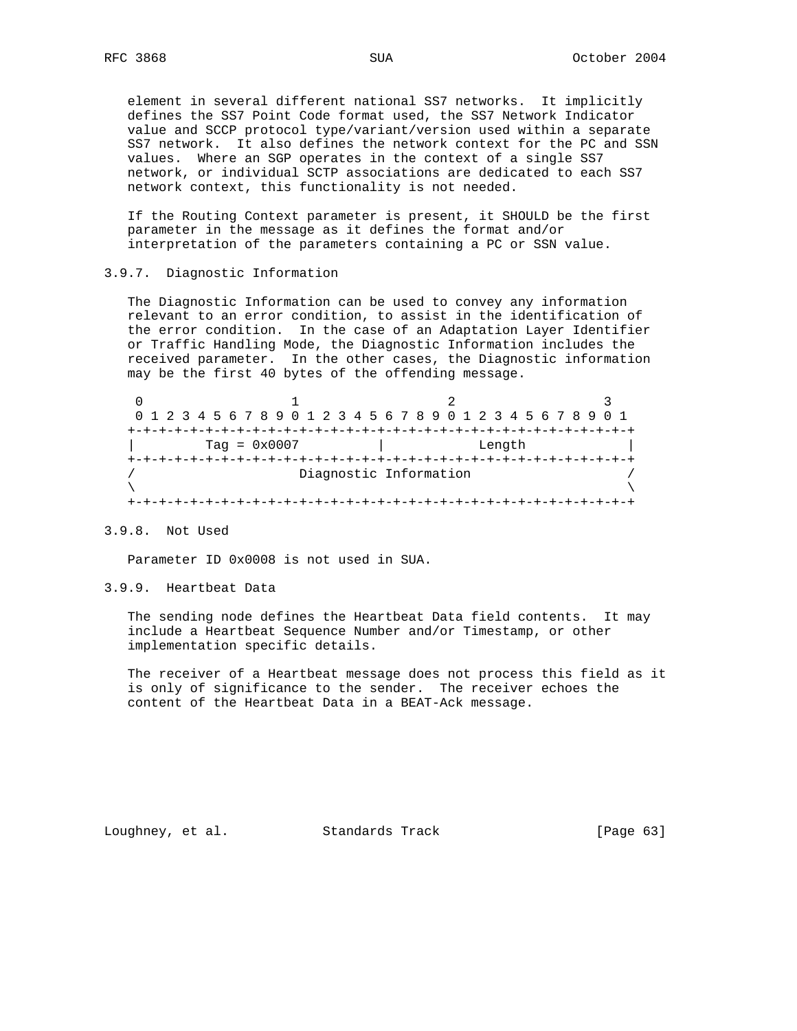element in several different national SS7 networks. It implicitly defines the SS7 Point Code format used, the SS7 Network Indicator value and SCCP protocol type/variant/version used within a separate SS7 network. It also defines the network context for the PC and SSN values. Where an SGP operates in the context of a single SS7 network, or individual SCTP associations are dedicated to each SS7 network context, this functionality is not needed.

 If the Routing Context parameter is present, it SHOULD be the first parameter in the message as it defines the format and/or interpretation of the parameters containing a PC or SSN value.

### 3.9.7. Diagnostic Information

 The Diagnostic Information can be used to convey any information relevant to an error condition, to assist in the identification of the error condition. In the case of an Adaptation Layer Identifier or Traffic Handling Mode, the Diagnostic Information includes the received parameter. In the other cases, the Diagnostic information may be the first 40 bytes of the offending message.

| 0 1 2 3 4 5 6 7 8 9 0 1 2 3 4 5 6 7 8 9 0 1 2 3 4 5 6 7 8 9 0 1 |  |        |  |  |  |  |  |  |  |  |  |  |  |  |
|-----------------------------------------------------------------|--|--------|--|--|--|--|--|--|--|--|--|--|--|--|
|                                                                 |  |        |  |  |  |  |  |  |  |  |  |  |  |  |
| $Taq = 0x0007$                                                  |  | Length |  |  |  |  |  |  |  |  |  |  |  |  |
|                                                                 |  |        |  |  |  |  |  |  |  |  |  |  |  |  |
| Diagnostic Information                                          |  |        |  |  |  |  |  |  |  |  |  |  |  |  |
|                                                                 |  |        |  |  |  |  |  |  |  |  |  |  |  |  |
|                                                                 |  |        |  |  |  |  |  |  |  |  |  |  |  |  |

## 3.9.8. Not Used

Parameter ID 0x0008 is not used in SUA.

### 3.9.9. Heartbeat Data

 The sending node defines the Heartbeat Data field contents. It may include a Heartbeat Sequence Number and/or Timestamp, or other implementation specific details.

 The receiver of a Heartbeat message does not process this field as it is only of significance to the sender. The receiver echoes the content of the Heartbeat Data in a BEAT-Ack message.

Loughney, et al. Standards Track [Page 63]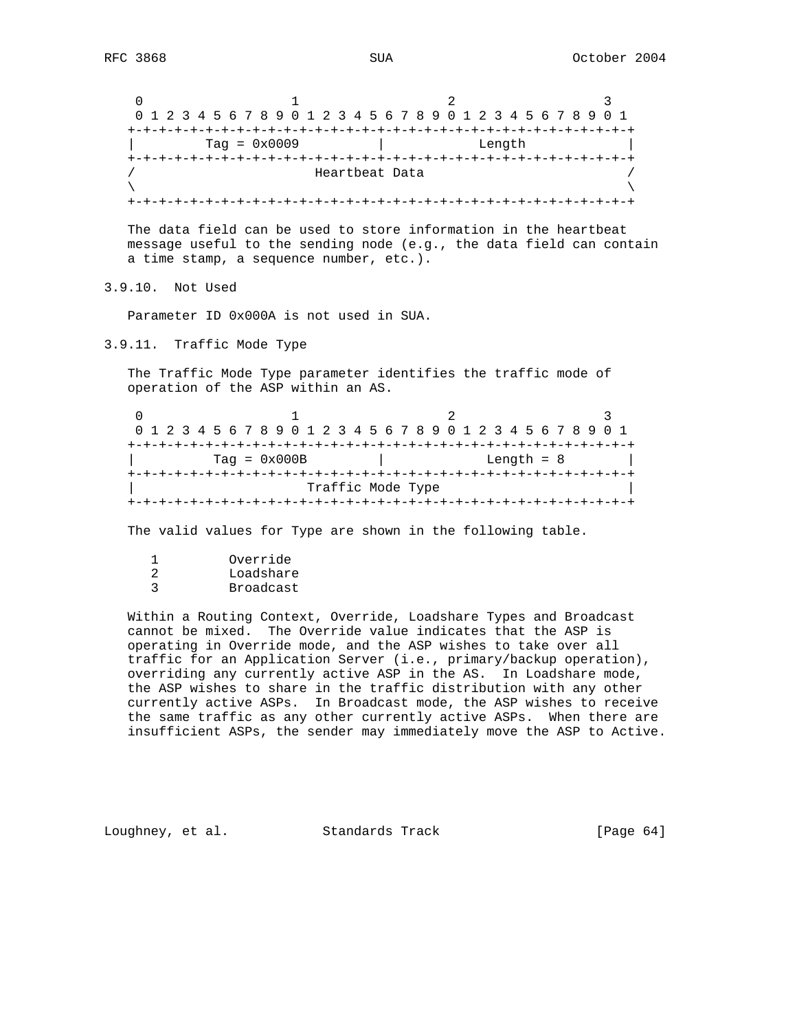| 0 1 2 3 4 5 6 7 8 9 0 1 2 3 4 5 6 7 8 9 0 1 2 3 4 5 6 7 8 9 0 1 |  |        |  |  |  |  |  |  |  |  |  |  |  |  |
|-----------------------------------------------------------------|--|--------|--|--|--|--|--|--|--|--|--|--|--|--|
|                                                                 |  |        |  |  |  |  |  |  |  |  |  |  |  |  |
| $Taq = 0x0009$                                                  |  | Length |  |  |  |  |  |  |  |  |  |  |  |  |
|                                                                 |  |        |  |  |  |  |  |  |  |  |  |  |  |  |
| Heartbeat Data                                                  |  |        |  |  |  |  |  |  |  |  |  |  |  |  |
|                                                                 |  |        |  |  |  |  |  |  |  |  |  |  |  |  |
|                                                                 |  |        |  |  |  |  |  |  |  |  |  |  |  |  |

 The data field can be used to store information in the heartbeat message useful to the sending node (e.g., the data field can contain a time stamp, a sequence number, etc.).

3.9.10. Not Used

Parameter ID 0x000A is not used in SUA.

3.9.11. Traffic Mode Type

 The Traffic Mode Type parameter identifies the traffic mode of operation of the ASP within an AS.

| 0 1 2 3 4 5 6 7 8 9 0 1 2 3 4 5 6 7 8 9 0 1 2 3 4 5 6 7 8 9 0 1 |              |  |  |  |  |  |  |  |  |  |  |  |  |
|-----------------------------------------------------------------|--------------|--|--|--|--|--|--|--|--|--|--|--|--|
|                                                                 |              |  |  |  |  |  |  |  |  |  |  |  |  |
| $Taq = 0x000B$                                                  | Length $= 8$ |  |  |  |  |  |  |  |  |  |  |  |  |
|                                                                 |              |  |  |  |  |  |  |  |  |  |  |  |  |
| Traffic Mode Type                                               |              |  |  |  |  |  |  |  |  |  |  |  |  |
|                                                                 |              |  |  |  |  |  |  |  |  |  |  |  |  |

The valid values for Type are shown in the following table.

| Override  |
|-----------|
| Loadshare |
| Broadcast |

 Within a Routing Context, Override, Loadshare Types and Broadcast cannot be mixed. The Override value indicates that the ASP is operating in Override mode, and the ASP wishes to take over all traffic for an Application Server (i.e., primary/backup operation), overriding any currently active ASP in the AS. In Loadshare mode, the ASP wishes to share in the traffic distribution with any other currently active ASPs. In Broadcast mode, the ASP wishes to receive the same traffic as any other currently active ASPs. When there are insufficient ASPs, the sender may immediately move the ASP to Active.

Loughney, et al. Standards Track [Page 64]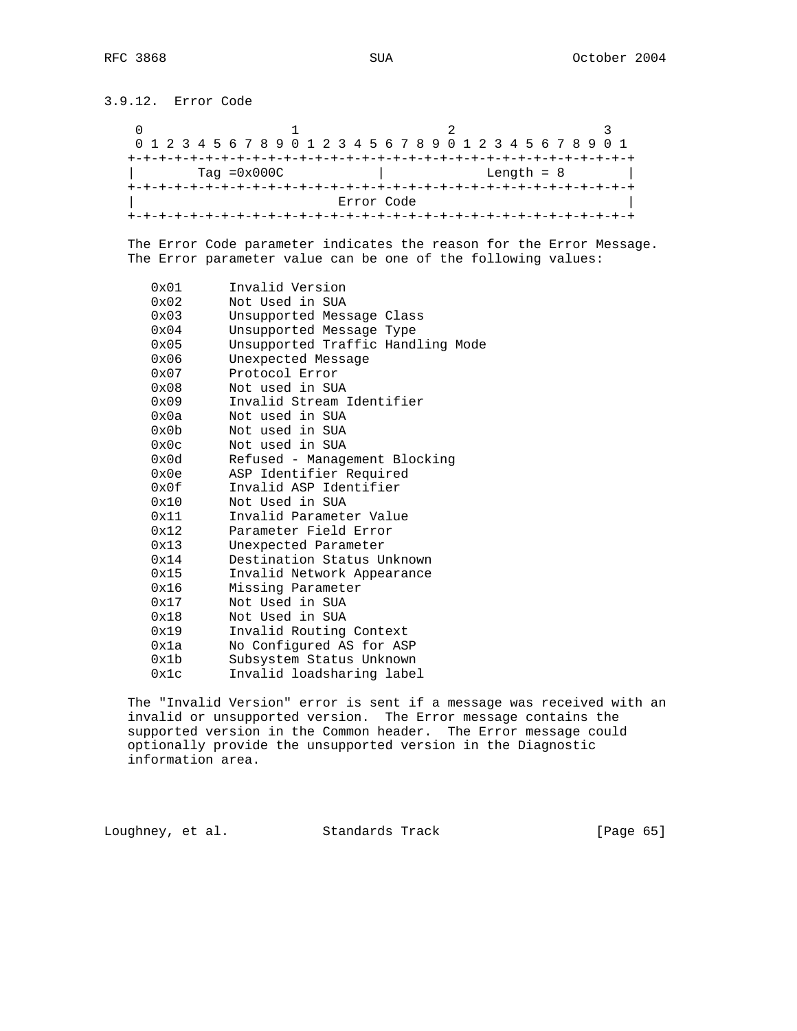3.9.12. Error Code

0  $1$  2 3 0 1 2 3 4 5 6 7 8 9 0 1 2 3 4 5 6 7 8 9 0 1 2 3 4 5 6 7 8 9 0 1 +-+-+-+-+-+-+-+-+-+-+-+-+-+-+-+-+-+-+-+-+-+-+-+-+-+-+-+-+-+-+-+-+ | Tag =0x000C | Length = 8 | +-+-+-+-+-+-+-+-+-+-+-+-+-+-+-+-+-+-+-+-+-+-+-+-+-+-+-+-+-+-+-+-+ Error Code +-+-+-+-+-+-+-+-+-+-+-+-+-+-+-+-+-+-+-+-+-+-+-+-+-+-+-+-+-+-+-+-+

 The Error Code parameter indicates the reason for the Error Message. The Error parameter value can be one of the following values:

| 0x01          | Invalid Version                   |
|---------------|-----------------------------------|
| 0x02          | Not Used in SUA                   |
| $0 \times 03$ | Unsupported Message Class         |
| $0 \times 04$ | Unsupported Message Type          |
| $0 \times 05$ | Unsupported Traffic Handling Mode |
| 0x06          | Unexpected Message                |
| $0 \times 07$ | Protocol Error                    |
| $0 \times 08$ | Not used in SUA                   |
| 0x09          | Invalid Stream Identifier         |
| 0x0a          | Not used in SUA                   |
| 0x0b          | Not used in SUA                   |
| 0x0c          | Not used in SUA                   |
| 0x0d          | Refused - Management Blocking     |
| 0x0e          | ASP Identifier Required           |
| 0x0f          | Invalid ASP Identifier            |
| 0x10          | Not Used in SUA                   |
| 0x11          | Invalid Parameter Value           |
| 0x12          | Parameter Field Error             |
| 0x13          | Unexpected Parameter              |
| 0x14          | Destination Status Unknown        |
| 0x15          | Invalid Network Appearance        |
| 0x16          | Missing Parameter                 |
| 0x17          | Not Used in SUA                   |
| 0x18          | Not Used in SUA                   |
| 0x19          | Invalid Routing Context           |
| 0x1a          | No Configured AS for ASP          |
| 0x1b          | Subsystem Status Unknown          |
| 0x1c          | Invalid loadsharing label         |

 The "Invalid Version" error is sent if a message was received with an invalid or unsupported version. The Error message contains the supported version in the Common header. The Error message could optionally provide the unsupported version in the Diagnostic information area.

Loughney, et al. Standards Track [Page 65]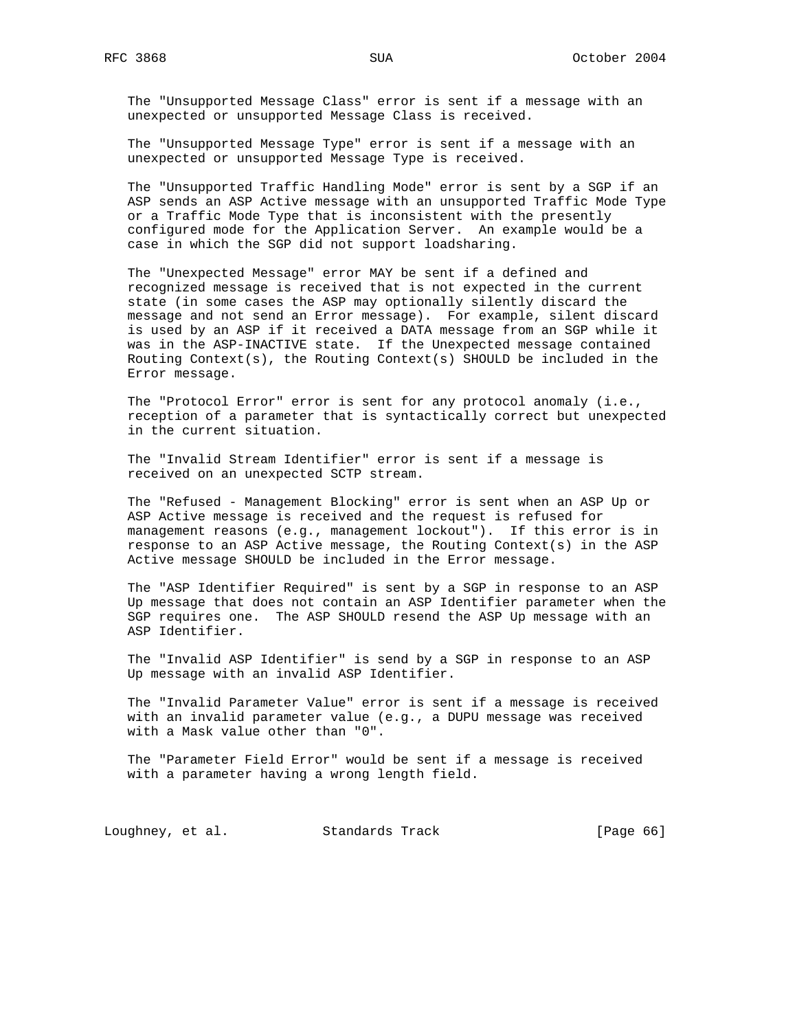The "Unsupported Message Class" error is sent if a message with an unexpected or unsupported Message Class is received.

 The "Unsupported Message Type" error is sent if a message with an unexpected or unsupported Message Type is received.

 The "Unsupported Traffic Handling Mode" error is sent by a SGP if an ASP sends an ASP Active message with an unsupported Traffic Mode Type or a Traffic Mode Type that is inconsistent with the presently configured mode for the Application Server. An example would be a case in which the SGP did not support loadsharing.

 The "Unexpected Message" error MAY be sent if a defined and recognized message is received that is not expected in the current state (in some cases the ASP may optionally silently discard the message and not send an Error message). For example, silent discard is used by an ASP if it received a DATA message from an SGP while it was in the ASP-INACTIVE state. If the Unexpected message contained Routing Context(s), the Routing Context(s) SHOULD be included in the Error message.

 The "Protocol Error" error is sent for any protocol anomaly (i.e., reception of a parameter that is syntactically correct but unexpected in the current situation.

 The "Invalid Stream Identifier" error is sent if a message is received on an unexpected SCTP stream.

 The "Refused - Management Blocking" error is sent when an ASP Up or ASP Active message is received and the request is refused for management reasons (e.g., management lockout"). If this error is in response to an ASP Active message, the Routing Context(s) in the ASP Active message SHOULD be included in the Error message.

 The "ASP Identifier Required" is sent by a SGP in response to an ASP Up message that does not contain an ASP Identifier parameter when the SGP requires one. The ASP SHOULD resend the ASP Up message with an ASP Identifier.

 The "Invalid ASP Identifier" is send by a SGP in response to an ASP Up message with an invalid ASP Identifier.

 The "Invalid Parameter Value" error is sent if a message is received with an invalid parameter value (e.g., a DUPU message was received with a Mask value other than "0".

 The "Parameter Field Error" would be sent if a message is received with a parameter having a wrong length field.

Loughney, et al. Standards Track [Page 66]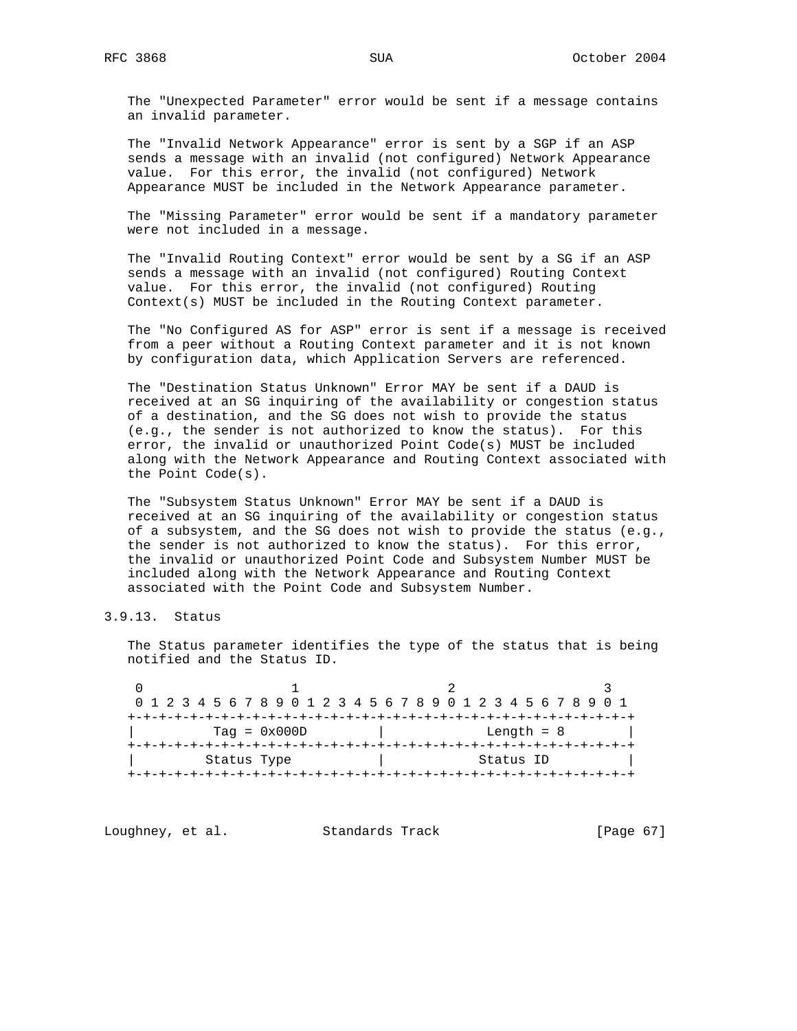The "Unexpected Parameter" error would be sent if a message contains an invalid parameter.

 The "Invalid Network Appearance" error is sent by a SGP if an ASP sends a message with an invalid (not configured) Network Appearance value. For this error, the invalid (not configured) Network Appearance MUST be included in the Network Appearance parameter.

 The "Missing Parameter" error would be sent if a mandatory parameter were not included in a message.

 The "Invalid Routing Context" error would be sent by a SG if an ASP sends a message with an invalid (not configured) Routing Context value. For this error, the invalid (not configured) Routing Context(s) MUST be included in the Routing Context parameter.

 The "No Configured AS for ASP" error is sent if a message is received from a peer without a Routing Context parameter and it is not known by configuration data, which Application Servers are referenced.

 The "Destination Status Unknown" Error MAY be sent if a DAUD is received at an SG inquiring of the availability or congestion status of a destination, and the SG does not wish to provide the status (e.g., the sender is not authorized to know the status). For this error, the invalid or unauthorized Point Code(s) MUST be included along with the Network Appearance and Routing Context associated with the Point Code(s).

 The "Subsystem Status Unknown" Error MAY be sent if a DAUD is received at an SG inquiring of the availability or congestion status of a subsystem, and the SG does not wish to provide the status (e.g., the sender is not authorized to know the status). For this error, the invalid or unauthorized Point Code and Subsystem Number MUST be included along with the Network Appearance and Routing Context associated with the Point Code and Subsystem Number.

# 3.9.13. Status

 The Status parameter identifies the type of the status that is being notified and the Status ID.

| 0 1 2 3 4 5 6 7 8 9 0 1 2 3 4 5 6 7 8 9 0 1 2 3 4 5 6 7 8 9 0 1 |  |  |  |  |  |  |  |  |              |  |  |  |  |  |  |  |  |  |  |  |  |  |  |  |  |  |  |  |  |
|-----------------------------------------------------------------|--|--|--|--|--|--|--|--|--------------|--|--|--|--|--|--|--|--|--|--|--|--|--|--|--|--|--|--|--|--|
|                                                                 |  |  |  |  |  |  |  |  |              |  |  |  |  |  |  |  |  |  |  |  |  |  |  |  |  |  |  |  |  |
| $Taq = 0x000D$                                                  |  |  |  |  |  |  |  |  | Length $= 8$ |  |  |  |  |  |  |  |  |  |  |  |  |  |  |  |  |  |  |  |  |
|                                                                 |  |  |  |  |  |  |  |  |              |  |  |  |  |  |  |  |  |  |  |  |  |  |  |  |  |  |  |  |  |
| Status Type                                                     |  |  |  |  |  |  |  |  | Status ID    |  |  |  |  |  |  |  |  |  |  |  |  |  |  |  |  |  |  |  |  |
|                                                                 |  |  |  |  |  |  |  |  |              |  |  |  |  |  |  |  |  |  |  |  |  |  |  |  |  |  |  |  |  |

Loughney, et al. Standards Track [Page 67]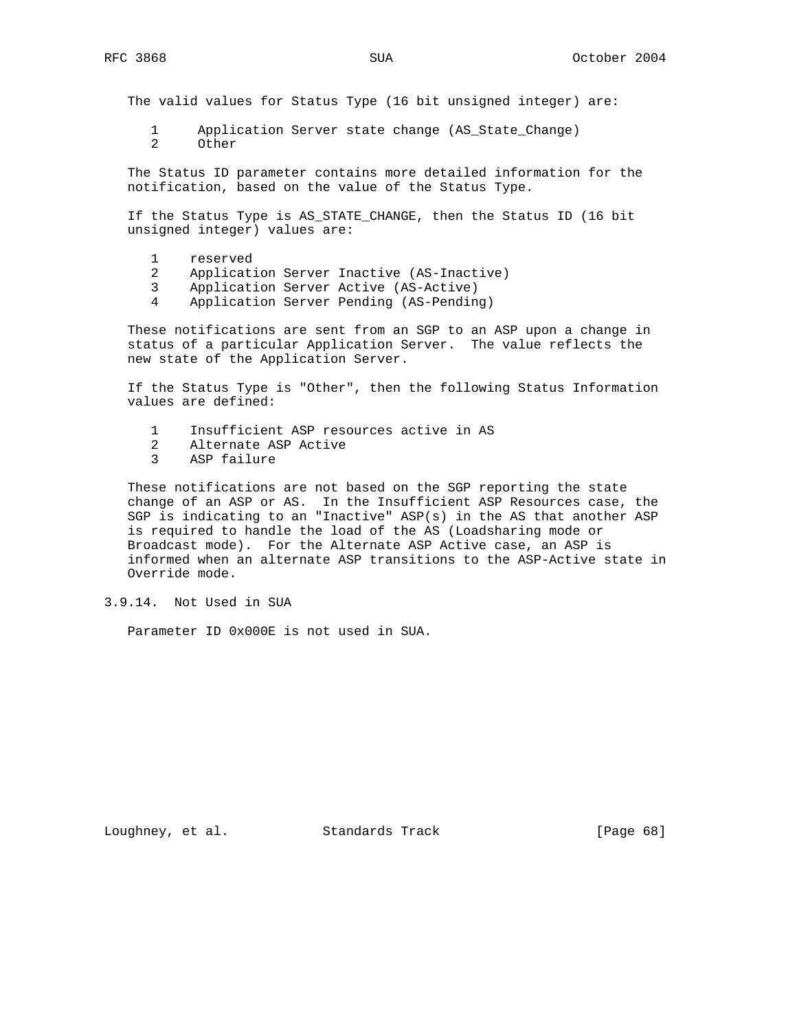The valid values for Status Type (16 bit unsigned integer) are:

1 Application Server state change (AS\_State\_Change)

2 Other

 The Status ID parameter contains more detailed information for the notification, based on the value of the Status Type.

 If the Status Type is AS\_STATE\_CHANGE, then the Status ID (16 bit unsigned integer) values are:

- 1 reserved
- 2 Application Server Inactive (AS-Inactive)
- 3 Application Server Active (AS-Active)
- 4 Application Server Pending (AS-Pending)

 These notifications are sent from an SGP to an ASP upon a change in status of a particular Application Server. The value reflects the new state of the Application Server.

 If the Status Type is "Other", then the following Status Information values are defined:

- 1 Insufficient ASP resources active in AS
- 2 Alternate ASP Active
- 3 ASP failure

 These notifications are not based on the SGP reporting the state change of an ASP or AS. In the Insufficient ASP Resources case, the SGP is indicating to an "Inactive" ASP(s) in the AS that another ASP is required to handle the load of the AS (Loadsharing mode or Broadcast mode). For the Alternate ASP Active case, an ASP is informed when an alternate ASP transitions to the ASP-Active state in Override mode.

## 3.9.14. Not Used in SUA

Parameter ID 0x000E is not used in SUA.

Loughney, et al. Standards Track [Page 68]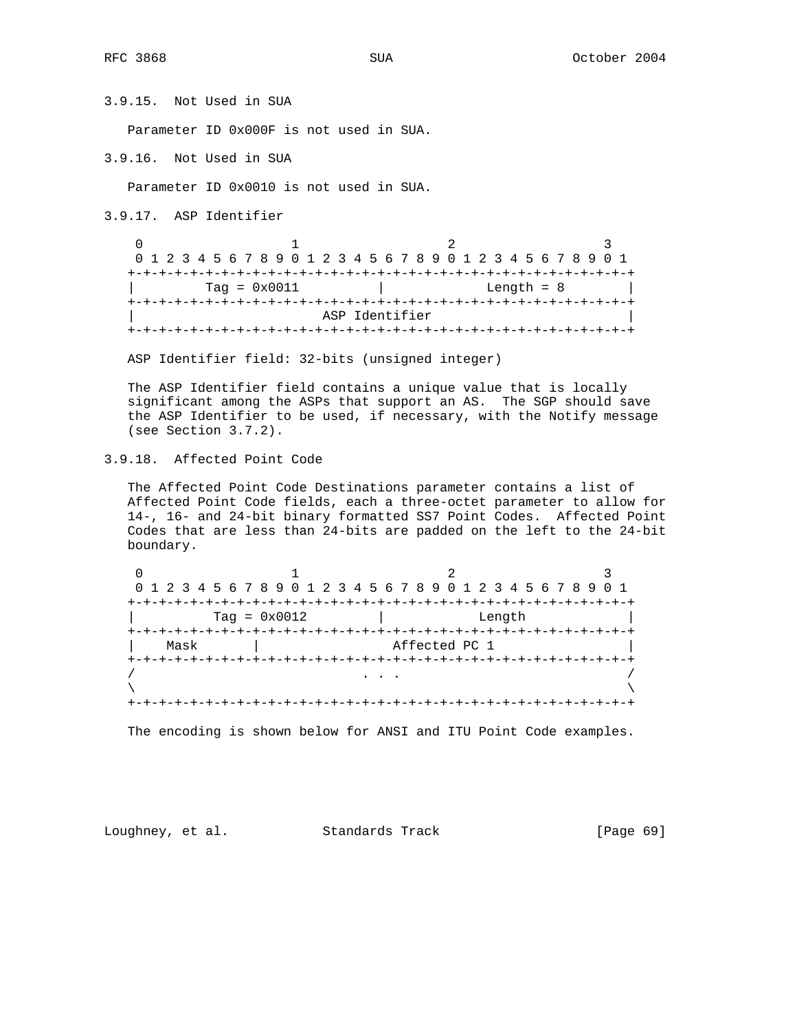3.9.15. Not Used in SUA

Parameter ID 0x000F is not used in SUA.

3.9.16. Not Used in SUA

Parameter ID 0x0010 is not used in SUA.

3.9.17. ASP Identifier

0  $1$  2 3 0 1 2 3 4 5 6 7 8 9 0 1 2 3 4 5 6 7 8 9 0 1 2 3 4 5 6 7 8 9 0 1 +-+-+-+-+-+-+-+-+-+-+-+-+-+-+-+-+-+-+-+-+-+-+-+-+-+-+-+-+-+-+-+-+  $Tag = 0x0011$  | Length = 8 +-+-+-+-+-+-+-+-+-+-+-+-+-+-+-+-+-+-+-+-+-+-+-+-+-+-+-+-+-+-+-+-+ ASP Identifier +-+-+-+-+-+-+-+-+-+-+-+-+-+-+-+-+-+-+-+-+-+-+-+-+-+-+-+-+-+-+-+-+

ASP Identifier field: 32-bits (unsigned integer)

 The ASP Identifier field contains a unique value that is locally significant among the ASPs that support an AS. The SGP should save the ASP Identifier to be used, if necessary, with the Notify message (see Section 3.7.2).

3.9.18. Affected Point Code

 The Affected Point Code Destinations parameter contains a list of Affected Point Code fields, each a three-octet parameter to allow for 14-, 16- and 24-bit binary formatted SS7 Point Codes. Affected Point Codes that are less than 24-bits are padded on the left to the 24-bit boundary.

|      |                           | 0 1 2 3 4 5 6 7 8 9 0 1 2 3 4 5 6 7 8 9 0 1 2 3 4 5 6 7 8 9 0 1 |  |
|------|---------------------------|-----------------------------------------------------------------|--|
|      |                           |                                                                 |  |
|      | $Taq = 0x0012$            | Length                                                          |  |
|      | --+-+-+-+-+-+-+-+-+-+-+-+ |                                                                 |  |
| Mask |                           | Affected PC 1                                                   |  |
|      |                           |                                                                 |  |
|      |                           |                                                                 |  |
|      |                           |                                                                 |  |
|      |                           |                                                                 |  |

The encoding is shown below for ANSI and ITU Point Code examples.

Loughney, et al. Standards Track [Page 69]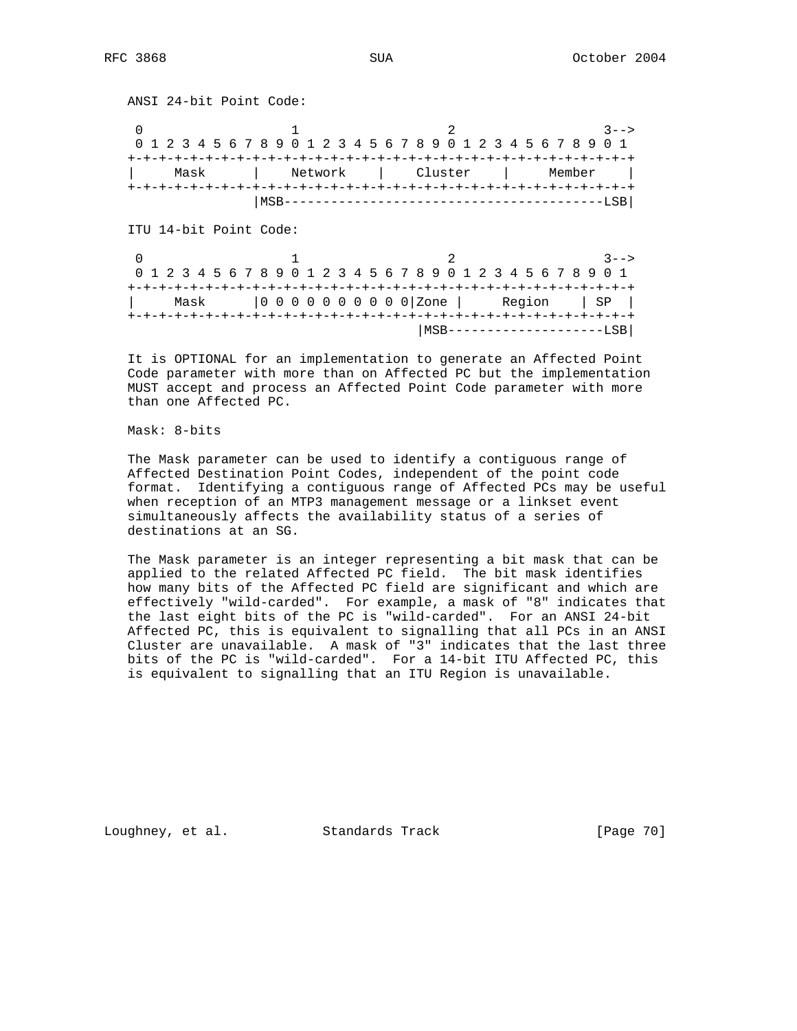ANSI 24-bit Point Code: 0  $1$  2 3--> 0 1 2 3 4 5 6 7 8 9 0 1 2 3 4 5 6 7 8 9 0 1 2 3 4 5 6 7 8 9 0 1 +-+-+-+-+-+-+-+-+-+-+-+-+-+-+-+-+-+-+-+-+-+-+-+-+-+-+-+-+-+-+-+-+ | Mask | Network | Cluster | Member | +-+-+-+-+-+-+-+-+-+-+-+-+-+-+-+-+-+-+-+-+-+-+-+-+-+-+-+-+-+-+-+-+ |MSB-----------------------------------------LSB| ITU 14-bit Point Code: 0 1 2 3--> 0 1 2 3 4 5 6 7 8 9 0 1 2 3 4 5 6 7 8 9 0 1 2 3 4 5 6 7 8 9 0 1 +-+-+-+-+-+-+-+-+-+-+-+-+-+-+-+-+-+-+-+-+-+-+-+-+-+-+-+-+-+-+-+-+ | Mask |0 0 0 0 0 0 0 0 0 0|Zone | Region | SP | +-+-+-+-+-+-+-+-+-+-+-+-+-+-+-+-+-+-+-+-+-+-+-+-+-+-+-+-+-+-+-+-+ |MSB--------------------LSB|

 It is OPTIONAL for an implementation to generate an Affected Point Code parameter with more than on Affected PC but the implementation MUST accept and process an Affected Point Code parameter with more than one Affected PC.

Mask: 8-bits

 The Mask parameter can be used to identify a contiguous range of Affected Destination Point Codes, independent of the point code format. Identifying a contiguous range of Affected PCs may be useful when reception of an MTP3 management message or a linkset event simultaneously affects the availability status of a series of destinations at an SG.

 The Mask parameter is an integer representing a bit mask that can be applied to the related Affected PC field. The bit mask identifies how many bits of the Affected PC field are significant and which are effectively "wild-carded". For example, a mask of "8" indicates that the last eight bits of the PC is "wild-carded". For an ANSI 24-bit Affected PC, this is equivalent to signalling that all PCs in an ANSI Cluster are unavailable. A mask of "3" indicates that the last three bits of the PC is "wild-carded". For a 14-bit ITU Affected PC, this is equivalent to signalling that an ITU Region is unavailable.

Loughney, et al. Standards Track [Page 70]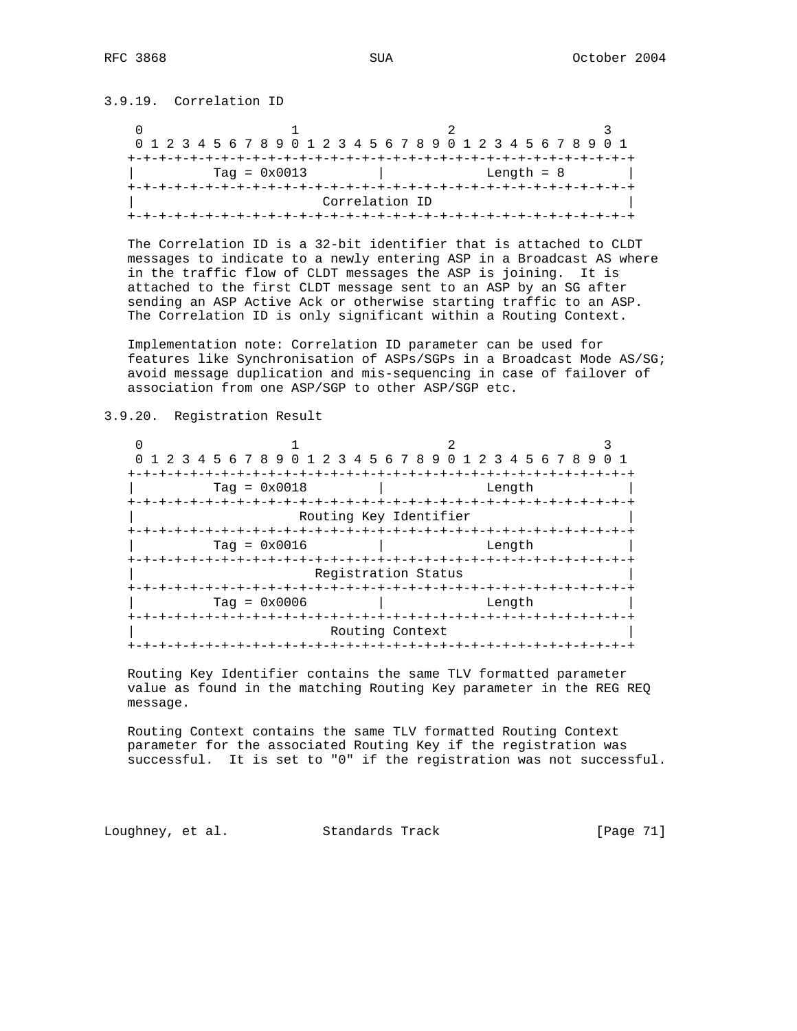3.9.19. Correlation ID

| 0 1 2 3 4 5 6 7 8 9 0 1 2 3 4 5 6 7 8 9 0 1 2 3 4 5 6 7 8 9 0 1 |  |  |  |  |  |  |  |  |  |  |  |                |  |  |  |  |  |  |  |
|-----------------------------------------------------------------|--|--|--|--|--|--|--|--|--|--|--|----------------|--|--|--|--|--|--|--|
|                                                                 |  |  |  |  |  |  |  |  |  |  |  |                |  |  |  |  |  |  |  |
| $Taq = 0x0013$<br>Length $= 8$                                  |  |  |  |  |  |  |  |  |  |  |  |                |  |  |  |  |  |  |  |
|                                                                 |  |  |  |  |  |  |  |  |  |  |  |                |  |  |  |  |  |  |  |
|                                                                 |  |  |  |  |  |  |  |  |  |  |  | Correlation ID |  |  |  |  |  |  |  |
|                                                                 |  |  |  |  |  |  |  |  |  |  |  |                |  |  |  |  |  |  |  |

 The Correlation ID is a 32-bit identifier that is attached to CLDT messages to indicate to a newly entering ASP in a Broadcast AS where in the traffic flow of CLDT messages the ASP is joining. It is attached to the first CLDT message sent to an ASP by an SG after sending an ASP Active Ack or otherwise starting traffic to an ASP. The Correlation ID is only significant within a Routing Context.

 Implementation note: Correlation ID parameter can be used for features like Synchronisation of ASPs/SGPs in a Broadcast Mode AS/SG; avoid message duplication and mis-sequencing in case of failover of association from one ASP/SGP to other ASP/SGP etc.

3.9.20. Registration Result

0  $1$  2 3 0 1 2 3 4 5 6 7 8 9 0 1 2 3 4 5 6 7 8 9 0 1 2 3 4 5 6 7 8 9 0 1 +-+-+-+-+-+-+-+-+-+-+-+-+-+-+-+-+-+-+-+-+-+-+-+-+-+-+-+-+-+-+-+-+ | Tag = 0x0018 | Length | +-+-+-+-+-+-+-+-+-+-+-+-+-+-+-+-+-+-+-+-+-+-+-+-+-+-+-+-+-+-+-+-+ Routing Key Identifier +-+-+-+-+-+-+-+-+-+-+-+-+-+-+-+-+-+-+-+-+-+-+-+-+-+-+-+-+-+-+-+-+ | Tag = 0x0016 | Length | +-+-+-+-+-+-+-+-+-+-+-+-+-+-+-+-+-+-+-+-+-+-+-+-+-+-+-+-+-+-+-+-+ Registration Status +-+-+-+-+-+-+-+-+-+-+-+-+-+-+-+-+-+-+-+-+-+-+-+-+-+-+-+-+-+-+-+-+  $\text{Tag} = 0 \times 0006$  | Length +-+-+-+-+-+-+-+-+-+-+-+-+-+-+-+-+-+-+-+-+-+-+-+-+-+-+-+-+-+-+-+-+ Routing Context +-+-+-+-+-+-+-+-+-+-+-+-+-+-+-+-+-+-+-+-+-+-+-+-+-+-+-+-+-+-+-+-+

 Routing Key Identifier contains the same TLV formatted parameter value as found in the matching Routing Key parameter in the REG REQ message.

 Routing Context contains the same TLV formatted Routing Context parameter for the associated Routing Key if the registration was successful. It is set to "0" if the registration was not successful.

Loughney, et al. Standards Track [Page 71]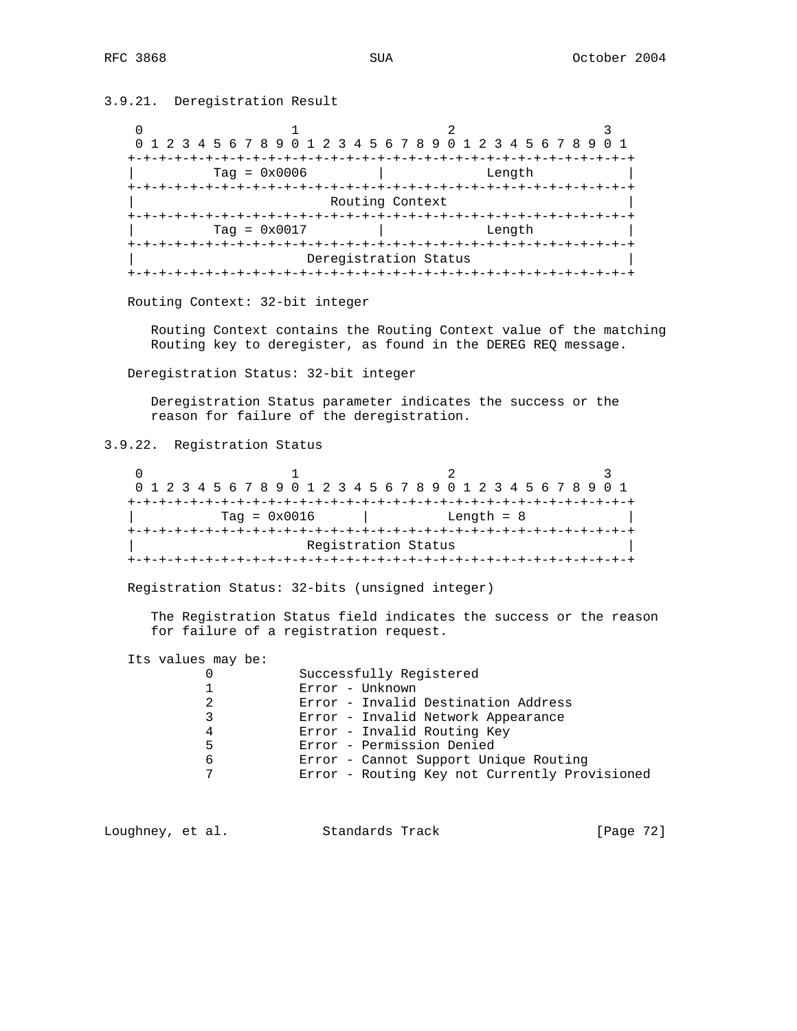3.9.21. Deregistration Result

| 0 1 2 3 4 5 6 7 8 9 0 1 2 3 4 5 6 7 8 9 0 1 2 3 4 5 6 7 8 9 |                       |           |
|-------------------------------------------------------------|-----------------------|-----------|
| +-+-+-+-+-+-+-+-+-+-+-+-+                                   |                       | -+-+-+-+- |
| $Tag = 0x0006$                                              | Length                |           |
|                                                             |                       |           |
|                                                             | Routing Context       |           |
|                                                             | -+-+-+-+-+-+-+-+-+-+  |           |
| $Tag = 0x0017$                                              | Length                |           |
|                                                             |                       |           |
|                                                             | Deregistration Status |           |
|                                                             | -+-+-+-+-+-+-+-+-+-+  |           |

Routing Context: 32-bit integer

 Routing Context contains the Routing Context value of the matching Routing key to deregister, as found in the DEREG REQ message.

Deregistration Status: 32-bit integer

 Deregistration Status parameter indicates the success or the reason for failure of the deregistration.

3.9.22. Registration Status

|  | 0 1 2 3 4 5 6 7 8 9 0 1 2 3 4 5 6 7 8 9 0 1 2 3 4 5 6 7 8 9 0 1 |  |  |  |  |  |  |  |  |  |  |                     |  |  |  |  |  |  |  |  |
|--|-----------------------------------------------------------------|--|--|--|--|--|--|--|--|--|--|---------------------|--|--|--|--|--|--|--|--|
|  |                                                                 |  |  |  |  |  |  |  |  |  |  |                     |  |  |  |  |  |  |  |  |
|  | $Taq = 0x0016$<br>Length $= 8$                                  |  |  |  |  |  |  |  |  |  |  |                     |  |  |  |  |  |  |  |  |
|  |                                                                 |  |  |  |  |  |  |  |  |  |  |                     |  |  |  |  |  |  |  |  |
|  |                                                                 |  |  |  |  |  |  |  |  |  |  | Registration Status |  |  |  |  |  |  |  |  |
|  |                                                                 |  |  |  |  |  |  |  |  |  |  |                     |  |  |  |  |  |  |  |  |

Registration Status: 32-bits (unsigned integer)

 The Registration Status field indicates the success or the reason for failure of a registration request.

Its values may be:

|                | Successfully Registered                       |
|----------------|-----------------------------------------------|
|                | Error - Unknown                               |
| $\mathfrak{D}$ | Error - Invalid Destination Address           |
| 3              | Error - Invalid Network Appearance            |
| 4              | Error - Invalid Routing Key                   |
| 5              | Error - Permission Denied                     |
| 6              | Error - Cannot Support Unique Routing         |
| 7              | Error - Routing Key not Currently Provisioned |
|                |                                               |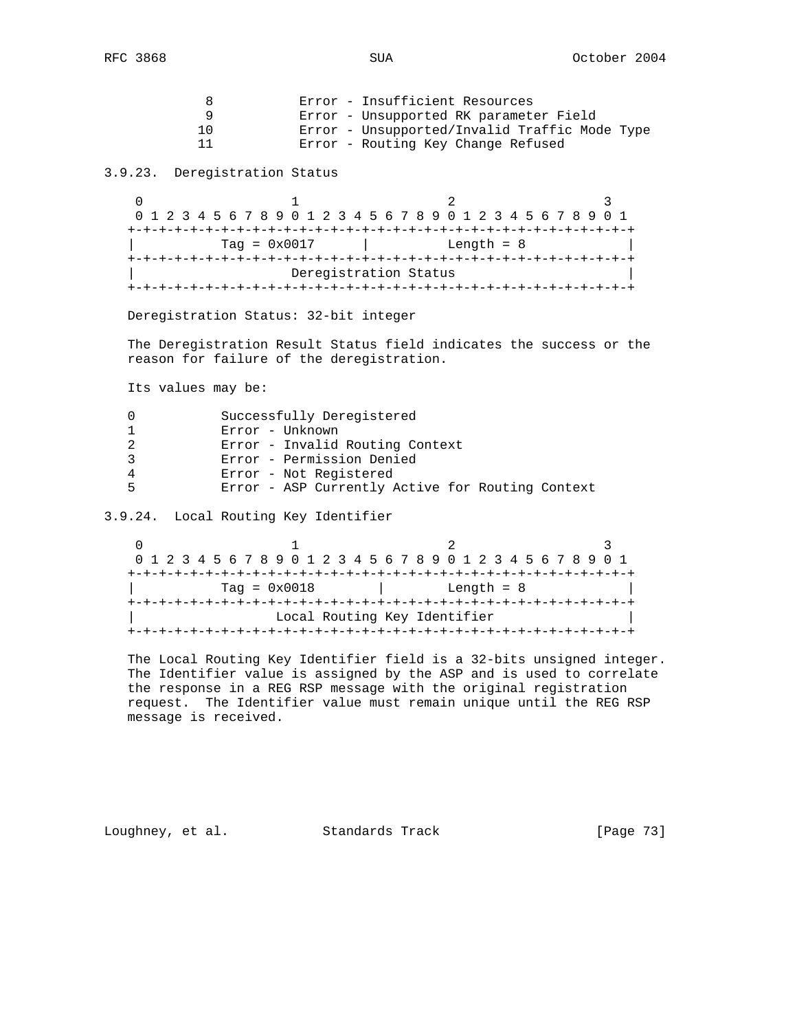| x   | Error - Insufficient Resources                |
|-----|-----------------------------------------------|
|     | Error - Unsupported RK parameter Field        |
| 1 ∩ | Error - Unsupported/Invalid Traffic Mode Type |
|     | Error - Routing Key Change Refused            |

3.9.23. Deregistration Status

 $\begin{array}{ccccccccccccc}\n0 & & & & 1 & & & & 2 & & & & 3\n\end{array}$  0 1 2 3 4 5 6 7 8 9 0 1 2 3 4 5 6 7 8 9 0 1 2 3 4 5 6 7 8 9 0 1 +-+-+-+-+-+-+-+-+-+-+-+-+-+-+-+-+-+-+-+-+-+-+-+-+-+-+-+-+-+-+-+-+  $Tag = 0x0017$  | Length = 8 +-+-+-+-+-+-+-+-+-+-+-+-+-+-+-+-+-+-+-+-+-+-+-+-+-+-+-+-+-+-+-+-+ Deregistration Status +-+-+-+-+-+-+-+-+-+-+-+-+-+-+-+-+-+-+-+-+-+-+-+-+-+-+-+-+-+-+-+-+

Deregistration Status: 32-bit integer

 The Deregistration Result Status field indicates the success or the reason for failure of the deregistration.

Its values may be:

|   | Successfully Deregistered                        |
|---|--------------------------------------------------|
|   | Error - Unknown                                  |
|   | Error - Invalid Routing Context                  |
|   | Error - Permission Denied                        |
|   | Error - Not Registered                           |
| ᄃ | Error - ASP Currently Active for Routing Context |

3.9.24. Local Routing Key Identifier

0  $1$  2 3 0 1 2 3 4 5 6 7 8 9 0 1 2 3 4 5 6 7 8 9 0 1 2 3 4 5 6 7 8 9 0 1 +-+-+-+-+-+-+-+-+-+-+-+-+-+-+-+-+-+-+-+-+-+-+-+-+-+-+-+-+-+-+-+-+ | Tag = 0x0018 | Length = 8 | +-+-+-+-+-+-+-+-+-+-+-+-+-+-+-+-+-+-+-+-+-+-+-+-+-+-+-+-+-+-+-+-+ Local Routing Key Identifier +-+-+-+-+-+-+-+-+-+-+-+-+-+-+-+-+-+-+-+-+-+-+-+-+-+-+-+-+-+-+-+-+

 The Local Routing Key Identifier field is a 32-bits unsigned integer. The Identifier value is assigned by the ASP and is used to correlate the response in a REG RSP message with the original registration request. The Identifier value must remain unique until the REG RSP message is received.

Loughney, et al. Standards Track [Page 73]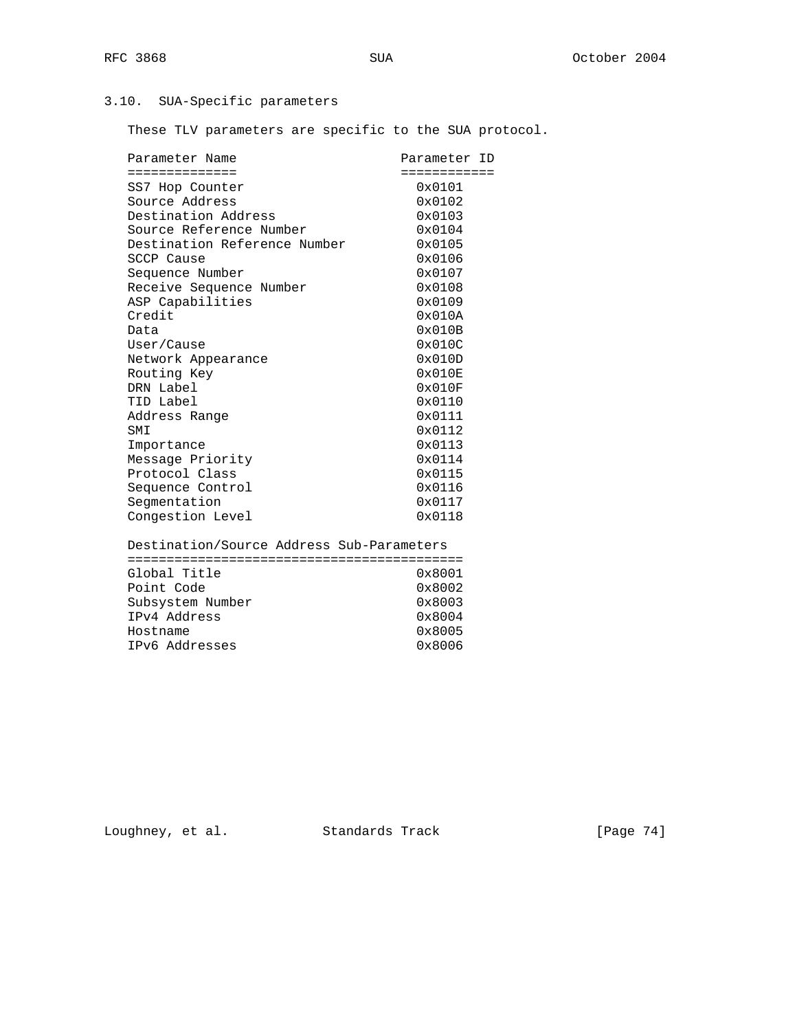# 3.10. SUA-Specific parameters

These TLV parameters are specific to the SUA protocol.

| Parameter Name                            | Parameter ID    |
|-------------------------------------------|-----------------|
| ==============                            | ============    |
| SS7 Hop Counter                           | $0 \times 0101$ |
| Source Address                            | 0x0102          |
| Destination Address                       | 0x0103          |
| Source Reference Number                   | 0x0104          |
| Destination Reference Number              | 0x0105          |
| SCCP Cause                                | $0 \times 0106$ |
| Sequence Number                           | 0x0107          |
| Receive Sequence Number                   | 0x0108          |
| ASP Capabilities                          | 0x0109          |
| Credit                                    | $0 \times 010A$ |
| Data                                      | $0 \times 010B$ |
| User/Cause                                | $0 \times 010C$ |
| Network Appearance                        | 0x010D          |
| Routing Key                               | 0x010E          |
| DRN Label                                 | 0x010F          |
| TID Label                                 | 0x0110          |
| Address Range                             | 0x0111          |
| SMI                                       | 0x0112          |
| Importance                                | 0x0113          |
| Message Priority                          | 0x0114          |
| Protocol Class                            | 0x0115          |
| Sequence Control                          | 0x0116          |
| Segmentation                              | 0x0117          |
| Congestion Level                          | 0x0118          |
| Destination/Source Address Sub-Parameters |                 |
|                                           |                 |
| Global Title                              | 0x8001          |
| Point Code                                | 0x8002          |
| Subsystem Number                          | 0x8003          |
| IPv4 Address                              | 0x8004          |
| Hostname                                  | 0x8005          |
| IPv6 Addresses                            | 0x8006          |

Loughney, et al. Standards Track [Page 74]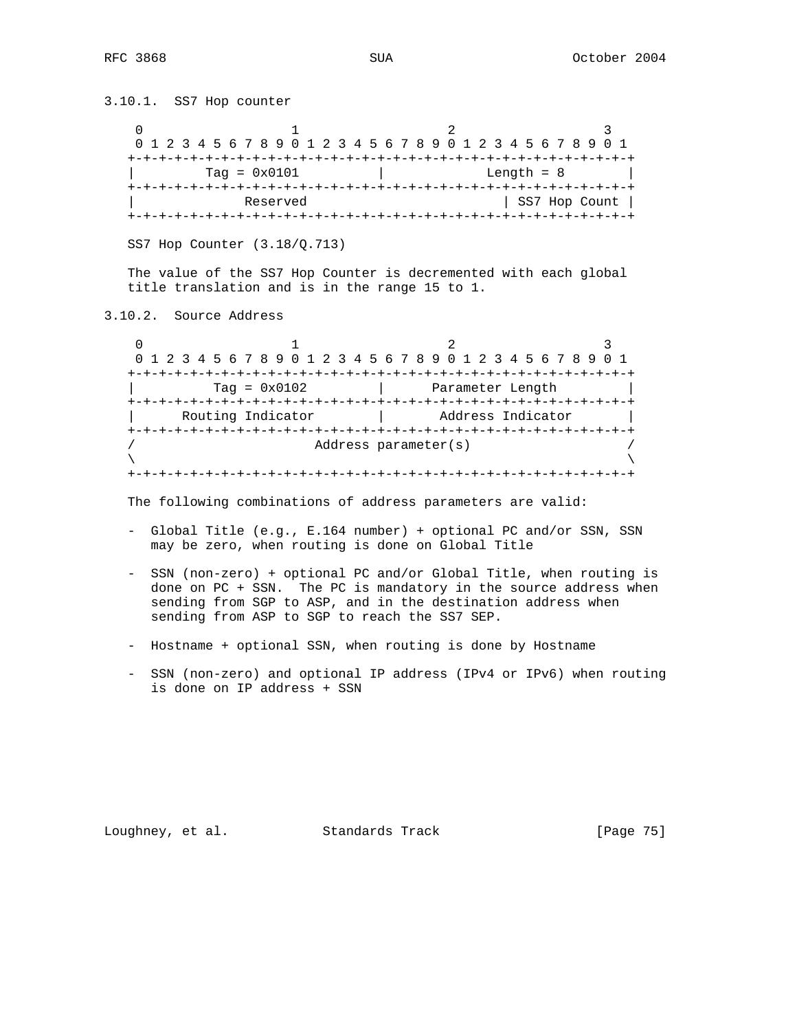3.10.1. SS7 Hop counter 0  $1$  2 3 0 1 2 3 4 5 6 7 8 9 0 1 2 3 4 5 6 7 8 9 0 1 2 3 4 5 6 7 8 9 0 1 +-+-+-+-+-+-+-+-+-+-+-+-+-+-+-+-+-+-+-+-+-+-+-+-+-+-+-+-+-+-+-+-+  $\text{Tag} = 0 \times 0101$  | Length = 8 | +-+-+-+-+-+-+-+-+-+-+-+-+-+-+-+-+-+-+-+-+-+-+-+-+-+-+-+-+-+-+-+-+ | Reserved | SS7 Hop Count | +-+-+-+-+-+-+-+-+-+-+-+-+-+-+-+-+-+-+-+-+-+-+-+-+-+-+-+-+-+-+-+-+ SS7 Hop Counter (3.18/Q.713) The value of the SS7 Hop Counter is decremented with each global title translation and is in the range 15 to 1. 3.10.2. Source Address 0  $1$   $2$   $3$  0 1 2 3 4 5 6 7 8 9 0 1 2 3 4 5 6 7 8 9 0 1 2 3 4 5 6 7 8 9 0 1 Address parameter(s)  $\lambda$  and  $\lambda$  and  $\lambda$  and  $\lambda$  and  $\lambda$  and  $\lambda$  and  $\lambda$  and  $\lambda$  and  $\lambda$  and  $\lambda$  and  $\lambda$  and  $\lambda$  and  $\lambda$  and  $\lambda$  and  $\lambda$  and  $\lambda$  and  $\lambda$  and  $\lambda$  and  $\lambda$  and  $\lambda$  and  $\lambda$  and  $\lambda$  and  $\lambda$  and  $\lambda$  and  $\lambda$ 

 +-+-+-+-+-+-+-+-+-+-+-+-+-+-+-+-+-+-+-+-+-+-+-+-+-+-+-+-+-+-+-+-+  $\text{Tag} = 0 \times 0102$  | Parameter Length | +-+-+-+-+-+-+-+-+-+-+-+-+-+-+-+-+-+-+-+-+-+-+-+-+-+-+-+-+-+-+-+-+ | Routing Indicator | Address Indicator | +-+-+-+-+-+-+-+-+-+-+-+-+-+-+-+-+-+-+-+-+-+-+-+-+-+-+-+-+-+-+-+-+ +-+-+-+-+-+-+-+-+-+-+-+-+-+-+-+-+-+-+-+-+-+-+-+-+-+-+-+-+-+-+-+-+

The following combinations of address parameters are valid:

- Global Title (e.g., E.164 number) + optional PC and/or SSN, SSN may be zero, when routing is done on Global Title
- SSN (non-zero) + optional PC and/or Global Title, when routing is done on PC + SSN. The PC is mandatory in the source address when sending from SGP to ASP, and in the destination address when sending from ASP to SGP to reach the SS7 SEP.
- Hostname + optional SSN, when routing is done by Hostname
- SSN (non-zero) and optional IP address (IPv4 or IPv6) when routing is done on IP address + SSN

Loughney, et al. Standards Track [Page 75]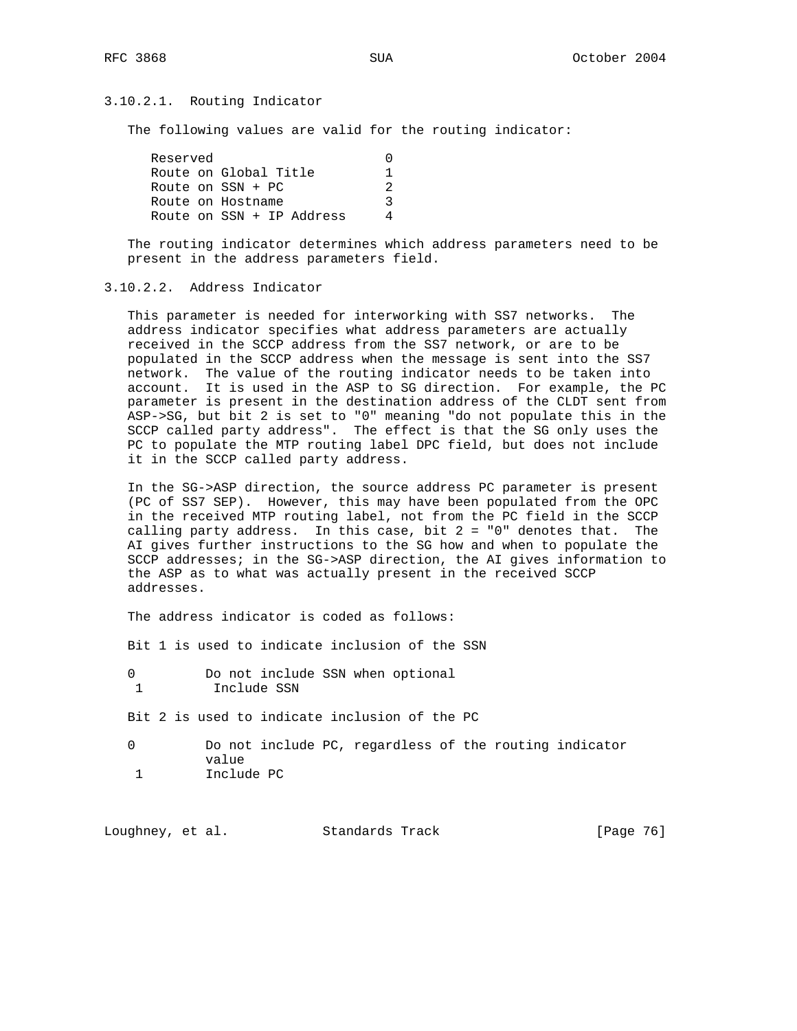## 3.10.2.1. Routing Indicator

The following values are valid for the routing indicator:

| Reserved |                           |    |
|----------|---------------------------|----|
|          | Route on Global Title     |    |
|          | Route on $SSN + PC$       | 2. |
|          | Route on Hostname         |    |
|          | Route on SSN + IP Address |    |

 The routing indicator determines which address parameters need to be present in the address parameters field.

## 3.10.2.2. Address Indicator

 This parameter is needed for interworking with SS7 networks. The address indicator specifies what address parameters are actually received in the SCCP address from the SS7 network, or are to be populated in the SCCP address when the message is sent into the SS7 network. The value of the routing indicator needs to be taken into account. It is used in the ASP to SG direction. For example, the PC parameter is present in the destination address of the CLDT sent from ASP->SG, but bit 2 is set to "0" meaning "do not populate this in the SCCP called party address". The effect is that the SG only uses the PC to populate the MTP routing label DPC field, but does not include it in the SCCP called party address.

 In the SG->ASP direction, the source address PC parameter is present (PC of SS7 SEP). However, this may have been populated from the OPC in the received MTP routing label, not from the PC field in the SCCP calling party address. In this case, bit  $2 = "0"$  denotes that. The AI gives further instructions to the SG how and when to populate the SCCP addresses; in the SG->ASP direction, the AI gives information to the ASP as to what was actually present in the received SCCP addresses.

The address indicator is coded as follows:

Bit 1 is used to indicate inclusion of the SSN

Bit 2 is used to indicate inclusion of the PC

 0 Do not include PC, regardless of the routing indicator value 1 Include PC

| Loughney, et al. |  | Standards Track | [Page 76] |  |
|------------------|--|-----------------|-----------|--|
|------------------|--|-----------------|-----------|--|

<sup>0</sup> Do not include SSN when optional 1 Include SSN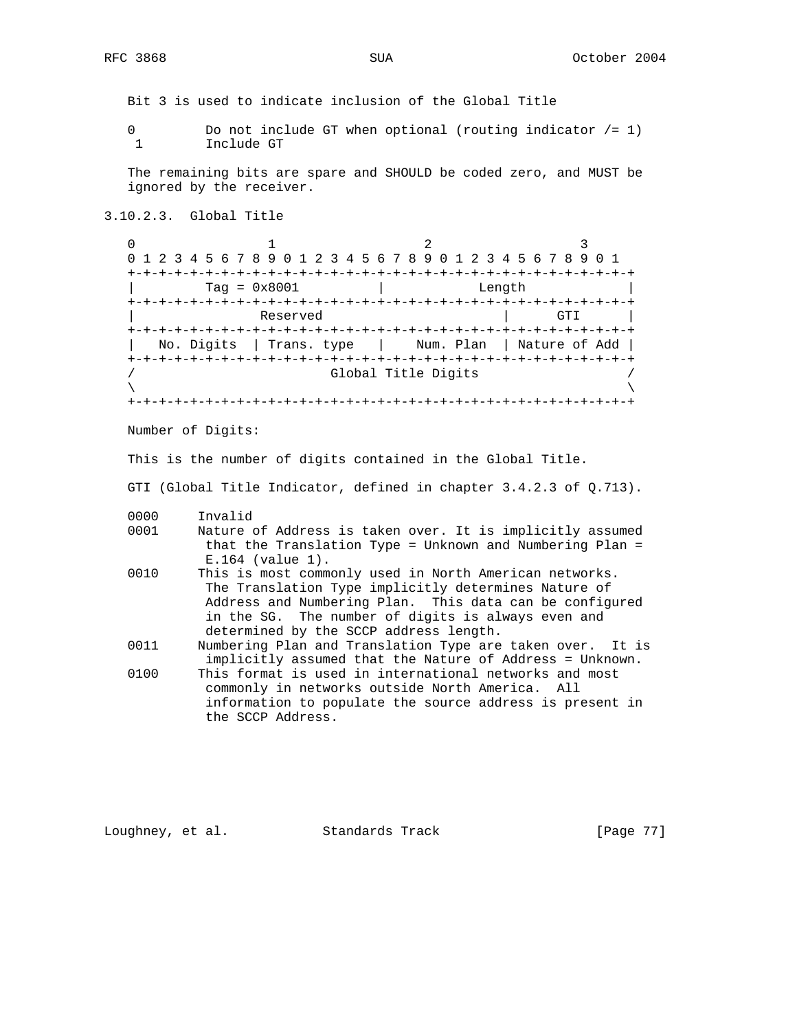Bit 3 is used to indicate inclusion of the Global Title

0 Do not include GT when optional (routing indicator /= 1) 1 Include GT

 The remaining bits are spare and SHOULD be coded zero, and MUST be ignored by the receiver.

3.10.2.3. Global Title

0  $1$  2 3 0 1 2 3 4 5 6 7 8 9 0 1 2 3 4 5 6 7 8 9 0 1 2 3 4 5 6 7 8 9 0 1 +-+-+-+-+-+-+-+-+-+-+-+-+-+-+-+-+-+-+-+-+-+-+-+-+-+-+-+-+-+-+-+-+ | Tag = 0x8001 | Length | +-+-+-+-+-+-+-+-+-+-+-+-+-+-+-+-+-+-+-+-+-+-+-+-+-+-+-+-+-+-+-+-+ | Reserved | GTI +-+-+-+-+-+-+-+-+-+-+-+-+-+-+-+-+-+-+-+-+-+-+-+-+-+-+-+-+-+-+-+-+ | No. Digits | Trans. type | Num. Plan | Nature of Add | +-+-+-+-+-+-+-+-+-+-+-+-+-+-+-+-+-+-+-+-+-+-+-+-+-+-+-+-+-+-+-+-+ Global Title Digits  $\lambda$  and  $\lambda$  and  $\lambda$  and  $\lambda$  and  $\lambda$  and  $\lambda$  and  $\lambda$  and  $\lambda$  and  $\lambda$  and  $\lambda$  and  $\lambda$  and  $\lambda$  and  $\lambda$  and  $\lambda$  and  $\lambda$  and  $\lambda$  and  $\lambda$  and  $\lambda$  and  $\lambda$  and  $\lambda$  and  $\lambda$  and  $\lambda$  and  $\lambda$  and  $\lambda$  and  $\lambda$  +-+-+-+-+-+-+-+-+-+-+-+-+-+-+-+-+-+-+-+-+-+-+-+-+-+-+-+-+-+-+-+-+

Number of Digits:

This is the number of digits contained in the Global Title.

GTI (Global Title Indicator, defined in chapter 3.4.2.3 of Q.713).

- 0000 Invalid<br>0001 Nature o
- Nature of Address is taken over. It is implicitly assumed that the Translation Type = Unknown and Numbering Plan = E.164 (value 1).
- 0010 This is most commonly used in North American networks. The Translation Type implicitly determines Nature of Address and Numbering Plan. This data can be configured in the SG. The number of digits is always even and determined by the SCCP address length.
- 0011 Numbering Plan and Translation Type are taken over. It is implicitly assumed that the Nature of Address = Unknown.
- 0100 This format is used in international networks and most commonly in networks outside North America. All information to populate the source address is present in the SCCP Address.

Loughney, et al. Standards Track [Page 77]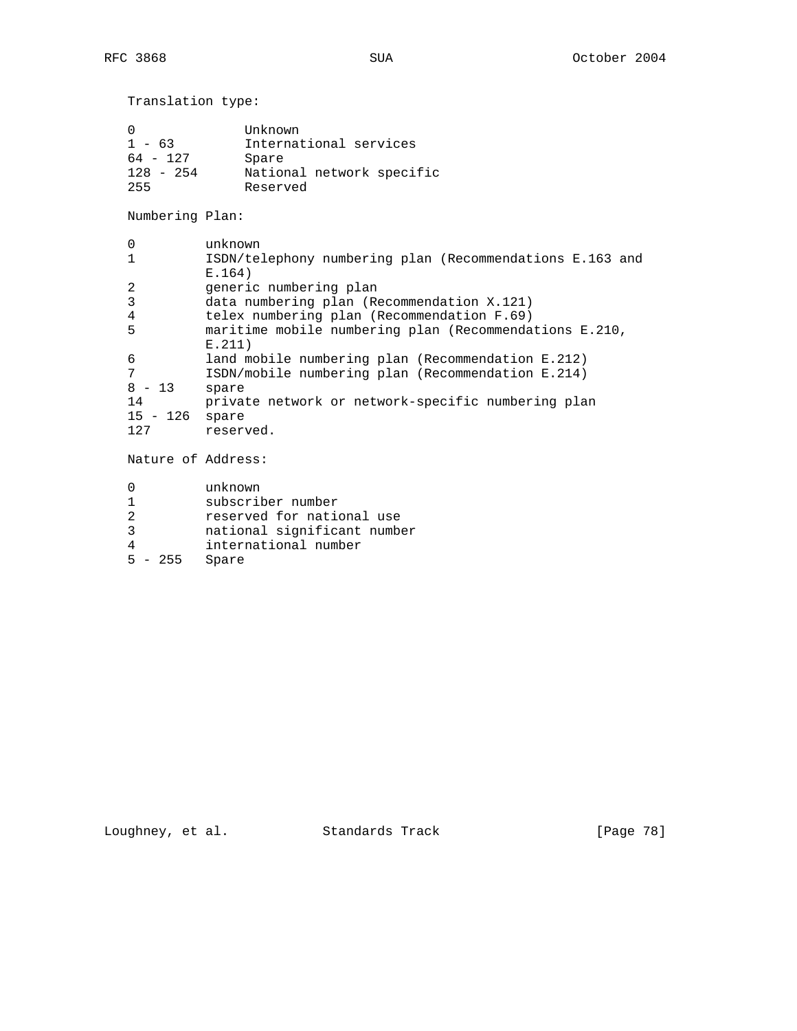| Translation type:                                        |                                                                                     |
|----------------------------------------------------------|-------------------------------------------------------------------------------------|
| $\Omega$<br>$1 - 63$<br>$64 - 127$<br>$128 - 254$<br>255 | Unknown<br>International services<br>Spare<br>National network specific<br>Reserved |
| Numbering Plan:                                          |                                                                                     |
| 0                                                        | unknown                                                                             |
| $\mathbf{1}$                                             | ISDN/telephony numbering plan (Recommendations E.163 and<br>E.164)                  |
| 2                                                        | generic numbering plan                                                              |
| 3                                                        | data numbering plan (Recommendation X.121)                                          |
| 4                                                        | telex numbering plan (Recommendation F.69)                                          |
| 5                                                        | maritime mobile numbering plan (Recommendations E.210,<br>E.211)                    |
| 6                                                        | land mobile numbering plan (Recommendation E.212)                                   |
| 7                                                        | ISDN/mobile numbering plan (Recommendation E.214)                                   |
| $8 - 13$                                                 | spare                                                                               |
| 14                                                       | private network or network-specific numbering plan                                  |
| 15 - 126                                                 | spare                                                                               |
| 127                                                      | reserved.                                                                           |
| Nature of Address:                                       |                                                                                     |
| 0                                                        | unknown                                                                             |
| $\mathbf{1}$                                             | subscriber number                                                                   |
| $\overline{2}$                                           | reserved for national use                                                           |
| 3                                                        | national significant number                                                         |

- 4 international number
- 5 255 Spare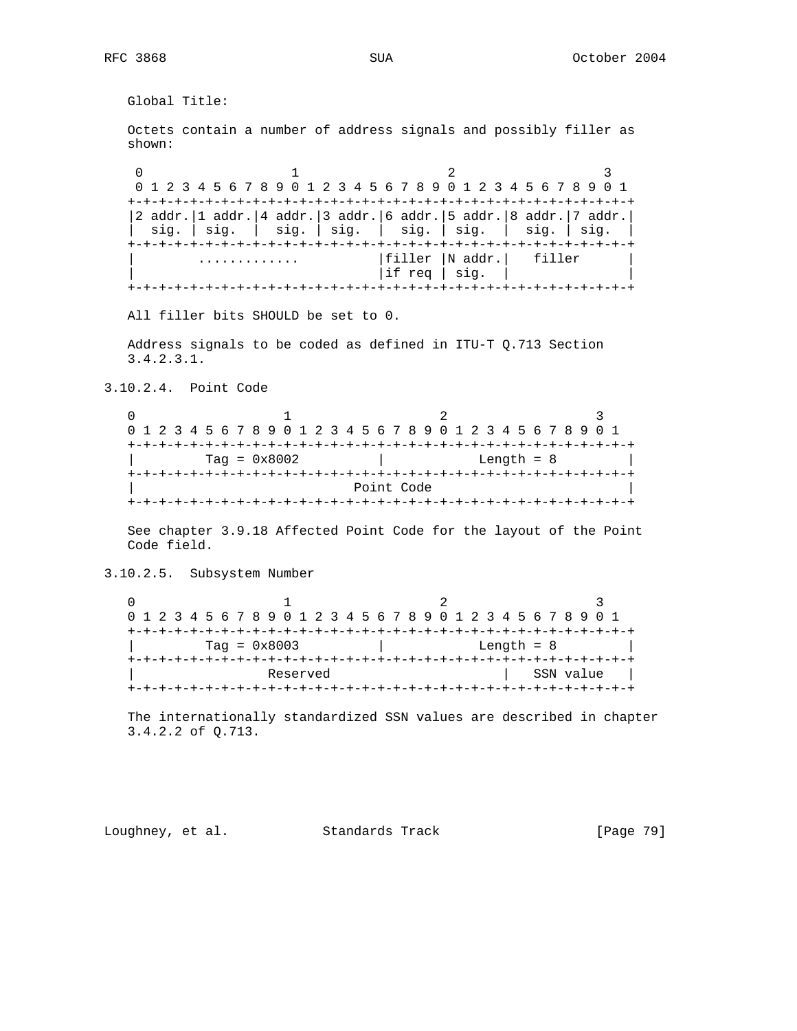Global Title: Octets contain a number of address signals and possibly filler as shown: 0  $1$  2 3 0 1 2 3 4 5 6 7 8 9 0 1 2 3 4 5 6 7 8 9 0 1 2 3 4 5 6 7 8 9 0 1 +-+-+-+-+-+-+-+-+-+-+-+-+-+-+-+-+-+-+-+-+-+-+-+-+-+-+-+-+-+-+-+-+ |2 addr.|1 addr.|4 addr.|3 addr.|6 addr.|5 addr.|8 addr.|7 addr.| | sig. | sig. | sig. | sig. | sig. | sig. | sig. | sig. | +-+-+-+-+-+-+-+-+-+-+-+-+-+-+-+-+-+-+-+-+-+-+-+-+-+-+-+-+-+-+-+-+ | ............. |filler |N addr.| filler | | if req | sig.  $\vert$  +-+-+-+-+-+-+-+-+-+-+-+-+-+-+-+-+-+-+-+-+-+-+-+-+-+-+-+-+-+-+-+-+ All filler bits SHOULD be set to 0. Address signals to be coded as defined in ITU-T Q.713 Section 3.4.2.3.1. 3.10.2.4. Point Code 0  $1$  2 3 0 1 2 3 4 5 6 7 8 9 0 1 2 3 4 5 6 7 8 9 0 1 2 3 4 5 6 7 8 9 0 1 +-+-+-+-+-+-+-+-+-+-+-+-+-+-+-+-+-+-+-+-+-+-+-+-+-+-+-+-+-+-+-+-+

 | Tag = 0x8002 | Length = 8 | +-+-+-+-+-+-+-+-+-+-+-+-+-+-+-+-+-+-+-+-+-+-+-+-+-+-+-+-+-+-+-+-+ Point Code +-+-+-+-+-+-+-+-+-+-+-+-+-+-+-+-+-+-+-+-+-+-+-+-+-+-+-+-+-+-+-+-+

 See chapter 3.9.18 Affected Point Code for the layout of the Point Code field.

3.10.2.5. Subsystem Number

|                | 0 1 2 3 4 5 6 7 8 9 0 1 2 3 4 5 6 7 8 9 0 1 2 3 4 5 6 7 8 9 0 1 |           |
|----------------|-----------------------------------------------------------------|-----------|
|                |                                                                 |           |
| $Taq = 0x8003$ | Length $= 8$                                                    |           |
|                |                                                                 |           |
| Reserved       |                                                                 | SSN value |
|                |                                                                 |           |

 The internationally standardized SSN values are described in chapter 3.4.2.2 of Q.713.

Loughney, et al. Standards Track [Page 79]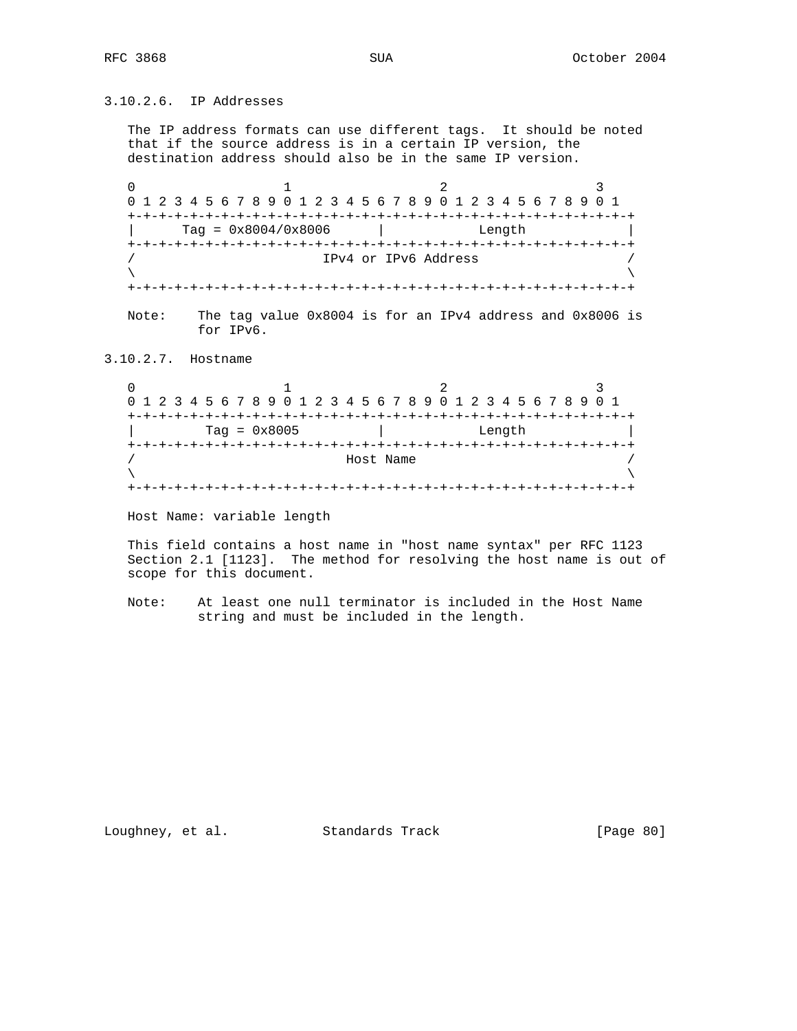3.10.2.6. IP Addresses

 The IP address formats can use different tags. It should be noted that if the source address is in a certain IP version, the destination address should also be in the same IP version.

0  $1$  2 3 0 1 2 3 4 5 6 7 8 9 0 1 2 3 4 5 6 7 8 9 0 1 2 3 4 5 6 7 8 9 0 1 +-+-+-+-+-+-+-+-+-+-+-+-+-+-+-+-+-+-+-+-+-+-+-+-+-+-+-+-+-+-+-+-+ | Tag = 0x8004/0x8006 | Length | +-+-+-+-+-+-+-+-+-+-+-+-+-+-+-+-+-+-+-+-+-+-+-+-+-+-+-+-+-+-+-+-+ / IPv4 or IPv6 Address /  $\lambda$  and  $\lambda$  and  $\lambda$  and  $\lambda$  and  $\lambda$  and  $\lambda$  and  $\lambda$  and  $\lambda$  and  $\lambda$  and  $\lambda$  and  $\lambda$  and  $\lambda$  and  $\lambda$  and  $\lambda$  and  $\lambda$  and  $\lambda$  and  $\lambda$  and  $\lambda$  and  $\lambda$  and  $\lambda$  and  $\lambda$  and  $\lambda$  and  $\lambda$  and  $\lambda$  and  $\lambda$  +-+-+-+-+-+-+-+-+-+-+-+-+-+-+-+-+-+-+-+-+-+-+-+-+-+-+-+-+-+-+-+-+

 Note: The tag value 0x8004 is for an IPv4 address and 0x8006 is for IPv6.

3.10.2.7. Hostname

0  $1$   $2$   $3$  0 1 2 3 4 5 6 7 8 9 0 1 2 3 4 5 6 7 8 9 0 1 2 3 4 5 6 7 8 9 0 1 +-+-+-+-+-+-+-+-+-+-+-+-+-+-+-+-+-+-+-+-+-+-+-+-+-+-+-+-+-+-+-+-+ | Tag = 0x8005 | Length | +-+-+-+-+-+-+-+-+-+-+-+-+-+-+-+-+-+-+-+-+-+-+-+-+-+-+-+-+-+-+-+-+ Host Name  $\lambda$  and  $\lambda$  and  $\lambda$  and  $\lambda$  and  $\lambda$  and  $\lambda$  and  $\lambda$  and  $\lambda$  and  $\lambda$  and  $\lambda$  and  $\lambda$  and  $\lambda$  and  $\lambda$  and  $\lambda$  and  $\lambda$  and  $\lambda$  and  $\lambda$  and  $\lambda$  and  $\lambda$  and  $\lambda$  and  $\lambda$  and  $\lambda$  and  $\lambda$  and  $\lambda$  and  $\lambda$  +-+-+-+-+-+-+-+-+-+-+-+-+-+-+-+-+-+-+-+-+-+-+-+-+-+-+-+-+-+-+-+-+

Host Name: variable length

 This field contains a host name in "host name syntax" per RFC 1123 Section 2.1 [1123]. The method for resolving the host name is out of scope for this document.

 Note: At least one null terminator is included in the Host Name string and must be included in the length.

Loughney, et al. Standards Track [Page 80]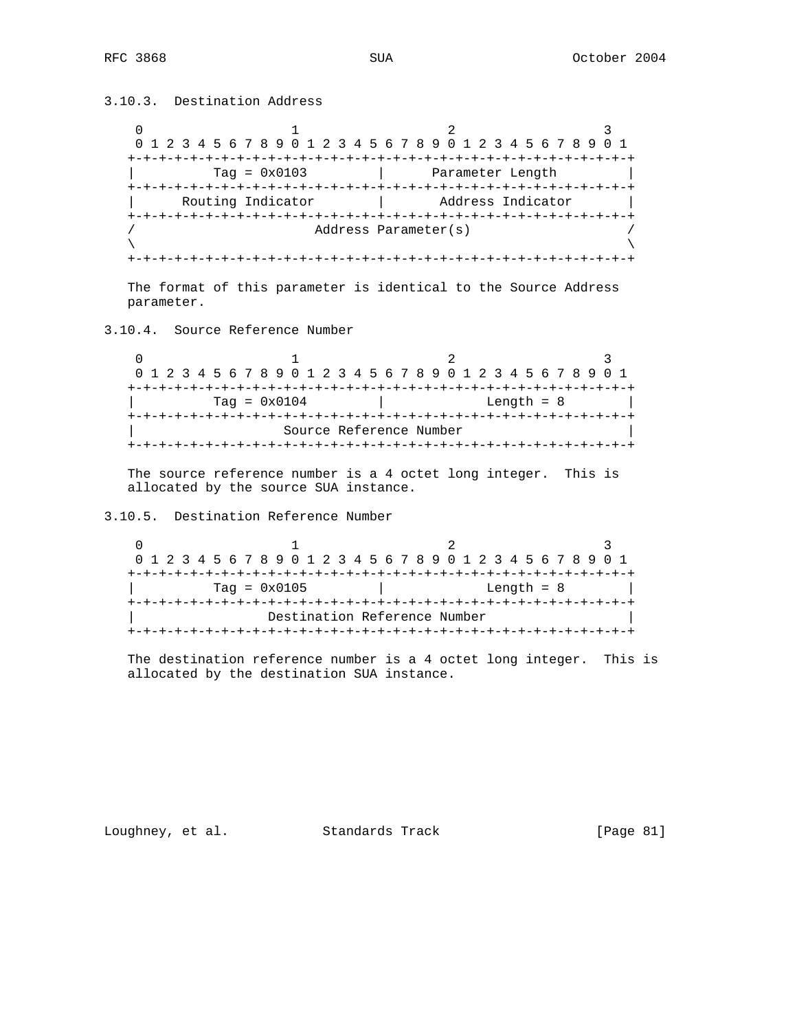3.10.3. Destination Address

0  $1$  2 3 0 1 2 3 4 5 6 7 8 9 0 1 2 3 4 5 6 7 8 9 0 1 2 3 4 5 6 7 8 9 0 1 +-+-+-+-+-+-+-+-+-+-+-+-+-+-+-+-+-+-+-+-+-+-+-+-+-+-+-+-+-+-+-+-+ Tag = 0x0103 | Parameter Length +-+-+-+-+-+-+-+-+-+-+-+-+-+-+-+-+-+-+-+-+-+-+-+-+-+-+-+-+-+-+-+-+ Routing Indicator | Address Indicator +-+-+-+-+-+-+-+-+-+-+-+-+-+-+-+-+-+-+-+-+-+-+-+-+-+-+-+-+-+-+-+-+ / Address Parameter(s) /  $\lambda$  and  $\lambda$  and  $\lambda$  and  $\lambda$  and  $\lambda$  and  $\lambda$  and  $\lambda$  and  $\lambda$  and  $\lambda$  and  $\lambda$  and  $\lambda$  and  $\lambda$  and  $\lambda$  and  $\lambda$  and  $\lambda$  and  $\lambda$  and  $\lambda$  and  $\lambda$  and  $\lambda$  and  $\lambda$  and  $\lambda$  and  $\lambda$  and  $\lambda$  and  $\lambda$  and  $\lambda$  +-+-+-+-+-+-+-+-+-+-+-+-+-+-+-+-+-+-+-+-+-+-+-+-+-+-+-+-+-+-+-+-+

 The format of this parameter is identical to the Source Address parameter.

3.10.4. Source Reference Number

0  $1$  2 3 0 1 2 3 4 5 6 7 8 9 0 1 2 3 4 5 6 7 8 9 0 1 2 3 4 5 6 7 8 9 0 1 +-+-+-+-+-+-+-+-+-+-+-+-+-+-+-+-+-+-+-+-+-+-+-+-+-+-+-+-+-+-+-+-+ | Tag = 0x0104 | Length = 8 | +-+-+-+-+-+-+-+-+-+-+-+-+-+-+-+-+-+-+-+-+-+-+-+-+-+-+-+-+-+-+-+-+ Source Reference Number +-+-+-+-+-+-+-+-+-+-+-+-+-+-+-+-+-+-+-+-+-+-+-+-+-+-+-+-+-+-+-+-+

 The source reference number is a 4 octet long integer. This is allocated by the source SUA instance.

3.10.5. Destination Reference Number

0  $1$  2 3 0 1 2 3 4 5 6 7 8 9 0 1 2 3 4 5 6 7 8 9 0 1 2 3 4 5 6 7 8 9 0 1 +-+-+-+-+-+-+-+-+-+-+-+-+-+-+-+-+-+-+-+-+-+-+-+-+-+-+-+-+-+-+-+-+ | Tag = 0x0105 | Length = 8 | +-+-+-+-+-+-+-+-+-+-+-+-+-+-+-+-+-+-+-+-+-+-+-+-+-+-+-+-+-+-+-+-+ Destination Reference Number +-+-+-+-+-+-+-+-+-+-+-+-+-+-+-+-+-+-+-+-+-+-+-+-+-+-+-+-+-+-+-+-+

 The destination reference number is a 4 octet long integer. This is allocated by the destination SUA instance.

Loughney, et al. Standards Track [Page 81]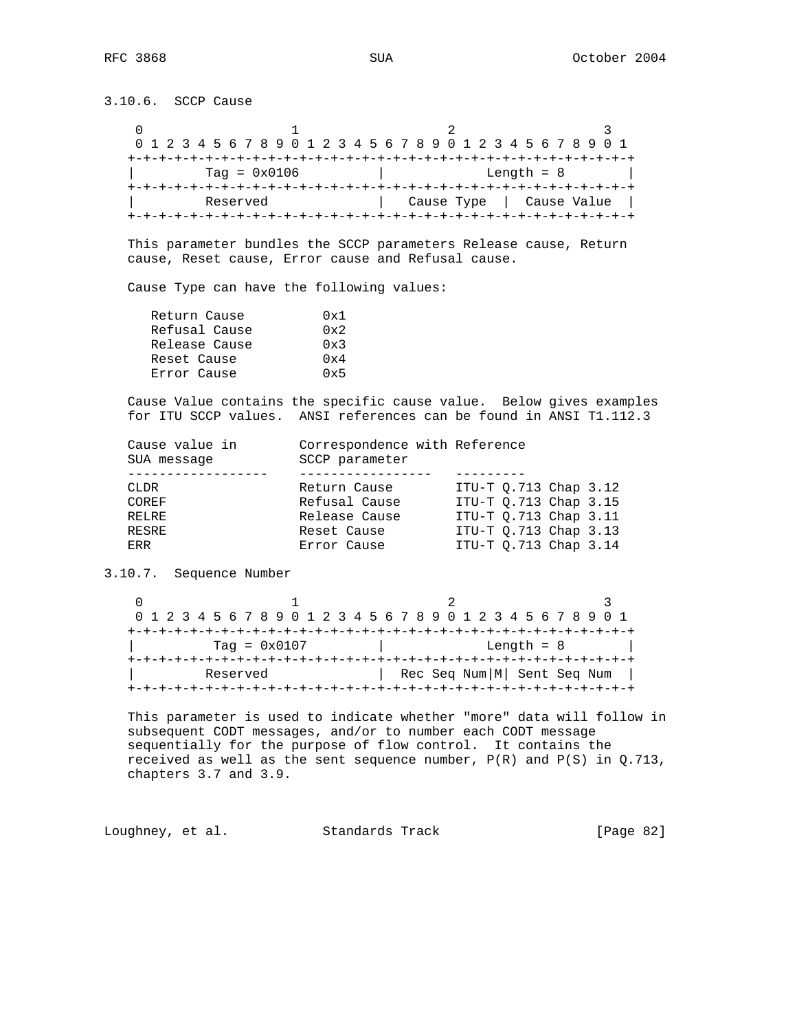3.10.6. SCCP Cause

|                | 0 1 2 3 4 5 6 7 8 9 0 1 2 3 4 5 6 7 8 9 0 1 2 3 4 5 6 7 8 9 0 1 |             |  |  |  |  |  |  |  |  |
|----------------|-----------------------------------------------------------------|-------------|--|--|--|--|--|--|--|--|
|                |                                                                 |             |  |  |  |  |  |  |  |  |
| $Taq = 0x0106$ | Length $= 8$                                                    |             |  |  |  |  |  |  |  |  |
|                |                                                                 |             |  |  |  |  |  |  |  |  |
| Reserved       | Cause Type                                                      | Cause Value |  |  |  |  |  |  |  |  |
|                |                                                                 |             |  |  |  |  |  |  |  |  |

 This parameter bundles the SCCP parameters Release cause, Return cause, Reset cause, Error cause and Refusal cause.

Cause Type can have the following values:

| Return Cause  | 0x1          |
|---------------|--------------|
| Refusal Cause | $0 \times 2$ |
| Release Cause | 0x3          |
| Reset Cause   | 0x4          |
| Error Cause   | 0x5          |
|               |              |

 Cause Value contains the specific cause value. Below gives examples for ITU SCCP values. ANSI references can be found in ANSI T1.112.3

| Cause value in<br>SUA message | Correspondence with Reference<br>SCCP parameter |                           |  |
|-------------------------------|-------------------------------------------------|---------------------------|--|
|                               |                                                 |                           |  |
| <b>CLDR</b>                   | Return Cause                                    | ITU-T $0.713$ Chap $3.12$ |  |
| COREF                         | Refusal Cause                                   | ITU-T Q.713 Chap 3.15     |  |
| RELRE                         | Release Cause                                   | ITU-T 0.713 Chap 3.11     |  |
| <b>RESRE</b>                  | Reset Cause                                     | ITU-T 0.713 Chap 3.13     |  |
| ERR                           | Error Cause                                     | ITU-T 0.713 Chap 3.14     |  |

3.10.7. Sequence Number

| 0 1 2 3 4 5 6 7 8 9 0 1 2 3 4 5 6 7 8 9 0 1 2 3 4 5 6 7 8 9 0 1 |  |  |  |  |  |  |  |  |  |  |  |  |  |              |  |                                |  |                                   |  |  |  |  |  |  |  |  |  |  |  |  |
|-----------------------------------------------------------------|--|--|--|--|--|--|--|--|--|--|--|--|--|--------------|--|--------------------------------|--|-----------------------------------|--|--|--|--|--|--|--|--|--|--|--|--|
|                                                                 |  |  |  |  |  |  |  |  |  |  |  |  |  |              |  |                                |  | --+-+-+-+-+-+-+-+-+-+-+-+-+-+-+-+ |  |  |  |  |  |  |  |  |  |  |  |  |
| $Taq = 0x0107$                                                  |  |  |  |  |  |  |  |  |  |  |  |  |  | Length $= 8$ |  |                                |  |                                   |  |  |  |  |  |  |  |  |  |  |  |  |
|                                                                 |  |  |  |  |  |  |  |  |  |  |  |  |  |              |  |                                |  |                                   |  |  |  |  |  |  |  |  |  |  |  |  |
| Reserved                                                        |  |  |  |  |  |  |  |  |  |  |  |  |  |              |  | Rec Seq Num   M   Sent Seq Num |  |                                   |  |  |  |  |  |  |  |  |  |  |  |  |
|                                                                 |  |  |  |  |  |  |  |  |  |  |  |  |  |              |  |                                |  |                                   |  |  |  |  |  |  |  |  |  |  |  |  |

 This parameter is used to indicate whether "more" data will follow in subsequent CODT messages, and/or to number each CODT message sequentially for the purpose of flow control. It contains the received as well as the sent sequence number,  $P(R)$  and  $P(S)$  in  $Q.713$ , chapters 3.7 and 3.9.

Loughney, et al. Standards Track [Page 82]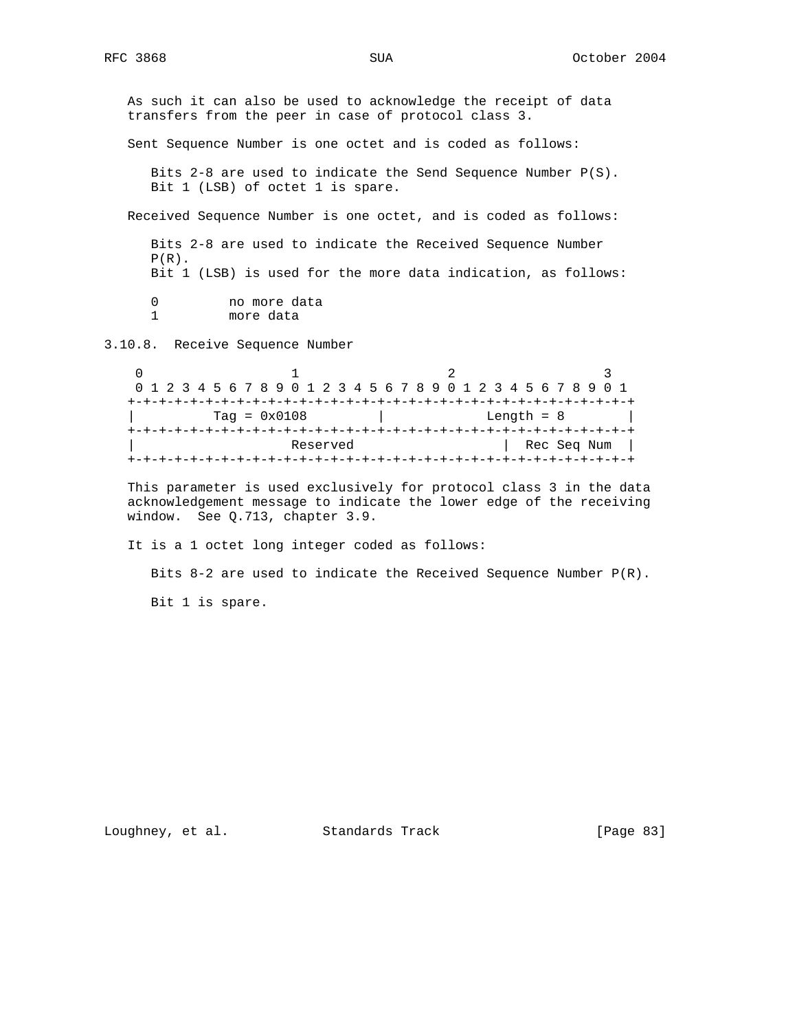As such it can also be used to acknowledge the receipt of data transfers from the peer in case of protocol class 3. Sent Sequence Number is one octet and is coded as follows: Bits 2-8 are used to indicate the Send Sequence Number P(S). Bit 1 (LSB) of octet 1 is spare. Received Sequence Number is one octet, and is coded as follows: Bits 2-8 are used to indicate the Received Sequence Number  $P(R)$ . Bit 1 (LSB) is used for the more data indication, as follows: 0 no more data<br>1 more data more data 3.10.8. Receive Sequence Number  $\begin{array}{ccc} 0 & 1 & 2 \end{array}$ 

 0 1 2 3 4 5 6 7 8 9 0 1 2 3 4 5 6 7 8 9 0 1 2 3 4 5 6 7 8 9 0 1 +-+-+-+-+-+-+-+-+-+-+-+-+-+-+-+-+-+-+-+-+-+-+-+-+-+-+-+-+-+-+-+-+ | Tag = 0x0108 | Length = 8 | +-+-+-+-+-+-+-+-+-+-+-+-+-+-+-+-+-+-+-+-+-+-+-+-+-+-+-+-+-+-+-+-+ Reserved | Rec Seq Num | +-+-+-+-+-+-+-+-+-+-+-+-+-+-+-+-+-+-+-+-+-+-+-+-+-+-+-+-+-+-+-+-+

 This parameter is used exclusively for protocol class 3 in the data acknowledgement message to indicate the lower edge of the receiving window. See Q.713, chapter 3.9.

It is a 1 octet long integer coded as follows:

 Bits 8-2 are used to indicate the Received Sequence Number P(R). Bit 1 is spare.

Loughney, et al. Standards Track [Page 83]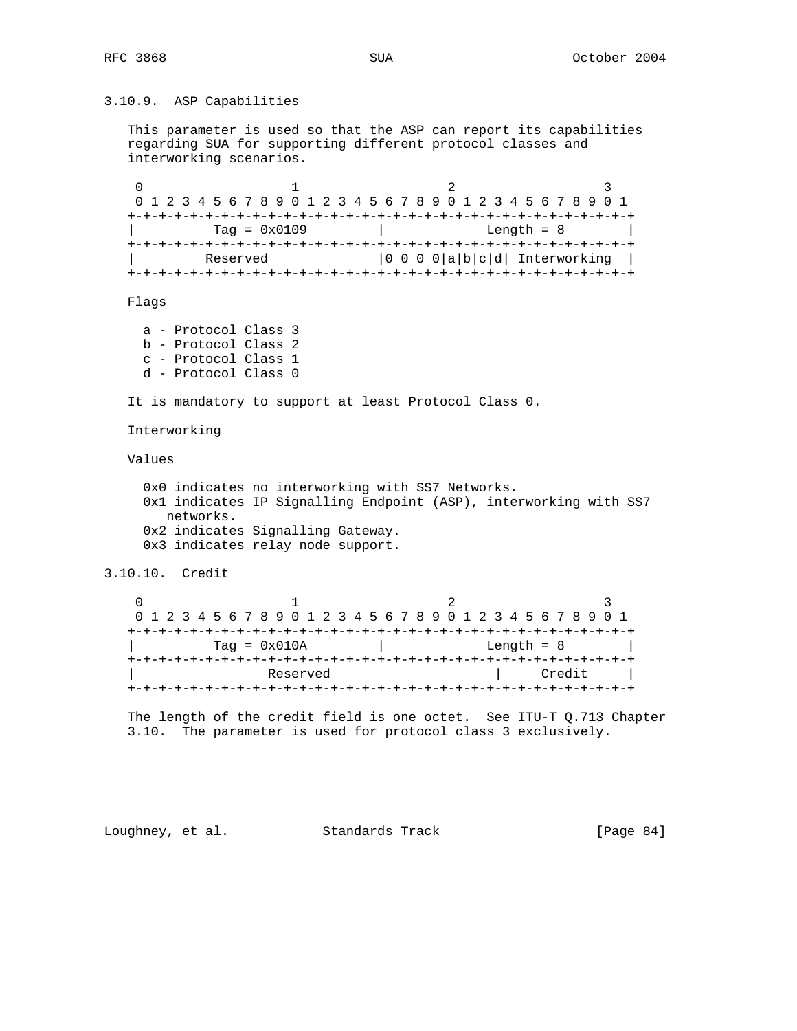## 3.10.9. ASP Capabilities

 This parameter is used so that the ASP can report its capabilities regarding SUA for supporting different protocol classes and interworking scenarios.

0  $1$  2 3 0 1 2 3 4 5 6 7 8 9 0 1 2 3 4 5 6 7 8 9 0 1 2 3 4 5 6 7 8 9 0 1 +-+-+-+-+-+-+-+-+-+-+-+-+-+-+-+-+-+-+-+-+-+-+-+-+-+-+-+-+-+-+-+-+ Tag = 0x0109 | Length = 8 | +-+-+-+-+-+-+-+-+-+-+-+-+-+-+-+-+-+-+-+-+-+-+-+-+-+-+-+-+-+-+-+-+ Reserved  $|0 0 0 0 |a|b|c|d|$  Interworking | +-+-+-+-+-+-+-+-+-+-+-+-+-+-+-+-+-+-+-+-+-+-+-+-+-+-+-+-+-+-+-+-+

Flags

 a - Protocol Class 3 b - Protocol Class 2 c - Protocol Class 1 d - Protocol Class 0

It is mandatory to support at least Protocol Class 0.

Interworking

### Values

 0x0 indicates no interworking with SS7 Networks. 0x1 indicates IP Signalling Endpoint (ASP), interworking with SS7 networks. 0x2 indicates Signalling Gateway. 0x3 indicates relay node support.

#### 3.10.10. Credit

| 0 1 2 3 4 5 6 7 8 9 0 1 2 3 4 5 6 7 8 9 0 1 2 3 4 5 6 7 8 9 0 1 |  |  |  |  |                |  |  |  |  |          |  |  |  |  |  |  |  |  |              |        |  |  |
|-----------------------------------------------------------------|--|--|--|--|----------------|--|--|--|--|----------|--|--|--|--|--|--|--|--|--------------|--------|--|--|
|                                                                 |  |  |  |  |                |  |  |  |  |          |  |  |  |  |  |  |  |  |              |        |  |  |
|                                                                 |  |  |  |  | $Taq = 0x010A$ |  |  |  |  |          |  |  |  |  |  |  |  |  | Length $= 8$ |        |  |  |
|                                                                 |  |  |  |  |                |  |  |  |  |          |  |  |  |  |  |  |  |  |              |        |  |  |
|                                                                 |  |  |  |  |                |  |  |  |  | Reserved |  |  |  |  |  |  |  |  |              | Credit |  |  |
|                                                                 |  |  |  |  |                |  |  |  |  |          |  |  |  |  |  |  |  |  |              |        |  |  |

 The length of the credit field is one octet. See ITU-T Q.713 Chapter 3.10. The parameter is used for protocol class 3 exclusively.

Loughney, et al. Standards Track [Page 84]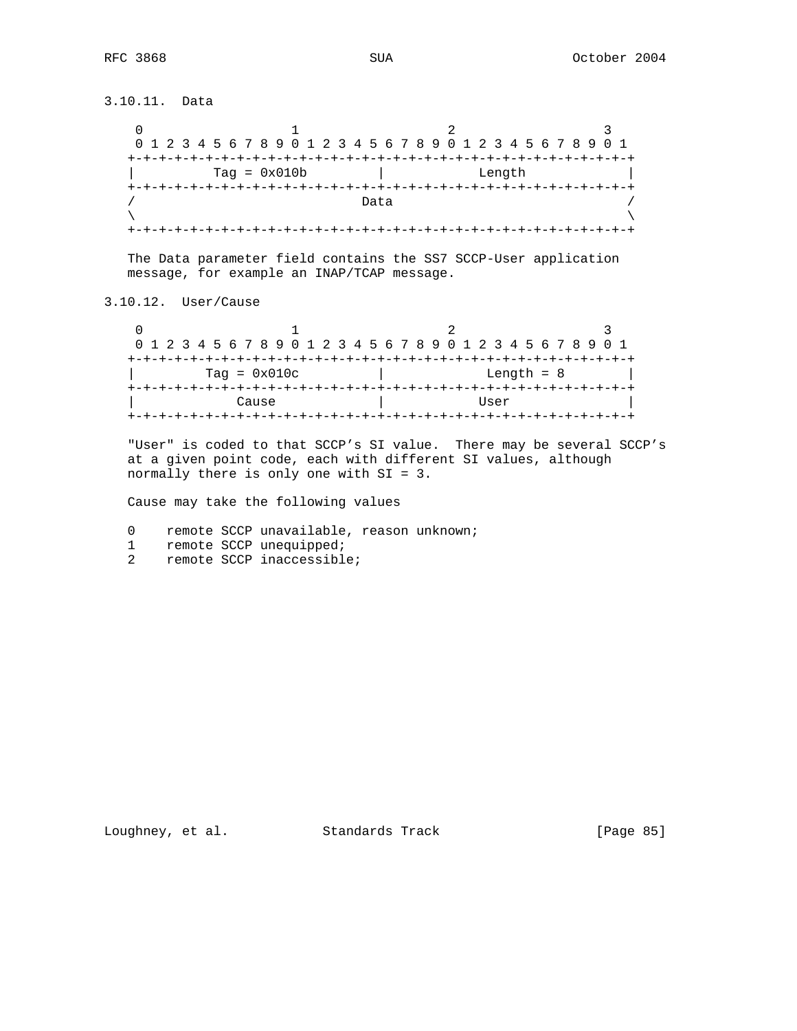3.10.11. Data  $\begin{array}{ccccccccccccc}\n0 & & & & 1 & & & & 2 & & & 3\n\end{array}$  0 1 2 3 4 5 6 7 8 9 0 1 2 3 4 5 6 7 8 9 0 1 2 3 4 5 6 7 8 9 0 1 +-+-+-+-+-+-+-+-+-+-+-+-+-+-+-+-+-+-+-+-+-+-+-+-+-+-+-+-+-+-+-+-+ | Tag = 0x010b | Length | +-+-+-+-+-+-+-+-+-+-+-+-+-+-+-+-+-+-+-+-+-+-+-+-+-+-+-+-+-+-+-+-+  $/$  Data  $/$  $\lambda$  and  $\lambda$  and  $\lambda$  and  $\lambda$  and  $\lambda$  and  $\lambda$  and  $\lambda$  and  $\lambda$  and  $\lambda$  and  $\lambda$  and  $\lambda$  and  $\lambda$  and  $\lambda$  and  $\lambda$  and  $\lambda$  and  $\lambda$  and  $\lambda$  and  $\lambda$  and  $\lambda$  and  $\lambda$  and  $\lambda$  and  $\lambda$  and  $\lambda$  and  $\lambda$  and  $\lambda$  +-+-+-+-+-+-+-+-+-+-+-+-+-+-+-+-+-+-+-+-+-+-+-+-+-+-+-+-+-+-+-+-+ The Data parameter field contains the SS7 SCCP-User application message, for example an INAP/TCAP message. 3.10.12. User/Cause 0  $1$  2 3

 0 1 2 3 4 5 6 7 8 9 0 1 2 3 4 5 6 7 8 9 0 1 2 3 4 5 6 7 8 9 0 1 +-+-+-+-+-+-+-+-+-+-+-+-+-+-+-+-+-+-+-+-+-+-+-+-+-+-+-+-+-+-+-+-+ | Tag = 0x010c | Length = 8 | +-+-+-+-+-+-+-+-+-+-+-+-+-+-+-+-+-+-+-+-+-+-+-+-+-+-+-+-+-+-+-+-+ | Cause | User +-+-+-+-+-+-+-+-+-+-+-+-+-+-+-+-+-+-+-+-+-+-+-+-+-+-+-+-+-+-+-+-+

 "User" is coded to that SCCP's SI value. There may be several SCCP's at a given point code, each with different SI values, although normally there is only one with SI = 3.

Cause may take the following values

- 0 remote SCCP unavailable, reason unknown;
- 1 remote SCCP unequipped;
- 2 remote SCCP inaccessible;

Loughney, et al. Standards Track [Page 85]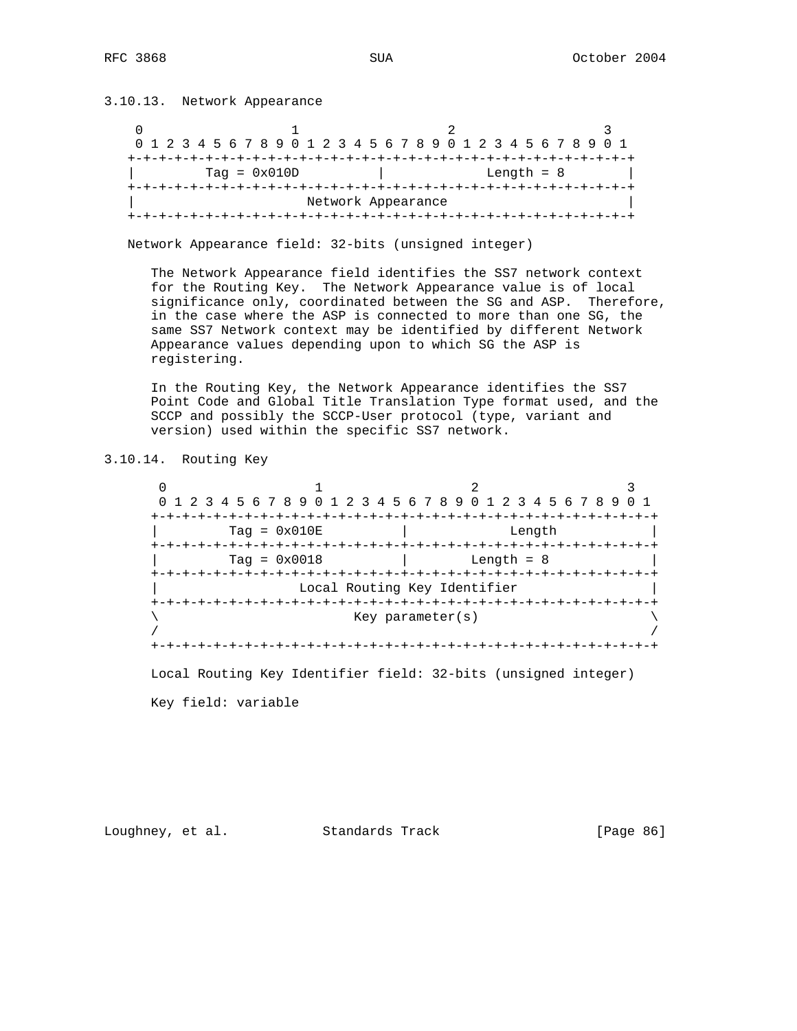3.10.13. Network Appearance 0  $1$  2 3 0 1 2 3 4 5 6 7 8 9 0 1 2 3 4 5 6 7 8 9 0 1 2 3 4 5 6 7 8 9 0 1 +-+-+-+-+-+-+-+-+-+-+-+-+-+-+-+-+-+-+-+-+-+-+-+-+-+-+-+-+-+-+-+-+  $\vert$  Tag = 0x010D  $\vert$  Length = 8  $\vert$  +-+-+-+-+-+-+-+-+-+-+-+-+-+-+-+-+-+-+-+-+-+-+-+-+-+-+-+-+-+-+-+-+ Network Appearance +-+-+-+-+-+-+-+-+-+-+-+-+-+-+-+-+-+-+-+-+-+-+-+-+-+-+-+-+-+-+-+-+

Network Appearance field: 32-bits (unsigned integer)

 The Network Appearance field identifies the SS7 network context for the Routing Key. The Network Appearance value is of local significance only, coordinated between the SG and ASP. Therefore, in the case where the ASP is connected to more than one SG, the same SS7 Network context may be identified by different Network Appearance values depending upon to which SG the ASP is registering.

 In the Routing Key, the Network Appearance identifies the SS7 Point Code and Global Title Translation Type format used, and the SCCP and possibly the SCCP-User protocol (type, variant and version) used within the specific SS7 network.

3.10.14. Routing Key

 $0$  1 2 3 0 1 2 3 4 5 6 7 8 9 0 1 2 3 4 5 6 7 8 9 0 1 2 3 4 5 6 7 8 9 0 1 +-+-+-+-+-+-+-+-+-+-+-+-+-+-+-+-+-+-+-+-+-+-+-+-+-+-+-+-+-+-+-+-+ Tag =  $0x010E$  | Length +-+-+-+-+-+-+-+-+-+-+-+-+-+-+-+-+-+-+-+-+-+-+-+-+-+-+-+-+-+-+-+-+  $Tag = 0x0018$  | Length = 8 +-+-+-+-+-+-+-+-+-+-+-+-+-+-+-+-+-+-+-+-+-+-+-+-+-+-+-+-+-+-+-+-+ Local Routing Key Identifier +-+-+-+-+-+-+-+-+-+-+-+-+-+-+-+-+-+-+-+-+-+-+-+-+-+-+-+-+-+-+-+-+ Key parameter(s) / / +-+-+-+-+-+-+-+-+-+-+-+-+-+-+-+-+-+-+-+-+-+-+-+-+-+-+-+-+-+-+-+-+

 Local Routing Key Identifier field: 32-bits (unsigned integer) Key field: variable

Loughney, et al. Standards Track [Page 86]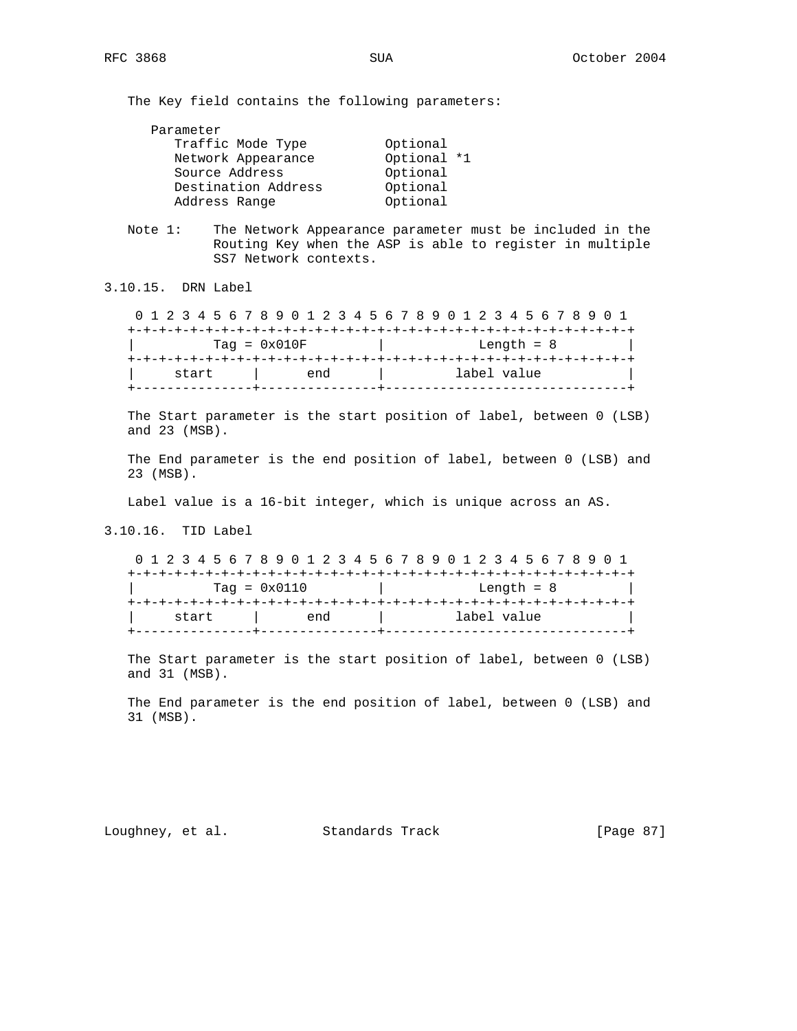The Key field contains the following parameters:

| Optional    |
|-------------|
| Optional *1 |
| Optional    |
| Optional    |
| Optional    |
|             |

 Note 1: The Network Appearance parameter must be included in the Routing Key when the ASP is able to register in multiple SS7 Network contexts.

3.10.15. DRN Label

 0 1 2 3 4 5 6 7 8 9 0 1 2 3 4 5 6 7 8 9 0 1 2 3 4 5 6 7 8 9 0 1 +-+-+-+-+-+-+-+-+-+-+-+-+-+-+-+-+-+-+-+-+-+-+-+-+-+-+-+-+-+-+-+-+  $\text{Tag} = 0 \times 010 \text{F}$  | Length = 8 +-+-+-+-+-+-+-+-+-+-+-+-+-+-+-+-+-+-+-+-+-+-+-+-+-+-+-+-+-+-+-+-+ | start | end | label value +---------------+---------------+-------------------------------+

 The Start parameter is the start position of label, between 0 (LSB) and 23 (MSB).

 The End parameter is the end position of label, between 0 (LSB) and 23 (MSB).

Label value is a 16-bit integer, which is unique across an AS.

3.10.16. TID Label

 0 1 2 3 4 5 6 7 8 9 0 1 2 3 4 5 6 7 8 9 0 1 2 3 4 5 6 7 8 9 0 1 +-+-+-+-+-+-+-+-+-+-+-+-+-+-+-+-+-+-+-+-+-+-+-+-+-+-+-+-+-+-+-+-+ | Tag = 0x0110 | Length = 8 | +-+-+-+-+-+-+-+-+-+-+-+-+-+-+-+-+-+-+-+-+-+-+-+-+-+-+-+-+-+-+-+-+ | start | end | label value +---------------+---------------+-------------------------------+

 The Start parameter is the start position of label, between 0 (LSB) and 31 (MSB).

 The End parameter is the end position of label, between 0 (LSB) and 31 (MSB).

Loughney, et al. Standards Track [Page 87]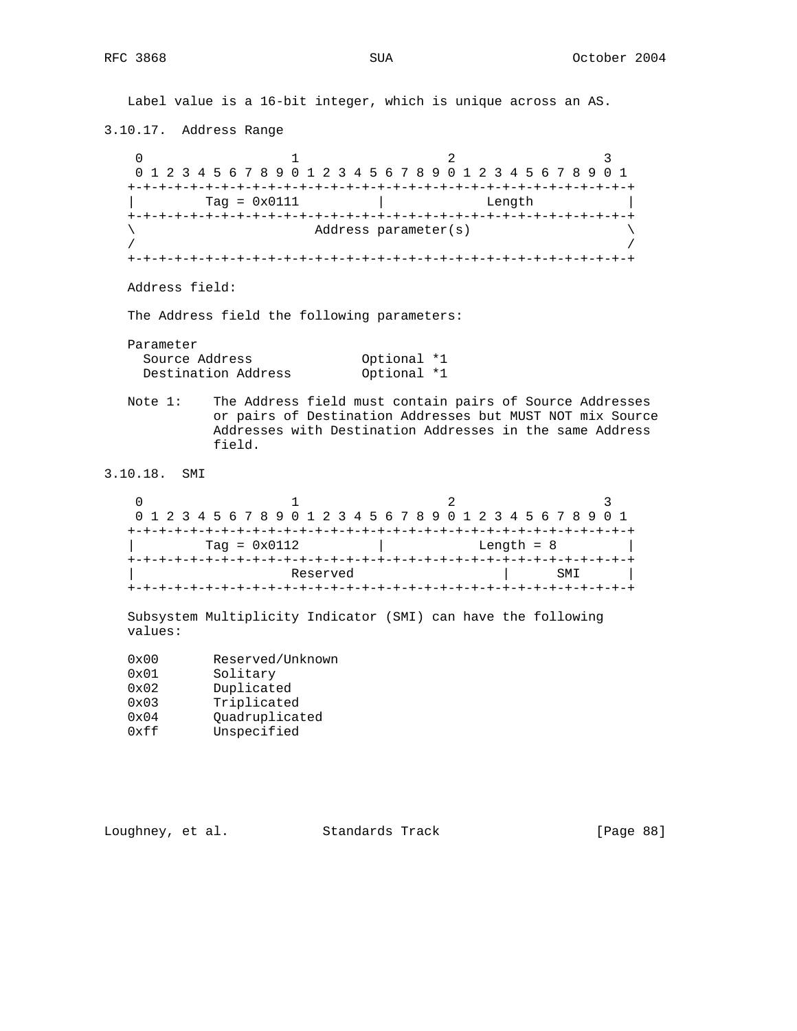Label value is a 16-bit integer, which is unique across an AS. 3.10.17. Address Range 0  $1$  2 3 0 1 2 3 4 5 6 7 8 9 0 1 2 3 4 5 6 7 8 9 0 1 2 3 4 5 6 7 8 9 0 1 +-+-+-+-+-+-+-+-+-+-+-+-+-+-+-+-+-+-+-+-+-+-+-+-+-+-+-+-+-+-+-+-+ | Tag = 0x0111 | Length | +-+-+-+-+-+-+-+-+-+-+-+-+-+-+-+-+-+-+-+-+-+-+-+-+-+-+-+-+-+-+-+-+ \ Address parameter(s) \  $/$  /  $/$  +-+-+-+-+-+-+-+-+-+-+-+-+-+-+-+-+-+-+-+-+-+-+-+-+-+-+-+-+-+-+-+-+ Address field: The Address field the following parameters: Parameter Source Address 60ptional \*1 Destination Address 60ptional \*1 Note 1: The Address field must contain pairs of Source Addresses or pairs of Destination Addresses but MUST NOT mix Source Addresses with Destination Addresses in the same Address field. 3.10.18. SMI 0  $1$  2 3 0 1 2 3 4 5 6 7 8 9 0 1 2 3 4 5 6 7 8 9 0 1 2 3 4 5 6 7 8 9 0 1 +-+-+-+-+-+-+-+-+-+-+-+-+-+-+-+-+-+-+-+-+-+-+-+-+-+-+-+-+-+-+-+-+ | Tag = 0x0112 | Length = 8 | +-+-+-+-+-+-+-+-+-+-+-+-+-+-+-+-+-+-+-+-+-+-+-+-+-+-+-+-+-+-+-+-+ Reserved | SMI | +-+-+-+-+-+-+-+-+-+-+-+-+-+-+-+-+-+-+-+-+-+-+-+-+-+-+-+-+-+-+-+-+ Subsystem Multiplicity Indicator (SMI) can have the following values: 0x00 Reserved/Unknown 0x01 Solitary 0x02 Duplicated 0x03 Triplicated 0x04 Quadruplicated 0xff Unspecified

Loughney, et al. Standards Track [Page 88]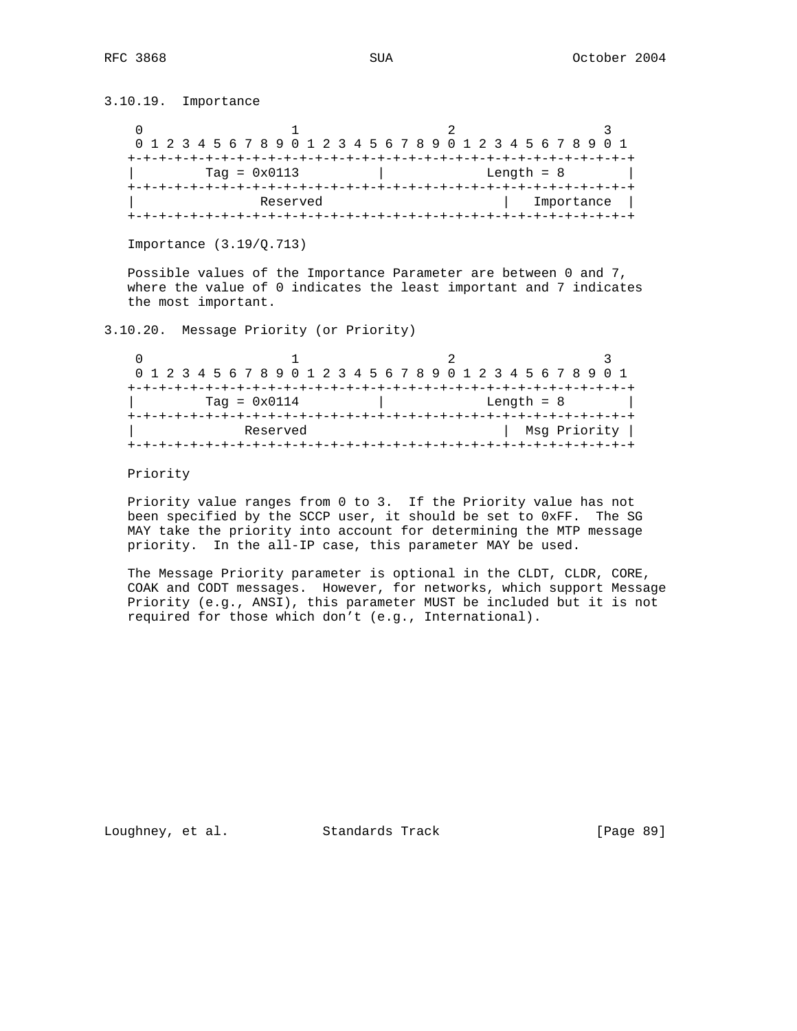3.10.19. Importance

|  |                | 0 1 2 3 4 5 6 7 8 9 0 1 2 3 4 5 6 7 8 9 0 1 2 3 4 5 6 7 8 9 0 1 |            |  |  |  |
|--|----------------|-----------------------------------------------------------------|------------|--|--|--|
|  |                |                                                                 |            |  |  |  |
|  | $Taq = 0x0113$ | Length $= 8$                                                    |            |  |  |  |
|  |                |                                                                 |            |  |  |  |
|  | Reserved       |                                                                 | Importance |  |  |  |
|  |                |                                                                 |            |  |  |  |

Importance (3.19/Q.713)

 Possible values of the Importance Parameter are between 0 and 7, where the value of 0 indicates the least important and 7 indicates the most important.

3.10.20. Message Priority (or Priority)

|  | 0 1 2 3 4 5 6 7 8 9 0 1 2 3 4 5 6 7 8 9 0 1 2 3 4 5 6 7 8 9 0 1 |              |              |  |  |
|--|-----------------------------------------------------------------|--------------|--------------|--|--|
|  |                                                                 |              |              |  |  |
|  | Tag = $0 \times 0114$                                           | Length $= 8$ |              |  |  |
|  |                                                                 |              |              |  |  |
|  | Reserved                                                        |              | Msq Priority |  |  |
|  |                                                                 |              |              |  |  |

Priority

 Priority value ranges from 0 to 3. If the Priority value has not been specified by the SCCP user, it should be set to 0xFF. The SG MAY take the priority into account for determining the MTP message priority. In the all-IP case, this parameter MAY be used.

 The Message Priority parameter is optional in the CLDT, CLDR, CORE, COAK and CODT messages. However, for networks, which support Message Priority (e.g., ANSI), this parameter MUST be included but it is not required for those which don't (e.g., International).

Loughney, et al. Standards Track [Page 89]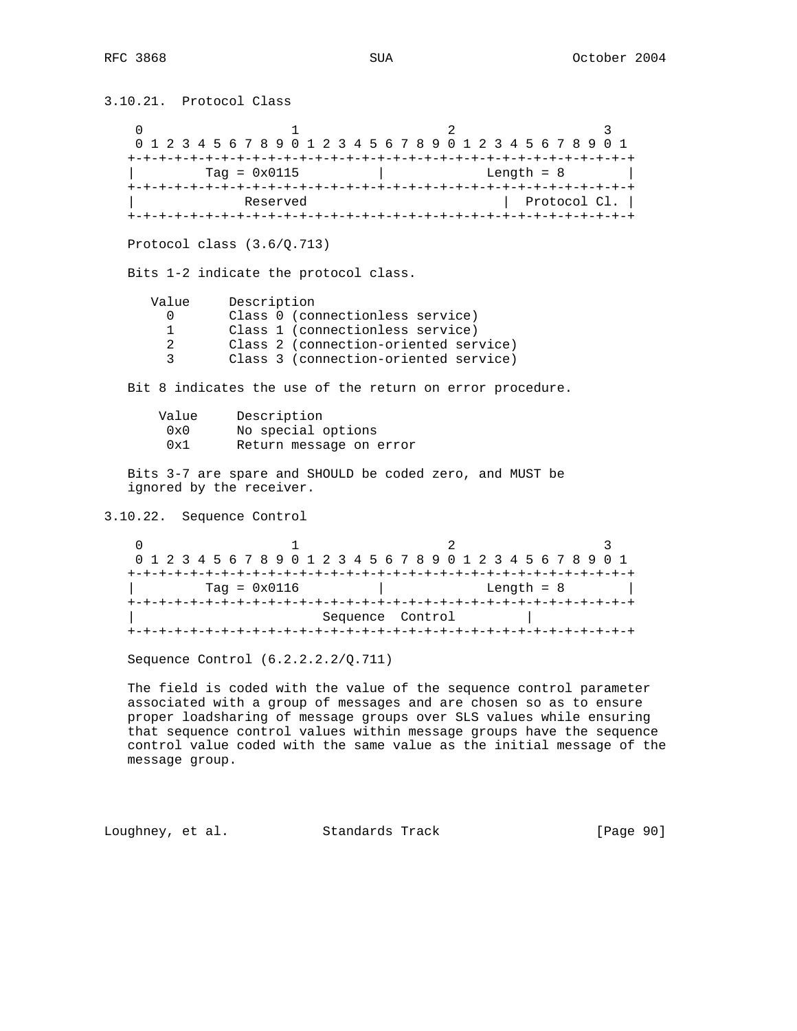3.10.21. Protocol Class 0  $1$  2 3 0 1 2 3 4 5 6 7 8 9 0 1 2 3 4 5 6 7 8 9 0 1 2 3 4 5 6 7 8 9 0 1 +-+-+-+-+-+-+-+-+-+-+-+-+-+-+-+-+-+-+-+-+-+-+-+-+-+-+-+-+-+-+-+-+  $\vert$  Tag = 0x0115  $\vert$  Length = 8  $\vert$  +-+-+-+-+-+-+-+-+-+-+-+-+-+-+-+-+-+-+-+-+-+-+-+-+-+-+-+-+-+-+-+-+ Reserved Protocol Cl. | +-+-+-+-+-+-+-+-+-+-+-+-+-+-+-+-+-+-+-+-+-+-+-+-+-+-+-+-+-+-+-+-+ Protocol class (3.6/Q.713) Bits 1-2 indicate the protocol class. Value Description<br>0 Class 0 (cor 0 Class 0 (connectionless service)<br>1 Class 1 (connectionless service) Class 1 (connectionless service) 2 Class 2 (connection-oriented service) 3 Class 3 (connection-oriented service) Bit 8 indicates the use of the return on error procedure. Value Description 0x0 No special options 0x1 Return message on error Bits 3-7 are spare and SHOULD be coded zero, and MUST be ignored by the receiver. 3.10.22. Sequence Control 0  $1$  2 3 0 1 2 3 4 5 6 7 8 9 0 1 2 3 4 5 6 7 8 9 0 1 2 3 4 5 6 7 8 9 0 1 +-+-+-+-+-+-+-+-+-+-+-+-+-+-+-+-+-+-+-+-+-+-+-+-+-+-+-+-+-+-+-+-+ | Tag = 0x0116 | Length = 8 | +-+-+-+-+-+-+-+-+-+-+-+-+-+-+-+-+-+-+-+-+-+-+-+-+-+-+-+-+-+-+-+-+ Sequence Control +-+-+-+-+-+-+-+-+-+-+-+-+-+-+-+-+-+-+-+-+-+-+-+-+-+-+-+-+-+-+-+-+ Sequence Control (6.2.2.2.2/Q.711) The field is coded with the value of the sequence control parameter

 associated with a group of messages and are chosen so as to ensure proper loadsharing of message groups over SLS values while ensuring that sequence control values within message groups have the sequence control value coded with the same value as the initial message of the message group.

Loughney, et al. Standards Track [Page 90]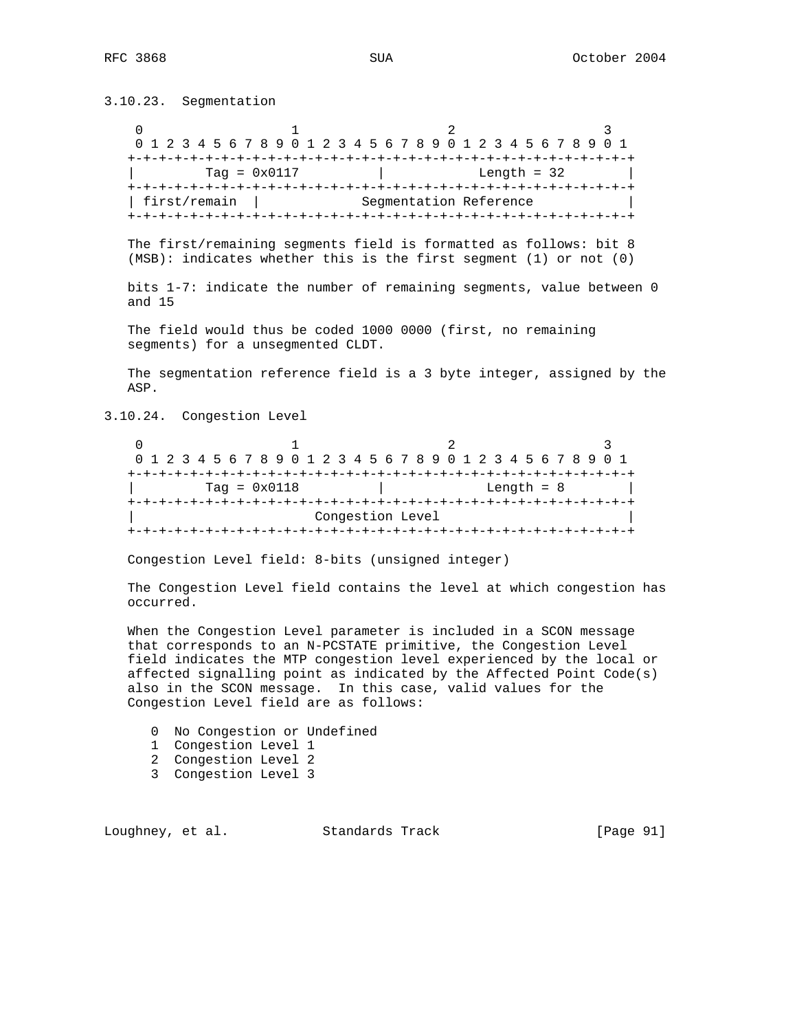3.10.23. Segmentation

0  $1$  2 3 0 1 2 3 4 5 6 7 8 9 0 1 2 3 4 5 6 7 8 9 0 1 2 3 4 5 6 7 8 9 0 1 +-+-+-+-+-+-+-+-+-+-+-+-+-+-+-+-+-+-+-+-+-+-+-+-+-+-+-+-+-+-+-+-+  $\vert$  Tag = 0x0117  $\vert$  Length = 32  $\vert$  +-+-+-+-+-+-+-+-+-+-+-+-+-+-+-+-+-+-+-+-+-+-+-+-+-+-+-+-+-+-+-+-+ | first/remain | Segmentation Reference +-+-+-+-+-+-+-+-+-+-+-+-+-+-+-+-+-+-+-+-+-+-+-+-+-+-+-+-+-+-+-+-+

 The first/remaining segments field is formatted as follows: bit 8 (MSB): indicates whether this is the first segment (1) or not (0)

 bits 1-7: indicate the number of remaining segments, value between 0 and 15

 The field would thus be coded 1000 0000 (first, no remaining segments) for a unsegmented CLDT.

 The segmentation reference field is a 3 byte integer, assigned by the ASP.

3.10.24. Congestion Level

0  $1$  2 3 0 1 2 3 4 5 6 7 8 9 0 1 2 3 4 5 6 7 8 9 0 1 2 3 4 5 6 7 8 9 0 1 +-+-+-+-+-+-+-+-+-+-+-+-+-+-+-+-+-+-+-+-+-+-+-+-+-+-+-+-+-+-+-+-+  $\text{Tag} = 0 \times 0118$   $\qquad \qquad$   $\qquad$   $\qquad$   $\qquad$   $\qquad$   $\qquad$   $\qquad$   $\qquad$   $\qquad$   $\qquad$   $\qquad$   $\qquad$   $\qquad$   $\qquad$   $\qquad$   $\qquad$   $\qquad$   $\qquad$   $\qquad$   $\qquad$   $\qquad$   $\qquad$   $\qquad$   $\qquad$   $\qquad$   $\qquad$   $\qquad$   $\qquad$   $\qquad$   $\qquad$   $\qquad$   $\qquad$   $\qquad$   $\$  +-+-+-+-+-+-+-+-+-+-+-+-+-+-+-+-+-+-+-+-+-+-+-+-+-+-+-+-+-+-+-+-+ Congestion Level +-+-+-+-+-+-+-+-+-+-+-+-+-+-+-+-+-+-+-+-+-+-+-+-+-+-+-+-+-+-+-+-+

Congestion Level field: 8-bits (unsigned integer)

 The Congestion Level field contains the level at which congestion has occurred.

 When the Congestion Level parameter is included in a SCON message that corresponds to an N-PCSTATE primitive, the Congestion Level field indicates the MTP congestion level experienced by the local or affected signalling point as indicated by the Affected Point Code(s) also in the SCON message. In this case, valid values for the Congestion Level field are as follows:

- 0 No Congestion or Undefined
- 1 Congestion Level 1
- 2 Congestion Level 2
- 3 Congestion Level 3

Loughney, et al. Standards Track [Page 91]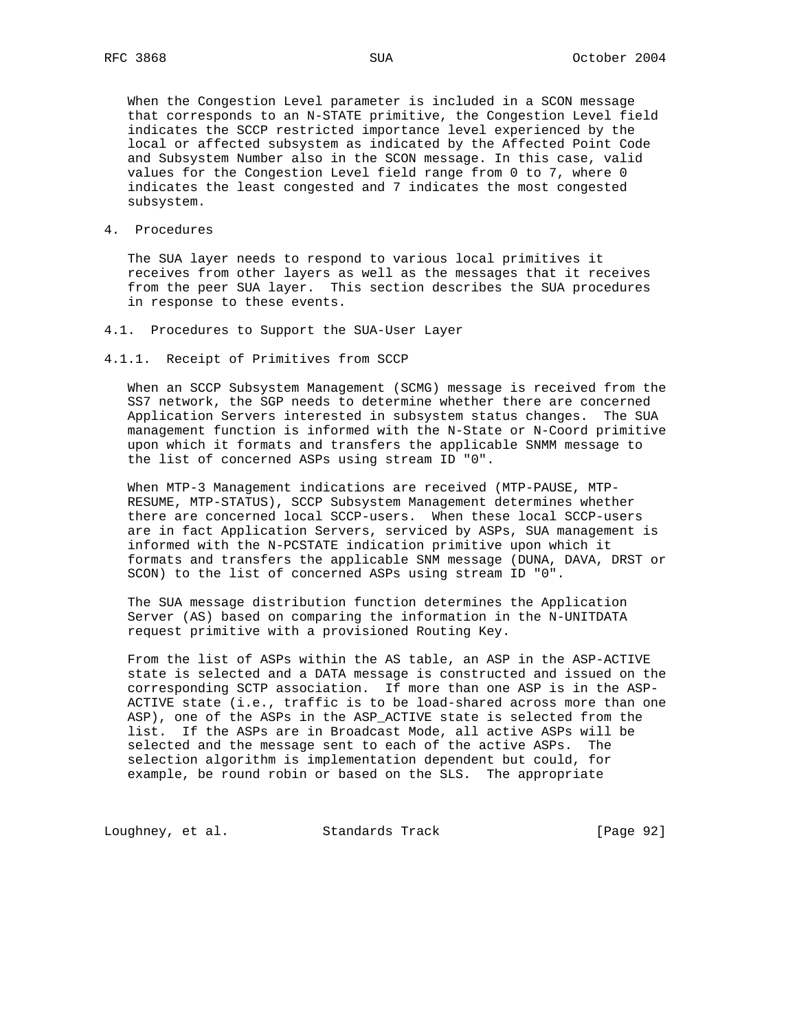When the Congestion Level parameter is included in a SCON message that corresponds to an N-STATE primitive, the Congestion Level field indicates the SCCP restricted importance level experienced by the local or affected subsystem as indicated by the Affected Point Code and Subsystem Number also in the SCON message. In this case, valid values for the Congestion Level field range from 0 to 7, where 0 indicates the least congested and 7 indicates the most congested subsystem.

4. Procedures

 The SUA layer needs to respond to various local primitives it receives from other layers as well as the messages that it receives from the peer SUA layer. This section describes the SUA procedures in response to these events.

- 4.1. Procedures to Support the SUA-User Layer
- 4.1.1. Receipt of Primitives from SCCP

 When an SCCP Subsystem Management (SCMG) message is received from the SS7 network, the SGP needs to determine whether there are concerned Application Servers interested in subsystem status changes. The SUA management function is informed with the N-State or N-Coord primitive upon which it formats and transfers the applicable SNMM message to the list of concerned ASPs using stream ID "0".

 When MTP-3 Management indications are received (MTP-PAUSE, MTP- RESUME, MTP-STATUS), SCCP Subsystem Management determines whether there are concerned local SCCP-users. When these local SCCP-users are in fact Application Servers, serviced by ASPs, SUA management is informed with the N-PCSTATE indication primitive upon which it formats and transfers the applicable SNM message (DUNA, DAVA, DRST or SCON) to the list of concerned ASPs using stream ID "0".

 The SUA message distribution function determines the Application Server (AS) based on comparing the information in the N-UNITDATA request primitive with a provisioned Routing Key.

 From the list of ASPs within the AS table, an ASP in the ASP-ACTIVE state is selected and a DATA message is constructed and issued on the corresponding SCTP association. If more than one ASP is in the ASP- ACTIVE state (i.e., traffic is to be load-shared across more than one ASP), one of the ASPs in the ASP\_ACTIVE state is selected from the list. If the ASPs are in Broadcast Mode, all active ASPs will be selected and the message sent to each of the active ASPs. The selection algorithm is implementation dependent but could, for example, be round robin or based on the SLS. The appropriate

Loughney, et al. Standards Track [Page 92]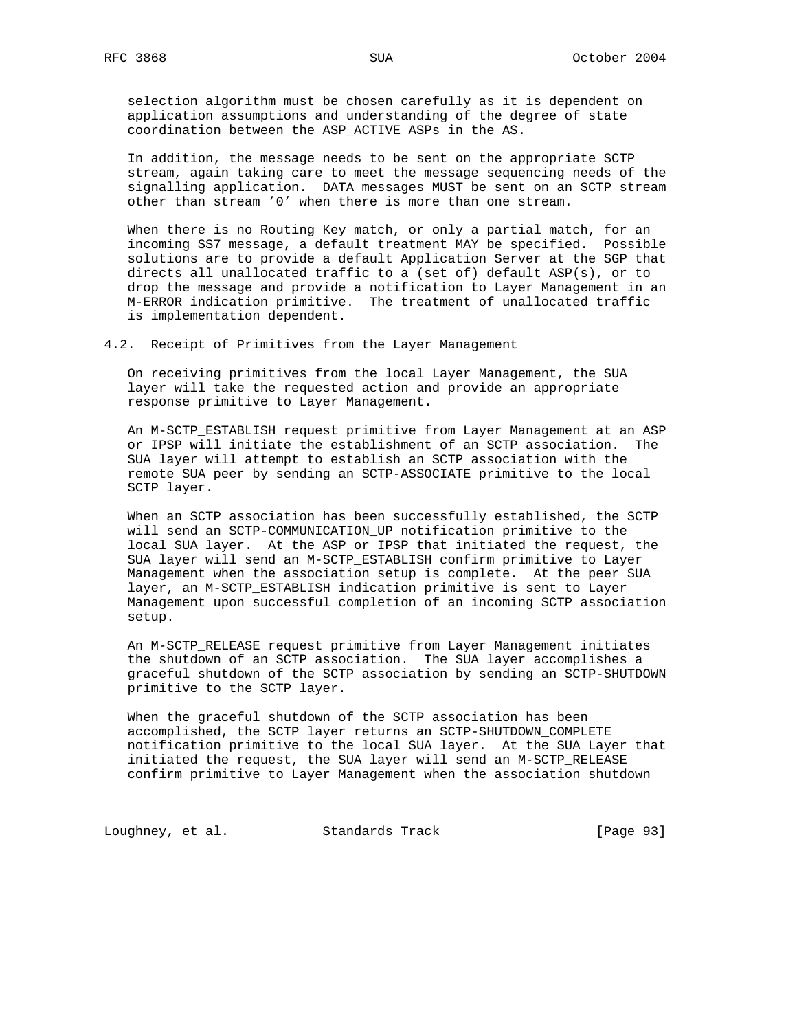selection algorithm must be chosen carefully as it is dependent on application assumptions and understanding of the degree of state coordination between the ASP\_ACTIVE ASPs in the AS.

 In addition, the message needs to be sent on the appropriate SCTP stream, again taking care to meet the message sequencing needs of the signalling application. DATA messages MUST be sent on an SCTP stream other than stream '0' when there is more than one stream.

 When there is no Routing Key match, or only a partial match, for an incoming SS7 message, a default treatment MAY be specified. Possible solutions are to provide a default Application Server at the SGP that directs all unallocated traffic to a (set of) default ASP(s), or to drop the message and provide a notification to Layer Management in an M-ERROR indication primitive. The treatment of unallocated traffic is implementation dependent.

4.2. Receipt of Primitives from the Layer Management

 On receiving primitives from the local Layer Management, the SUA layer will take the requested action and provide an appropriate response primitive to Layer Management.

 An M-SCTP\_ESTABLISH request primitive from Layer Management at an ASP or IPSP will initiate the establishment of an SCTP association. The SUA layer will attempt to establish an SCTP association with the remote SUA peer by sending an SCTP-ASSOCIATE primitive to the local SCTP layer.

 When an SCTP association has been successfully established, the SCTP will send an SCTP-COMMUNICATION\_UP notification primitive to the local SUA layer. At the ASP or IPSP that initiated the request, the SUA layer will send an M-SCTP\_ESTABLISH confirm primitive to Layer Management when the association setup is complete. At the peer SUA layer, an M-SCTP\_ESTABLISH indication primitive is sent to Layer Management upon successful completion of an incoming SCTP association setup.

 An M-SCTP\_RELEASE request primitive from Layer Management initiates the shutdown of an SCTP association. The SUA layer accomplishes a graceful shutdown of the SCTP association by sending an SCTP-SHUTDOWN primitive to the SCTP layer.

 When the graceful shutdown of the SCTP association has been accomplished, the SCTP layer returns an SCTP-SHUTDOWN\_COMPLETE notification primitive to the local SUA layer. At the SUA Layer that initiated the request, the SUA layer will send an M-SCTP\_RELEASE confirm primitive to Layer Management when the association shutdown

Loughney, et al. Standards Track [Page 93]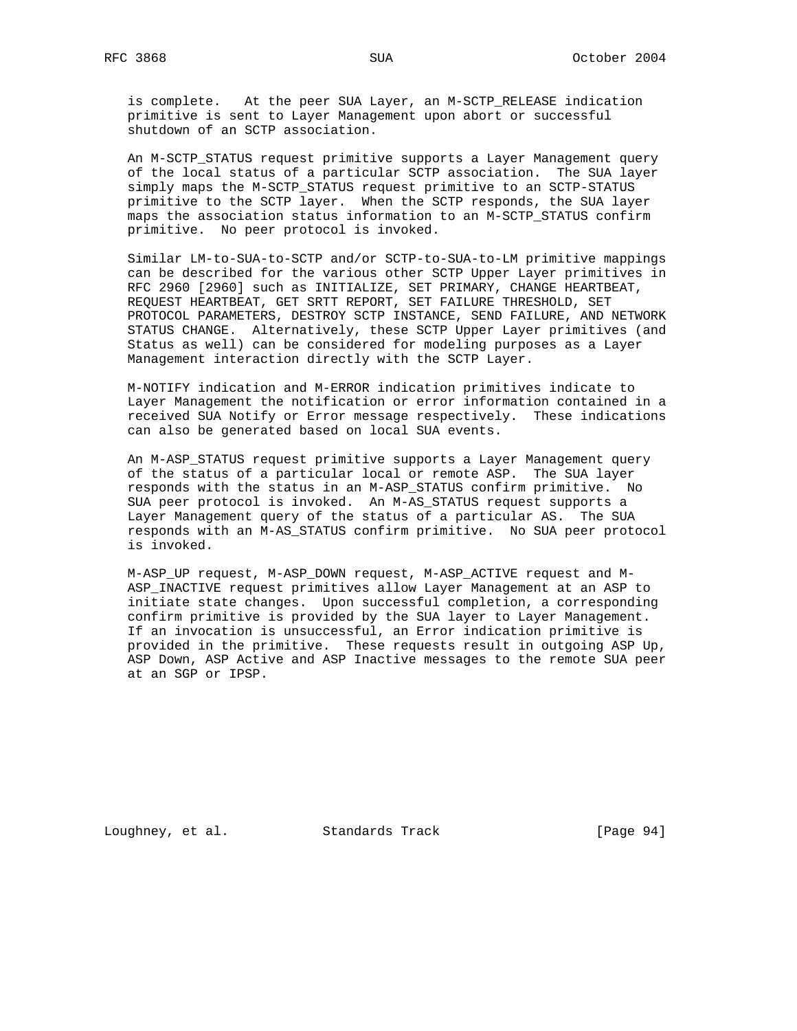is complete. At the peer SUA Layer, an M-SCTP\_RELEASE indication primitive is sent to Layer Management upon abort or successful shutdown of an SCTP association.

 An M-SCTP\_STATUS request primitive supports a Layer Management query of the local status of a particular SCTP association. The SUA layer simply maps the M-SCTP\_STATUS request primitive to an SCTP-STATUS primitive to the SCTP layer. When the SCTP responds, the SUA layer maps the association status information to an M-SCTP\_STATUS confirm primitive. No peer protocol is invoked.

 Similar LM-to-SUA-to-SCTP and/or SCTP-to-SUA-to-LM primitive mappings can be described for the various other SCTP Upper Layer primitives in RFC 2960 [2960] such as INITIALIZE, SET PRIMARY, CHANGE HEARTBEAT, REQUEST HEARTBEAT, GET SRTT REPORT, SET FAILURE THRESHOLD, SET PROTOCOL PARAMETERS, DESTROY SCTP INSTANCE, SEND FAILURE, AND NETWORK STATUS CHANGE. Alternatively, these SCTP Upper Layer primitives (and Status as well) can be considered for modeling purposes as a Layer Management interaction directly with the SCTP Layer.

 M-NOTIFY indication and M-ERROR indication primitives indicate to Layer Management the notification or error information contained in a received SUA Notify or Error message respectively. These indications can also be generated based on local SUA events.

 An M-ASP\_STATUS request primitive supports a Layer Management query of the status of a particular local or remote ASP. The SUA layer responds with the status in an M-ASP\_STATUS confirm primitive. No SUA peer protocol is invoked. An M-AS\_STATUS request supports a Layer Management query of the status of a particular AS. The SUA responds with an M-AS\_STATUS confirm primitive. No SUA peer protocol is invoked.

 M-ASP\_UP request, M-ASP\_DOWN request, M-ASP\_ACTIVE request and M- ASP\_INACTIVE request primitives allow Layer Management at an ASP to initiate state changes. Upon successful completion, a corresponding confirm primitive is provided by the SUA layer to Layer Management. If an invocation is unsuccessful, an Error indication primitive is provided in the primitive. These requests result in outgoing ASP Up, ASP Down, ASP Active and ASP Inactive messages to the remote SUA peer at an SGP or IPSP.

Loughney, et al. Standards Track [Page 94]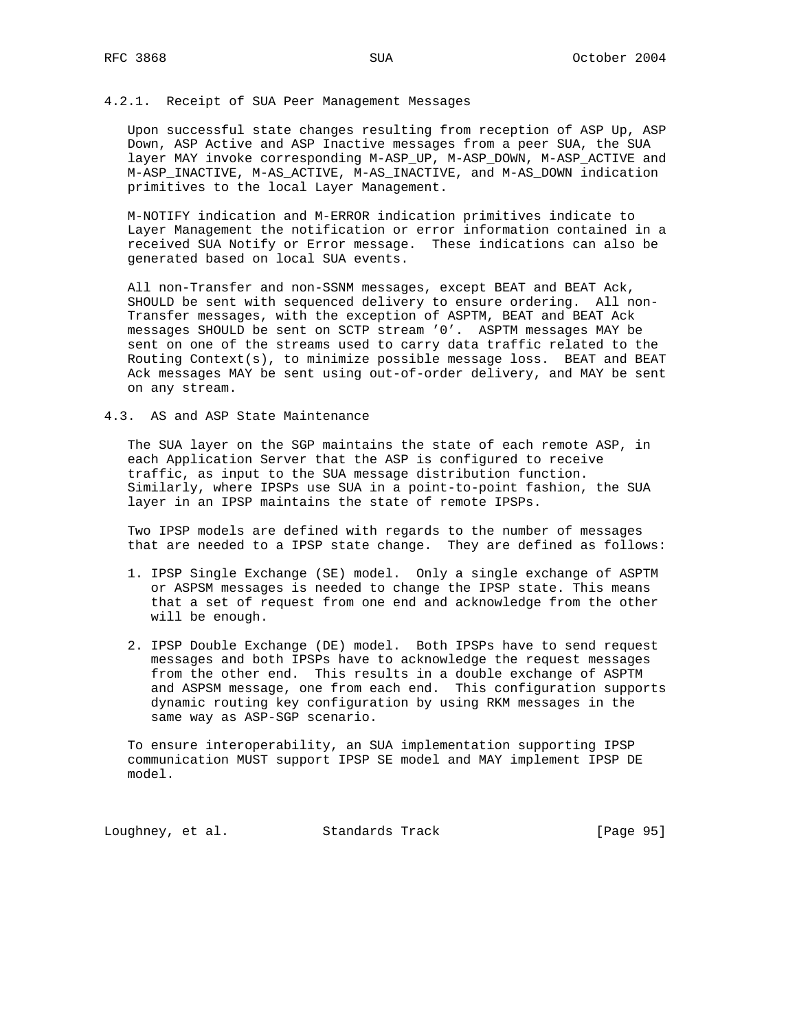#### 4.2.1. Receipt of SUA Peer Management Messages

 Upon successful state changes resulting from reception of ASP Up, ASP Down, ASP Active and ASP Inactive messages from a peer SUA, the SUA layer MAY invoke corresponding M-ASP\_UP, M-ASP\_DOWN, M-ASP\_ACTIVE and M-ASP\_INACTIVE, M-AS\_ACTIVE, M-AS\_INACTIVE, and M-AS\_DOWN indication primitives to the local Layer Management.

 M-NOTIFY indication and M-ERROR indication primitives indicate to Layer Management the notification or error information contained in a received SUA Notify or Error message. These indications can also be generated based on local SUA events.

 All non-Transfer and non-SSNM messages, except BEAT and BEAT Ack, SHOULD be sent with sequenced delivery to ensure ordering. All non- Transfer messages, with the exception of ASPTM, BEAT and BEAT Ack messages SHOULD be sent on SCTP stream '0'. ASPTM messages MAY be sent on one of the streams used to carry data traffic related to the Routing Context(s), to minimize possible message loss. BEAT and BEAT Ack messages MAY be sent using out-of-order delivery, and MAY be sent on any stream.

#### 4.3. AS and ASP State Maintenance

 The SUA layer on the SGP maintains the state of each remote ASP, in each Application Server that the ASP is configured to receive traffic, as input to the SUA message distribution function. Similarly, where IPSPs use SUA in a point-to-point fashion, the SUA layer in an IPSP maintains the state of remote IPSPs.

 Two IPSP models are defined with regards to the number of messages that are needed to a IPSP state change. They are defined as follows:

- 1. IPSP Single Exchange (SE) model. Only a single exchange of ASPTM or ASPSM messages is needed to change the IPSP state. This means that a set of request from one end and acknowledge from the other will be enough.
- 2. IPSP Double Exchange (DE) model. Both IPSPs have to send request messages and both IPSPs have to acknowledge the request messages from the other end. This results in a double exchange of ASPTM and ASPSM message, one from each end. This configuration supports dynamic routing key configuration by using RKM messages in the same way as ASP-SGP scenario.

 To ensure interoperability, an SUA implementation supporting IPSP communication MUST support IPSP SE model and MAY implement IPSP DE model.

Loughney, et al. Standards Track [Page 95]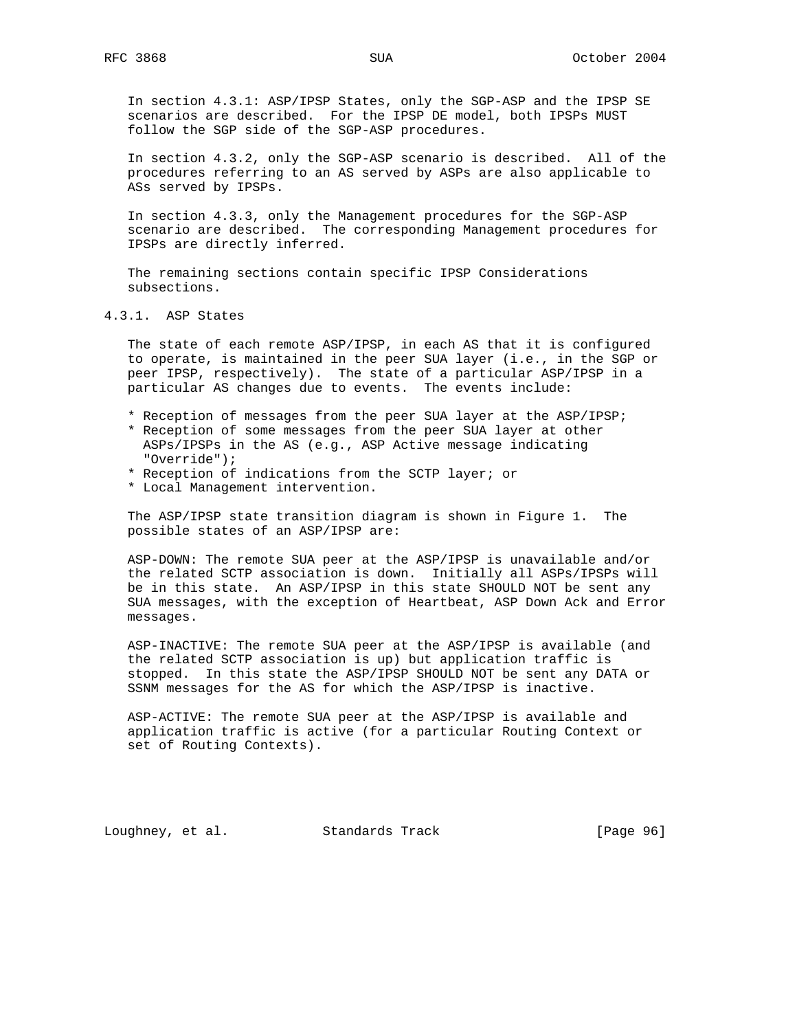In section 4.3.1: ASP/IPSP States, only the SGP-ASP and the IPSP SE scenarios are described. For the IPSP DE model, both IPSPs MUST follow the SGP side of the SGP-ASP procedures.

 In section 4.3.2, only the SGP-ASP scenario is described. All of the procedures referring to an AS served by ASPs are also applicable to ASs served by IPSPs.

 In section 4.3.3, only the Management procedures for the SGP-ASP scenario are described. The corresponding Management procedures for IPSPs are directly inferred.

 The remaining sections contain specific IPSP Considerations subsections.

4.3.1. ASP States

 The state of each remote ASP/IPSP, in each AS that it is configured to operate, is maintained in the peer SUA layer (i.e., in the SGP or peer IPSP, respectively). The state of a particular ASP/IPSP in a particular AS changes due to events. The events include:

- \* Reception of messages from the peer SUA layer at the ASP/IPSP;
- \* Reception of some messages from the peer SUA layer at other ASPs/IPSPs in the AS (e.g., ASP Active message indicating "Override");
- \* Reception of indications from the SCTP layer; or
- \* Local Management intervention.

 The ASP/IPSP state transition diagram is shown in Figure 1. The possible states of an ASP/IPSP are:

 ASP-DOWN: The remote SUA peer at the ASP/IPSP is unavailable and/or the related SCTP association is down. Initially all ASPs/IPSPs will be in this state. An ASP/IPSP in this state SHOULD NOT be sent any SUA messages, with the exception of Heartbeat, ASP Down Ack and Error messages.

 ASP-INACTIVE: The remote SUA peer at the ASP/IPSP is available (and the related SCTP association is up) but application traffic is stopped. In this state the ASP/IPSP SHOULD NOT be sent any DATA or SSNM messages for the AS for which the ASP/IPSP is inactive.

 ASP-ACTIVE: The remote SUA peer at the ASP/IPSP is available and application traffic is active (for a particular Routing Context or set of Routing Contexts).

Loughney, et al. Standards Track [Page 96]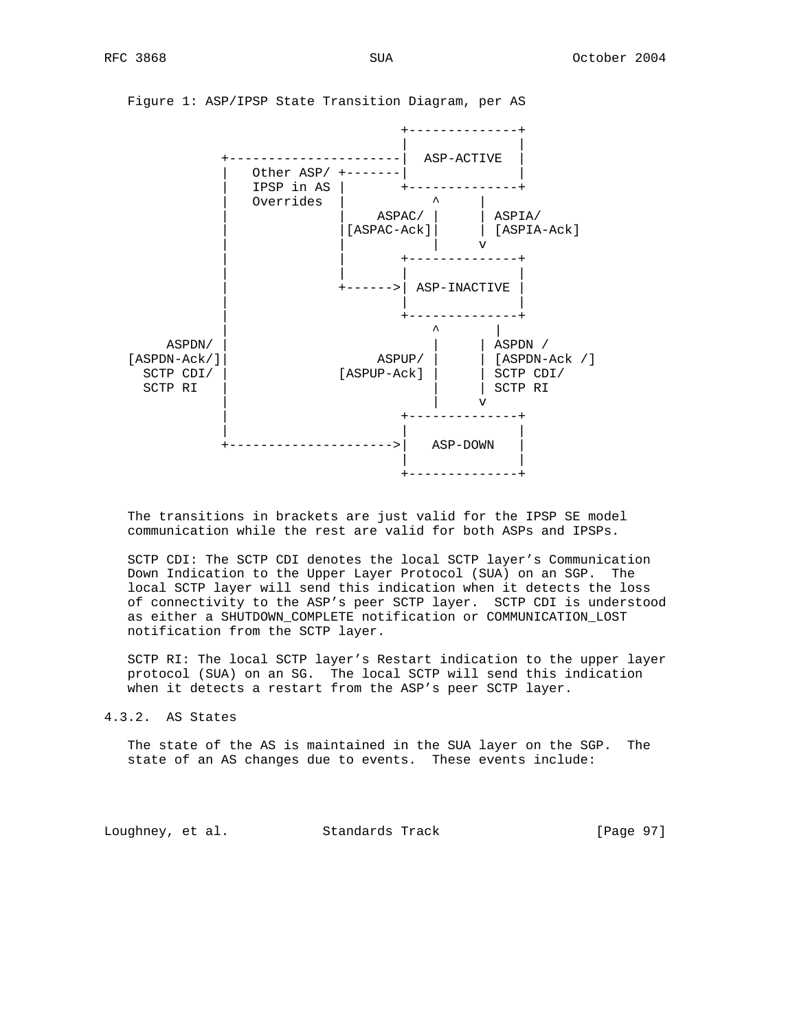

Figure 1: ASP/IPSP State Transition Diagram, per AS

 The transitions in brackets are just valid for the IPSP SE model communication while the rest are valid for both ASPs and IPSPs.

 SCTP CDI: The SCTP CDI denotes the local SCTP layer's Communication Down Indication to the Upper Layer Protocol (SUA) on an SGP. The local SCTP layer will send this indication when it detects the loss of connectivity to the ASP's peer SCTP layer. SCTP CDI is understood as either a SHUTDOWN\_COMPLETE notification or COMMUNICATION\_LOST notification from the SCTP layer.

 SCTP RI: The local SCTP layer's Restart indication to the upper layer protocol (SUA) on an SG. The local SCTP will send this indication when it detects a restart from the ASP's peer SCTP layer.

4.3.2. AS States

 The state of the AS is maintained in the SUA layer on the SGP. The state of an AS changes due to events. These events include:

Loughney, et al. Standards Track [Page 97]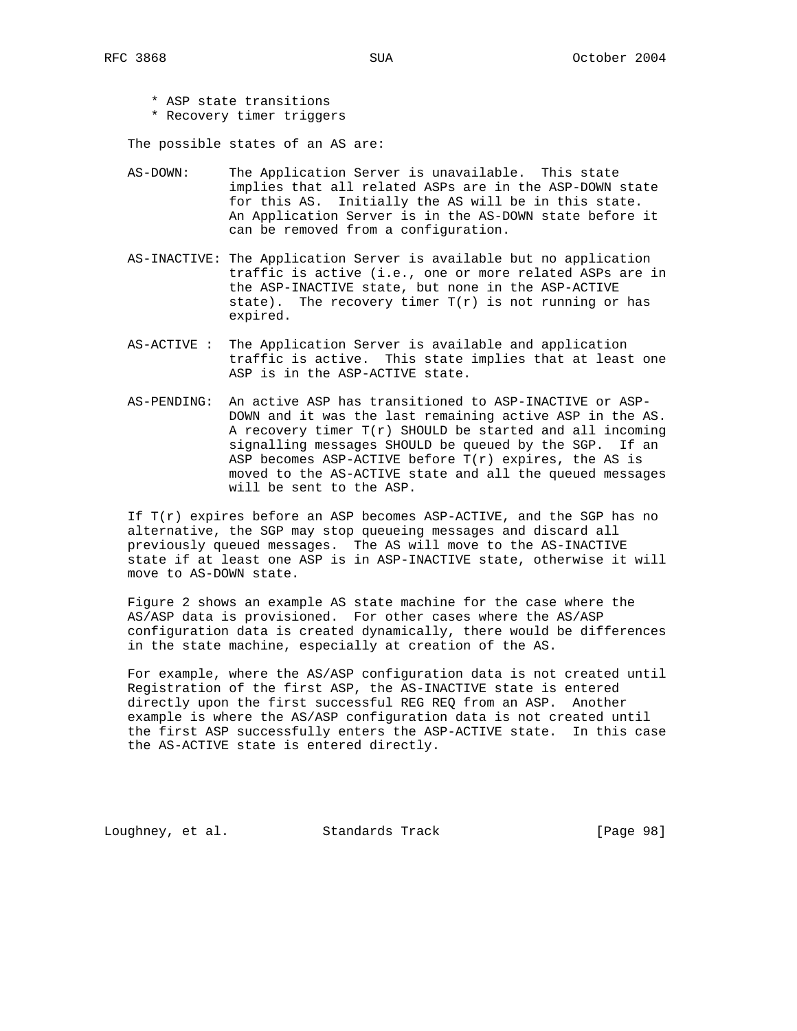- \* ASP state transitions
- \* Recovery timer triggers

The possible states of an AS are:

- AS-DOWN: The Application Server is unavailable. This state implies that all related ASPs are in the ASP-DOWN state for this AS. Initially the AS will be in this state. An Application Server is in the AS-DOWN state before it can be removed from a configuration.
- AS-INACTIVE: The Application Server is available but no application traffic is active (i.e., one or more related ASPs are in the ASP-INACTIVE state, but none in the ASP-ACTIVE state). The recovery timer  $T(r)$  is not running or has expired.
- AS-ACTIVE : The Application Server is available and application traffic is active. This state implies that at least one ASP is in the ASP-ACTIVE state.
- AS-PENDING: An active ASP has transitioned to ASP-INACTIVE or ASP- DOWN and it was the last remaining active ASP in the AS. A recovery timer  $T(r)$  SHOULD be started and all incoming signalling messages SHOULD be queued by the SGP. If an ASP becomes ASP-ACTIVE before  $T(r)$  expires, the AS is moved to the AS-ACTIVE state and all the queued messages will be sent to the ASP.

 If T(r) expires before an ASP becomes ASP-ACTIVE, and the SGP has no alternative, the SGP may stop queueing messages and discard all previously queued messages. The AS will move to the AS-INACTIVE state if at least one ASP is in ASP-INACTIVE state, otherwise it will move to AS-DOWN state.

 Figure 2 shows an example AS state machine for the case where the AS/ASP data is provisioned. For other cases where the AS/ASP configuration data is created dynamically, there would be differences in the state machine, especially at creation of the AS.

 For example, where the AS/ASP configuration data is not created until Registration of the first ASP, the AS-INACTIVE state is entered directly upon the first successful REG REQ from an ASP. Another example is where the AS/ASP configuration data is not created until the first ASP successfully enters the ASP-ACTIVE state. In this case the AS-ACTIVE state is entered directly.

Loughney, et al. Standards Track [Page 98]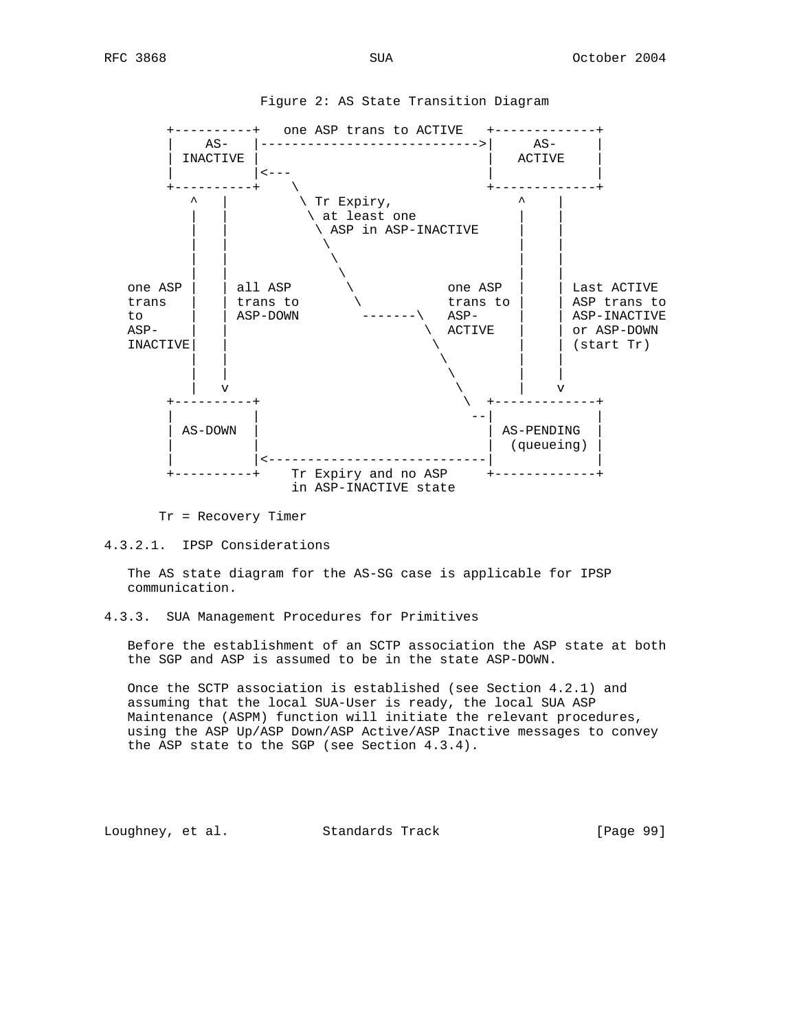

Figure 2: AS State Transition Diagram

Tr = Recovery Timer

4.3.2.1. IPSP Considerations

 The AS state diagram for the AS-SG case is applicable for IPSP communication.

4.3.3. SUA Management Procedures for Primitives

 Before the establishment of an SCTP association the ASP state at both the SGP and ASP is assumed to be in the state ASP-DOWN.

 Once the SCTP association is established (see Section 4.2.1) and assuming that the local SUA-User is ready, the local SUA ASP Maintenance (ASPM) function will initiate the relevant procedures, using the ASP Up/ASP Down/ASP Active/ASP Inactive messages to convey the ASP state to the SGP (see Section 4.3.4).

Loughney, et al. Standards Track [Page 99]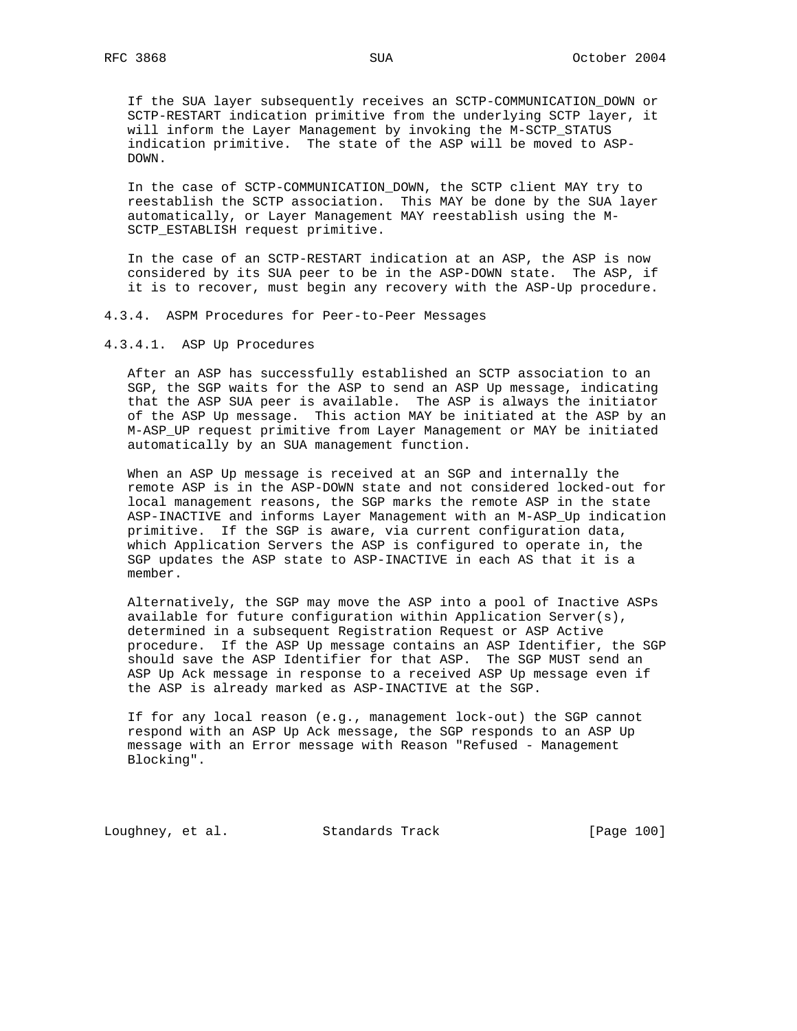If the SUA layer subsequently receives an SCTP-COMMUNICATION\_DOWN or SCTP-RESTART indication primitive from the underlying SCTP layer, it will inform the Layer Management by invoking the M-SCTP\_STATUS indication primitive. The state of the ASP will be moved to ASP- DOWN.

 In the case of SCTP-COMMUNICATION\_DOWN, the SCTP client MAY try to reestablish the SCTP association. This MAY be done by the SUA layer automatically, or Layer Management MAY reestablish using the M- SCTP ESTABLISH request primitive.

 In the case of an SCTP-RESTART indication at an ASP, the ASP is now considered by its SUA peer to be in the ASP-DOWN state. The ASP, if it is to recover, must begin any recovery with the ASP-Up procedure.

4.3.4. ASPM Procedures for Peer-to-Peer Messages

4.3.4.1. ASP Up Procedures

 After an ASP has successfully established an SCTP association to an SGP, the SGP waits for the ASP to send an ASP Up message, indicating that the ASP SUA peer is available. The ASP is always the initiator of the ASP Up message. This action MAY be initiated at the ASP by an M-ASP\_UP request primitive from Layer Management or MAY be initiated automatically by an SUA management function.

 When an ASP Up message is received at an SGP and internally the remote ASP is in the ASP-DOWN state and not considered locked-out for local management reasons, the SGP marks the remote ASP in the state ASP-INACTIVE and informs Layer Management with an M-ASP\_Up indication primitive. If the SGP is aware, via current configuration data, which Application Servers the ASP is configured to operate in, the SGP updates the ASP state to ASP-INACTIVE in each AS that it is a member.

 Alternatively, the SGP may move the ASP into a pool of Inactive ASPs available for future configuration within Application Server(s), determined in a subsequent Registration Request or ASP Active procedure. If the ASP Up message contains an ASP Identifier, the SGP should save the ASP Identifier for that ASP. The SGP MUST send an ASP Up Ack message in response to a received ASP Up message even if the ASP is already marked as ASP-INACTIVE at the SGP.

 If for any local reason (e.g., management lock-out) the SGP cannot respond with an ASP Up Ack message, the SGP responds to an ASP Up message with an Error message with Reason "Refused - Management Blocking".

Loughney, et al. Standards Track [Page 100]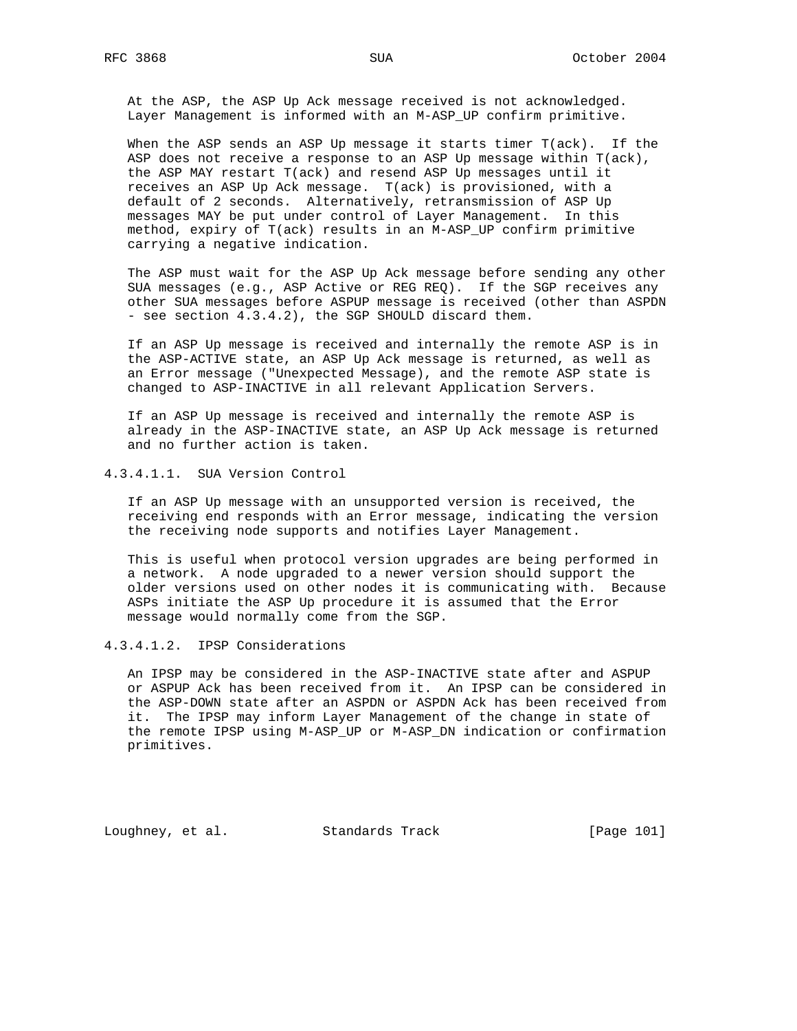At the ASP, the ASP Up Ack message received is not acknowledged. Layer Management is informed with an M-ASP\_UP confirm primitive.

 When the ASP sends an ASP Up message it starts timer T(ack). If the ASP does not receive a response to an ASP Up message within T(ack), the ASP MAY restart T(ack) and resend ASP Up messages until it receives an ASP Up Ack message. T(ack) is provisioned, with a default of 2 seconds. Alternatively, retransmission of ASP Up messages MAY be put under control of Layer Management. In this method, expiry of T(ack) results in an M-ASP\_UP confirm primitive carrying a negative indication.

 The ASP must wait for the ASP Up Ack message before sending any other SUA messages (e.g., ASP Active or REG REQ). If the SGP receives any other SUA messages before ASPUP message is received (other than ASPDN - see section 4.3.4.2), the SGP SHOULD discard them.

 If an ASP Up message is received and internally the remote ASP is in the ASP-ACTIVE state, an ASP Up Ack message is returned, as well as an Error message ("Unexpected Message), and the remote ASP state is changed to ASP-INACTIVE in all relevant Application Servers.

 If an ASP Up message is received and internally the remote ASP is already in the ASP-INACTIVE state, an ASP Up Ack message is returned and no further action is taken.

4.3.4.1.1. SUA Version Control

 If an ASP Up message with an unsupported version is received, the receiving end responds with an Error message, indicating the version the receiving node supports and notifies Layer Management.

 This is useful when protocol version upgrades are being performed in a network. A node upgraded to a newer version should support the older versions used on other nodes it is communicating with. Because ASPs initiate the ASP Up procedure it is assumed that the Error message would normally come from the SGP.

4.3.4.1.2. IPSP Considerations

 An IPSP may be considered in the ASP-INACTIVE state after and ASPUP or ASPUP Ack has been received from it. An IPSP can be considered in the ASP-DOWN state after an ASPDN or ASPDN Ack has been received from it. The IPSP may inform Layer Management of the change in state of the remote IPSP using M-ASP\_UP or M-ASP\_DN indication or confirmation primitives.

Loughney, et al. Standards Track [Page 101]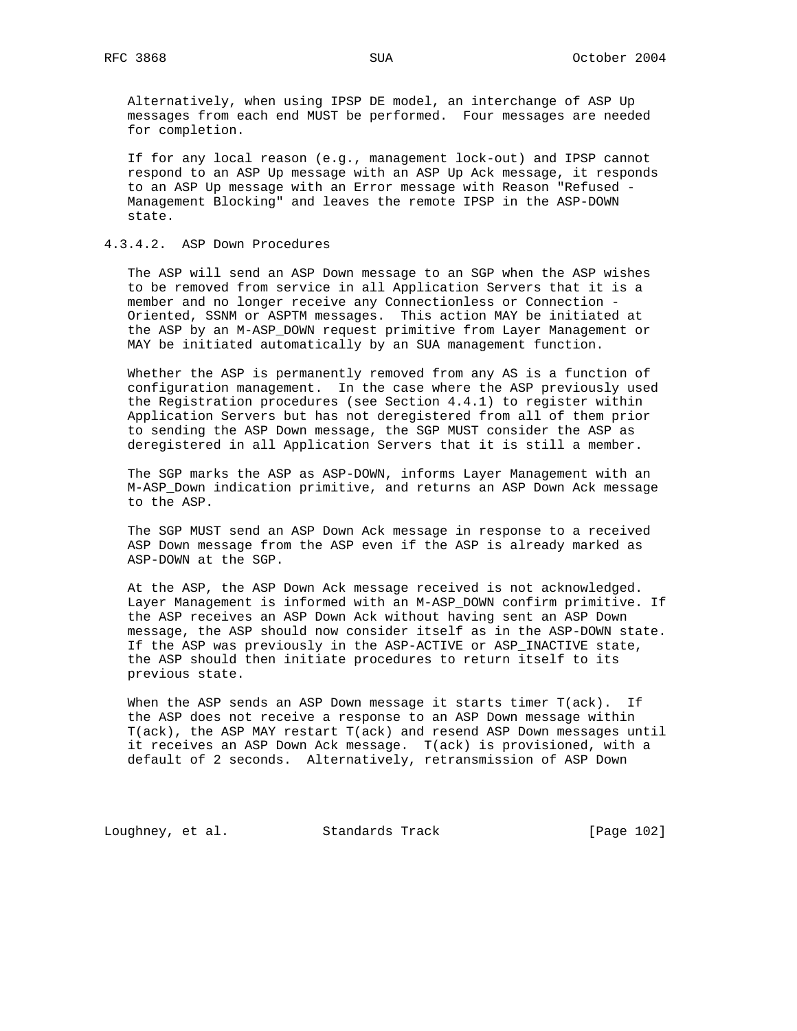Alternatively, when using IPSP DE model, an interchange of ASP Up messages from each end MUST be performed. Four messages are needed for completion.

 If for any local reason (e.g., management lock-out) and IPSP cannot respond to an ASP Up message with an ASP Up Ack message, it responds to an ASP Up message with an Error message with Reason "Refused - Management Blocking" and leaves the remote IPSP in the ASP-DOWN state.

### 4.3.4.2. ASP Down Procedures

 The ASP will send an ASP Down message to an SGP when the ASP wishes to be removed from service in all Application Servers that it is a member and no longer receive any Connectionless or Connection - Oriented, SSNM or ASPTM messages. This action MAY be initiated at the ASP by an M-ASP\_DOWN request primitive from Layer Management or MAY be initiated automatically by an SUA management function.

 Whether the ASP is permanently removed from any AS is a function of configuration management. In the case where the ASP previously used the Registration procedures (see Section 4.4.1) to register within Application Servers but has not deregistered from all of them prior to sending the ASP Down message, the SGP MUST consider the ASP as deregistered in all Application Servers that it is still a member.

 The SGP marks the ASP as ASP-DOWN, informs Layer Management with an M-ASP\_Down indication primitive, and returns an ASP Down Ack message to the ASP.

 The SGP MUST send an ASP Down Ack message in response to a received ASP Down message from the ASP even if the ASP is already marked as ASP-DOWN at the SGP.

 At the ASP, the ASP Down Ack message received is not acknowledged. Layer Management is informed with an M-ASP\_DOWN confirm primitive. If the ASP receives an ASP Down Ack without having sent an ASP Down message, the ASP should now consider itself as in the ASP-DOWN state. If the ASP was previously in the ASP-ACTIVE or ASP\_INACTIVE state, the ASP should then initiate procedures to return itself to its previous state.

 When the ASP sends an ASP Down message it starts timer T(ack). If the ASP does not receive a response to an ASP Down message within T(ack), the ASP MAY restart T(ack) and resend ASP Down messages until it receives an ASP Down Ack message. T(ack) is provisioned, with a default of 2 seconds. Alternatively, retransmission of ASP Down

Loughney, et al. Standards Track [Page 102]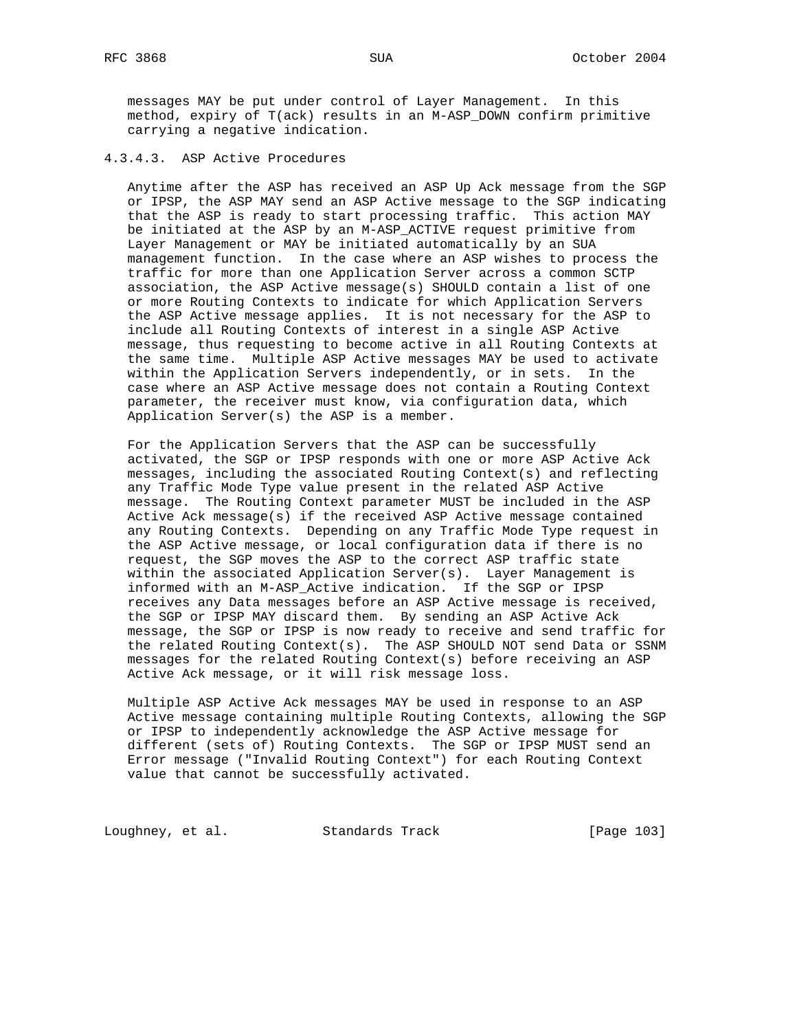messages MAY be put under control of Layer Management. In this method, expiry of T(ack) results in an M-ASP\_DOWN confirm primitive carrying a negative indication.

### 4.3.4.3. ASP Active Procedures

 Anytime after the ASP has received an ASP Up Ack message from the SGP or IPSP, the ASP MAY send an ASP Active message to the SGP indicating that the ASP is ready to start processing traffic. This action MAY be initiated at the ASP by an M-ASP\_ACTIVE request primitive from Layer Management or MAY be initiated automatically by an SUA management function. In the case where an ASP wishes to process the traffic for more than one Application Server across a common SCTP association, the ASP Active message(s) SHOULD contain a list of one or more Routing Contexts to indicate for which Application Servers the ASP Active message applies. It is not necessary for the ASP to include all Routing Contexts of interest in a single ASP Active message, thus requesting to become active in all Routing Contexts at the same time. Multiple ASP Active messages MAY be used to activate within the Application Servers independently, or in sets. In the case where an ASP Active message does not contain a Routing Context parameter, the receiver must know, via configuration data, which Application Server(s) the ASP is a member.

 For the Application Servers that the ASP can be successfully activated, the SGP or IPSP responds with one or more ASP Active Ack messages, including the associated Routing Context(s) and reflecting any Traffic Mode Type value present in the related ASP Active message. The Routing Context parameter MUST be included in the ASP Active Ack message(s) if the received ASP Active message contained any Routing Contexts. Depending on any Traffic Mode Type request in the ASP Active message, or local configuration data if there is no request, the SGP moves the ASP to the correct ASP traffic state within the associated Application Server(s). Layer Management is informed with an M-ASP\_Active indication. If the SGP or IPSP receives any Data messages before an ASP Active message is received, the SGP or IPSP MAY discard them. By sending an ASP Active Ack message, the SGP or IPSP is now ready to receive and send traffic for the related Routing Context(s). The ASP SHOULD NOT send Data or SSNM messages for the related Routing Context(s) before receiving an ASP Active Ack message, or it will risk message loss.

 Multiple ASP Active Ack messages MAY be used in response to an ASP Active message containing multiple Routing Contexts, allowing the SGP or IPSP to independently acknowledge the ASP Active message for different (sets of) Routing Contexts. The SGP or IPSP MUST send an Error message ("Invalid Routing Context") for each Routing Context value that cannot be successfully activated.

Loughney, et al. Standards Track [Page 103]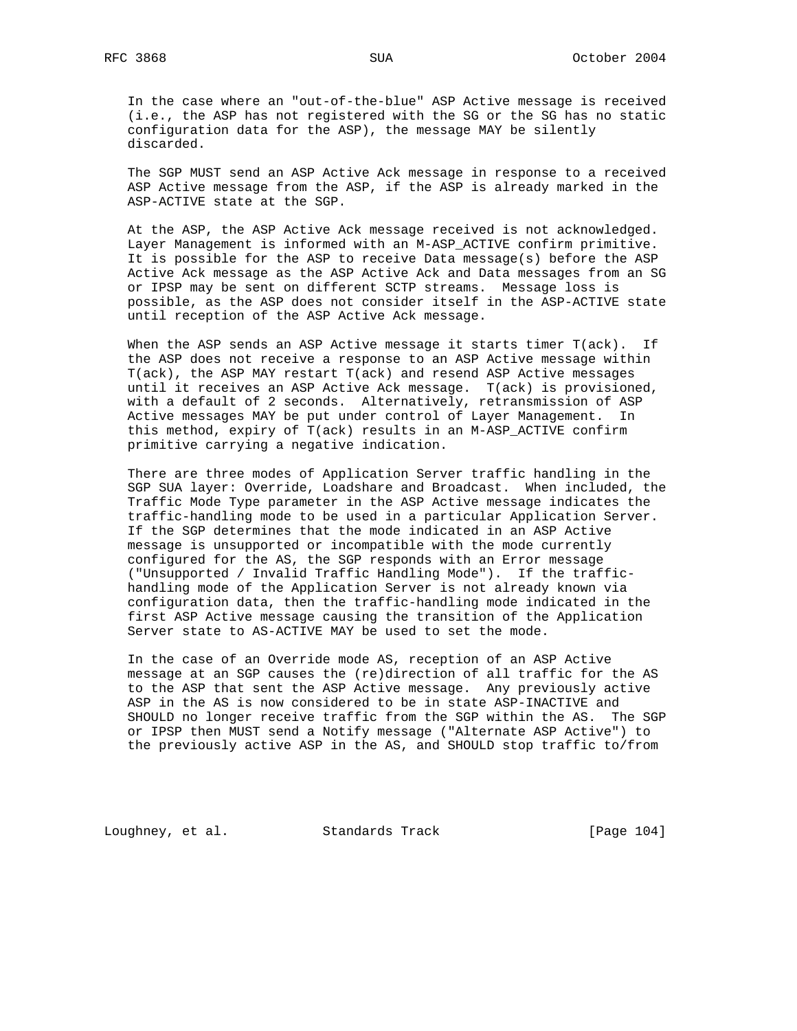In the case where an "out-of-the-blue" ASP Active message is received (i.e., the ASP has not registered with the SG or the SG has no static configuration data for the ASP), the message MAY be silently discarded.

 The SGP MUST send an ASP Active Ack message in response to a received ASP Active message from the ASP, if the ASP is already marked in the ASP-ACTIVE state at the SGP.

 At the ASP, the ASP Active Ack message received is not acknowledged. Layer Management is informed with an M-ASP\_ACTIVE confirm primitive. It is possible for the ASP to receive Data message(s) before the ASP Active Ack message as the ASP Active Ack and Data messages from an SG or IPSP may be sent on different SCTP streams. Message loss is possible, as the ASP does not consider itself in the ASP-ACTIVE state until reception of the ASP Active Ack message.

When the ASP sends an ASP Active message it starts timer T(ack). If the ASP does not receive a response to an ASP Active message within T(ack), the ASP MAY restart T(ack) and resend ASP Active messages until it receives an ASP Active Ack message. T(ack) is provisioned, with a default of 2 seconds. Alternatively, retransmission of ASP Active messages MAY be put under control of Layer Management. In this method, expiry of T(ack) results in an M-ASP\_ACTIVE confirm primitive carrying a negative indication.

 There are three modes of Application Server traffic handling in the SGP SUA layer: Override, Loadshare and Broadcast. When included, the Traffic Mode Type parameter in the ASP Active message indicates the traffic-handling mode to be used in a particular Application Server. If the SGP determines that the mode indicated in an ASP Active message is unsupported or incompatible with the mode currently configured for the AS, the SGP responds with an Error message ("Unsupported / Invalid Traffic Handling Mode"). If the traffic handling mode of the Application Server is not already known via configuration data, then the traffic-handling mode indicated in the first ASP Active message causing the transition of the Application Server state to AS-ACTIVE MAY be used to set the mode.

 In the case of an Override mode AS, reception of an ASP Active message at an SGP causes the (re)direction of all traffic for the AS to the ASP that sent the ASP Active message. Any previously active ASP in the AS is now considered to be in state ASP-INACTIVE and SHOULD no longer receive traffic from the SGP within the AS. The SGP or IPSP then MUST send a Notify message ("Alternate ASP Active") to the previously active ASP in the AS, and SHOULD stop traffic to/from

Loughney, et al. Standards Track [Page 104]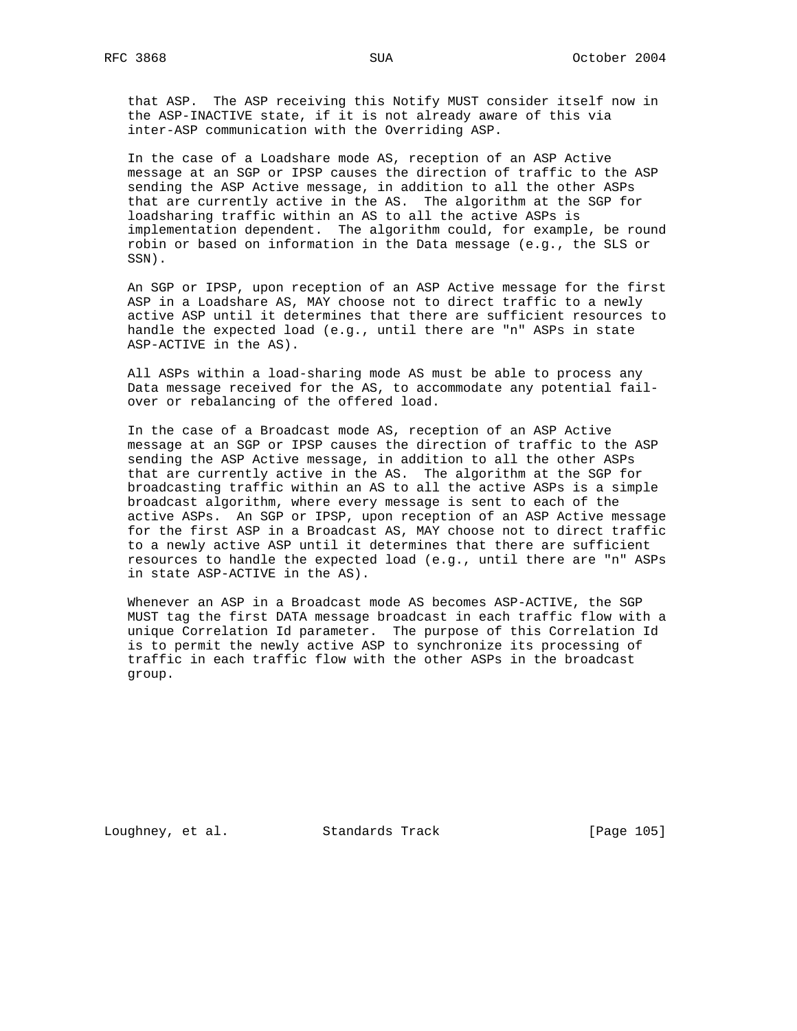that ASP. The ASP receiving this Notify MUST consider itself now in the ASP-INACTIVE state, if it is not already aware of this via inter-ASP communication with the Overriding ASP.

 In the case of a Loadshare mode AS, reception of an ASP Active message at an SGP or IPSP causes the direction of traffic to the ASP sending the ASP Active message, in addition to all the other ASPs that are currently active in the AS. The algorithm at the SGP for loadsharing traffic within an AS to all the active ASPs is implementation dependent. The algorithm could, for example, be round robin or based on information in the Data message (e.g., the SLS or SSN).

 An SGP or IPSP, upon reception of an ASP Active message for the first ASP in a Loadshare AS, MAY choose not to direct traffic to a newly active ASP until it determines that there are sufficient resources to handle the expected load (e.g., until there are "n" ASPs in state ASP-ACTIVE in the AS).

 All ASPs within a load-sharing mode AS must be able to process any Data message received for the AS, to accommodate any potential fail over or rebalancing of the offered load.

 In the case of a Broadcast mode AS, reception of an ASP Active message at an SGP or IPSP causes the direction of traffic to the ASP sending the ASP Active message, in addition to all the other ASPs that are currently active in the AS. The algorithm at the SGP for broadcasting traffic within an AS to all the active ASPs is a simple broadcast algorithm, where every message is sent to each of the active ASPs. An SGP or IPSP, upon reception of an ASP Active message for the first ASP in a Broadcast AS, MAY choose not to direct traffic to a newly active ASP until it determines that there are sufficient resources to handle the expected load (e.g., until there are "n" ASPs in state ASP-ACTIVE in the AS).

 Whenever an ASP in a Broadcast mode AS becomes ASP-ACTIVE, the SGP MUST tag the first DATA message broadcast in each traffic flow with a unique Correlation Id parameter. The purpose of this Correlation Id is to permit the newly active ASP to synchronize its processing of traffic in each traffic flow with the other ASPs in the broadcast group.

Loughney, et al. Standards Track [Page 105]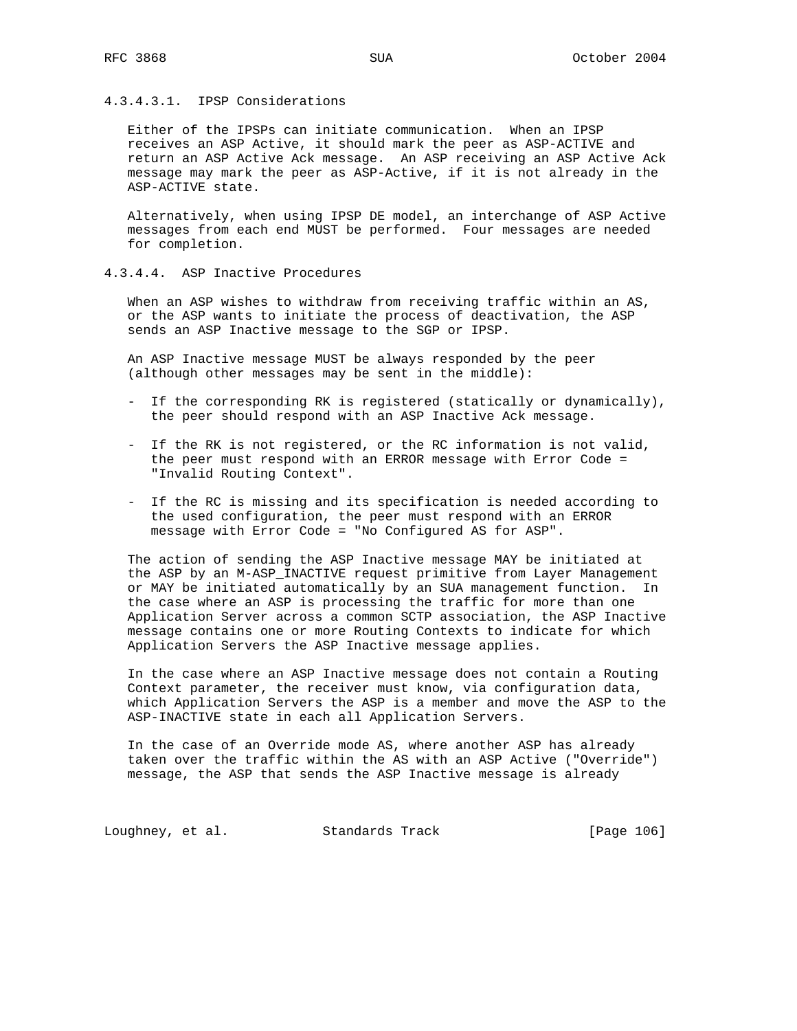## 4.3.4.3.1. IPSP Considerations

 Either of the IPSPs can initiate communication. When an IPSP receives an ASP Active, it should mark the peer as ASP-ACTIVE and return an ASP Active Ack message. An ASP receiving an ASP Active Ack message may mark the peer as ASP-Active, if it is not already in the ASP-ACTIVE state.

 Alternatively, when using IPSP DE model, an interchange of ASP Active messages from each end MUST be performed. Four messages are needed for completion.

## 4.3.4.4. ASP Inactive Procedures

 When an ASP wishes to withdraw from receiving traffic within an AS, or the ASP wants to initiate the process of deactivation, the ASP sends an ASP Inactive message to the SGP or IPSP.

 An ASP Inactive message MUST be always responded by the peer (although other messages may be sent in the middle):

- If the corresponding RK is registered (statically or dynamically), the peer should respond with an ASP Inactive Ack message.
- If the RK is not registered, or the RC information is not valid, the peer must respond with an ERROR message with Error Code = "Invalid Routing Context".
- If the RC is missing and its specification is needed according to the used configuration, the peer must respond with an ERROR message with Error Code = "No Configured AS for ASP".

 The action of sending the ASP Inactive message MAY be initiated at the ASP by an M-ASP\_INACTIVE request primitive from Layer Management or MAY be initiated automatically by an SUA management function. In the case where an ASP is processing the traffic for more than one Application Server across a common SCTP association, the ASP Inactive message contains one or more Routing Contexts to indicate for which Application Servers the ASP Inactive message applies.

 In the case where an ASP Inactive message does not contain a Routing Context parameter, the receiver must know, via configuration data, which Application Servers the ASP is a member and move the ASP to the ASP-INACTIVE state in each all Application Servers.

 In the case of an Override mode AS, where another ASP has already taken over the traffic within the AS with an ASP Active ("Override") message, the ASP that sends the ASP Inactive message is already

Loughney, et al. Standards Track [Page 106]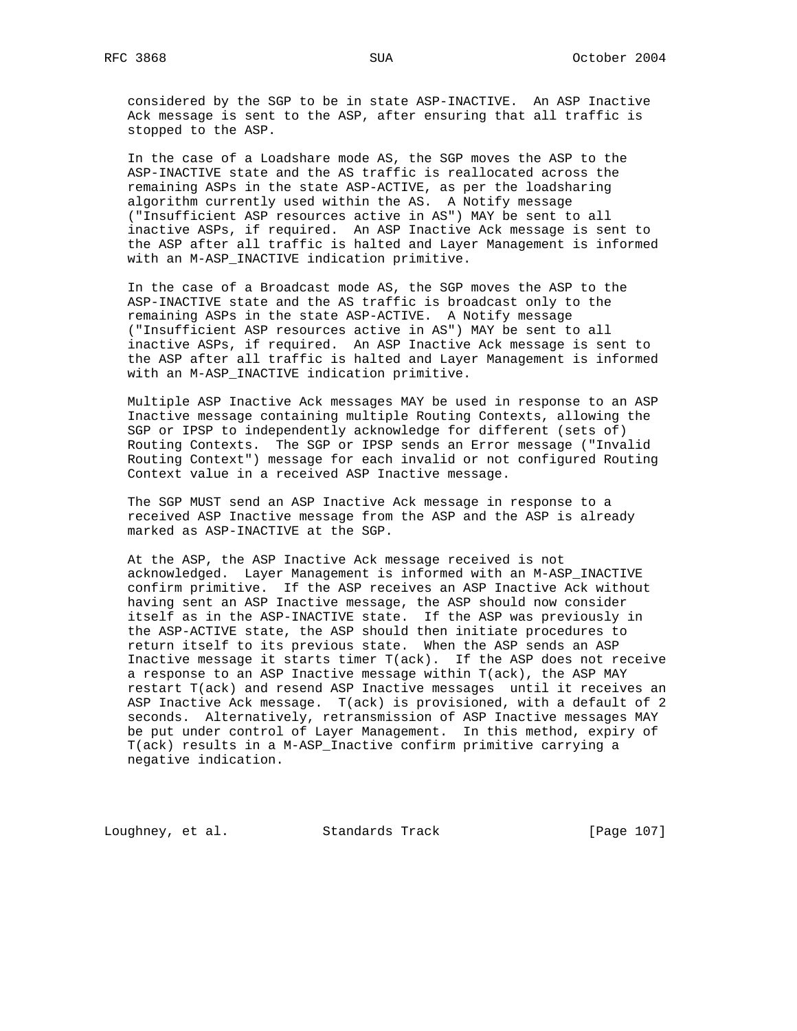considered by the SGP to be in state ASP-INACTIVE. An ASP Inactive Ack message is sent to the ASP, after ensuring that all traffic is stopped to the ASP.

 In the case of a Loadshare mode AS, the SGP moves the ASP to the ASP-INACTIVE state and the AS traffic is reallocated across the remaining ASPs in the state ASP-ACTIVE, as per the loadsharing algorithm currently used within the AS. A Notify message ("Insufficient ASP resources active in AS") MAY be sent to all inactive ASPs, if required. An ASP Inactive Ack message is sent to the ASP after all traffic is halted and Layer Management is informed with an M-ASP\_INACTIVE indication primitive.

 In the case of a Broadcast mode AS, the SGP moves the ASP to the ASP-INACTIVE state and the AS traffic is broadcast only to the remaining ASPs in the state ASP-ACTIVE. A Notify message ("Insufficient ASP resources active in AS") MAY be sent to all inactive ASPs, if required. An ASP Inactive Ack message is sent to the ASP after all traffic is halted and Layer Management is informed with an M-ASP\_INACTIVE indication primitive.

 Multiple ASP Inactive Ack messages MAY be used in response to an ASP Inactive message containing multiple Routing Contexts, allowing the SGP or IPSP to independently acknowledge for different (sets of) Routing Contexts. The SGP or IPSP sends an Error message ("Invalid Routing Context") message for each invalid or not configured Routing Context value in a received ASP Inactive message.

 The SGP MUST send an ASP Inactive Ack message in response to a received ASP Inactive message from the ASP and the ASP is already marked as ASP-INACTIVE at the SGP.

 At the ASP, the ASP Inactive Ack message received is not acknowledged. Layer Management is informed with an M-ASP\_INACTIVE confirm primitive. If the ASP receives an ASP Inactive Ack without having sent an ASP Inactive message, the ASP should now consider itself as in the ASP-INACTIVE state. If the ASP was previously in the ASP-ACTIVE state, the ASP should then initiate procedures to return itself to its previous state. When the ASP sends an ASP Inactive message it starts timer T(ack). If the ASP does not receive a response to an ASP Inactive message within T(ack), the ASP MAY restart T(ack) and resend ASP Inactive messages until it receives an ASP Inactive Ack message. T(ack) is provisioned, with a default of 2 seconds. Alternatively, retransmission of ASP Inactive messages MAY be put under control of Layer Management. In this method, expiry of T(ack) results in a M-ASP\_Inactive confirm primitive carrying a negative indication.

Loughney, et al. Standards Track [Page 107]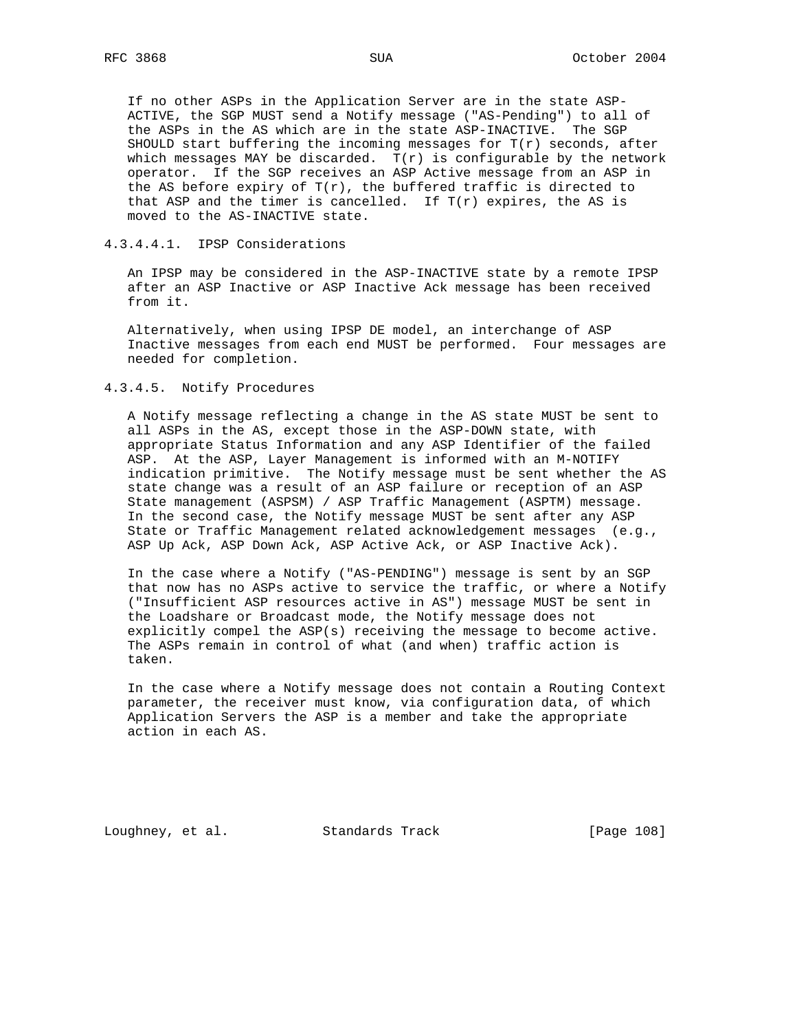If no other ASPs in the Application Server are in the state ASP- ACTIVE, the SGP MUST send a Notify message ("AS-Pending") to all of the ASPs in the AS which are in the state ASP-INACTIVE. The SGP SHOULD start buffering the incoming messages for  $T(r)$  seconds, after which messages MAY be discarded.  $T(r)$  is configurable by the network operator. If the SGP receives an ASP Active message from an ASP in the AS before expiry of  $T(r)$ , the buffered traffic is directed to that ASP and the timer is cancelled. If  $T(r)$  expires, the AS is moved to the AS-INACTIVE state.

#### 4.3.4.4.1. IPSP Considerations

 An IPSP may be considered in the ASP-INACTIVE state by a remote IPSP after an ASP Inactive or ASP Inactive Ack message has been received from it.

 Alternatively, when using IPSP DE model, an interchange of ASP Inactive messages from each end MUST be performed. Four messages are needed for completion.

### 4.3.4.5. Notify Procedures

 A Notify message reflecting a change in the AS state MUST be sent to all ASPs in the AS, except those in the ASP-DOWN state, with appropriate Status Information and any ASP Identifier of the failed ASP. At the ASP, Layer Management is informed with an M-NOTIFY indication primitive. The Notify message must be sent whether the AS state change was a result of an ASP failure or reception of an ASP State management (ASPSM) / ASP Traffic Management (ASPTM) message. In the second case, the Notify message MUST be sent after any ASP State or Traffic Management related acknowledgement messages (e.g., ASP Up Ack, ASP Down Ack, ASP Active Ack, or ASP Inactive Ack).

 In the case where a Notify ("AS-PENDING") message is sent by an SGP that now has no ASPs active to service the traffic, or where a Notify ("Insufficient ASP resources active in AS") message MUST be sent in the Loadshare or Broadcast mode, the Notify message does not explicitly compel the ASP(s) receiving the message to become active. The ASPs remain in control of what (and when) traffic action is taken.

 In the case where a Notify message does not contain a Routing Context parameter, the receiver must know, via configuration data, of which Application Servers the ASP is a member and take the appropriate action in each AS.

Loughney, et al. Standards Track [Page 108]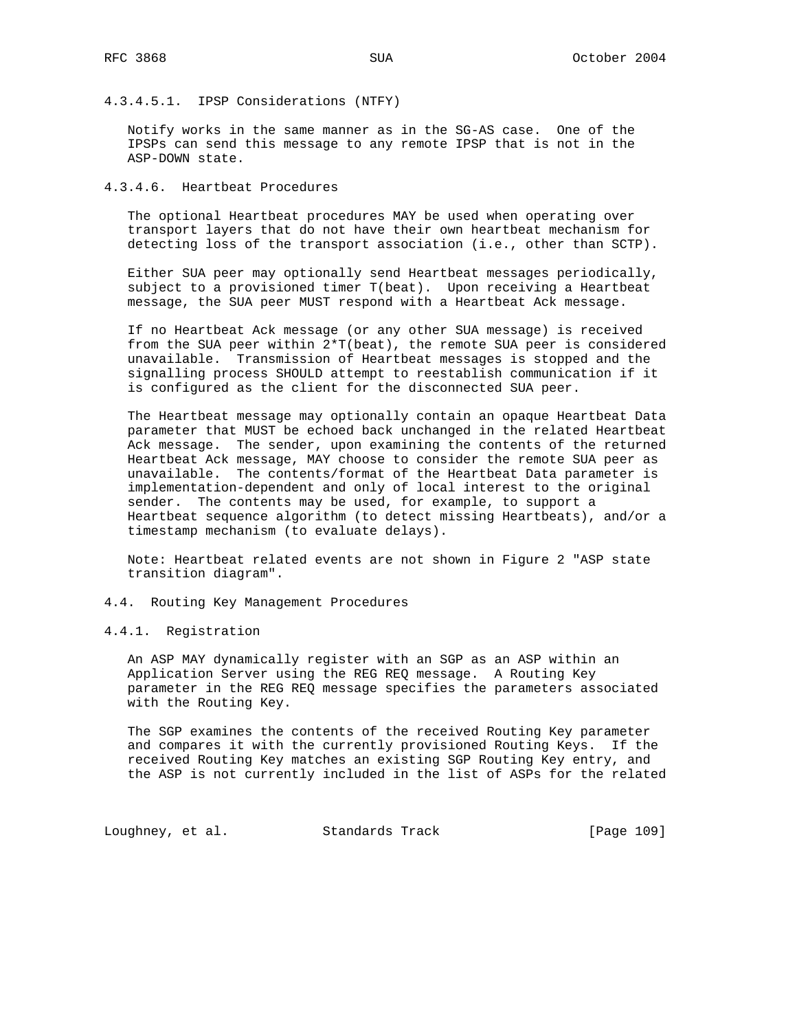4.3.4.5.1. IPSP Considerations (NTFY)

 Notify works in the same manner as in the SG-AS case. One of the IPSPs can send this message to any remote IPSP that is not in the ASP-DOWN state.

4.3.4.6. Heartbeat Procedures

 The optional Heartbeat procedures MAY be used when operating over transport layers that do not have their own heartbeat mechanism for detecting loss of the transport association (i.e., other than SCTP).

 Either SUA peer may optionally send Heartbeat messages periodically, subject to a provisioned timer T(beat). Upon receiving a Heartbeat message, the SUA peer MUST respond with a Heartbeat Ack message.

 If no Heartbeat Ack message (or any other SUA message) is received from the SUA peer within 2\*T(beat), the remote SUA peer is considered unavailable. Transmission of Heartbeat messages is stopped and the signalling process SHOULD attempt to reestablish communication if it is configured as the client for the disconnected SUA peer.

 The Heartbeat message may optionally contain an opaque Heartbeat Data parameter that MUST be echoed back unchanged in the related Heartbeat Ack message. The sender, upon examining the contents of the returned Heartbeat Ack message, MAY choose to consider the remote SUA peer as unavailable. The contents/format of the Heartbeat Data parameter is implementation-dependent and only of local interest to the original sender. The contents may be used, for example, to support a Heartbeat sequence algorithm (to detect missing Heartbeats), and/or a timestamp mechanism (to evaluate delays).

 Note: Heartbeat related events are not shown in Figure 2 "ASP state transition diagram".

- 4.4. Routing Key Management Procedures
- 4.4.1. Registration

 An ASP MAY dynamically register with an SGP as an ASP within an Application Server using the REG REQ message. A Routing Key parameter in the REG REQ message specifies the parameters associated with the Routing Key.

 The SGP examines the contents of the received Routing Key parameter and compares it with the currently provisioned Routing Keys. If the received Routing Key matches an existing SGP Routing Key entry, and the ASP is not currently included in the list of ASPs for the related

Loughney, et al. Standards Track [Page 109]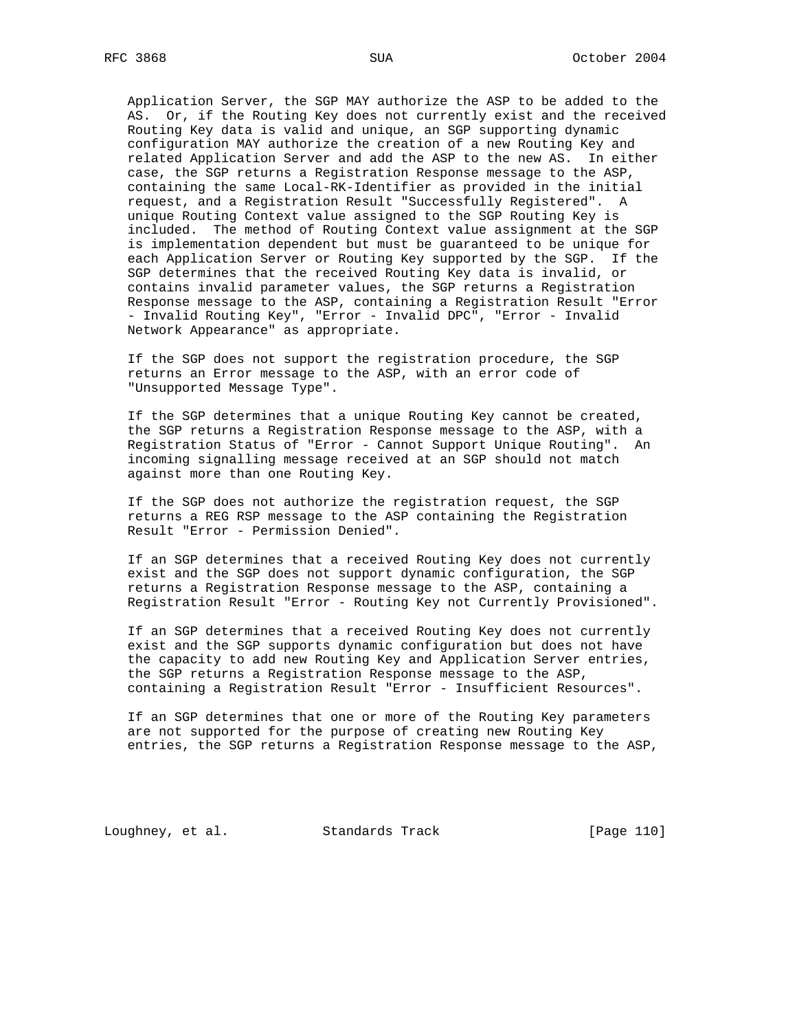Application Server, the SGP MAY authorize the ASP to be added to the AS. Or, if the Routing Key does not currently exist and the received Routing Key data is valid and unique, an SGP supporting dynamic configuration MAY authorize the creation of a new Routing Key and related Application Server and add the ASP to the new AS. In either case, the SGP returns a Registration Response message to the ASP, containing the same Local-RK-Identifier as provided in the initial request, and a Registration Result "Successfully Registered". A unique Routing Context value assigned to the SGP Routing Key is included. The method of Routing Context value assignment at the SGP is implementation dependent but must be guaranteed to be unique for each Application Server or Routing Key supported by the SGP. If the SGP determines that the received Routing Key data is invalid, or contains invalid parameter values, the SGP returns a Registration Response message to the ASP, containing a Registration Result "Error - Invalid Routing Key", "Error - Invalid DPC", "Error - Invalid Network Appearance" as appropriate.

 If the SGP does not support the registration procedure, the SGP returns an Error message to the ASP, with an error code of "Unsupported Message Type".

 If the SGP determines that a unique Routing Key cannot be created, the SGP returns a Registration Response message to the ASP, with a Registration Status of "Error - Cannot Support Unique Routing". An incoming signalling message received at an SGP should not match against more than one Routing Key.

 If the SGP does not authorize the registration request, the SGP returns a REG RSP message to the ASP containing the Registration Result "Error - Permission Denied".

 If an SGP determines that a received Routing Key does not currently exist and the SGP does not support dynamic configuration, the SGP returns a Registration Response message to the ASP, containing a Registration Result "Error - Routing Key not Currently Provisioned".

 If an SGP determines that a received Routing Key does not currently exist and the SGP supports dynamic configuration but does not have the capacity to add new Routing Key and Application Server entries, the SGP returns a Registration Response message to the ASP, containing a Registration Result "Error - Insufficient Resources".

 If an SGP determines that one or more of the Routing Key parameters are not supported for the purpose of creating new Routing Key entries, the SGP returns a Registration Response message to the ASP,

Loughney, et al. Standards Track [Page 110]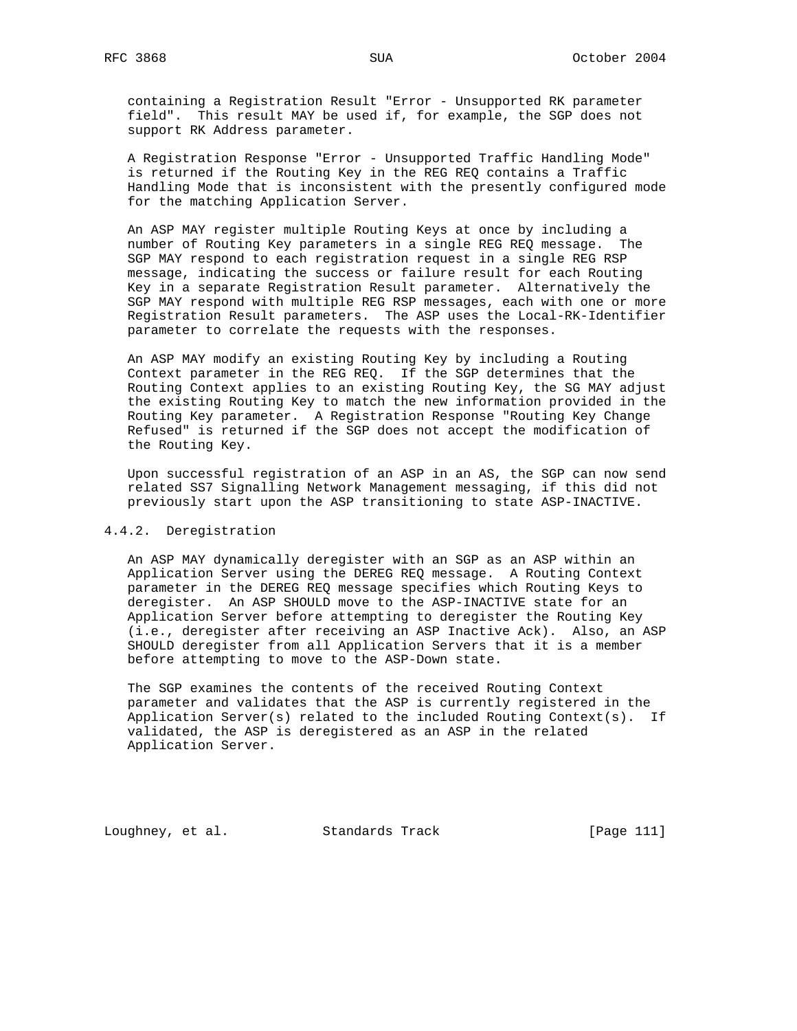containing a Registration Result "Error - Unsupported RK parameter field". This result MAY be used if, for example, the SGP does not support RK Address parameter.

 A Registration Response "Error - Unsupported Traffic Handling Mode" is returned if the Routing Key in the REG REQ contains a Traffic Handling Mode that is inconsistent with the presently configured mode for the matching Application Server.

 An ASP MAY register multiple Routing Keys at once by including a number of Routing Key parameters in a single REG REQ message. The SGP MAY respond to each registration request in a single REG RSP message, indicating the success or failure result for each Routing Key in a separate Registration Result parameter. Alternatively the SGP MAY respond with multiple REG RSP messages, each with one or more Registration Result parameters. The ASP uses the Local-RK-Identifier parameter to correlate the requests with the responses.

 An ASP MAY modify an existing Routing Key by including a Routing Context parameter in the REG REQ. If the SGP determines that the Routing Context applies to an existing Routing Key, the SG MAY adjust the existing Routing Key to match the new information provided in the Routing Key parameter. A Registration Response "Routing Key Change Refused" is returned if the SGP does not accept the modification of the Routing Key.

 Upon successful registration of an ASP in an AS, the SGP can now send related SS7 Signalling Network Management messaging, if this did not previously start upon the ASP transitioning to state ASP-INACTIVE.

### 4.4.2. Deregistration

 An ASP MAY dynamically deregister with an SGP as an ASP within an Application Server using the DEREG REQ message. A Routing Context parameter in the DEREG REQ message specifies which Routing Keys to deregister. An ASP SHOULD move to the ASP-INACTIVE state for an Application Server before attempting to deregister the Routing Key (i.e., deregister after receiving an ASP Inactive Ack). Also, an ASP SHOULD deregister from all Application Servers that it is a member before attempting to move to the ASP-Down state.

 The SGP examines the contents of the received Routing Context parameter and validates that the ASP is currently registered in the Application Server(s) related to the included Routing Context(s). If validated, the ASP is deregistered as an ASP in the related Application Server.

Loughney, et al. Standards Track [Page 111]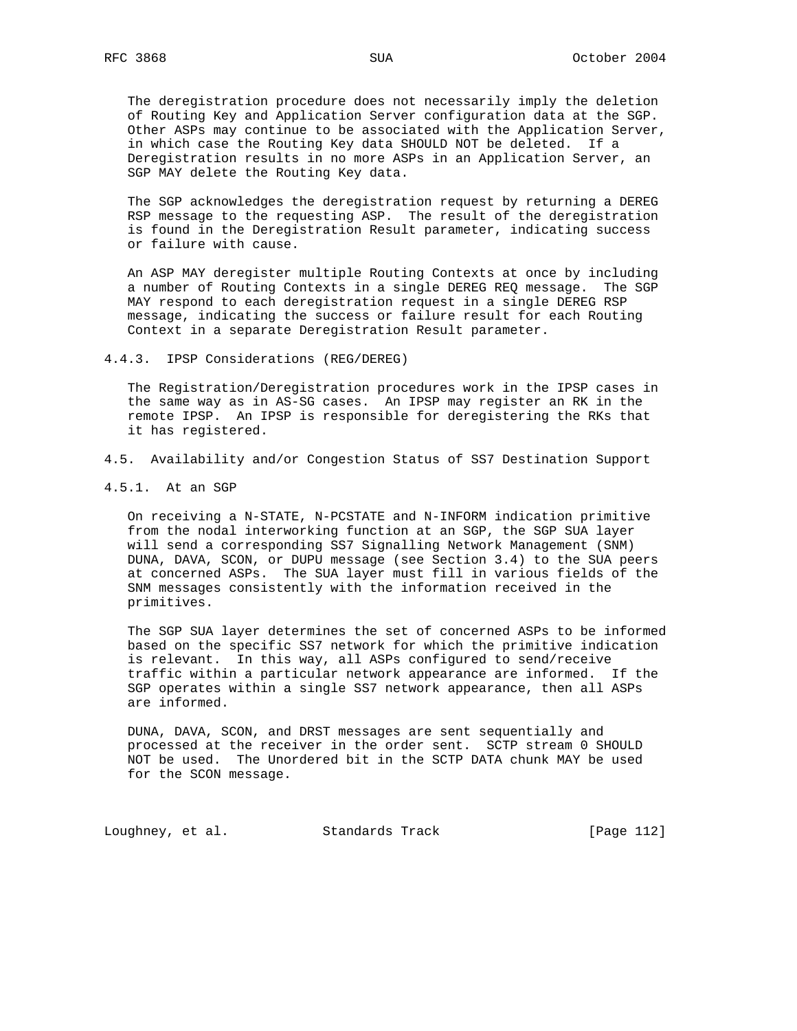The deregistration procedure does not necessarily imply the deletion of Routing Key and Application Server configuration data at the SGP. Other ASPs may continue to be associated with the Application Server, in which case the Routing Key data SHOULD NOT be deleted. If a Deregistration results in no more ASPs in an Application Server, an SGP MAY delete the Routing Key data.

 The SGP acknowledges the deregistration request by returning a DEREG RSP message to the requesting ASP. The result of the deregistration is found in the Deregistration Result parameter, indicating success or failure with cause.

 An ASP MAY deregister multiple Routing Contexts at once by including a number of Routing Contexts in a single DEREG REQ message. The SGP MAY respond to each deregistration request in a single DEREG RSP message, indicating the success or failure result for each Routing Context in a separate Deregistration Result parameter.

4.4.3. IPSP Considerations (REG/DEREG)

 The Registration/Deregistration procedures work in the IPSP cases in the same way as in AS-SG cases. An IPSP may register an RK in the remote IPSP. An IPSP is responsible for deregistering the RKs that it has registered.

- 4.5. Availability and/or Congestion Status of SS7 Destination Support
- 4.5.1. At an SGP

 On receiving a N-STATE, N-PCSTATE and N-INFORM indication primitive from the nodal interworking function at an SGP, the SGP SUA layer will send a corresponding SS7 Signalling Network Management (SNM) DUNA, DAVA, SCON, or DUPU message (see Section 3.4) to the SUA peers at concerned ASPs. The SUA layer must fill in various fields of the SNM messages consistently with the information received in the primitives.

 The SGP SUA layer determines the set of concerned ASPs to be informed based on the specific SS7 network for which the primitive indication is relevant. In this way, all ASPs configured to send/receive traffic within a particular network appearance are informed. If the SGP operates within a single SS7 network appearance, then all ASPs are informed.

 DUNA, DAVA, SCON, and DRST messages are sent sequentially and processed at the receiver in the order sent. SCTP stream 0 SHOULD NOT be used. The Unordered bit in the SCTP DATA chunk MAY be used for the SCON message.

Loughney, et al. Standards Track [Page 112]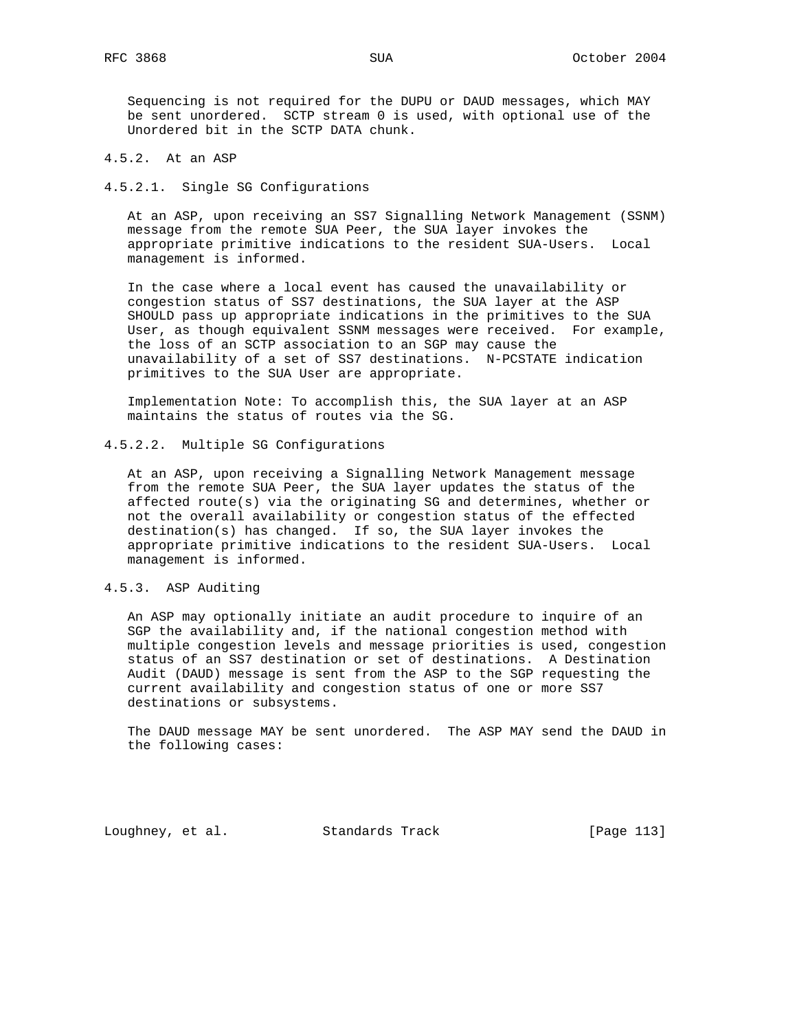Sequencing is not required for the DUPU or DAUD messages, which MAY be sent unordered. SCTP stream 0 is used, with optional use of the Unordered bit in the SCTP DATA chunk.

# 4.5.2. At an ASP

#### 4.5.2.1. Single SG Configurations

 At an ASP, upon receiving an SS7 Signalling Network Management (SSNM) message from the remote SUA Peer, the SUA layer invokes the appropriate primitive indications to the resident SUA-Users. Local management is informed.

 In the case where a local event has caused the unavailability or congestion status of SS7 destinations, the SUA layer at the ASP SHOULD pass up appropriate indications in the primitives to the SUA User, as though equivalent SSNM messages were received. For example, the loss of an SCTP association to an SGP may cause the unavailability of a set of SS7 destinations. N-PCSTATE indication primitives to the SUA User are appropriate.

 Implementation Note: To accomplish this, the SUA layer at an ASP maintains the status of routes via the SG.

### 4.5.2.2. Multiple SG Configurations

 At an ASP, upon receiving a Signalling Network Management message from the remote SUA Peer, the SUA layer updates the status of the affected route(s) via the originating SG and determines, whether or not the overall availability or congestion status of the effected destination(s) has changed. If so, the SUA layer invokes the appropriate primitive indications to the resident SUA-Users. Local management is informed.

### 4.5.3. ASP Auditing

 An ASP may optionally initiate an audit procedure to inquire of an SGP the availability and, if the national congestion method with multiple congestion levels and message priorities is used, congestion status of an SS7 destination or set of destinations. A Destination Audit (DAUD) message is sent from the ASP to the SGP requesting the current availability and congestion status of one or more SS7 destinations or subsystems.

 The DAUD message MAY be sent unordered. The ASP MAY send the DAUD in the following cases:

Loughney, et al. Standards Track [Page 113]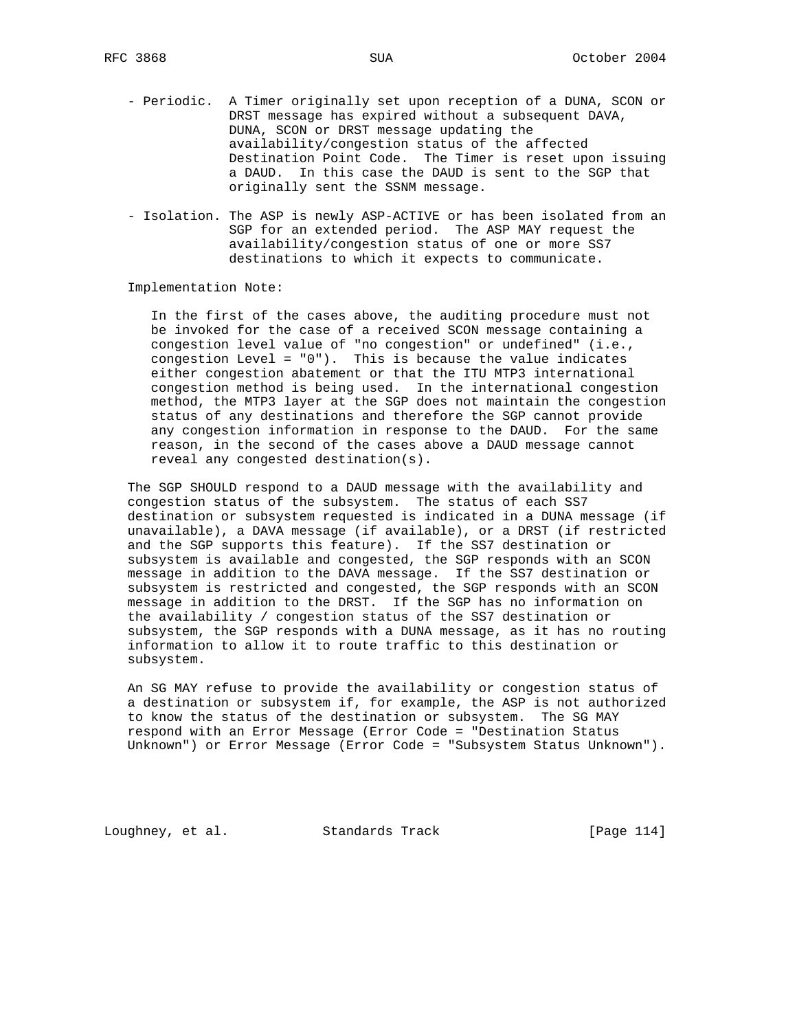- Periodic. A Timer originally set upon reception of a DUNA, SCON or DRST message has expired without a subsequent DAVA, DUNA, SCON or DRST message updating the availability/congestion status of the affected Destination Point Code. The Timer is reset upon issuing a DAUD. In this case the DAUD is sent to the SGP that originally sent the SSNM message.
- Isolation. The ASP is newly ASP-ACTIVE or has been isolated from an SGP for an extended period. The ASP MAY request the availability/congestion status of one or more SS7 destinations to which it expects to communicate.

Implementation Note:

 In the first of the cases above, the auditing procedure must not be invoked for the case of a received SCON message containing a congestion level value of "no congestion" or undefined" (i.e., congestion Level = "0"). This is because the value indicates either congestion abatement or that the ITU MTP3 international congestion method is being used. In the international congestion method, the MTP3 layer at the SGP does not maintain the congestion status of any destinations and therefore the SGP cannot provide any congestion information in response to the DAUD. For the same reason, in the second of the cases above a DAUD message cannot reveal any congested destination(s).

 The SGP SHOULD respond to a DAUD message with the availability and congestion status of the subsystem. The status of each SS7 destination or subsystem requested is indicated in a DUNA message (if unavailable), a DAVA message (if available), or a DRST (if restricted and the SGP supports this feature). If the SS7 destination or subsystem is available and congested, the SGP responds with an SCON message in addition to the DAVA message. If the SS7 destination or subsystem is restricted and congested, the SGP responds with an SCON message in addition to the DRST. If the SGP has no information on the availability / congestion status of the SS7 destination or subsystem, the SGP responds with a DUNA message, as it has no routing information to allow it to route traffic to this destination or subsystem.

 An SG MAY refuse to provide the availability or congestion status of a destination or subsystem if, for example, the ASP is not authorized to know the status of the destination or subsystem. The SG MAY respond with an Error Message (Error Code = "Destination Status Unknown") or Error Message (Error Code = "Subsystem Status Unknown").

Loughney, et al. Standards Track [Page 114]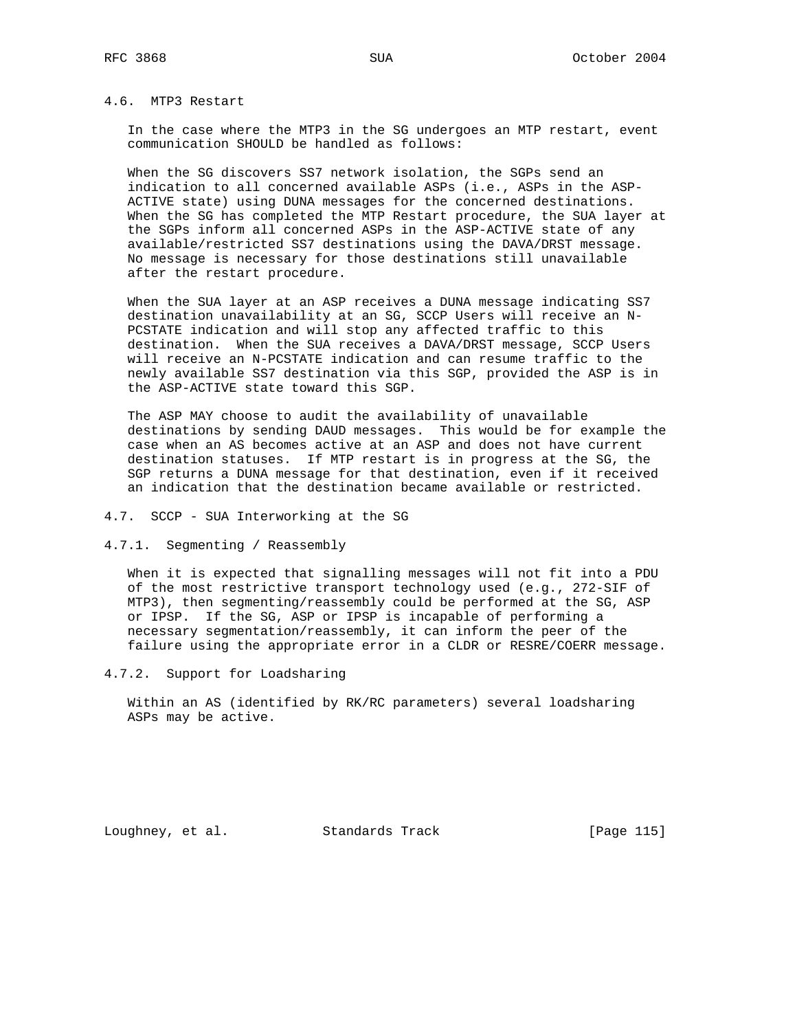## 4.6. MTP3 Restart

 In the case where the MTP3 in the SG undergoes an MTP restart, event communication SHOULD be handled as follows:

 When the SG discovers SS7 network isolation, the SGPs send an indication to all concerned available ASPs (i.e., ASPs in the ASP- ACTIVE state) using DUNA messages for the concerned destinations. When the SG has completed the MTP Restart procedure, the SUA layer at the SGPs inform all concerned ASPs in the ASP-ACTIVE state of any available/restricted SS7 destinations using the DAVA/DRST message. No message is necessary for those destinations still unavailable after the restart procedure.

 When the SUA layer at an ASP receives a DUNA message indicating SS7 destination unavailability at an SG, SCCP Users will receive an N- PCSTATE indication and will stop any affected traffic to this destination. When the SUA receives a DAVA/DRST message, SCCP Users will receive an N-PCSTATE indication and can resume traffic to the newly available SS7 destination via this SGP, provided the ASP is in the ASP-ACTIVE state toward this SGP.

 The ASP MAY choose to audit the availability of unavailable destinations by sending DAUD messages. This would be for example the case when an AS becomes active at an ASP and does not have current destination statuses. If MTP restart is in progress at the SG, the SGP returns a DUNA message for that destination, even if it received an indication that the destination became available or restricted.

4.7. SCCP - SUA Interworking at the SG

4.7.1. Segmenting / Reassembly

 When it is expected that signalling messages will not fit into a PDU of the most restrictive transport technology used (e.g., 272-SIF of MTP3), then segmenting/reassembly could be performed at the SG, ASP or IPSP. If the SG, ASP or IPSP is incapable of performing a necessary segmentation/reassembly, it can inform the peer of the failure using the appropriate error in a CLDR or RESRE/COERR message.

4.7.2. Support for Loadsharing

 Within an AS (identified by RK/RC parameters) several loadsharing ASPs may be active.

Loughney, et al. Standards Track [Page 115]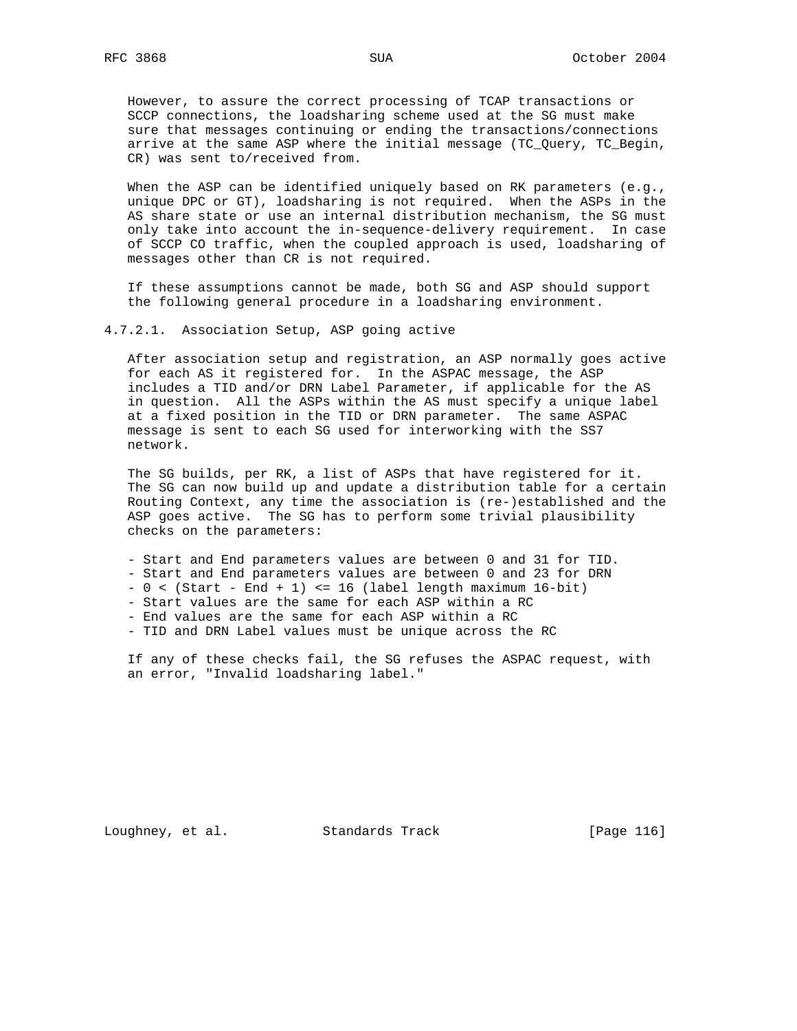However, to assure the correct processing of TCAP transactions or SCCP connections, the loadsharing scheme used at the SG must make sure that messages continuing or ending the transactions/connections arrive at the same ASP where the initial message (TC\_Query, TC\_Begin, CR) was sent to/received from.

When the ASP can be identified uniquely based on RK parameters (e.g., unique DPC or GT), loadsharing is not required. When the ASPs in the AS share state or use an internal distribution mechanism, the SG must only take into account the in-sequence-delivery requirement. In case of SCCP CO traffic, when the coupled approach is used, loadsharing of messages other than CR is not required.

 If these assumptions cannot be made, both SG and ASP should support the following general procedure in a loadsharing environment.

4.7.2.1. Association Setup, ASP going active

 After association setup and registration, an ASP normally goes active for each AS it registered for. In the ASPAC message, the ASP includes a TID and/or DRN Label Parameter, if applicable for the AS in question. All the ASPs within the AS must specify a unique label at a fixed position in the TID or DRN parameter. The same ASPAC message is sent to each SG used for interworking with the SS7 network.

 The SG builds, per RK, a list of ASPs that have registered for it. The SG can now build up and update a distribution table for a certain Routing Context, any time the association is (re-)established and the ASP goes active. The SG has to perform some trivial plausibility checks on the parameters:

 - Start and End parameters values are between 0 and 31 for TID. - Start and End parameters values are between 0 and 23 for DRN  $- 0 <$  (Start - End + 1) <= 16 (label length maximum 16-bit) - Start values are the same for each ASP within a RC - End values are the same for each ASP within a RC

- TID and DRN Label values must be unique across the RC

 If any of these checks fail, the SG refuses the ASPAC request, with an error, "Invalid loadsharing label."

Loughney, et al. Standards Track [Page 116]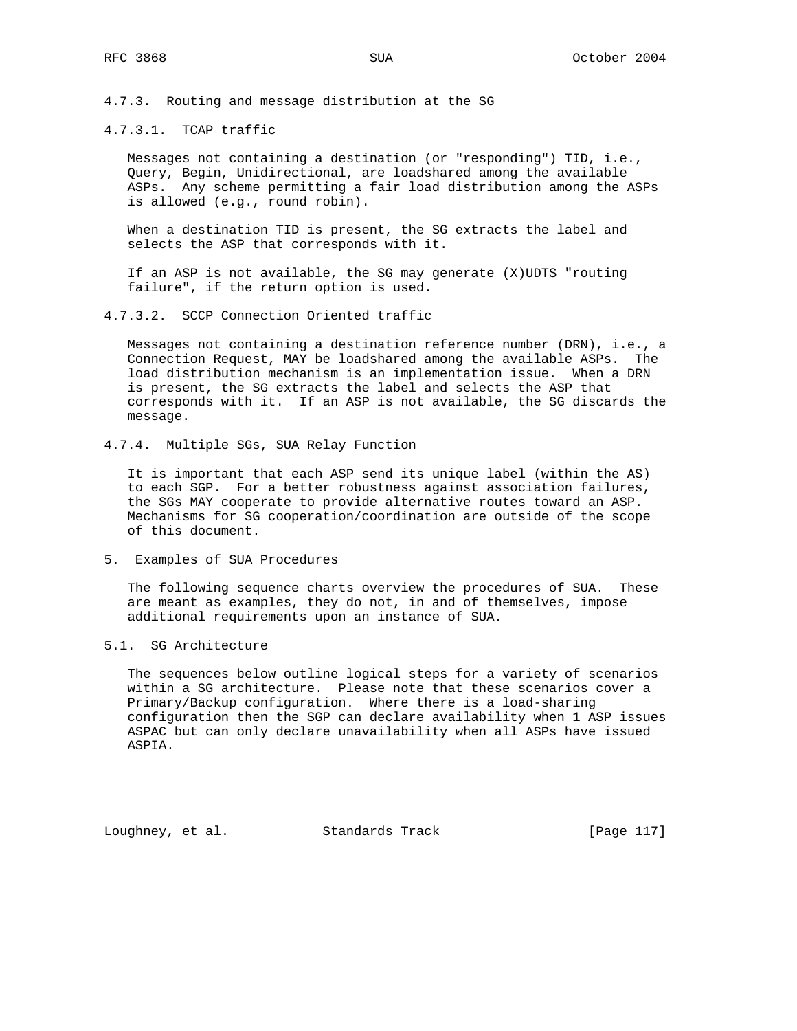4.7.3. Routing and message distribution at the SG

### 4.7.3.1. TCAP traffic

 Messages not containing a destination (or "responding") TID, i.e., Query, Begin, Unidirectional, are loadshared among the available ASPs. Any scheme permitting a fair load distribution among the ASPs is allowed (e.g., round robin).

 When a destination TID is present, the SG extracts the label and selects the ASP that corresponds with it.

 If an ASP is not available, the SG may generate (X)UDTS "routing failure", if the return option is used.

#### 4.7.3.2. SCCP Connection Oriented traffic

 Messages not containing a destination reference number (DRN), i.e., a Connection Request, MAY be loadshared among the available ASPs. The load distribution mechanism is an implementation issue. When a DRN is present, the SG extracts the label and selects the ASP that corresponds with it. If an ASP is not available, the SG discards the message.

### 4.7.4. Multiple SGs, SUA Relay Function

 It is important that each ASP send its unique label (within the AS) to each SGP. For a better robustness against association failures, the SGs MAY cooperate to provide alternative routes toward an ASP. Mechanisms for SG cooperation/coordination are outside of the scope of this document.

### 5. Examples of SUA Procedures

 The following sequence charts overview the procedures of SUA. These are meant as examples, they do not, in and of themselves, impose additional requirements upon an instance of SUA.

### 5.1. SG Architecture

 The sequences below outline logical steps for a variety of scenarios within a SG architecture. Please note that these scenarios cover a Primary/Backup configuration. Where there is a load-sharing configuration then the SGP can declare availability when 1 ASP issues ASPAC but can only declare unavailability when all ASPs have issued ASPIA.

Loughney, et al. Standards Track [Page 117]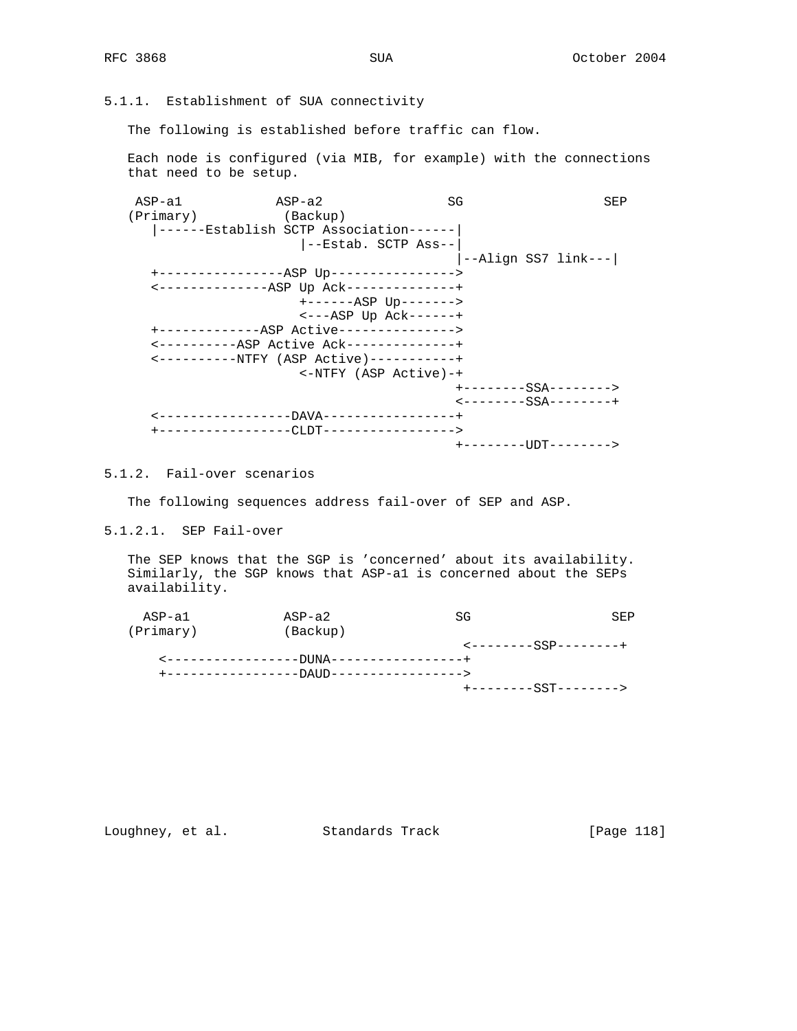# 5.1.1. Establishment of SUA connectivity

The following is established before traffic can flow.

 Each node is configured (via MIB, for example) with the connections that need to be setup.

 ASP-a1 ASP-a2 SG SEP (Primary) (Backup) |------Establish SCTP Association------| |--Estab. SCTP Ass--| |--Align SS7 link---| +----------------ASP Up----------------> <--------------ASP Up Ack--------------+ +------ASP Up-------> <---ASP Up Ack------+ +-------------ASP Active---------------> <----------ASP Active Ack--------------+ <----------NTFY (ASP Active)-----------+ <-NTFY (ASP Active)-+ +--------SSA--------> <--------SSA--------+ <-----------------DAVA-----------------+ +-----------------CLDT-----------------> +--------UDT-------->

5.1.2. Fail-over scenarios

The following sequences address fail-over of SEP and ASP.

5.1.2.1. SEP Fail-over

 The SEP knows that the SGP is 'concerned' about its availability. Similarly, the SGP knows that ASP-a1 is concerned about the SEPs availability.

| ASP-a1    | $ASP-a2$                                 | SG | SEP                                                |
|-----------|------------------------------------------|----|----------------------------------------------------|
| (Primary) | (Backup)                                 |    |                                                    |
|           |                                          |    | $\leftarrow$ - - - - - - - - SSP - - - - - - - - + |
|           | <-----------------DUNA-----------------+ |    |                                                    |
|           |                                          |    |                                                    |
|           |                                          |    | +--------SST-------->                              |

# Loughney, et al. Standards Track [Page 118]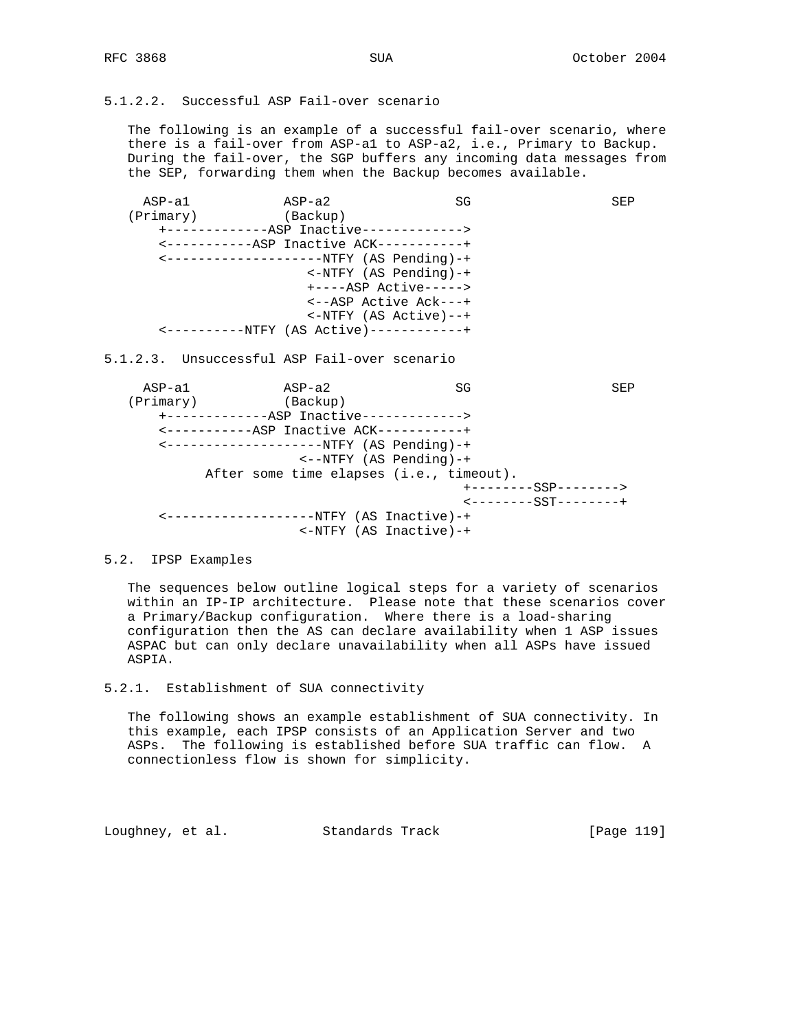# 5.1.2.2. Successful ASP Fail-over scenario

 The following is an example of a successful fail-over scenario, where there is a fail-over from ASP-a1 to ASP-a2, i.e., Primary to Backup. During the fail-over, the SGP buffers any incoming data messages from the SEP, forwarding them when the Backup becomes available.

ASP-a1 ASP-a2 SG SEP (Primary) (Backup) +-------------ASP Inactive-------------> <-----------ASP Inactive ACK-----------+ <--------------------NTFY (AS Pending)-+ <-NTFY (AS Pending)-+ +----ASP Active-----> <--ASP Active Ack---+ <-NTFY (AS Active)--+ <----------NTFY (AS Active)------------+ 5.1.2.3. Unsuccessful ASP Fail-over scenario ASP-a1 ASP-a2 SG SEP (Primary) (Backup) +-------------ASP Inactive-------------> <-----------ASP Inactive ACK-----------+ <--------------------NTFY (AS Pending)-+ <--NTFY (AS Pending)-+ After some time elapses (i.e., timeout). +--------SSP--------> <--------SST--------+ <-------------------NTFY (AS Inactive)-+

5.2. IPSP Examples

 The sequences below outline logical steps for a variety of scenarios within an IP-IP architecture. Please note that these scenarios cover a Primary/Backup configuration. Where there is a load-sharing configuration then the AS can declare availability when 1 ASP issues ASPAC but can only declare unavailability when all ASPs have issued ASPIA.

<-NTFY (AS Inactive)-+

5.2.1. Establishment of SUA connectivity

 The following shows an example establishment of SUA connectivity. In this example, each IPSP consists of an Application Server and two ASPs. The following is established before SUA traffic can flow. A connectionless flow is shown for simplicity.

Loughney, et al. Standards Track [Page 119]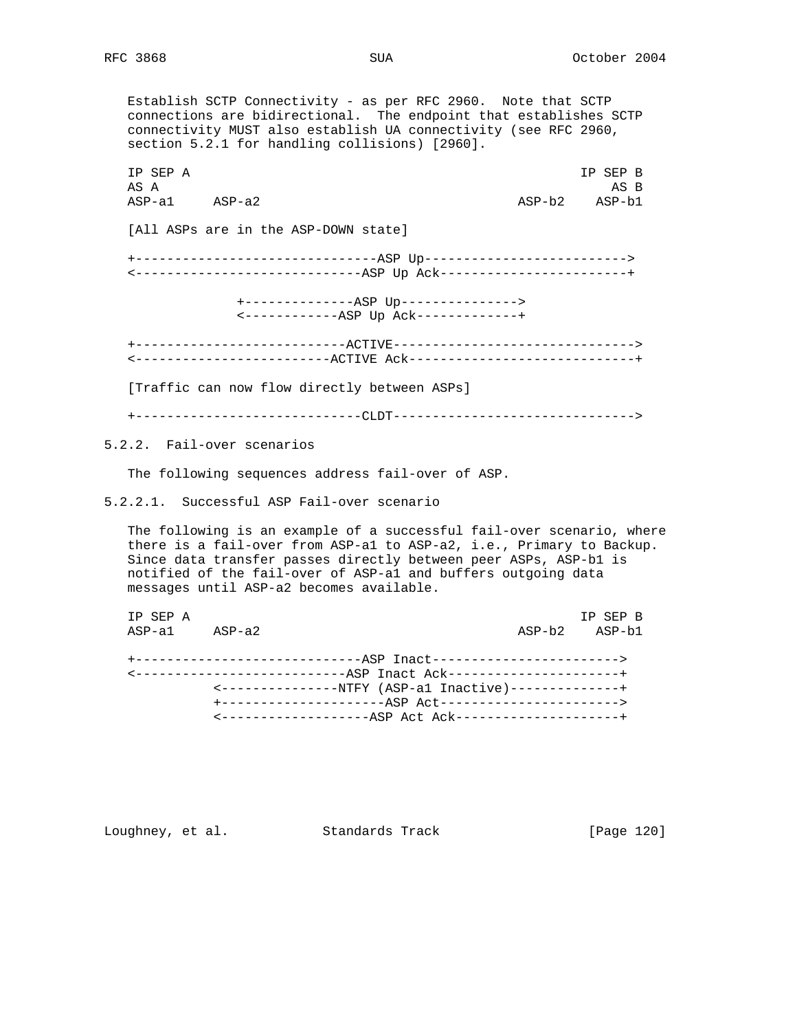Establish SCTP Connectivity - as per RFC 2960. Note that SCTP connections are bidirectional. The endpoint that establishes SCTP connectivity MUST also establish UA connectivity (see RFC 2960, section 5.2.1 for handling collisions) [2960]. IP SEP A IP SEP B AS A ASSESSMENT AND THE SERVICE OF THE SERVICE OF THE SERVICE OF THE SERVICE OF THE SERVICE OF THE SERVICE OF THE SERVICE OF THE SERVICE OF THE SERVICE OF THE SERVICE OF THE SERVICE OF THE SERVICE OF THE SERVICE OF THE SER ASP-a1 ASP-a2 ASP-b2 ASP-b1 [All ASPs are in the ASP-DOWN state] +-------------------------------ASP Up--------------------------> <-----------------------------ASP Up Ack------------------------+ +--------------ASP Up---------------> <------------ASP Up Ack-------------+ +---------------------------ACTIVE-------------------------------> <-------------------------ACTIVE Ack-----------------------------+ [Traffic can now flow directly between ASPs] +-----------------------------CLDT-------------------------------> 5.2.2. Fail-over scenarios The following sequences address fail-over of ASP. 5.2.2.1. Successful ASP Fail-over scenario

 The following is an example of a successful fail-over scenario, where there is a fail-over from ASP-a1 to ASP-a2, i.e., Primary to Backup. Since data transfer passes directly between peer ASPs, ASP-b1 is notified of the fail-over of ASP-a1 and buffers outgoing data messages until ASP-a2 becomes available.

| IP SEP A |                   |                                                                    | TP SEP B      |
|----------|-------------------|--------------------------------------------------------------------|---------------|
|          | $ASP-a1$ $ASP-a2$ |                                                                    | ASP-b2 ASP-b1 |
|          |                   |                                                                    |               |
|          |                   | +------------------------------ASP Inact-------------------------> |               |
|          |                   | <-----------------------------ASP Inact Ack----------------------+ |               |
|          |                   | <----------------NTFY (ASP-al Inactive)--------------+             |               |
|          |                   |                                                                    |               |
|          |                   | <--------------------ASP Act Ack---------------------+             |               |

Loughney, et al. Standards Track [Page 120]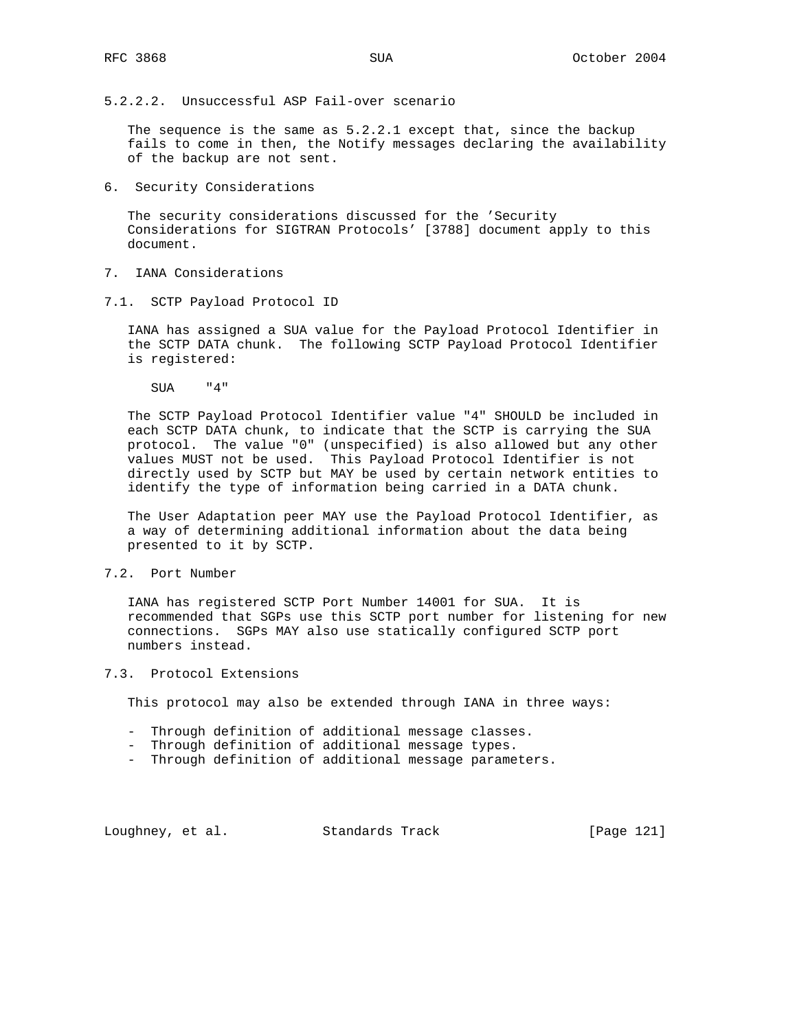5.2.2.2. Unsuccessful ASP Fail-over scenario

The sequence is the same as  $5.2.2.1$  except that, since the backup fails to come in then, the Notify messages declaring the availability of the backup are not sent.

6. Security Considerations

 The security considerations discussed for the 'Security Considerations for SIGTRAN Protocols' [3788] document apply to this document.

- 7. IANA Considerations
- 7.1. SCTP Payload Protocol ID

 IANA has assigned a SUA value for the Payload Protocol Identifier in the SCTP DATA chunk. The following SCTP Payload Protocol Identifier is registered:

SUA "4"

 The SCTP Payload Protocol Identifier value "4" SHOULD be included in each SCTP DATA chunk, to indicate that the SCTP is carrying the SUA protocol. The value "0" (unspecified) is also allowed but any other values MUST not be used. This Payload Protocol Identifier is not directly used by SCTP but MAY be used by certain network entities to identify the type of information being carried in a DATA chunk.

 The User Adaptation peer MAY use the Payload Protocol Identifier, as a way of determining additional information about the data being presented to it by SCTP.

7.2. Port Number

 IANA has registered SCTP Port Number 14001 for SUA. It is recommended that SGPs use this SCTP port number for listening for new connections. SGPs MAY also use statically configured SCTP port numbers instead.

7.3. Protocol Extensions

This protocol may also be extended through IANA in three ways:

- Through definition of additional message classes.
- Through definition of additional message types.
- Through definition of additional message parameters.

Loughney, et al. Standards Track [Page 121]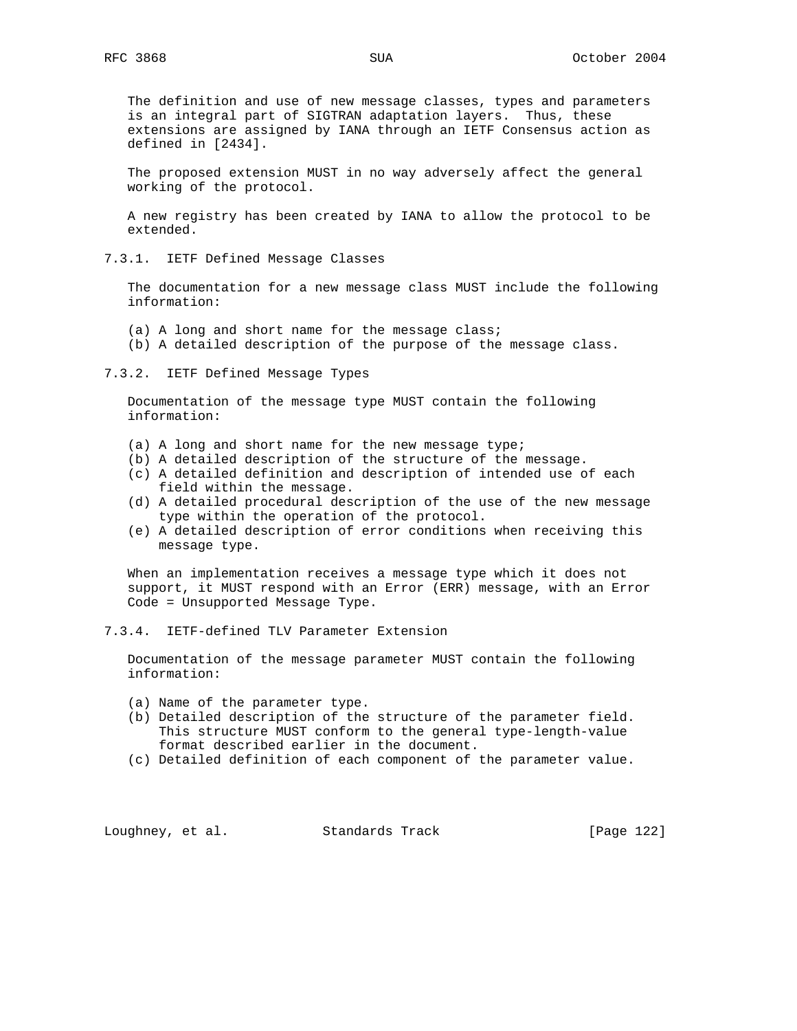The definition and use of new message classes, types and parameters is an integral part of SIGTRAN adaptation layers. Thus, these extensions are assigned by IANA through an IETF Consensus action as defined in [2434].

 The proposed extension MUST in no way adversely affect the general working of the protocol.

 A new registry has been created by IANA to allow the protocol to be extended.

7.3.1. IETF Defined Message Classes

 The documentation for a new message class MUST include the following information:

- (a) A long and short name for the message class;
- (b) A detailed description of the purpose of the message class.

7.3.2. IETF Defined Message Types

 Documentation of the message type MUST contain the following information:

- (a) A long and short name for the new message type;
- (b) A detailed description of the structure of the message.
- (c) A detailed definition and description of intended use of each field within the message.
- (d) A detailed procedural description of the use of the new message type within the operation of the protocol.
- (e) A detailed description of error conditions when receiving this message type.

 When an implementation receives a message type which it does not support, it MUST respond with an Error (ERR) message, with an Error Code = Unsupported Message Type.

7.3.4. IETF-defined TLV Parameter Extension

 Documentation of the message parameter MUST contain the following information:

- (a) Name of the parameter type.
- (b) Detailed description of the structure of the parameter field. This structure MUST conform to the general type-length-value format described earlier in the document.
- (c) Detailed definition of each component of the parameter value.

Loughney, et al. Standards Track [Page 122]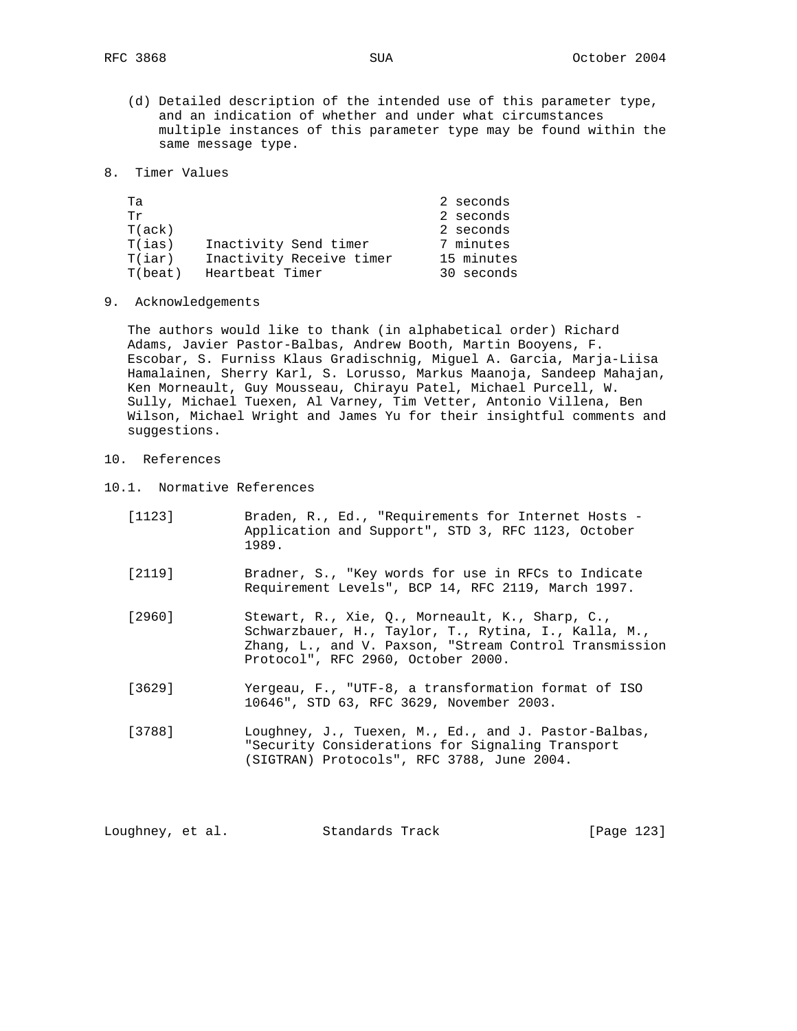- (d) Detailed description of the intended use of this parameter type, and an indication of whether and under what circumstances multiple instances of this parameter type may be found within the same message type.
- 8. Timer Values

| Та      |                          | 2 seconds  |
|---------|--------------------------|------------|
| Τr      |                          | 2 seconds  |
| T(ack)  |                          | 2 seconds  |
| T(ias)  | Inactivity Send timer    | 7 minutes  |
| T(iar)  | Inactivity Receive timer | 15 minutes |
| T(beat) | Heartbeat Timer          | 30 seconds |
|         |                          |            |

9. Acknowledgements

 The authors would like to thank (in alphabetical order) Richard Adams, Javier Pastor-Balbas, Andrew Booth, Martin Booyens, F. Escobar, S. Furniss Klaus Gradischnig, Miguel A. Garcia, Marja-Liisa Hamalainen, Sherry Karl, S. Lorusso, Markus Maanoja, Sandeep Mahajan, Ken Morneault, Guy Mousseau, Chirayu Patel, Michael Purcell, W. Sully, Michael Tuexen, Al Varney, Tim Vetter, Antonio Villena, Ben Wilson, Michael Wright and James Yu for their insightful comments and suggestions.

- 10. References
- 10.1. Normative References

| [1123] | Braden, R., Ed., "Requirements for Internet Hosts -<br>Application and Support", STD 3, RFC 1123, October<br>1989.                                                                                      |
|--------|---------------------------------------------------------------------------------------------------------------------------------------------------------------------------------------------------------|
| [2119] | Bradner, S., "Key words for use in RFCs to Indicate<br>Requirement Levels", BCP 14, RFC 2119, March 1997.                                                                                               |
| [2960] | Stewart, R., Xie, Q., Morneault, K., Sharp, C.,<br>Schwarzbauer, H., Taylor, T., Rytina, I., Kalla, M.,<br>Zhang, L., and V. Paxson, "Stream Control Transmission<br>Protocol", RFC 2960, October 2000. |
| [3629] | Yergeau, F., "UTF-8, a transformation format of ISO<br>10646", STD 63, RFC 3629, November 2003.                                                                                                         |
| [3788] | Loughney, J., Tuexen, M., Ed., and J. Pastor-Balbas,<br>"Security Considerations for Signaling Transport<br>(SIGTRAN) Protocols", RFC 3788, June 2004.                                                  |

| Loughney, et al. |  | Standards Track | [Page 123] |
|------------------|--|-----------------|------------|
|------------------|--|-----------------|------------|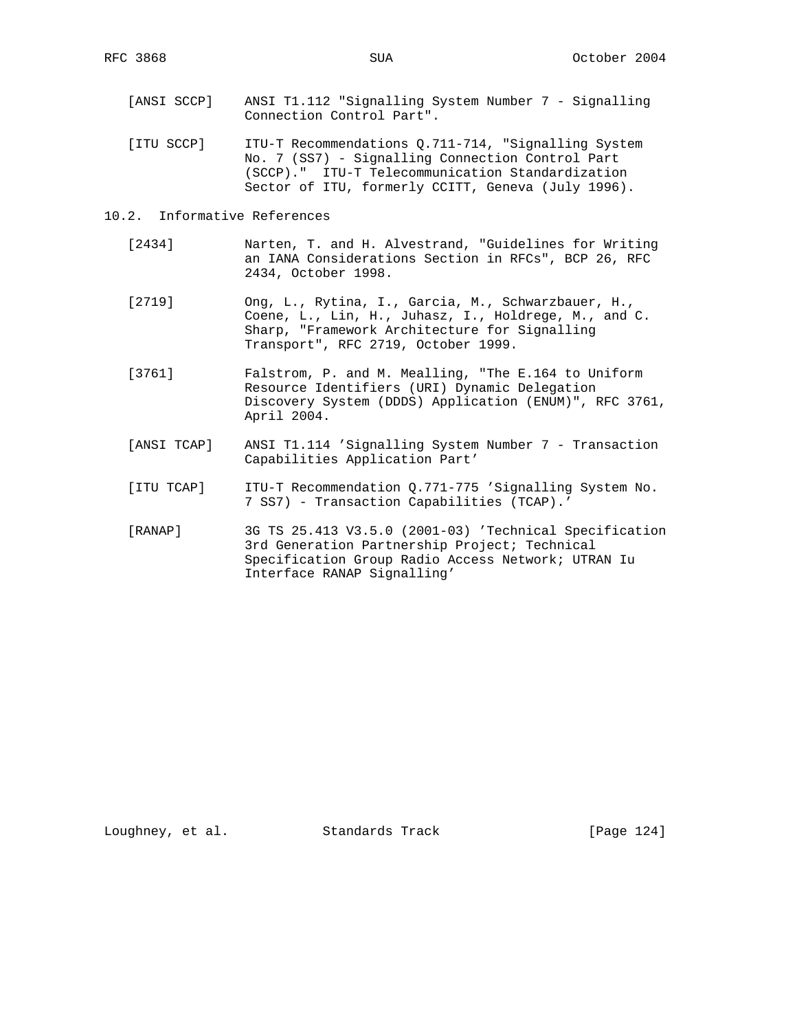- [ANSI SCCP] ANSI T1.112 "Signalling System Number 7 Signalling Connection Control Part".
- [ITU SCCP] ITU-T Recommendations Q.711-714, "Signalling System No. 7 (SS7) - Signalling Connection Control Part (SCCP)." ITU-T Telecommunication Standardization Sector of ITU, formerly CCITT, Geneva (July 1996).

#### 10.2. Informative References

- [2434] Narten, T. and H. Alvestrand, "Guidelines for Writing an IANA Considerations Section in RFCs", BCP 26, RFC 2434, October 1998.
- [2719] Ong, L., Rytina, I., Garcia, M., Schwarzbauer, H., Coene, L., Lin, H., Juhasz, I., Holdrege, M., and C. Sharp, "Framework Architecture for Signalling Transport", RFC 2719, October 1999.
- [3761] Falstrom, P. and M. Mealling, "The E.164 to Uniform Resource Identifiers (URI) Dynamic Delegation Discovery System (DDDS) Application (ENUM)", RFC 3761, April 2004.
- [ANSI TCAP] ANSI T1.114 'Signalling System Number 7 Transaction Capabilities Application Part'
- [ITU TCAP] ITU-T Recommendation Q.771-775 'Signalling System No. 7 SS7) - Transaction Capabilities (TCAP).'
- [RANAP] 3G TS 25.413 V3.5.0 (2001-03) 'Technical Specification 3rd Generation Partnership Project; Technical Specification Group Radio Access Network; UTRAN Iu Interface RANAP Signalling'

Loughney, et al. Standards Track [Page 124]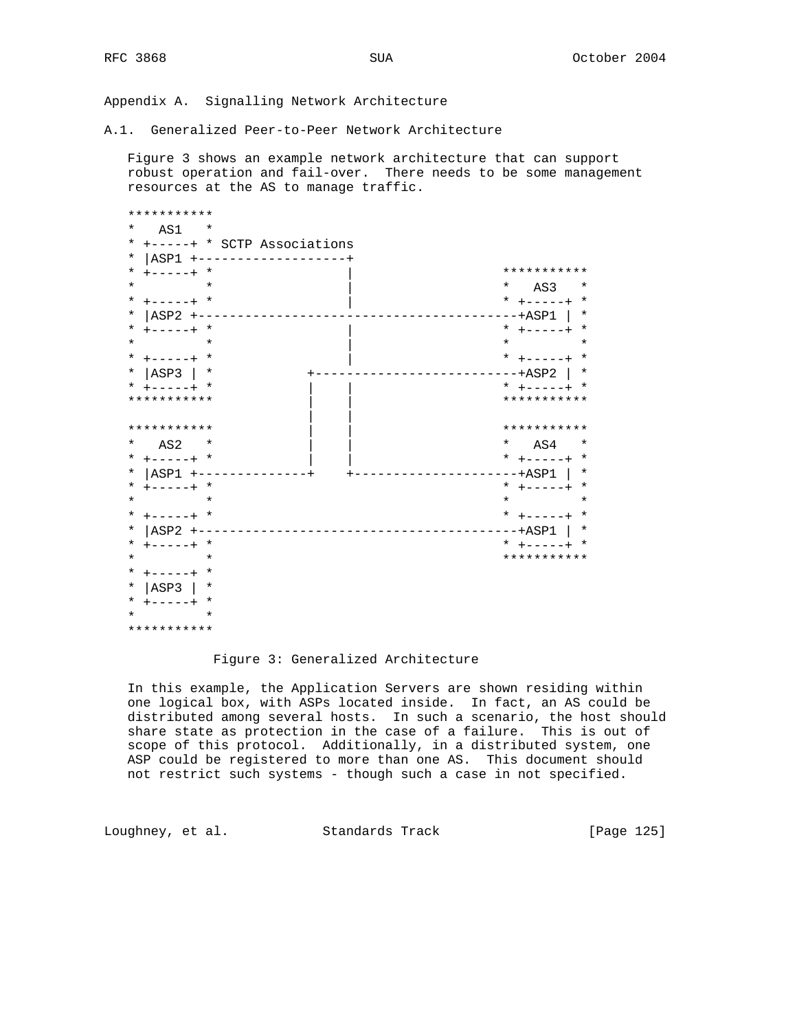Appendix A. Signalling Network Architecture

A.1. Generalized Peer-to-Peer Network Architecture

 Figure 3 shows an example network architecture that can support robust operation and fail-over. There needs to be some management resources at the AS to manage traffic.

| * * * * * * * * * * *                   |                                |
|-----------------------------------------|--------------------------------|
| *<br>AS1 and a<br>$^\star$              |                                |
| +-----+ * SCTP Associations<br>*        |                                |
| $\star$<br>  ASP1 +-------------------+ |                                |
| $+ - - - - +$ *<br>$\ast$               | * * * * * * * * * * *          |
| $\star$<br>$\star$                      | $*$ AS3<br>$\star$             |
| * $+ - - - - +$ *                       | * $+ - - - - +$ *              |
| $ ASP2$ +-<br>*                         | ---+ASP1  <br>$^\star$         |
| $+ - - - - +$ *<br>*                    | * $+ - - - - +$ *              |
| $\star$<br>$\star$                      | $\star$ and $\star$<br>$\star$ |
| * $+ - - - - +$ *                       | * $+ - - - - +$ *              |
| ASP3  <br>*<br>$^\star$                 | ----+ASP2   *                  |
| * $+ - - - - +$ *                       | * $+ - - - - +$ *              |
| ***********                             | ***********                    |
|                                         |                                |
| * * * * * * * * * * *                   | * * * * * * * * * * *          |
| *<br>$\overline{AS2}$ *                 | $*$ AS4<br>$^\star$            |
| * $+ - - - - +$ *                       | * $+ - - - - +$ *              |
| $ ASP1$ +--<br>*                        | $^\star$<br>$---+ASP1$         |
| * $+ - - - - +$ *                       | * $+ - - - - +$ *              |
| $\star$<br>$\star$                      | $\star$<br>$\star$             |
| * $+ - - - - +$ *                       | * $+ - - - - +$ *              |
| $ ASP2$ +--<br>*<br>---------           | $^\star$<br>$---ABPI$          |
| $+ - - - - +$ *<br>$\ast$               | * $+ - - - - +$<br>$\star$     |
| $\star$<br>$\star$                      | * * * * * * * * * * *          |
| *<br>$+ - - - - +$ *                    |                                |
| ASP3 <br>*<br>*                         |                                |
| * $+ - - - - +$ *                       |                                |
| $\star$<br>$\star$                      |                                |
| * * * * * * * * * * *                   |                                |

## Figure 3: Generalized Architecture

 In this example, the Application Servers are shown residing within one logical box, with ASPs located inside. In fact, an AS could be distributed among several hosts. In such a scenario, the host should share state as protection in the case of a failure. This is out of scope of this protocol. Additionally, in a distributed system, one ASP could be registered to more than one AS. This document should not restrict such systems - though such a case in not specified.

Loughney, et al. Standards Track [Page 125]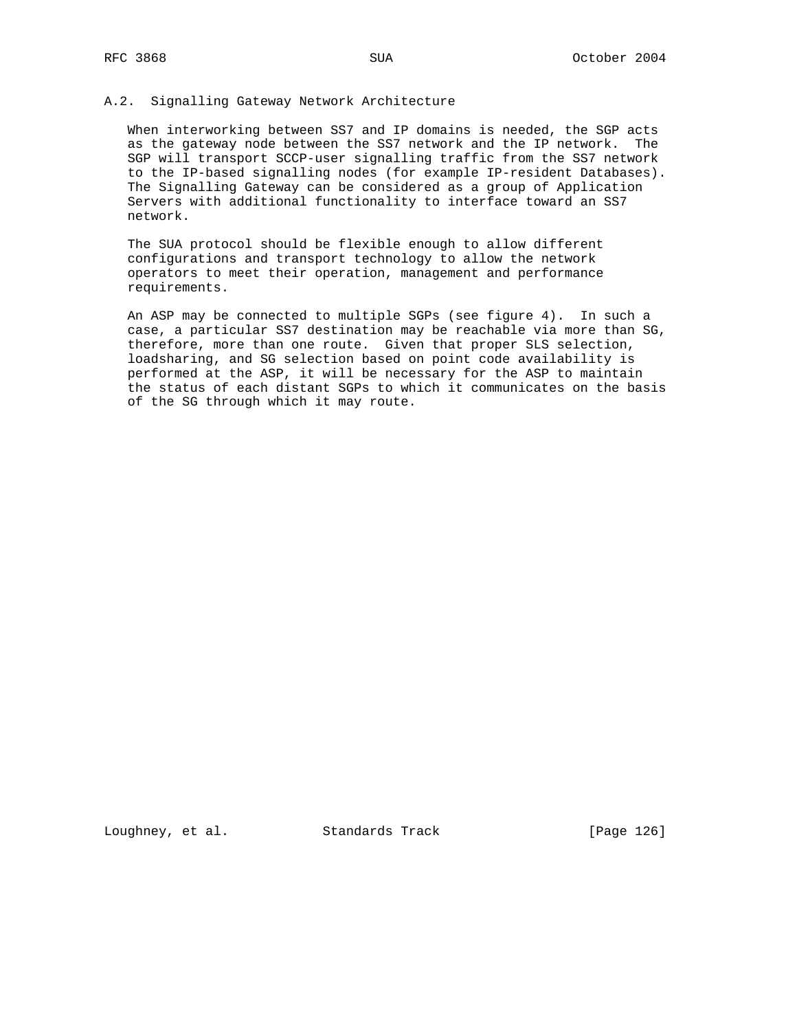### A.2. Signalling Gateway Network Architecture

 When interworking between SS7 and IP domains is needed, the SGP acts as the gateway node between the SS7 network and the IP network. The SGP will transport SCCP-user signalling traffic from the SS7 network to the IP-based signalling nodes (for example IP-resident Databases). The Signalling Gateway can be considered as a group of Application Servers with additional functionality to interface toward an SS7 network.

 The SUA protocol should be flexible enough to allow different configurations and transport technology to allow the network operators to meet their operation, management and performance requirements.

 An ASP may be connected to multiple SGPs (see figure 4). In such a case, a particular SS7 destination may be reachable via more than SG, therefore, more than one route. Given that proper SLS selection, loadsharing, and SG selection based on point code availability is performed at the ASP, it will be necessary for the ASP to maintain the status of each distant SGPs to which it communicates on the basis of the SG through which it may route.

Loughney, et al. Standards Track [Page 126]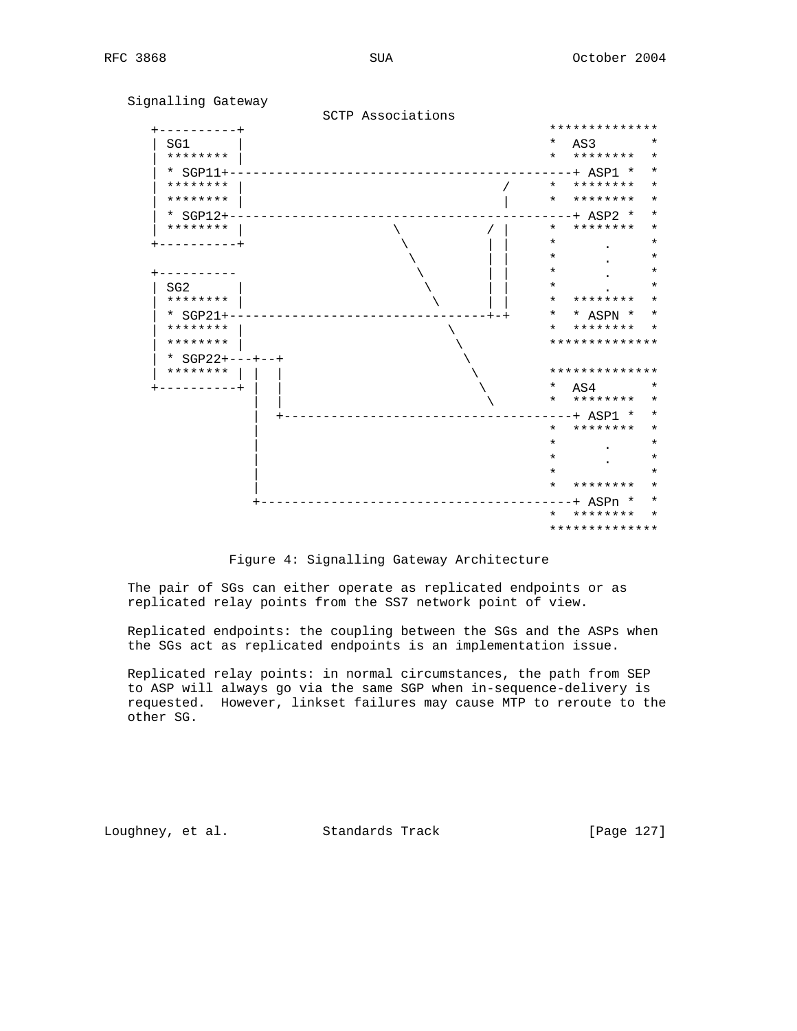Signalling Gateway SCTP Associations +----------+ \*\*\*\*\*\*\*\*\*\*\*\*\*\* | SG1 | \* AS3 \* | \*\*\*\*\*\*\*\* | \* \*\*\*\*\*\*\*\* \* | \* SGP11+--------------------------------------------+ ASP1 \* \* | \*\*\*\*\*\*\* | / \* \*\*\*\*\*\*\* \* | \*\*\*\*\*\*\*\* | | \* \*\*\*\*\*\*\*\* \* | \* SGP12+--------------------------------------------+ ASP2 \* \* | \*\*\*\*\*\*\*\* | \ / | \* \*\*\*\*\*\*\*\* \* +----------+ \ | | \* . \*  $\qquad \qquad \backslash$  .  $\qquad \qquad$   $\qquad$   $\qquad$   $\qquad$   $\qquad$   $\qquad$   $\qquad$   $\qquad$   $\qquad$   $\qquad$   $\qquad$   $\qquad$   $\qquad$   $\qquad$   $\qquad$   $\qquad$   $\qquad$   $\qquad$   $\qquad$   $\qquad$   $\qquad$   $\qquad$   $\qquad$   $\qquad$   $\qquad$   $\qquad$   $\qquad$   $\qquad$   $\qquad$   $\qquad$   $\qquad$   $\qquad$   $\qquad$   $\qquad$  +---------- \ | | \* . \* | SG2 | \ | | \* . \* | \*\*\*\*\*\*\*\* | \ | | \* \*\*\*\*\*\*\*\* \* | \* SGP21+---------------------------------+-+ \* \* ASPN \* \* \* \*\*\*\*\*\*\*\* \*<br>\*\*\*\*\*\*\*\*\*\*\*\*\* | \*\*\*\*\*\*\*\* | \ \*\*\*\*\*\*\*\*\*\*\*\*\*\*  $*$  SGP22+---+--+ | \*\*\*\*\*\*\*\* | | | \ \*\*\*\*\*\*\*\*\*\*\*\*\*\* +----------+ | | \ \* AS4 \* | | \ \* \*\*\*\*\*\*\*\* \* | +-------------------------------------+ ASP1 \* \* | \* \*\*\*\*\*\*\*\* \*  $\mathbf{r}$  .  $\mathbf{r}$  .  $\mathbf{r}$  ,  $\mathbf{r}$  ,  $\mathbf{r}$  ,  $\mathbf{r}$  ,  $\mathbf{r}$  ,  $\mathbf{r}$  ,  $\mathbf{r}$  ,  $\mathbf{r}$  ,  $\mathbf{r}$  ,  $\mathbf{r}$  ,  $\mathbf{r}$  ,  $\mathbf{r}$  ,  $\mathbf{r}$  ,  $\mathbf{r}$  ,  $\mathbf{r}$  ,  $\mathbf{r}$  ,  $\mathbf{r}$  ,  $\mathbf{r}$  ,  $\mathbf{r}$  .  $\mathbf{r}$  .  $\mathbf{r}$  ,  $\mathbf{r}$  ,  $\mathbf{r}$  ,  $\mathbf{r}$  ,  $\mathbf{r}$  ,  $\mathbf{r}$  ,  $\mathbf{r}$  ,  $\mathbf{r}$  ,  $\mathbf{r}$  ,  $\mathbf{r}$  ,  $\mathbf{r}$  ,  $\mathbf{r}$  ,  $\mathbf{r}$  ,  $\mathbf{r}$  ,  $\mathbf{r}$  ,  $\mathbf{r}$  ,  $\mathbf{r}$  ,  $\mathbf{r}$  , | \* \* | \* \*\*\*\*\*\*\*\* \* +----------------------------------------+ ASPn \* \* \* \*\*\*\*\*\*\*\* \* \*\*\*\*\*\*\*\*\*\*\*\*\*\*

Figure 4: Signalling Gateway Architecture

 The pair of SGs can either operate as replicated endpoints or as replicated relay points from the SS7 network point of view.

 Replicated endpoints: the coupling between the SGs and the ASPs when the SGs act as replicated endpoints is an implementation issue.

 Replicated relay points: in normal circumstances, the path from SEP to ASP will always go via the same SGP when in-sequence-delivery is requested. However, linkset failures may cause MTP to reroute to the other SG.

Loughney, et al. Standards Track [Page 127]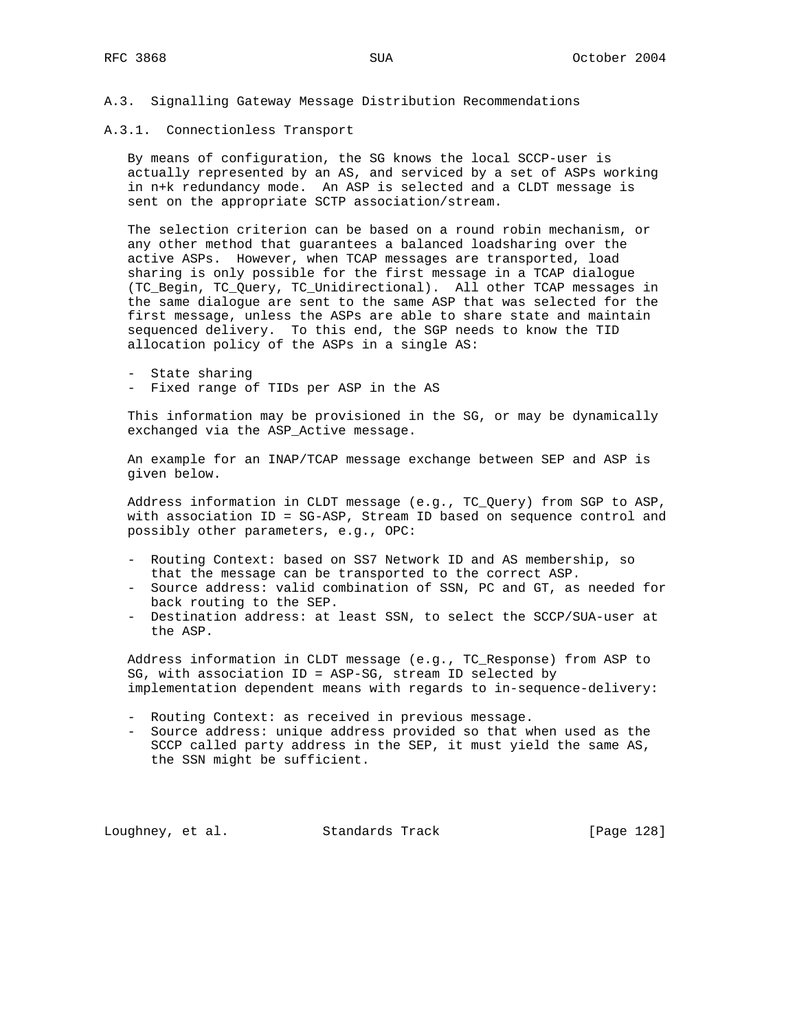#### A.3. Signalling Gateway Message Distribution Recommendations

A.3.1. Connectionless Transport

 By means of configuration, the SG knows the local SCCP-user is actually represented by an AS, and serviced by a set of ASPs working in n+k redundancy mode. An ASP is selected and a CLDT message is sent on the appropriate SCTP association/stream.

 The selection criterion can be based on a round robin mechanism, or any other method that guarantees a balanced loadsharing over the active ASPs. However, when TCAP messages are transported, load sharing is only possible for the first message in a TCAP dialogue (TC\_Begin, TC\_Query, TC\_Unidirectional). All other TCAP messages in the same dialogue are sent to the same ASP that was selected for the first message, unless the ASPs are able to share state and maintain sequenced delivery. To this end, the SGP needs to know the TID allocation policy of the ASPs in a single AS:

- State sharing
- Fixed range of TIDs per ASP in the AS

 This information may be provisioned in the SG, or may be dynamically exchanged via the ASP\_Active message.

 An example for an INAP/TCAP message exchange between SEP and ASP is given below.

 Address information in CLDT message (e.g., TC\_Query) from SGP to ASP, with association ID = SG-ASP, Stream ID based on sequence control and possibly other parameters, e.g., OPC:

- Routing Context: based on SS7 Network ID and AS membership, so that the message can be transported to the correct ASP.
- Source address: valid combination of SSN, PC and GT, as needed for back routing to the SEP.
- Destination address: at least SSN, to select the SCCP/SUA-user at the ASP.

 Address information in CLDT message (e.g., TC\_Response) from ASP to SG, with association ID = ASP-SG, stream ID selected by implementation dependent means with regards to in-sequence-delivery:

- Routing Context: as received in previous message.
- Source address: unique address provided so that when used as the SCCP called party address in the SEP, it must yield the same AS, the SSN might be sufficient.

Loughney, et al. Standards Track [Page 128]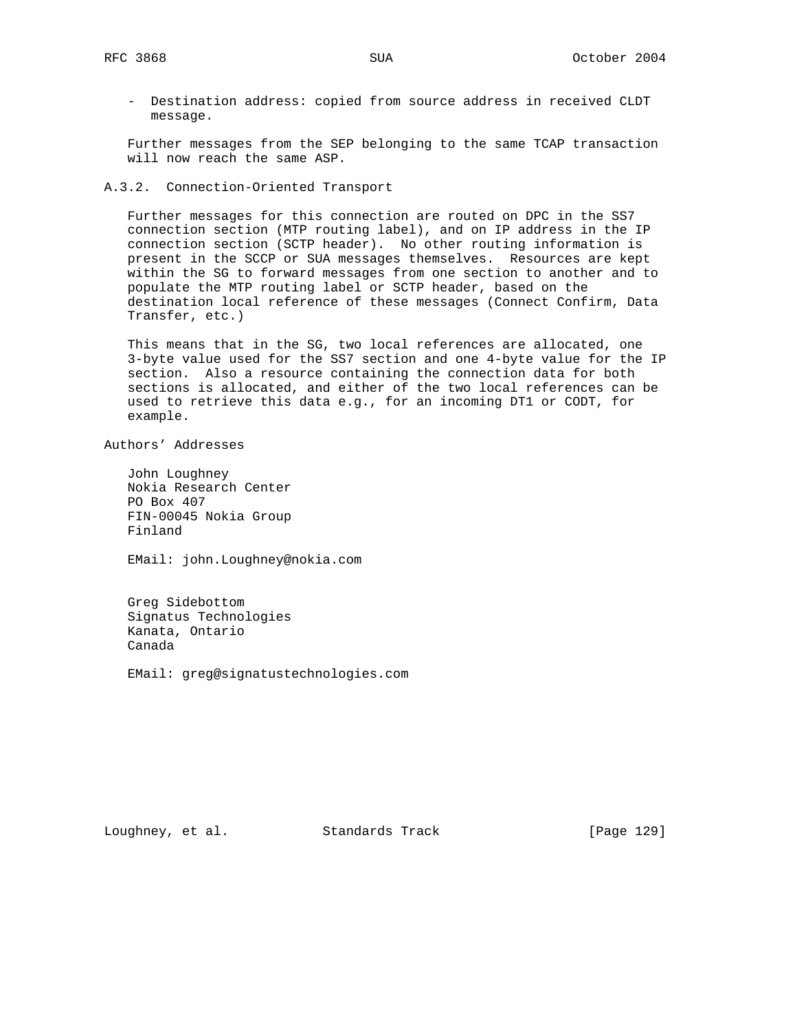- Destination address: copied from source address in received CLDT message.

 Further messages from the SEP belonging to the same TCAP transaction will now reach the same ASP.

A.3.2. Connection-Oriented Transport

 Further messages for this connection are routed on DPC in the SS7 connection section (MTP routing label), and on IP address in the IP connection section (SCTP header). No other routing information is present in the SCCP or SUA messages themselves. Resources are kept within the SG to forward messages from one section to another and to populate the MTP routing label or SCTP header, based on the destination local reference of these messages (Connect Confirm, Data Transfer, etc.)

 This means that in the SG, two local references are allocated, one 3-byte value used for the SS7 section and one 4-byte value for the IP section. Also a resource containing the connection data for both sections is allocated, and either of the two local references can be used to retrieve this data e.g., for an incoming DT1 or CODT, for example.

Authors' Addresses

 John Loughney Nokia Research Center PO Box 407 FIN-00045 Nokia Group Finland

EMail: john.Loughney@nokia.com

 Greg Sidebottom Signatus Technologies Kanata, Ontario Canada

EMail: greg@signatustechnologies.com

Loughney, et al. Standards Track [Page 129]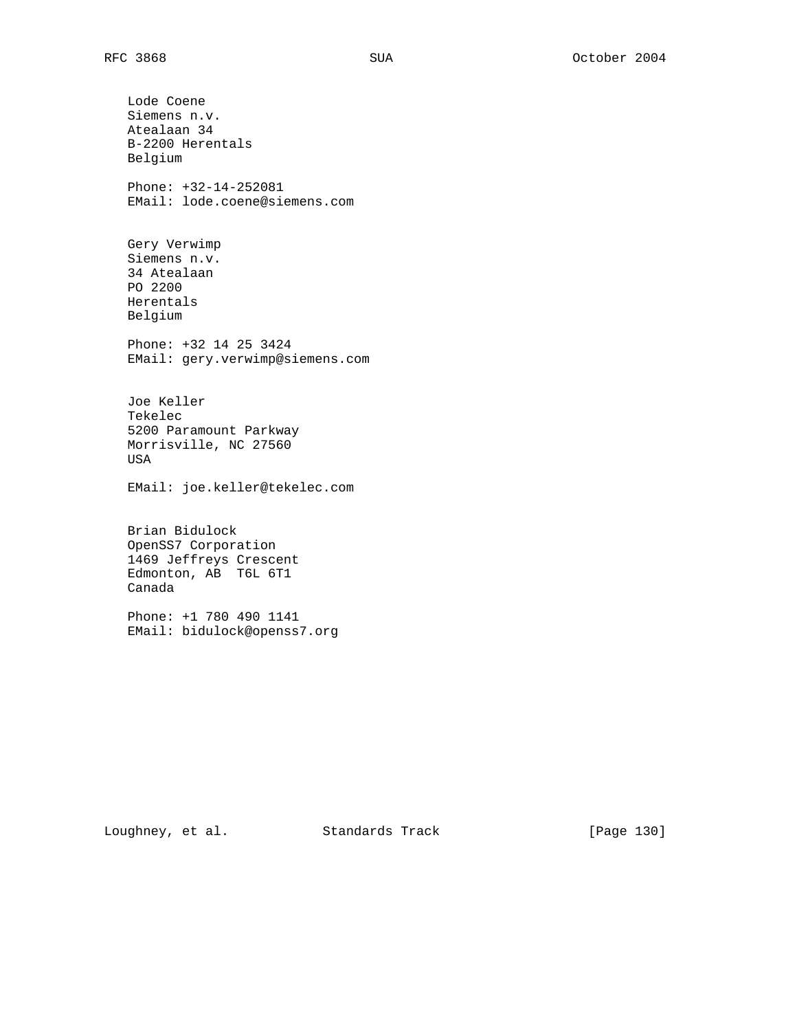Lode Coene Siemens n.v. Atealaan 34 B-2200 Herentals Belgium Phone: +32-14-252081 EMail: lode.coene@siemens.com Gery Verwimp Siemens n.v. 34 Atealaan PO 2200 Herentals Belgium Phone: +32 14 25 3424 EMail: gery.verwimp@siemens.com Joe Keller Tekelec 5200 Paramount Parkway Morrisville, NC 27560 USA EMail: joe.keller@tekelec.com Brian Bidulock OpenSS7 Corporation 1469 Jeffreys Crescent Edmonton, AB T6L 6T1 Canada Phone: +1 780 490 1141 EMail: bidulock@openss7.org

Loughney, et al. Standards Track [Page 130]